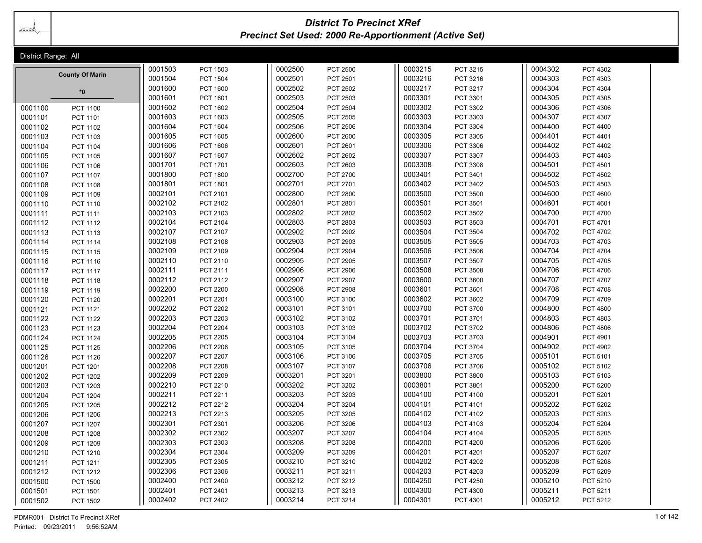bando de Santo Santo Santo Santo Santo Santo Santo Santo Santo Santo Santo Santo Santo Santo Santo Santo Santo<br>Santo Santo Santo Santo Santo Santo Santo Santo Santo Santo Santo Santo Santo Santo Santo Santo Santo Santo S

# *District To Precinct XRef Precinct Set Used: 2000 Re-Apportionment (Active Set)*

| District Range: All        |                    |                                    |                    |                      |                    |                             |                    |                      |  |
|----------------------------|--------------------|------------------------------------|--------------------|----------------------|--------------------|-----------------------------|--------------------|----------------------|--|
|                            | 0001503            | <b>PCT 1503</b>                    | 0002500            | <b>PCT 2500</b>      | 0003215            | PCT 3215                    | 0004302            | PCT 4302             |  |
| <b>County Of Marin</b>     | 0001504            | <b>PCT 1504</b>                    | 0002501            | PCT 2501             | 0003216            | PCT 3216                    | 0004303            | PCT 4303             |  |
| $*0$                       | 0001600            | <b>PCT 1600</b>                    | 0002502            | <b>PCT 2502</b>      | 0003217            | PCT 3217                    | 0004304            | PCT 4304             |  |
|                            | 0001601            | PCT 1601                           | 0002503            | PCT 2503             | 0003301            | PCT 3301                    | 0004305            | PCT 4305             |  |
| 0001100<br>PCT 1100        | 0001602            | PCT 1602                           | 0002504            | <b>PCT 2504</b>      | 0003302            | PCT 3302                    | 0004306            | PCT 4306             |  |
| 0001101<br><b>PCT 1101</b> | 0001603            | PCT 1603                           | 0002505            | <b>PCT 2505</b>      | 0003303            | PCT 3303                    | 0004307            | PCT 4307             |  |
| 0001102<br>PCT 1102        | 0001604            | <b>PCT 1604</b>                    | 0002506            | <b>PCT 2506</b>      | 0003304            | PCT 3304                    | 0004400            | PCT 4400             |  |
| 0001103<br>PCT 1103        | 0001605            | <b>PCT 1605</b>                    | 0002600            | <b>PCT 2600</b>      | 0003305            | PCT 3305                    | 0004401            | PCT 4401             |  |
| 0001104<br>PCT 1104        | 0001606            | <b>PCT 1606</b>                    | 0002601            | PCT 2601             | 0003306            | PCT 3306                    | 0004402            | PCT 4402             |  |
| 0001105<br><b>PCT 1105</b> | 0001607            | PCT 1607                           | 0002602            | PCT 2602             | 0003307            | PCT 3307                    | 0004403            | PCT 4403             |  |
| 0001106<br>PCT 1106        | 0001701            | PCT 1701                           | 0002603            | <b>PCT 2603</b>      | 0003308            | PCT 3308                    | 0004501            | PCT 4501             |  |
| 0001107<br>PCT 1107        | 0001800            | <b>PCT 1800</b>                    | 0002700            | <b>PCT 2700</b>      | 0003401            | PCT 3401                    | 0004502            | PCT 4502             |  |
| 0001108<br>PCT 1108        | 0001801            | PCT 1801                           | 0002701            | PCT 2701             | 0003402            | PCT 3402                    | 0004503            | PCT 4503             |  |
| 0001109<br>PCT 1109        | 0002101            | PCT 2101                           | 0002800            | <b>PCT 2800</b>      | 0003500            | <b>PCT 3500</b>             | 0004600            | PCT 4600             |  |
| 0001110<br>PCT 1110        | 0002102            | PCT 2102                           | 0002801            | PCT 2801             | 0003501            | PCT 3501                    | 0004601            | PCT 4601             |  |
| 0001111<br>PCT 1111        | 0002103            | PCT 2103                           | 0002802            | PCT 2802             | 0003502            | PCT 3502                    | 0004700            | PCT 4700             |  |
| 0001112<br>PCT 1112        | 0002104            | PCT 2104                           | 0002803            | PCT 2803             | 0003503            | PCT 3503                    | 0004701            | PCT 4701             |  |
| 0001113<br>PCT 1113        | 0002107            | PCT 2107                           | 0002902            | <b>PCT 2902</b>      | 0003504            | PCT 3504                    | 0004702            | PCT 4702             |  |
| 0001114<br>PCT 1114        | 0002108            | <b>PCT 2108</b>                    | 0002903            | PCT 2903             | 0003505            | PCT 3505                    | 0004703            | PCT 4703             |  |
| 0001115<br>PCT 1115        | 0002109            | PCT 2109                           | 0002904            | <b>PCT 2904</b>      | 0003506            | <b>PCT 3506</b>             | 0004704            | <b>PCT 4704</b>      |  |
| 0001116<br>PCT 1116        | 0002110            | PCT 2110                           | 0002905            | PCT 2905             | 0003507            | PCT 3507                    | 0004705            | <b>PCT 4705</b>      |  |
| 0001117<br><b>PCT 1117</b> | 0002111            | PCT 2111                           | 0002906            | <b>PCT 2906</b>      | 0003508            | <b>PCT 3508</b>             | 0004706            | PCT 4706             |  |
| 0001118<br>PCT 1118        | 0002112            | PCT 2112                           | 0002907            | <b>PCT 2907</b>      | 0003600            | <b>PCT 3600</b>             | 0004707            | PCT 4707             |  |
| 0001119<br>PCT 1119        | 0002200            | <b>PCT 2200</b>                    | 0002908            | <b>PCT 2908</b>      | 0003601            | PCT 3601                    | 0004708            | PCT 4708             |  |
| 0001120<br><b>PCT 1120</b> | 0002201            | PCT 2201                           | 0003100            | <b>PCT 3100</b>      | 0003602            | PCT 3602                    | 0004709            | PCT 4709             |  |
| 0001121<br><b>PCT 1121</b> | 0002202            | <b>PCT 2202</b>                    | 0003101            | PCT 3101             | 0003700            | PCT 3700                    | 0004800            | <b>PCT 4800</b>      |  |
| 0001122<br><b>PCT 1122</b> | 0002203            | PCT 2203                           | 0003102            | PCT 3102             | 0003701            | PCT 3701                    | 0004803            | PCT 4803             |  |
| 0001123<br>PCT 1123        | 0002204            | <b>PCT 2204</b>                    | 0003103            | PCT 3103             | 0003702            | PCT 3702                    | 0004806            | <b>PCT 4806</b>      |  |
| 0001124<br><b>PCT 1124</b> | 0002205            | <b>PCT 2205</b>                    | 0003104            | PCT 3104             | 0003703            | PCT 3703                    | 0004901            | PCT 4901             |  |
| 0001125<br><b>PCT 1125</b> | 0002206            | <b>PCT 2206</b>                    | 0003105            | PCT 3105             | 0003704            | PCT 3704                    | 0004902            | PCT 4902             |  |
| 0001126<br>PCT 1126        | 0002207            | <b>PCT 2207</b>                    | 0003106            | PCT 3106             | 0003705            | PCT 3705                    | 0005101            | PCT 5101             |  |
| 0001201<br>PCT 1201        | 0002208            | <b>PCT 2208</b>                    | 0003107            | PCT 3107             | 0003706            | PCT 3706                    | 0005102            | PCT 5102             |  |
| 0001202<br>PCT 1202        | 0002209            | <b>PCT 2209</b>                    | 0003201            | PCT 3201             | 0003800            | PCT 3800                    | 0005103            | PCT 5103             |  |
| 0001203<br>PCT 1203        | 0002210            | PCT 2210                           | 0003202            | PCT 3202             | 0003801            | PCT 3801                    | 0005200            | PCT 5200             |  |
| 0001204<br><b>PCT 1204</b> | 0002211            | PCT 2211                           | 0003203            | PCT 3203             | 0004100            | PCT 4100                    | 0005201            | PCT 5201             |  |
| 0001205<br><b>PCT 1205</b> | 0002212            | PCT 2212                           | 0003204            | <b>PCT 3204</b>      | 0004101            | PCT 4101                    | 0005202            | PCT 5202             |  |
| 0001206<br><b>PCT 1206</b> | 0002213            | PCT 2213                           | 0003205            | <b>PCT 3205</b>      | 0004102            | PCT 4102                    | 0005203            | PCT 5203             |  |
| 0001207<br><b>PCT 1207</b> | 0002301            | PCT 2301                           | 0003206            | <b>PCT 3206</b>      | 0004103            | PCT 4103                    | 0005204            | <b>PCT 5204</b>      |  |
| 0001208<br><b>PCT 1208</b> | 0002302            | PCT 2302                           | 0003207            | PCT 3207             | 0004104            | PCT 4104                    | 0005205            | PCT 5205             |  |
| 0001209<br>PCT 1209        | 0002303<br>0002304 | PCT 2303                           | 0003208<br>0003209 | PCT 3208             | 0004200<br>0004201 | <b>PCT 4200</b>             | 0005206<br>0005207 | PCT 5206             |  |
| 0001210<br>PCT 1210        | 0002305            | PCT 2304                           |                    | <b>PCT 3209</b>      | 0004202            | PCT 4201                    | 0005208            | PCT 5207             |  |
| 0001211<br>PCT 1211        | 0002306            | PCT 2305                           | 0003210<br>0003211 | PCT 3210             | 0004203            | <b>PCT 4202</b><br>PCT 4203 | 0005209            | <b>PCT 5208</b>      |  |
| 0001212<br>PCT 1212        | 0002400            | <b>PCT 2306</b><br><b>PCT 2400</b> | 0003212            | PCT 3211<br>PCT 3212 | 0004250            | <b>PCT 4250</b>             | 0005210            | PCT 5209<br>PCT 5210 |  |
| 0001500<br><b>PCT 1500</b> | 0002401            | PCT 2401                           | 0003213            | PCT 3213             | 0004300            | PCT 4300                    | 0005211            | PCT 5211             |  |
| 0001501<br>PCT 1501        | 0002402            |                                    | 0003214            |                      | 0004301            |                             | 0005212            |                      |  |
| 0001502<br><b>PCT 1502</b> |                    | PCT 2402                           |                    | PCT 3214             |                    | PCT 4301                    |                    | PCT 5212             |  |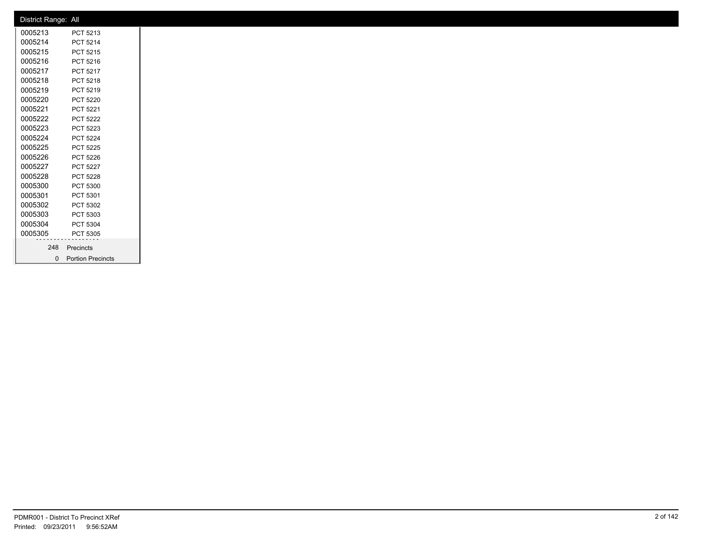| District Range: All |                     |
|---------------------|---------------------|
| 0005213             | PCT 5213            |
| 0005214             | PCT 5214            |
| 0005215             | PCT 5215            |
| 0005216             | PCT 5216            |
| 0005217             | PCT 5217            |
| 0005218             | PCT 5218            |
| 0005219             | PCT 5219            |
| 0005220             | PCT 5220            |
| 0005221             | PCT 5221            |
| 0005222             | PCT 5222            |
| 0005223             | PCT 5223            |
| 0005224             | <b>PCT 5224</b>     |
| 0005225             | PCT 5225            |
| 0005226             | PCT 5226            |
| 0005227             | PCT 5227            |
| 0005228             | PCT 5228            |
| 0005300             | PCT 5300            |
| 0005301             | PCT 5301            |
| 0005302             | PCT 5302            |
| 0005303             | PCT 5303            |
| 0005304             | PCT 5304            |
| 0005305             | PCT 5305            |
| 248                 | Precincts           |
|                     | 0 Portion Precincts |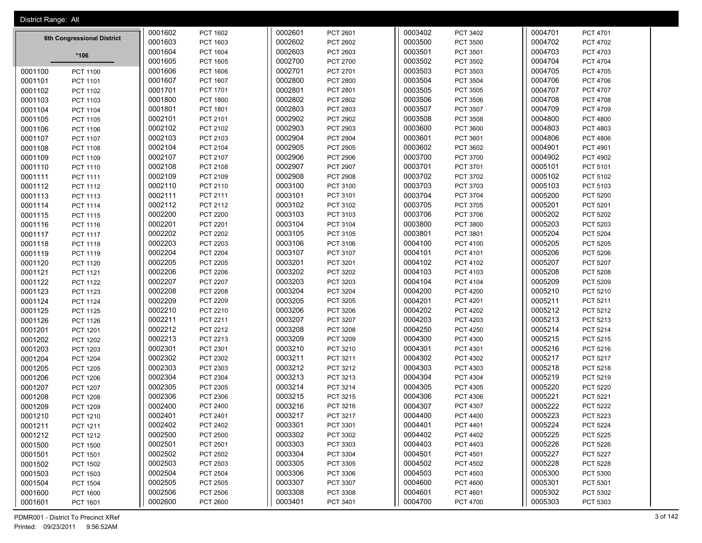| 0001602<br>0003402<br>PCT 1602<br>0002601<br>PCT 2601<br>0004701<br>PCT 3402<br>PCT 4701<br>6th Congressional District<br>0001603<br>0002602<br>0003500<br>0004702<br>PCT 1603<br><b>PCT 2602</b><br>PCT 3500<br><b>PCT 4702</b><br>0001604<br><b>PCT 1604</b><br>0002603<br>PCT 2603<br>0003501<br>PCT 3501<br>0004703<br>PCT 4703<br>*106<br>0001605<br>0002700<br>0003502<br>0004704<br>PCT 1605<br>PCT 2700<br>PCT 3502<br>PCT 4704<br>0001606<br>0002701<br>0003503<br>0004705<br>PCT 1606<br>PCT 2701<br>PCT 3503<br>PCT 4705<br>0001100<br><b>PCT 1100</b><br>0003504<br>0001607<br><b>PCT 1607</b><br>0002800<br><b>PCT 2800</b><br>PCT 3504<br>0004706<br>PCT 4706<br>0001101<br>PCT 1101<br>0002801<br>0003505<br>0004707<br>0001701<br>PCT 1701<br>PCT 2801<br>PCT 3505<br>PCT 4707<br>0001102<br>PCT 1102<br>0001800<br><b>PCT 1800</b><br>0002802<br><b>PCT 2802</b><br>0003506<br>PCT 3506<br>0004708<br><b>PCT 4708</b><br>0001103<br>PCT 1103<br>0001801<br>0002803<br>0003507<br>0004709<br>PCT 1801<br>PCT 2803<br>PCT 3507<br>PCT 4709<br>0001104<br>PCT 1104<br>0002101<br>0002902<br>0003508<br>0004800<br>PCT 2101<br><b>PCT 2902</b><br>PCT 3508<br><b>PCT 4800</b><br>0001105<br>PCT 1105<br>0002102<br>0002903<br>0003600<br>0004803<br>PCT 2102<br>PCT 2903<br>PCT 3600<br>PCT 4803<br>0001106<br>PCT 1106 |  |
|--------------------------------------------------------------------------------------------------------------------------------------------------------------------------------------------------------------------------------------------------------------------------------------------------------------------------------------------------------------------------------------------------------------------------------------------------------------------------------------------------------------------------------------------------------------------------------------------------------------------------------------------------------------------------------------------------------------------------------------------------------------------------------------------------------------------------------------------------------------------------------------------------------------------------------------------------------------------------------------------------------------------------------------------------------------------------------------------------------------------------------------------------------------------------------------------------------------------------------------------------------------------------------------------------------------------------------------|--|
|                                                                                                                                                                                                                                                                                                                                                                                                                                                                                                                                                                                                                                                                                                                                                                                                                                                                                                                                                                                                                                                                                                                                                                                                                                                                                                                                      |  |
|                                                                                                                                                                                                                                                                                                                                                                                                                                                                                                                                                                                                                                                                                                                                                                                                                                                                                                                                                                                                                                                                                                                                                                                                                                                                                                                                      |  |
|                                                                                                                                                                                                                                                                                                                                                                                                                                                                                                                                                                                                                                                                                                                                                                                                                                                                                                                                                                                                                                                                                                                                                                                                                                                                                                                                      |  |
|                                                                                                                                                                                                                                                                                                                                                                                                                                                                                                                                                                                                                                                                                                                                                                                                                                                                                                                                                                                                                                                                                                                                                                                                                                                                                                                                      |  |
|                                                                                                                                                                                                                                                                                                                                                                                                                                                                                                                                                                                                                                                                                                                                                                                                                                                                                                                                                                                                                                                                                                                                                                                                                                                                                                                                      |  |
|                                                                                                                                                                                                                                                                                                                                                                                                                                                                                                                                                                                                                                                                                                                                                                                                                                                                                                                                                                                                                                                                                                                                                                                                                                                                                                                                      |  |
|                                                                                                                                                                                                                                                                                                                                                                                                                                                                                                                                                                                                                                                                                                                                                                                                                                                                                                                                                                                                                                                                                                                                                                                                                                                                                                                                      |  |
|                                                                                                                                                                                                                                                                                                                                                                                                                                                                                                                                                                                                                                                                                                                                                                                                                                                                                                                                                                                                                                                                                                                                                                                                                                                                                                                                      |  |
|                                                                                                                                                                                                                                                                                                                                                                                                                                                                                                                                                                                                                                                                                                                                                                                                                                                                                                                                                                                                                                                                                                                                                                                                                                                                                                                                      |  |
|                                                                                                                                                                                                                                                                                                                                                                                                                                                                                                                                                                                                                                                                                                                                                                                                                                                                                                                                                                                                                                                                                                                                                                                                                                                                                                                                      |  |
|                                                                                                                                                                                                                                                                                                                                                                                                                                                                                                                                                                                                                                                                                                                                                                                                                                                                                                                                                                                                                                                                                                                                                                                                                                                                                                                                      |  |
| 0002103<br>0002904<br>0003601<br>0004806<br>PCT 2103<br><b>PCT 2904</b><br>PCT 3601<br><b>PCT 4806</b><br>0001107<br>PCT 1107                                                                                                                                                                                                                                                                                                                                                                                                                                                                                                                                                                                                                                                                                                                                                                                                                                                                                                                                                                                                                                                                                                                                                                                                        |  |
| 0002104<br>PCT 2104<br>0002905<br>PCT 2905<br>0003602<br>PCT 3602<br>0004901<br>PCT 4901<br>0001108<br><b>PCT 1108</b>                                                                                                                                                                                                                                                                                                                                                                                                                                                                                                                                                                                                                                                                                                                                                                                                                                                                                                                                                                                                                                                                                                                                                                                                               |  |
| 0002107<br>PCT 2107<br>0002906<br>0003700<br>0004902<br><b>PCT 2906</b><br>PCT 3700<br><b>PCT 4902</b><br>0001109<br>PCT 1109                                                                                                                                                                                                                                                                                                                                                                                                                                                                                                                                                                                                                                                                                                                                                                                                                                                                                                                                                                                                                                                                                                                                                                                                        |  |
| 0002108<br>0002907<br>0003701<br>0005101<br>PCT 5101<br>0001110<br>PCT 2108<br>PCT 2907<br>PCT 3701<br>PCT 1110                                                                                                                                                                                                                                                                                                                                                                                                                                                                                                                                                                                                                                                                                                                                                                                                                                                                                                                                                                                                                                                                                                                                                                                                                      |  |
| 0002109<br>0002908<br>0003702<br>0005102<br>PCT 2109<br><b>PCT 2908</b><br>PCT 3702<br>PCT 5102<br>0001111<br><b>PCT 1111</b>                                                                                                                                                                                                                                                                                                                                                                                                                                                                                                                                                                                                                                                                                                                                                                                                                                                                                                                                                                                                                                                                                                                                                                                                        |  |
| 0003100<br>0003703<br>0005103<br>0002110<br>PCT 2110<br>PCT 3100<br>PCT 3703<br>PCT 5103<br>0001112<br>PCT 1112                                                                                                                                                                                                                                                                                                                                                                                                                                                                                                                                                                                                                                                                                                                                                                                                                                                                                                                                                                                                                                                                                                                                                                                                                      |  |
| 0002111<br>PCT 2111<br>0003101<br>PCT 3101<br>0003704<br>PCT 3704<br>0005200<br><b>PCT 5200</b><br>0001113<br>PCT 1113                                                                                                                                                                                                                                                                                                                                                                                                                                                                                                                                                                                                                                                                                                                                                                                                                                                                                                                                                                                                                                                                                                                                                                                                               |  |
| 0002112<br>0003102<br>0003705<br>0005201<br>PCT 2112<br>PCT 3102<br>PCT 3705<br>PCT 5201<br>0001114<br>PCT 1114                                                                                                                                                                                                                                                                                                                                                                                                                                                                                                                                                                                                                                                                                                                                                                                                                                                                                                                                                                                                                                                                                                                                                                                                                      |  |
| 0002200<br>0003103<br>0003706<br>0005202<br><b>PCT 2200</b><br>PCT 3103<br>PCT 3706<br><b>PCT 5202</b><br>0001115<br>PCT 1115                                                                                                                                                                                                                                                                                                                                                                                                                                                                                                                                                                                                                                                                                                                                                                                                                                                                                                                                                                                                                                                                                                                                                                                                        |  |
| 0002201<br>0003104<br>0003800<br>PCT 2201<br>PCT 3104<br>PCT 3800<br>0005203<br>PCT 5203<br>0001116<br>PCT 1116                                                                                                                                                                                                                                                                                                                                                                                                                                                                                                                                                                                                                                                                                                                                                                                                                                                                                                                                                                                                                                                                                                                                                                                                                      |  |
| 0002202<br>0003105<br>0003801<br>0005204<br><b>PCT 2202</b><br>PCT 3105<br>PCT 3801<br><b>PCT 5204</b><br>0001117<br><b>PCT 1117</b>                                                                                                                                                                                                                                                                                                                                                                                                                                                                                                                                                                                                                                                                                                                                                                                                                                                                                                                                                                                                                                                                                                                                                                                                 |  |
| PCT 2203<br>0002203<br>0003106<br>PCT 3106<br>0004100<br>PCT 4100<br>0005205<br><b>PCT 5205</b><br>0001118<br>PCT 1118                                                                                                                                                                                                                                                                                                                                                                                                                                                                                                                                                                                                                                                                                                                                                                                                                                                                                                                                                                                                                                                                                                                                                                                                               |  |
| 0002204<br><b>PCT 2204</b><br>0003107<br>0004101<br>0005206<br>PCT 3107<br>PCT 4101<br>PCT 5206<br>0001119<br>PCT 1119                                                                                                                                                                                                                                                                                                                                                                                                                                                                                                                                                                                                                                                                                                                                                                                                                                                                                                                                                                                                                                                                                                                                                                                                               |  |
| 0002205<br>0003201<br>0004102<br>0005207<br>0001120<br><b>PCT 2205</b><br>PCT 3201<br>PCT 4102<br>PCT 5207<br><b>PCT 1120</b>                                                                                                                                                                                                                                                                                                                                                                                                                                                                                                                                                                                                                                                                                                                                                                                                                                                                                                                                                                                                                                                                                                                                                                                                        |  |
| 0002206<br>0003202<br>0004103<br>0005208<br><b>PCT 2206</b><br>PCT 3202<br>PCT 4103<br><b>PCT 5208</b><br>0001121<br><b>PCT 1121</b>                                                                                                                                                                                                                                                                                                                                                                                                                                                                                                                                                                                                                                                                                                                                                                                                                                                                                                                                                                                                                                                                                                                                                                                                 |  |
| 0002207<br>0003203<br>0004104<br>0005209<br><b>PCT 2207</b><br>PCT 3203<br>PCT 4104<br>PCT 5209<br>0001122<br>PCT 1122                                                                                                                                                                                                                                                                                                                                                                                                                                                                                                                                                                                                                                                                                                                                                                                                                                                                                                                                                                                                                                                                                                                                                                                                               |  |
| <b>PCT 2208</b><br>0002208<br>0003204<br>PCT 3204<br>0004200<br><b>PCT 4200</b><br>0005210<br>PCT 5210<br>0001123<br>PCT 1123                                                                                                                                                                                                                                                                                                                                                                                                                                                                                                                                                                                                                                                                                                                                                                                                                                                                                                                                                                                                                                                                                                                                                                                                        |  |
| 0002209<br><b>PCT 2209</b><br>0003205<br>0004201<br>0005211<br>PCT 3205<br>PCT 4201<br>PCT 5211<br>0001124<br><b>PCT 1124</b>                                                                                                                                                                                                                                                                                                                                                                                                                                                                                                                                                                                                                                                                                                                                                                                                                                                                                                                                                                                                                                                                                                                                                                                                        |  |
| 0002210<br>0003206<br>0004202<br>0005212<br>PCT 2210<br>PCT 3206<br><b>PCT 4202</b><br>PCT 5212<br>0001125<br><b>PCT 1125</b>                                                                                                                                                                                                                                                                                                                                                                                                                                                                                                                                                                                                                                                                                                                                                                                                                                                                                                                                                                                                                                                                                                                                                                                                        |  |
| 0002211<br>0003207<br>0004203<br>0005213<br>PCT 2211<br>PCT 3207<br>PCT 4203<br>PCT 5213<br>0001126<br><b>PCT 1126</b>                                                                                                                                                                                                                                                                                                                                                                                                                                                                                                                                                                                                                                                                                                                                                                                                                                                                                                                                                                                                                                                                                                                                                                                                               |  |
| 0002212<br>0003208<br>0004250<br>0005214<br>0001201<br>PCT 2212<br>PCT 3208<br><b>PCT 4250</b><br>PCT 5214<br>PCT 1201                                                                                                                                                                                                                                                                                                                                                                                                                                                                                                                                                                                                                                                                                                                                                                                                                                                                                                                                                                                                                                                                                                                                                                                                               |  |
| 0002213<br>PCT 2213<br>0003209<br>PCT 3209<br>0004300<br>PCT 4300<br>0005215<br>PCT 5215<br>0001202<br>PCT 1202                                                                                                                                                                                                                                                                                                                                                                                                                                                                                                                                                                                                                                                                                                                                                                                                                                                                                                                                                                                                                                                                                                                                                                                                                      |  |
| 0002301<br>PCT 2301<br>0003210<br>0004301<br>0005216<br>PCT 3210<br>PCT 4301<br>PCT 5216<br>0001203<br>PCT 1203                                                                                                                                                                                                                                                                                                                                                                                                                                                                                                                                                                                                                                                                                                                                                                                                                                                                                                                                                                                                                                                                                                                                                                                                                      |  |
| 0002302<br>0003211<br>0004302<br>0005217<br>0001204<br>PCT 2302<br>PCT 3211<br>PCT 4302<br>PCT 5217<br><b>PCT 1204</b>                                                                                                                                                                                                                                                                                                                                                                                                                                                                                                                                                                                                                                                                                                                                                                                                                                                                                                                                                                                                                                                                                                                                                                                                               |  |
| 0002303<br>0003212<br>0004303<br>PCT 2303<br>PCT 3212<br>PCT 4303<br>0005218<br>0001205<br>PCT 5218<br><b>PCT 1205</b>                                                                                                                                                                                                                                                                                                                                                                                                                                                                                                                                                                                                                                                                                                                                                                                                                                                                                                                                                                                                                                                                                                                                                                                                               |  |
| 0002304<br>0003213<br>0004304<br>0005219<br>PCT 2304<br>PCT 3213<br>PCT 4304<br>PCT 5219<br>0001206<br><b>PCT 1206</b>                                                                                                                                                                                                                                                                                                                                                                                                                                                                                                                                                                                                                                                                                                                                                                                                                                                                                                                                                                                                                                                                                                                                                                                                               |  |
| 0002305<br>PCT 2305<br>0003214<br>PCT 3214<br>0004305<br>PCT 4305<br>0005220<br><b>PCT 5220</b><br>0001207<br>PCT 1207                                                                                                                                                                                                                                                                                                                                                                                                                                                                                                                                                                                                                                                                                                                                                                                                                                                                                                                                                                                                                                                                                                                                                                                                               |  |
| 0002306<br>PCT 2306<br>0003215<br>0004306<br>0005221<br>PCT 3215<br>PCT 4306<br>PCT 5221<br>0001208<br><b>PCT 1208</b>                                                                                                                                                                                                                                                                                                                                                                                                                                                                                                                                                                                                                                                                                                                                                                                                                                                                                                                                                                                                                                                                                                                                                                                                               |  |
| 0002400<br>0003216<br>0004307<br>0005222<br>PCT 2400<br>PCT 3216<br>PCT 4307<br><b>PCT 5222</b><br>0001209<br><b>PCT 1209</b>                                                                                                                                                                                                                                                                                                                                                                                                                                                                                                                                                                                                                                                                                                                                                                                                                                                                                                                                                                                                                                                                                                                                                                                                        |  |
| 0001210<br>PCT 1210<br>0002401<br>PCT 2401<br>0003217<br>PCT 3217<br>0004400<br>PCT 4400<br>0005223<br>PCT 5223                                                                                                                                                                                                                                                                                                                                                                                                                                                                                                                                                                                                                                                                                                                                                                                                                                                                                                                                                                                                                                                                                                                                                                                                                      |  |
| 0002402<br>0003301<br>0004401<br>0005224<br>0001211<br>PCT 2402<br>PCT 3301<br>PCT 4401<br><b>PCT 5224</b><br>PCT 1211                                                                                                                                                                                                                                                                                                                                                                                                                                                                                                                                                                                                                                                                                                                                                                                                                                                                                                                                                                                                                                                                                                                                                                                                               |  |
| 0002500<br>0003302<br>0004402<br>0001212<br><b>PCT 2500</b><br>PCT 3302<br><b>PCT 4402</b><br>0005225<br>PCT 5225<br>PCT 1212                                                                                                                                                                                                                                                                                                                                                                                                                                                                                                                                                                                                                                                                                                                                                                                                                                                                                                                                                                                                                                                                                                                                                                                                        |  |
| 0002501<br>0003303<br>0004403<br>0005226<br>0001500<br>PCT 2501<br>PCT 3303<br>PCT 4403<br>PCT 5226<br><b>PCT 1500</b>                                                                                                                                                                                                                                                                                                                                                                                                                                                                                                                                                                                                                                                                                                                                                                                                                                                                                                                                                                                                                                                                                                                                                                                                               |  |
| 0003304<br>0002502<br>0004501<br>0005227<br>0001501<br>PCT 2502<br>PCT 3304<br>PCT 4501<br><b>PCT 5227</b><br>PCT 1501                                                                                                                                                                                                                                                                                                                                                                                                                                                                                                                                                                                                                                                                                                                                                                                                                                                                                                                                                                                                                                                                                                                                                                                                               |  |
| 0002503<br>0003305<br>0004502<br>0005228<br>0001502<br>PCT 2503<br>PCT 3305<br><b>PCT 4502</b><br>PCT 5228<br>PCT 1502                                                                                                                                                                                                                                                                                                                                                                                                                                                                                                                                                                                                                                                                                                                                                                                                                                                                                                                                                                                                                                                                                                                                                                                                               |  |
| 0002504<br>0003306<br>0004503<br>0005300<br>0001503<br><b>PCT 2504</b><br>PCT 3306<br>PCT 4503<br>PCT 5300<br>PCT 1503                                                                                                                                                                                                                                                                                                                                                                                                                                                                                                                                                                                                                                                                                                                                                                                                                                                                                                                                                                                                                                                                                                                                                                                                               |  |
| 0003307<br>0001504<br>0002505<br>PCT 2505<br>PCT 3307<br>0004600<br><b>PCT 4600</b><br>0005301<br>PCT 5301<br><b>PCT 1504</b>                                                                                                                                                                                                                                                                                                                                                                                                                                                                                                                                                                                                                                                                                                                                                                                                                                                                                                                                                                                                                                                                                                                                                                                                        |  |
| 0003308<br>0002506<br>0004601<br>0005302<br>PCT 5302<br>0001600<br>PCT 2506<br>PCT 3308<br>PCT 4601<br>PCT 1600                                                                                                                                                                                                                                                                                                                                                                                                                                                                                                                                                                                                                                                                                                                                                                                                                                                                                                                                                                                                                                                                                                                                                                                                                      |  |
| 0003401<br>0004700<br>0005303<br>0002600<br>PCT 2600<br>PCT 3401<br>PCT 5303<br>0001601<br><b>PCT 4700</b><br>PCT 1601                                                                                                                                                                                                                                                                                                                                                                                                                                                                                                                                                                                                                                                                                                                                                                                                                                                                                                                                                                                                                                                                                                                                                                                                               |  |

PDMR001 - District To Precinct XRef 3 of 142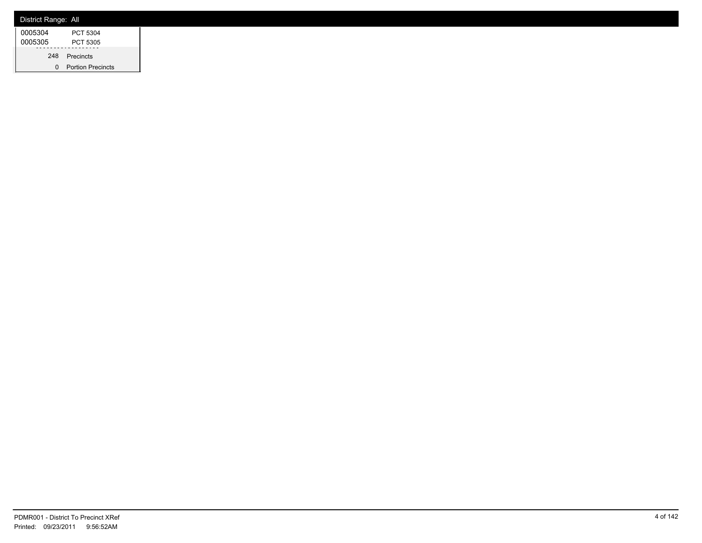| District Range: All |                          |
|---------------------|--------------------------|
| 0005304             | PCT 5304                 |
| 0005305             | PCT 5305                 |
| 248                 | Precincts                |
| 0                   | <b>Portion Precincts</b> |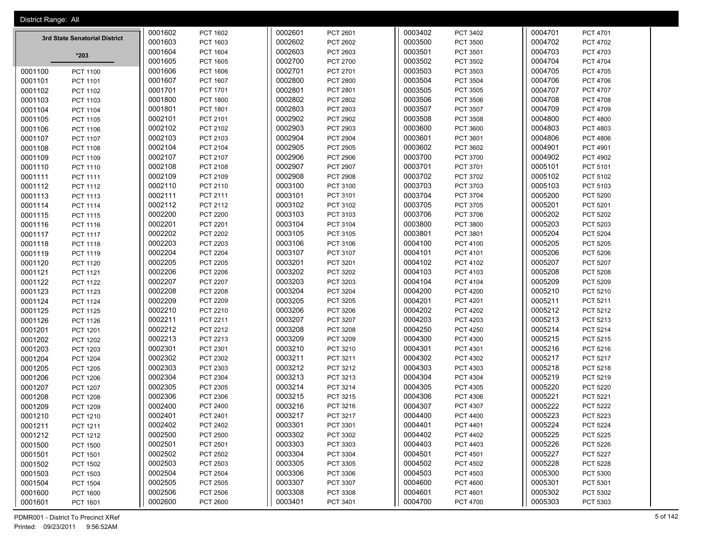| District Range: All |                               |                    |                      |                    |                      |                    |                             |                    |                             |
|---------------------|-------------------------------|--------------------|----------------------|--------------------|----------------------|--------------------|-----------------------------|--------------------|-----------------------------|
|                     |                               | 0001602            | PCT 1602             | 0002601            | PCT 2601             | 0003402            | PCT 3402                    | 0004701            | PCT 4701                    |
|                     | 3rd State Senatorial District | 0001603            | PCT 1603             | 0002602            | PCT 2602             | 0003500            | PCT 3500                    | 0004702            | PCT 4702                    |
|                     | $*203$                        | 0001604            | PCT 1604             | 0002603            | PCT 2603             | 0003501            | PCT 3501                    | 0004703            | PCT 4703                    |
|                     |                               | 0001605            | <b>PCT 1605</b>      | 0002700            | PCT 2700             | 0003502            | PCT 3502                    | 0004704            | PCT 4704                    |
| 0001100             | <b>PCT 1100</b>               | 0001606            | <b>PCT 1606</b>      | 0002701            | PCT 2701             | 0003503            | PCT 3503                    | 0004705            | PCT 4705                    |
| 0001101             | PCT 1101                      | 0001607            | PCT 1607             | 0002800            | <b>PCT 2800</b>      | 0003504            | PCT 3504                    | 0004706            | PCT 4706                    |
| 0001102             | PCT 1102                      | 0001701            | PCT 1701             | 0002801            | PCT 2801             | 0003505            | PCT 3505                    | 0004707            | <b>PCT 4707</b>             |
| 0001103             | PCT 1103                      | 0001800            | <b>PCT 1800</b>      | 0002802            | PCT 2802             | 0003506            | PCT 3506                    | 0004708            | <b>PCT 4708</b>             |
| 0001104             | <b>PCT 1104</b>               | 0001801            | PCT 1801             | 0002803            | PCT 2803             | 0003507            | PCT 3507                    | 0004709            | <b>PCT 4709</b>             |
| 0001105             | PCT 1105                      | 0002101            | PCT 2101             | 0002902            | <b>PCT 2902</b>      | 0003508            | <b>PCT 3508</b>             | 0004800            | <b>PCT 4800</b>             |
| 0001106             | PCT 1106                      | 0002102            | PCT 2102             | 0002903            | PCT 2903             | 0003600            | PCT 3600                    | 0004803            | PCT 4803                    |
| 0001107             | PCT 1107                      | 0002103            | PCT 2103             | 0002904            | <b>PCT 2904</b>      | 0003601            | PCT 3601                    | 0004806            | <b>PCT 4806</b>             |
| 0001108             | PCT 1108                      | 0002104            | PCT 2104             | 0002905            | PCT 2905             | 0003602            | PCT 3602                    | 0004901            | PCT 4901                    |
| 0001109             | PCT 1109                      | 0002107            | PCT 2107             | 0002906            | PCT 2906             | 0003700            | <b>PCT 3700</b>             | 0004902            | <b>PCT 4902</b>             |
| 0001110             | PCT 1110                      | 0002108            | <b>PCT 2108</b>      | 0002907            | <b>PCT 2907</b>      | 0003701            | PCT 3701                    | 0005101            | PCT 5101                    |
| 0001111             | PCT 1111                      | 0002109            | PCT 2109             | 0002908            | <b>PCT 2908</b>      | 0003702            | PCT 3702                    | 0005102            | PCT 5102                    |
| 0001112             | PCT 1112                      | 0002110            | PCT 2110             | 0003100            | PCT 3100             | 0003703            | PCT 3703                    | 0005103            | PCT 5103                    |
| 0001113             | PCT 1113                      | 0002111            | PCT 2111             | 0003101            | PCT 3101             | 0003704            | PCT 3704                    | 0005200            | <b>PCT 5200</b>             |
| 0001114             | <b>PCT 1114</b>               | 0002112            | PCT 2112             | 0003102            | PCT 3102             | 0003705            | PCT 3705                    | 0005201            | PCT 5201                    |
| 0001115             | <b>PCT 1115</b>               | 0002200            | <b>PCT 2200</b>      | 0003103            | PCT 3103             | 0003706            | PCT 3706                    | 0005202            | <b>PCT 5202</b>             |
| 0001116             | PCT 1116                      | 0002201            | PCT 2201             | 0003104            | PCT 3104             | 0003800            | PCT 3800                    | 0005203            | PCT 5203                    |
| 0001117             | <b>PCT 1117</b>               | 0002202            | <b>PCT 2202</b>      | 0003105            | PCT 3105             | 0003801            | PCT 3801                    | 0005204            | <b>PCT 5204</b>             |
| 0001118             | PCT 1118                      | 0002203            | <b>PCT 2203</b>      | 0003106            | PCT 3106             | 0004100            | PCT 4100                    | 0005205            | <b>PCT 5205</b>             |
| 0001119             | PCT 1119                      | 0002204            | <b>PCT 2204</b>      | 0003107            | PCT 3107             | 0004101            | PCT 4101                    | 0005206            | <b>PCT 5206</b>             |
| 0001120             | <b>PCT 1120</b>               | 0002205            | <b>PCT 2205</b>      | 0003201            | PCT 3201             | 0004102            | PCT 4102                    | 0005207            | PCT 5207                    |
| 0001121             | PCT 1121                      | 0002206            | <b>PCT 2206</b>      | 0003202            | PCT 3202             | 0004103            | PCT 4103                    | 0005208            | <b>PCT 5208</b>             |
| 0001122             | PCT 1122                      | 0002207            | <b>PCT 2207</b>      | 0003203            | PCT 3203             | 0004104            | PCT 4104                    | 0005209            | PCT 5209                    |
| 0001123             | PCT 1123                      | 0002208            | <b>PCT 2208</b>      | 0003204            | PCT 3204             | 0004200            | <b>PCT 4200</b>             | 0005210            | PCT 5210                    |
| 0001124             | <b>PCT 1124</b>               | 0002209            | <b>PCT 2209</b>      | 0003205            | PCT 3205             | 0004201            | PCT 4201                    | 0005211            | PCT 5211                    |
| 0001125             | <b>PCT 1125</b>               | 0002210            | PCT 2210             | 0003206            | PCT 3206             | 0004202            | <b>PCT 4202</b>             | 0005212            | PCT 5212                    |
| 0001126             | <b>PCT 1126</b>               | 0002211            | PCT 2211             | 0003207            | PCT 3207             | 0004203            | PCT 4203                    | 0005213            | PCT 5213                    |
| 0001201             | PCT 1201                      | 0002212            | PCT 2212             | 0003208            | <b>PCT 3208</b>      | 0004250            | <b>PCT 4250</b>             | 0005214            | PCT 5214                    |
| 0001202             | PCT 1202                      | 0002213            | PCT 2213             | 0003209            | PCT 3209             | 0004300            | PCT 4300                    | 0005215            | PCT 5215                    |
| 0001203             | PCT 1203                      | 0002301            | PCT 2301             | 0003210            | PCT 3210             | 0004301            | PCT 4301                    | 0005216            | PCT 5216                    |
| 0001204             | <b>PCT 1204</b>               | 0002302            | PCT 2302             | 0003211            | PCT 3211             | 0004302            | PCT 4302                    | 0005217            | PCT 5217                    |
| 0001205             | <b>PCT 1205</b>               | 0002303<br>0002304 | PCT 2303             | 0003212<br>0003213 | PCT 3212             | 0004303<br>0004304 | PCT 4303                    | 0005218            | PCT 5218                    |
| 0001206             | PCT 1206                      | 0002305            | PCT 2304<br>PCT 2305 | 0003214            | PCT 3213<br>PCT 3214 | 0004305            | <b>PCT 4304</b><br>PCT 4305 | 0005219<br>0005220 | PCT 5219<br><b>PCT 5220</b> |
| 0001207<br>0001208  | PCT 1207                      | 0002306            | PCT 2306             | 0003215            | PCT 3215             | 0004306            | PCT 4306                    | 0005221            | PCT 5221                    |
| 0001209             | <b>PCT 1208</b>               | 0002400            | <b>PCT 2400</b>      | 0003216            | PCT 3216             | 0004307            | PCT 4307                    | 0005222            | <b>PCT 5222</b>             |
|                     | <b>PCT 1209</b>               |                    |                      |                    | PCT 3217             |                    | <b>PCT 4400</b>             |                    | PCT 5223                    |
| 0001210<br>0001211  | PCT 1210                      | 0002401<br>0002402 | PCT 2401<br>PCT 2402 | 0003217<br>0003301 | PCT 3301             | 0004400<br>0004401 | PCT 4401                    | 0005223<br>0005224 | <b>PCT 5224</b>             |
| 0001212             | PCT 1211                      | 0002500            | PCT 2500             | 0003302            | PCT 3302             | 0004402            | PCT 4402                    | 0005225            | PCT 5225                    |
| 0001500             | PCT 1212<br><b>PCT 1500</b>   | 0002501            | PCT 2501             | 0003303            | PCT 3303             | 0004403            | PCT 4403                    | 0005226            | <b>PCT 5226</b>             |
| 0001501             | <b>PCT 1501</b>               | 0002502            | PCT 2502             | 0003304            | PCT 3304             | 0004501            | PCT 4501                    | 0005227            | PCT 5227                    |
| 0001502             | PCT 1502                      | 0002503            | PCT 2503             | 0003305            | PCT 3305             | 0004502            | PCT 4502                    | 0005228            | PCT 5228                    |
| 0001503             | PCT 1503                      | 0002504            | <b>PCT 2504</b>      | 0003306            | PCT 3306             | 0004503            | PCT 4503                    | 0005300            | PCT 5300                    |
| 0001504             | <b>PCT 1504</b>               | 0002505            | PCT 2505             | 0003307            | PCT 3307             | 0004600            | <b>PCT 4600</b>             | 0005301            | PCT 5301                    |
| 0001600             | PCT 1600                      | 0002506            | PCT 2506             | 0003308            | PCT 3308             | 0004601            | PCT 4601                    | 0005302            | PCT 5302                    |
| 0001601             | PCT 1601                      | 0002600            | PCT 2600             | 0003401            | PCT 3401             | 0004700            | <b>PCT 4700</b>             | 0005303            | PCT 5303                    |

PDMR001 - District To Precinct XRef 5 of 142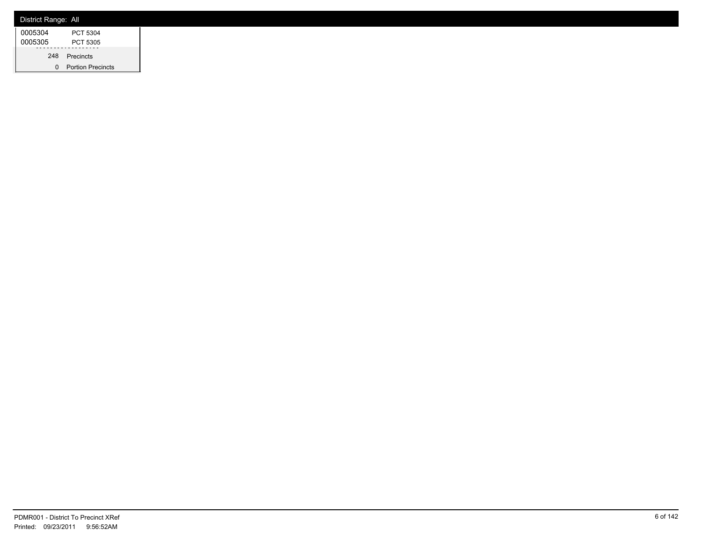| District Range: All |                          |
|---------------------|--------------------------|
| 0005304             | PCT 5304                 |
| 0005305             | PCT 5305                 |
| 248                 | Precincts                |
| 0                   | <b>Portion Precincts</b> |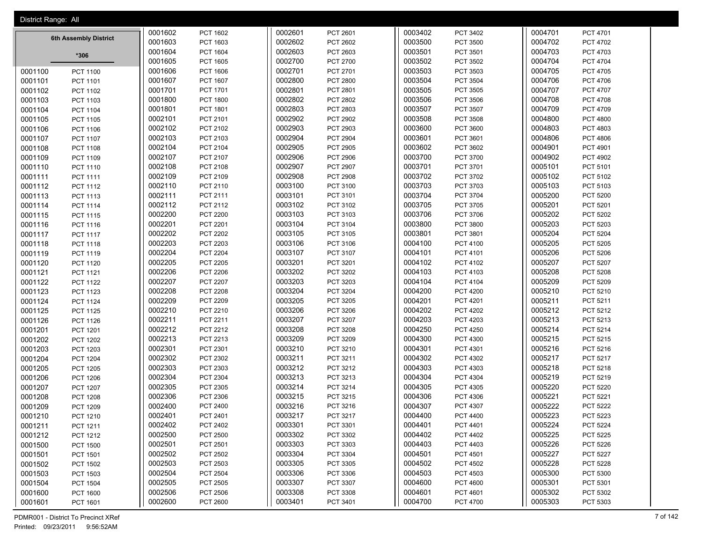| District Range: All |                       |                    |                 |                    |                 |                    |                 |                    |                 |
|---------------------|-----------------------|--------------------|-----------------|--------------------|-----------------|--------------------|-----------------|--------------------|-----------------|
|                     |                       | 0001602            | <b>PCT 1602</b> | 0002601            | PCT 2601        | 0003402            | PCT 3402        | 0004701            | PCT 4701        |
|                     | 6th Assembly District | 0001603            | PCT 1603        | 0002602            | PCT 2602        | 0003500            | PCT 3500        | 0004702            | PCT 4702        |
|                     | $*306$                | 0001604            | PCT 1604        | 0002603            | PCT 2603        | 0003501            | PCT 3501        | 0004703            | PCT 4703        |
|                     |                       | 0001605            | <b>PCT 1605</b> | 0002700            | PCT 2700        | 0003502            | PCT 3502        | 0004704            | PCT 4704        |
| 0001100             | <b>PCT 1100</b>       | 0001606            | <b>PCT 1606</b> | 0002701            | PCT 2701        | 0003503            | PCT 3503        | 0004705            | PCT 4705        |
| 0001101             | PCT 1101              | 0001607            | <b>PCT 1607</b> | 0002800            | <b>PCT 2800</b> | 0003504            | PCT 3504        | 0004706            | <b>PCT 4706</b> |
| 0001102             | PCT 1102              | 0001701            | PCT 1701        | 0002801            | PCT 2801        | 0003505            | PCT 3505        | 0004707            | PCT 4707        |
| 0001103             | PCT 1103              | 0001800            | <b>PCT 1800</b> | 0002802            | <b>PCT 2802</b> | 0003506            | PCT 3506        | 0004708            | <b>PCT 4708</b> |
| 0001104             | <b>PCT 1104</b>       | 0001801            | PCT 1801        | 0002803            | PCT 2803        | 0003507            | PCT 3507        | 0004709            | PCT 4709        |
| 0001105             | <b>PCT 1105</b>       | 0002101            | PCT 2101        | 0002902            | <b>PCT 2902</b> | 0003508            | PCT 3508        | 0004800            | <b>PCT 4800</b> |
| 0001106             | <b>PCT 1106</b>       | 0002102            | PCT 2102        | 0002903            | PCT 2903        | 0003600            | PCT 3600        | 0004803            | PCT 4803        |
| 0001107             | <b>PCT 1107</b>       | 0002103            | PCT 2103        | 0002904            | PCT 2904        | 0003601            | PCT 3601        | 0004806            | PCT 4806        |
| 0001108             | <b>PCT 1108</b>       | 0002104            | PCT 2104        | 0002905            | PCT 2905        | 0003602            | PCT 3602        | 0004901            | PCT 4901        |
| 0001109             | PCT 1109              | 0002107            | PCT 2107        | 0002906            | <b>PCT 2906</b> | 0003700            | PCT 3700        | 0004902            | PCT 4902        |
| 0001110             | PCT 1110              | 0002108            | PCT 2108        | 0002907            | PCT 2907        | 0003701            | PCT 3701        | 0005101            | PCT 5101        |
| 0001111             | PCT 1111              | 0002109            | PCT 2109        | 0002908            | <b>PCT 2908</b> | 0003702            | PCT 3702        | 0005102            | PCT 5102        |
| 0001112             | PCT 1112              | 0002110            | PCT 2110        | 0003100            | PCT 3100        | 0003703            | PCT 3703        | 0005103            | PCT 5103        |
| 0001113             | PCT 1113              | 0002111            | PCT 2111        | 0003101            | PCT 3101        | 0003704            | PCT 3704        | 0005200            | <b>PCT 5200</b> |
| 0001114             | <b>PCT 1114</b>       | 0002112            | PCT 2112        | 0003102            | PCT 3102        | 0003705            | PCT 3705        | 0005201            | PCT 5201        |
| 0001115             | PCT 1115              | 0002200            | <b>PCT 2200</b> | 0003103            | PCT 3103        | 0003706            | PCT 3706        | 0005202            | PCT 5202        |
| 0001116             | PCT 1116              | 0002201            | PCT 2201        | 0003104            | PCT 3104        | 0003800            | PCT 3800        | 0005203            | PCT 5203        |
| 0001117             | <b>PCT 1117</b>       | 0002202            | <b>PCT 2202</b> | 0003105            | PCT 3105        | 0003801            | PCT 3801        | 0005204            | <b>PCT 5204</b> |
| 0001118             | PCT 1118              | 0002203            | <b>PCT 2203</b> | 0003106            | PCT 3106        | 0004100            | PCT 4100        | 0005205            | <b>PCT 5205</b> |
| 0001119             | PCT 1119              | 0002204            | <b>PCT 2204</b> | 0003107            | PCT 3107        | 0004101            | PCT 4101        | 0005206            | PCT 5206        |
| 0001120             | <b>PCT 1120</b>       | 0002205            | <b>PCT 2205</b> | 0003201            | PCT 3201        | 0004102            | PCT 4102        | 0005207            | <b>PCT 5207</b> |
| 0001121             | <b>PCT 1121</b>       | 0002206            | <b>PCT 2206</b> | 0003202            | PCT 3202        | 0004103            | PCT 4103        | 0005208            | <b>PCT 5208</b> |
| 0001122             | <b>PCT 1122</b>       | 0002207            | <b>PCT 2207</b> | 0003203            | PCT 3203        | 0004104            | PCT 4104        | 0005209            | PCT 5209        |
| 0001123             | PCT 1123              | 0002208            | <b>PCT 2208</b> | 0003204            | PCT 3204        | 0004200            | <b>PCT 4200</b> | 0005210            | PCT 5210        |
| 0001124             | <b>PCT 1124</b>       | 0002209            | PCT 2209        | 0003205            | PCT 3205        | 0004201            | PCT 4201        | 0005211            | PCT 5211        |
| 0001125             | <b>PCT 1125</b>       | 0002210            | PCT 2210        | 0003206            | PCT 3206        | 0004202            | PCT 4202        | 0005212            | PCT 5212        |
| 0001126             | <b>PCT 1126</b>       | 0002211            | PCT 2211        | 0003207            | PCT 3207        | 0004203            | PCT 4203        | 0005213            | PCT 5213        |
| 0001201             | <b>PCT 1201</b>       | 0002212            | PCT 2212        | 0003208            | PCT 3208        | 0004250            | <b>PCT 4250</b> | 0005214            | PCT 5214        |
| 0001202             | <b>PCT 1202</b>       | 0002213            | PCT 2213        | 0003209            | PCT 3209        | 0004300            | PCT 4300        | 0005215            | PCT 5215        |
| 0001203             | PCT 1203              | 0002301            | PCT 2301        | 0003210            | PCT 3210        | 0004301            | PCT 4301        | 0005216            | PCT 5216        |
| 0001204             | <b>PCT 1204</b>       | 0002302            | PCT 2302        | 0003211            | PCT 3211        | 0004302            | PCT 4302        | 0005217            | <b>PCT 5217</b> |
| 0001205             | <b>PCT 1205</b>       | 0002303            | PCT 2303        | 0003212            | PCT 3212        | 0004303            | PCT 4303        | 0005218            | PCT 5218        |
| 0001206             | PCT 1206              | 0002304            | PCT 2304        | 0003213            | PCT 3213        | 0004304            | PCT 4304        | 0005219            | PCT 5219        |
| 0001207             | <b>PCT 1207</b>       | 0002305            | PCT 2305        | 0003214            | PCT 3214        | 0004305            | PCT 4305        | 0005220            | <b>PCT 5220</b> |
| 0001208             | <b>PCT 1208</b>       | 0002306            | PCT 2306        | 0003215            | PCT 3215        | 0004306            | PCT 4306        | 0005221            | PCT 5221        |
| 0001209             | PCT 1209              | 0002400            | PCT 2400        | 0003216            | PCT 3216        | 0004307            | PCT 4307        | 0005222            | PCT 5222        |
| 0001210             | PCT 1210              | 0002401            | PCT 2401        | 0003217            | PCT 3217        | 0004400            | <b>PCT 4400</b> | 0005223            | PCT 5223        |
| 0001211             | PCT 1211              | 0002402            | PCT 2402        | 0003301            | PCT 3301        | 0004401            | PCT 4401        | 0005224            | <b>PCT 5224</b> |
| 0001212             | PCT 1212              | 0002500            | PCT 2500        | 0003302            | PCT 3302        | 0004402            | PCT 4402        | 0005225            | <b>PCT 5225</b> |
| 0001500             | <b>PCT 1500</b>       | 0002501            | PCT 2501        | 0003303            | PCT 3303        | 0004403            | PCT 4403        | 0005226            | PCT 5226        |
| 0001501             | PCT 1501              | 0002502            | PCT 2502        | 0003304            | PCT 3304        | 0004501            | PCT 4501        | 0005227            | <b>PCT 5227</b> |
| 0001502             | PCT 1502              | 0002503            | PCT 2503        | 0003305            | PCT 3305        | 0004502            | PCT 4502        | 0005228            | PCT 5228        |
| 0001503             | PCT 1503              | 0002504            | <b>PCT 2504</b> | 0003306            | PCT 3306        | 0004503            | PCT 4503        | 0005300            | PCT 5300        |
| 0001504             | <b>PCT 1504</b>       | 0002505<br>0002506 | PCT 2505        | 0003307<br>0003308 | PCT 3307        | 0004600<br>0004601 | <b>PCT 4600</b> | 0005301<br>0005302 | PCT 5301        |
| 0001600             | PCT 1600              |                    | <b>PCT 2506</b> |                    | PCT 3308        |                    | PCT 4601        | 0005303            | PCT 5302        |
| 0001601             | PCT 1601              | 0002600            | <b>PCT 2600</b> | 0003401            | PCT 3401        | 0004700            | PCT 4700        |                    | PCT 5303        |

PDMR001 - District To Precinct XRef 7 of 142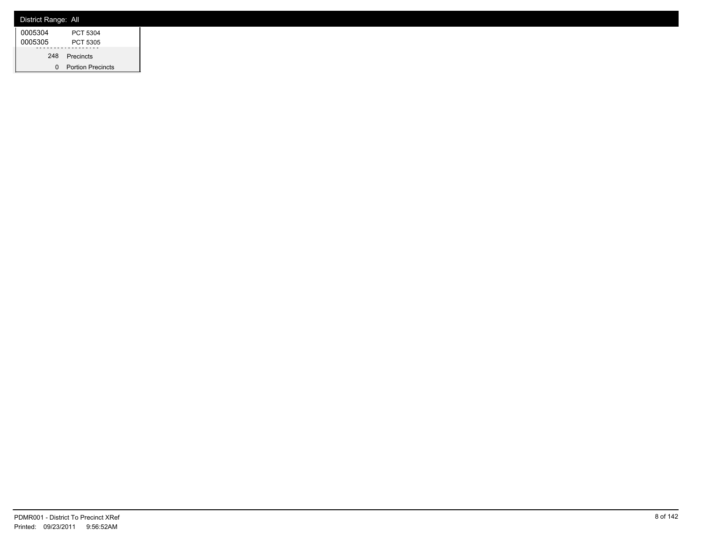| District Range: All |                          |
|---------------------|--------------------------|
| 0005304             | PCT 5304                 |
| 0005305             | PCT 5305                 |
| 248                 | Precincts                |
| 0                   | <b>Portion Precincts</b> |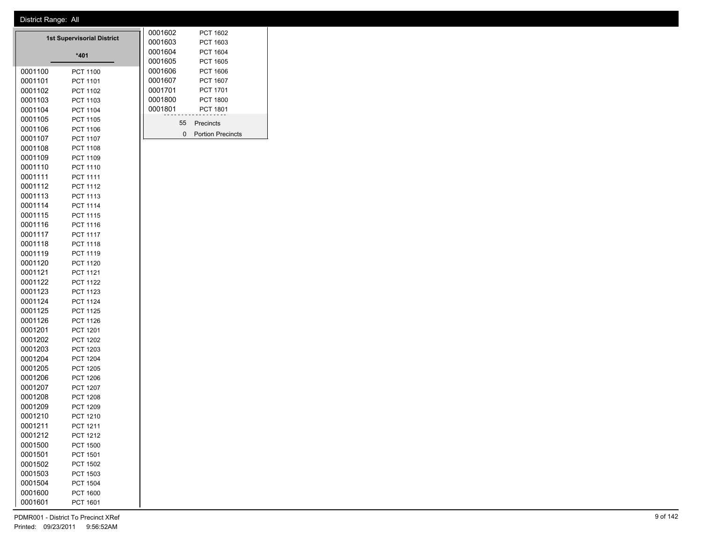|                    | <b>1st Supervisorial District</b>  | 0001602            | PCT 1602                    |
|--------------------|------------------------------------|--------------------|-----------------------------|
|                    |                                    | 0001603            | PCT 1603                    |
|                    | *401                               | 0001604            | PCT 1604                    |
|                    |                                    | 0001605            | <b>PCT 1605</b>             |
| 0001100            | <b>PCT 1100</b>                    | 0001606            | PCT 1606<br><b>PCT 1607</b> |
| 0001101            | PCT 1101                           | 0001607<br>0001701 |                             |
| 0001102            | PCT 1102                           | 0001800            | PCT 1701<br><b>PCT 1800</b> |
| 0001103<br>0001104 | PCT 1103<br>PCT 1104               | 0001801            | <b>PCT 1801</b>             |
| 0001105            | PCT 1105                           |                    |                             |
| 0001106            | PCT 1106                           | 55                 | Precincts                   |
| 0001107            | <b>PCT 1107</b>                    | 0                  | <b>Portion Precincts</b>    |
| 0001108            | PCT 1108                           |                    |                             |
| 0001109            | PCT 1109                           |                    |                             |
| 0001110            | PCT 1110                           |                    |                             |
| 0001111            | PCT 1111                           |                    |                             |
| 0001112            | PCT 1112                           |                    |                             |
| 0001113            | PCT 1113                           |                    |                             |
| 0001114            | PCT 1114                           |                    |                             |
| 0001115            | PCT 1115                           |                    |                             |
| 0001116            | PCT 1116                           |                    |                             |
| 0001117            | <b>PCT 1117</b>                    |                    |                             |
| 0001118            | PCT 1118                           |                    |                             |
| 0001119            | PCT 1119                           |                    |                             |
| 0001120            | PCT 1120                           |                    |                             |
| 0001121            | PCT 1121                           |                    |                             |
| 0001122            | <b>PCT 1122</b>                    |                    |                             |
| 0001123            | PCT 1123                           |                    |                             |
| 0001124            | <b>PCT 1124</b>                    |                    |                             |
| 0001125            | <b>PCT 1125</b>                    |                    |                             |
| 0001126            | <b>PCT 1126</b>                    |                    |                             |
| 0001201            | PCT 1201                           |                    |                             |
| 0001202            | <b>PCT 1202</b>                    |                    |                             |
| 0001203            | PCT 1203                           |                    |                             |
| 0001204            | <b>PCT 1204</b>                    |                    |                             |
| 0001205            | <b>PCT 1205</b>                    |                    |                             |
| 0001206<br>0001207 | <b>PCT 1206</b><br><b>PCT 1207</b> |                    |                             |
| 0001208            | <b>PCT 1208</b>                    |                    |                             |
| 0001209            | PCT 1209                           |                    |                             |
| 0001210            | PCT 1210                           |                    |                             |
| 0001211            | PCT 1211                           |                    |                             |
| 0001212            | PCT 1212                           |                    |                             |
| 0001500            | <b>PCT 1500</b>                    |                    |                             |
| 0001501            | PCT 1501                           |                    |                             |
| 0001502            | <b>PCT 1502</b>                    |                    |                             |
| 0001503            | <b>PCT 1503</b>                    |                    |                             |
| 0001504            | <b>PCT 1504</b>                    |                    |                             |
| 0001600            | <b>PCT 1600</b>                    |                    |                             |

PCT 1601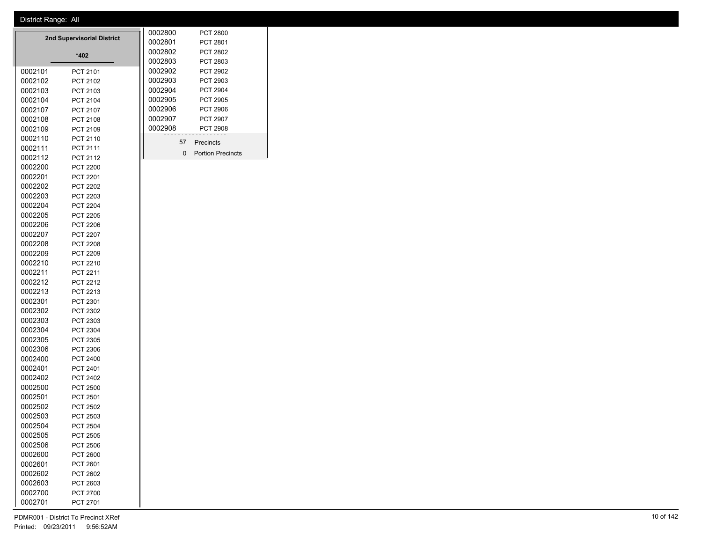|                    | 2nd Supervisorial District  | 0002800 |                    | <b>PCT 2800</b> |                          |
|--------------------|-----------------------------|---------|--------------------|-----------------|--------------------------|
|                    |                             |         | 0002801            |                 | PCT 2801                 |
|                    | $*402$                      |         | 0002802            |                 | PCT 2802                 |
|                    |                             |         | 0002803            |                 | PCT 2803                 |
| 0002101            | PCT 2101                    |         | 0002902            |                 | <b>PCT 2902</b>          |
| 0002102            | PCT 2102                    |         | 0002903            |                 | PCT 2903                 |
| 0002103            | PCT 2103                    |         | 0002904            |                 | PCT 2904                 |
| 0002104            | PCT 2104                    |         | 0002905            |                 | PCT 2905                 |
| 0002107            | PCT 2107                    |         | 0002906            |                 | <b>PCT 2906</b>          |
| 0002108            | PCT 2108                    |         | 0002907<br>0002908 |                 | <b>PCT 2907</b>          |
| 0002109            | PCT 2109                    |         |                    |                 | <b>PCT 2908</b>          |
| 0002110            | PCT 2110                    |         |                    | 57              | Precincts                |
| 0002111            | PCT 2111                    |         |                    | 0               | <b>Portion Precincts</b> |
| 0002112            | PCT 2112                    |         |                    |                 |                          |
| 0002200            | <b>PCT 2200</b>             |         |                    |                 |                          |
| 0002201            | PCT 2201                    |         |                    |                 |                          |
| 0002202            | <b>PCT 2202</b>             |         |                    |                 |                          |
| 0002203            | PCT 2203                    |         |                    |                 |                          |
| 0002204            | <b>PCT 2204</b>             |         |                    |                 |                          |
| 0002205            | <b>PCT 2205</b>             |         |                    |                 |                          |
| 0002206            | <b>PCT 2206</b>             |         |                    |                 |                          |
| 0002207            | PCT 2207                    |         |                    |                 |                          |
| 0002208            | PCT 2208                    |         |                    |                 |                          |
| 0002209            | <b>PCT 2209</b>             |         |                    |                 |                          |
| 0002210            | PCT 2210                    |         |                    |                 |                          |
| 0002211            | PCT 2211                    |         |                    |                 |                          |
| 0002212            | <b>PCT 2212</b>             |         |                    |                 |                          |
| 0002213            | PCT 2213                    |         |                    |                 |                          |
| 0002301            | PCT 2301                    |         |                    |                 |                          |
| 0002302            | PCT 2302                    |         |                    |                 |                          |
| 0002303            | PCT 2303                    |         |                    |                 |                          |
| 0002304            | PCT 2304                    |         |                    |                 |                          |
| 0002305            | PCT 2305                    |         |                    |                 |                          |
| 0002306            | PCT 2306                    |         |                    |                 |                          |
| 0002400            | PCT 2400                    |         |                    |                 |                          |
| 0002401            | PCT 2401                    |         |                    |                 |                          |
| 0002402<br>0002500 | PCT 2402                    |         |                    |                 |                          |
| 0002501            | PCT 2500<br><b>PCT 2501</b> |         |                    |                 |                          |
| 0002502            | <b>PCT 2502</b>             |         |                    |                 |                          |
| 0002503            | PCT 2503                    |         |                    |                 |                          |
|                    |                             |         |                    |                 |                          |
| 0002504<br>0002505 | <b>PCT 2504</b><br>PCT 2505 |         |                    |                 |                          |
| 0002506            | PCT 2506                    |         |                    |                 |                          |
| 0002600            | PCT 2600                    |         |                    |                 |                          |
| 0002601            | PCT 2601                    |         |                    |                 |                          |
| 0002602            |                             |         |                    |                 |                          |
| 0002603            | PCT 2602<br>PCT 2603        |         |                    |                 |                          |
| 0002700            |                             |         |                    |                 |                          |
| 0002701            | PCT 2700                    |         |                    |                 |                          |
|                    | PCT 2701                    |         |                    |                 |                          |

 $\overline{\phantom{a}}$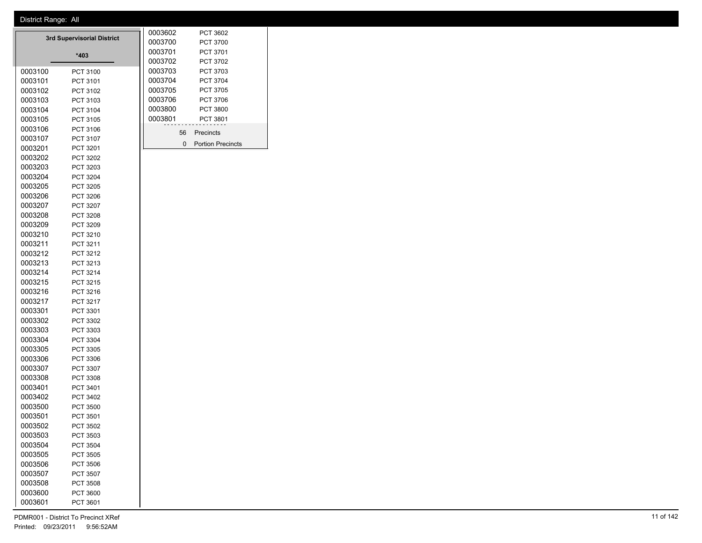|         | 3rd Supervisorial District | 0003602 |         | PCT 3602 |                          |
|---------|----------------------------|---------|---------|----------|--------------------------|
|         |                            |         | 0003700 |          | PCT 3700                 |
|         | *403                       |         | 0003701 |          | PCT 3701                 |
|         |                            |         | 0003702 |          | <b>PCT 3702</b>          |
| 0003100 | PCT 3100                   |         | 0003703 |          | PCT 3703                 |
| 0003101 | PCT 3101                   |         | 0003704 |          | <b>PCT 3704</b>          |
| 0003102 | PCT 3102                   |         | 0003705 |          | PCT 3705                 |
| 0003103 | PCT 3103                   |         | 0003706 |          | PCT 3706                 |
| 0003104 | PCT 3104                   |         | 0003800 |          | <b>PCT 3800</b>          |
| 0003105 | PCT 3105                   |         | 0003801 |          | PCT 3801                 |
| 0003106 | PCT 3106                   |         |         | 56       | Precincts                |
| 0003107 | PCT 3107                   |         |         | 0        | <b>Portion Precincts</b> |
| 0003201 | PCT 3201                   |         |         |          |                          |
| 0003202 | PCT 3202                   |         |         |          |                          |
| 0003203 | PCT 3203                   |         |         |          |                          |
| 0003204 | PCT 3204                   |         |         |          |                          |
| 0003205 | PCT 3205                   |         |         |          |                          |
| 0003206 | PCT 3206                   |         |         |          |                          |
| 0003207 | PCT 3207                   |         |         |          |                          |
| 0003208 | PCT 3208                   |         |         |          |                          |
| 0003209 | PCT 3209                   |         |         |          |                          |
| 0003210 | PCT 3210                   |         |         |          |                          |
| 0003211 | PCT 3211                   |         |         |          |                          |
| 0003212 | PCT 3212                   |         |         |          |                          |
| 0003213 | PCT 3213                   |         |         |          |                          |
| 0003214 | PCT 3214                   |         |         |          |                          |
| 0003215 | PCT 3215                   |         |         |          |                          |
| 0003216 | PCT 3216                   |         |         |          |                          |
| 0003217 | PCT 3217                   |         |         |          |                          |
| 0003301 | PCT 3301                   |         |         |          |                          |
| 0003302 | PCT 3302                   |         |         |          |                          |
| 0003303 | PCT 3303                   |         |         |          |                          |
| 0003304 | PCT 3304                   |         |         |          |                          |
| 0003305 | PCT 3305                   |         |         |          |                          |
| 0003306 | PCT 3306                   |         |         |          |                          |
| 0003307 | PCT 3307                   |         |         |          |                          |
| 0003308 | PCT 3308                   |         |         |          |                          |
| 0003401 | PCT 3401                   |         |         |          |                          |
| 0003402 | PCT 3402                   |         |         |          |                          |
| 0003500 | <b>PCT 3500</b>            |         |         |          |                          |
| 0003501 | PCT 3501                   |         |         |          |                          |
| 0003502 | PCT 3502                   |         |         |          |                          |
| 0003503 | PCT 3503                   |         |         |          |                          |
| 0003504 | PCT 3504                   |         |         |          |                          |
| 0003505 | PCT 3505                   |         |         |          |                          |
| 0003506 | PCT 3506                   |         |         |          |                          |
| 0003507 | PCT 3507                   |         |         |          |                          |
| 0003508 | PCT 3508                   |         |         |          |                          |
| 0003600 | PCT 3600                   |         |         |          |                          |
| 0003601 | PCT 3601                   |         |         |          |                          |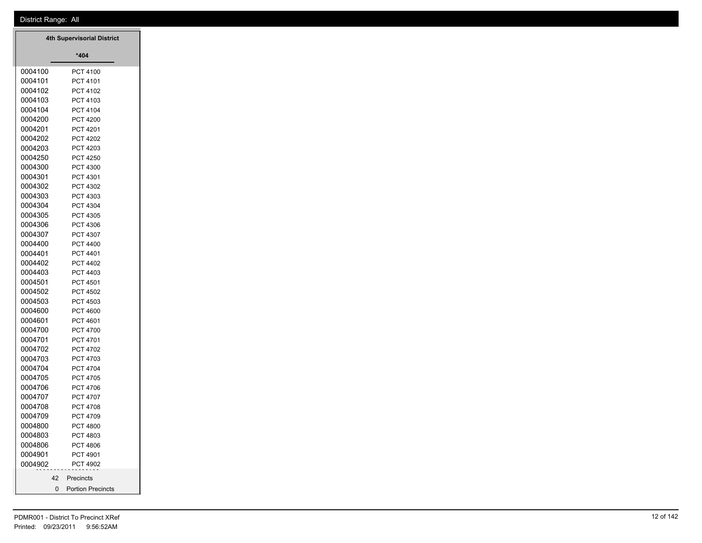| 4th Supervisorial District |                             |  |  |  |  |  |
|----------------------------|-----------------------------|--|--|--|--|--|
|                            | *404                        |  |  |  |  |  |
| 0004100                    | PCT 4100                    |  |  |  |  |  |
| 0004101                    | PCT 4101                    |  |  |  |  |  |
| 0004102                    | PCT 4102                    |  |  |  |  |  |
| 0004103                    | PCT 4103                    |  |  |  |  |  |
| 0004104                    | PCT 4104                    |  |  |  |  |  |
| 0004200                    | <b>PCT 4200</b>             |  |  |  |  |  |
| 0004201                    | PCT 4201                    |  |  |  |  |  |
| 0004202                    | PCT 4202                    |  |  |  |  |  |
| 0004203                    | PCT 4203                    |  |  |  |  |  |
| 0004250<br>0004300         | <b>PCT 4250</b><br>PCT 4300 |  |  |  |  |  |
| 0004301                    | PCT 4301                    |  |  |  |  |  |
| 0004302                    | PCT 4302                    |  |  |  |  |  |
| 0004303                    | PCT 4303                    |  |  |  |  |  |
| 0004304                    | PCT 4304                    |  |  |  |  |  |
| 0004305                    | PCT 4305                    |  |  |  |  |  |
| 0004306                    | PCT 4306                    |  |  |  |  |  |
| 0004307                    | PCT 4307                    |  |  |  |  |  |
| 0004400                    | <b>PCT 4400</b>             |  |  |  |  |  |
| 0004401                    | PCT 4401                    |  |  |  |  |  |
| 0004402                    | <b>PCT 4402</b>             |  |  |  |  |  |
| 0004403                    | PCT 4403                    |  |  |  |  |  |
| 0004501                    | PCT 4501                    |  |  |  |  |  |
| 0004502                    | PCT 4502                    |  |  |  |  |  |
| 0004503                    | PCT 4503                    |  |  |  |  |  |
| 0004600                    | <b>PCT 4600</b>             |  |  |  |  |  |
| 0004601                    | PCT 4601                    |  |  |  |  |  |
| 0004700                    | <b>PCT 4700</b>             |  |  |  |  |  |
| 0004701                    | PCT 4701                    |  |  |  |  |  |
| 0004702<br>0004703         | PCT 4702<br>PCT 4703        |  |  |  |  |  |
| 0004704                    | <b>PCT 4704</b>             |  |  |  |  |  |
| 0004705                    | <b>PCT 4705</b>             |  |  |  |  |  |
| 0004706                    | PCT 4706                    |  |  |  |  |  |
| 0004707                    | PCT 4707                    |  |  |  |  |  |
| 0004708                    | PCT 4708                    |  |  |  |  |  |
| 0004709                    | PCT 4709                    |  |  |  |  |  |
| 0004800                    | <b>PCT 4800</b>             |  |  |  |  |  |
| 0004803                    | PCT 4803                    |  |  |  |  |  |
| 0004806                    | <b>PCT 4806</b>             |  |  |  |  |  |
| 0004901                    | PCT 4901                    |  |  |  |  |  |
| 0004902                    | PCT 4902                    |  |  |  |  |  |
| 42                         | Precincts                   |  |  |  |  |  |
| 0                          | <b>Portion Precincts</b>    |  |  |  |  |  |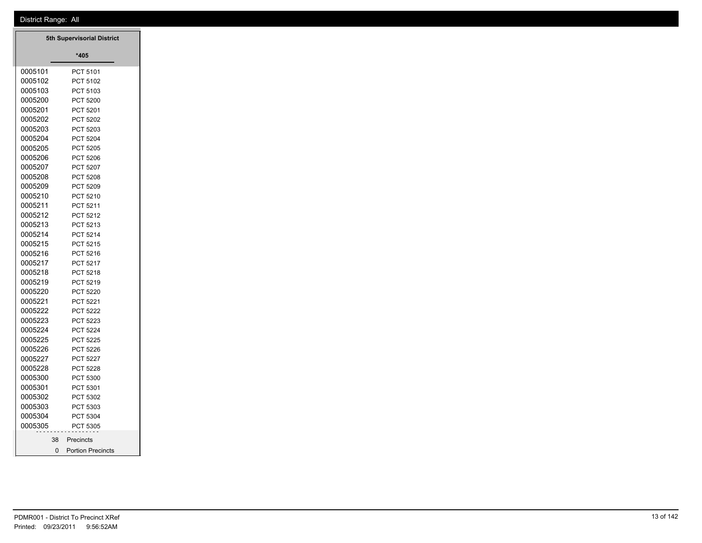|         | <b>5th Supervisorial District</b>    |
|---------|--------------------------------------|
|         | *405                                 |
| 0005101 | PCT 5101                             |
| 0005102 | PCT 5102                             |
| 0005103 | PCT 5103                             |
| 0005200 | <b>PCT 5200</b>                      |
| 0005201 | PCT 5201                             |
| 0005202 | PCT 5202                             |
| 0005203 | PCT 5203                             |
| 0005204 | <b>PCT 5204</b>                      |
| 0005205 | PCT 5205                             |
| 0005206 | PCT 5206                             |
| 0005207 | <b>PCT 5207</b>                      |
| 0005208 | <b>PCT 5208</b>                      |
| 0005209 | PCT 5209                             |
| 0005210 | PCT 5210                             |
| 0005211 | PCT 5211                             |
| 0005212 | PCT 5212                             |
| 0005213 | PCT 5213                             |
| 0005214 | <b>PCT 5214</b>                      |
| 0005215 | PCT 5215                             |
| 0005216 | PCT 5216                             |
| 0005217 | PCT 5217                             |
| 0005218 | PCT 5218                             |
| 0005219 | PCT 5219                             |
| 0005220 | <b>PCT 5220</b>                      |
| 0005221 | PCT 5221                             |
| 0005222 | <b>PCT 5222</b>                      |
| 0005223 | <b>PCT 5223</b>                      |
| 0005224 | <b>PCT 5224</b>                      |
| 0005225 | <b>PCT 5225</b>                      |
| 0005226 | PCT 5226                             |
| 0005227 | <b>PCT 5227</b>                      |
| 0005228 | PCT 5228                             |
| 0005300 | PCT 5300                             |
| 0005301 | PCT 5301                             |
| 0005302 | PCT 5302                             |
| 0005303 | PCT 5303                             |
| 0005304 | PCT 5304                             |
| 0005305 | PCT 5305                             |
| 38      | Precincts                            |
|         | $\Omega$<br><b>Portion Precincts</b> |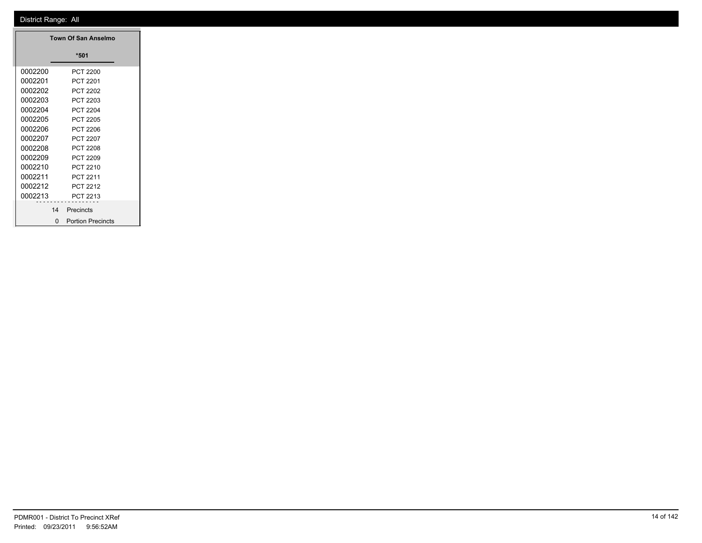|         | Town Of San Anselmo                      |
|---------|------------------------------------------|
|         | $*501$                                   |
| 0002200 | <b>PCT 2200</b>                          |
|         |                                          |
| 0002201 | PCT 2201                                 |
| 0002202 | <b>PCT 2202</b>                          |
| 0002203 | PCT 2203                                 |
| 0002204 | <b>PCT 2204</b>                          |
| 0002205 | <b>PCT 2205</b>                          |
| 0002206 | <b>PCT 2206</b>                          |
| 0002207 | PCT 2207                                 |
| 0002208 | <b>PCT 2208</b>                          |
| 0002209 | <b>PCT 2209</b>                          |
| 0002210 | PCT 2210                                 |
|         |                                          |
| 0002211 | PCT 2211                                 |
| 0002212 | PCT 2212                                 |
| 0002213 | PCT 2213                                 |
|         | 14 Precincts                             |
|         | <b>Portion Precincts</b><br>$\mathbf{0}$ |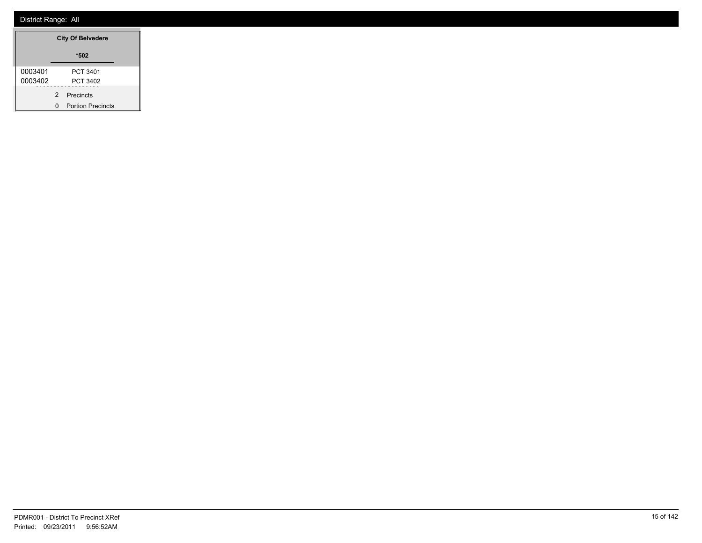|         |               | <b>City Of Belvedere</b> |  |
|---------|---------------|--------------------------|--|
|         |               | *502                     |  |
| 0003401 |               | PCT 3401                 |  |
| 0003402 |               | PCT 3402                 |  |
|         | $\mathcal{P}$ | Precincts                |  |
|         |               | <b>Portion Precincts</b> |  |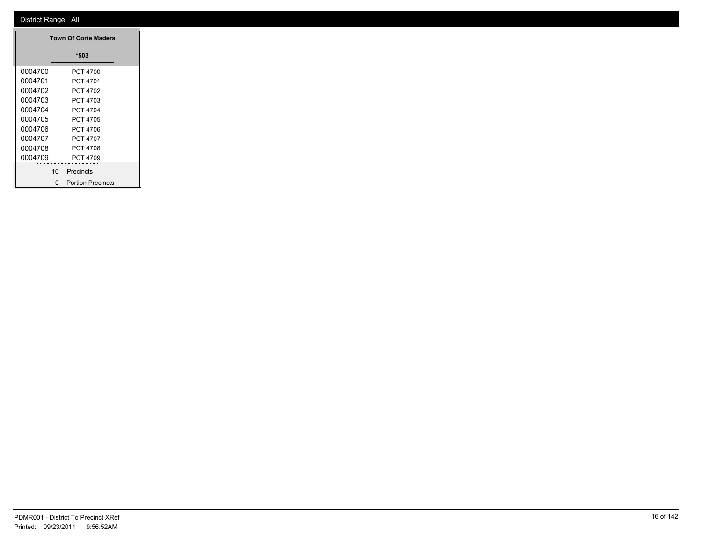|         |    | <b>Town Of Corte Madera</b> |  |
|---------|----|-----------------------------|--|
|         |    | *503                        |  |
| 0004700 |    | PCT 4700                    |  |
| 0004701 |    | PCT 4701                    |  |
| 0004702 |    | PCT 4702                    |  |
| 0004703 |    | PCT 4703                    |  |
| 0004704 |    | PCT 4704                    |  |
| 0004705 |    | PCT 4705                    |  |
| 0004706 |    | PCT 4706                    |  |
| 0004707 |    | PCT 4707                    |  |
| 0004708 |    | PCT 4708                    |  |
| 0004709 |    | PCT 4709                    |  |
|         | 10 | Precincts                   |  |
|         | O  | <b>Portion Precincts</b>    |  |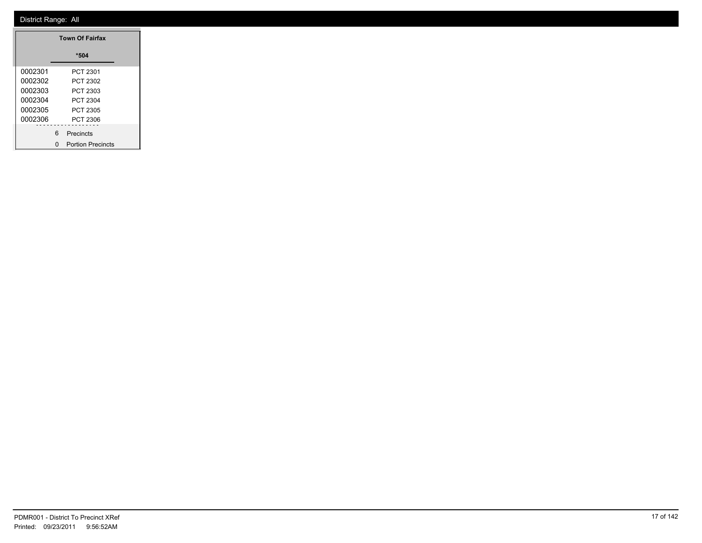|         |   | <b>Town Of Fairfax</b>   |  |
|---------|---|--------------------------|--|
|         |   | *504                     |  |
| 0002301 |   | PCT 2301                 |  |
| 0002302 |   | PCT 2302                 |  |
| 0002303 |   | PCT 2303                 |  |
| 0002304 |   | <b>PCT 2304</b>          |  |
| 0002305 |   | PCT 2305                 |  |
| 0002306 |   | <b>PCT 2306</b>          |  |
|         | 6 | Precincts                |  |
|         | ŋ | <b>Portion Precincts</b> |  |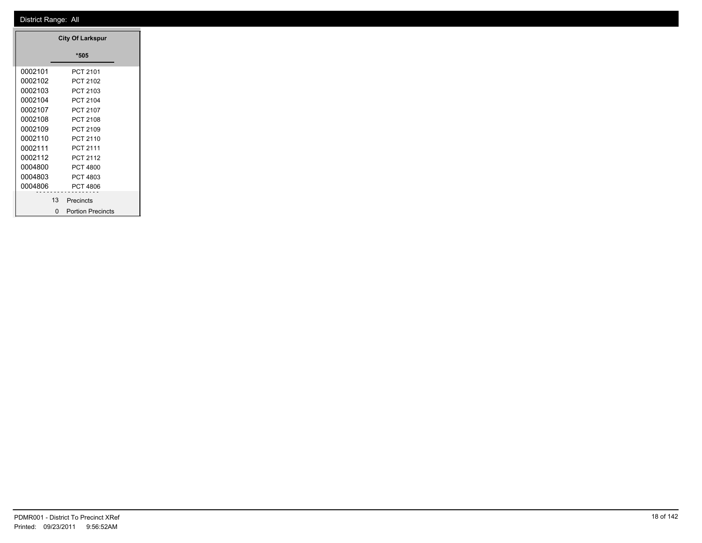|         |                 | <b>City Of Larkspur</b>  |  |
|---------|-----------------|--------------------------|--|
|         |                 | *505                     |  |
| 0002101 |                 | PCT 2101                 |  |
| 0002102 |                 | PCT 2102                 |  |
| 0002103 |                 | PCT 2103                 |  |
| 0002104 |                 | PCT 2104                 |  |
| 0002107 |                 | PCT 2107                 |  |
| 0002108 |                 | PCT 2108                 |  |
| 0002109 |                 | PCT 2109                 |  |
| 0002110 |                 | PCT 2110                 |  |
| 0002111 |                 | PCT 2111                 |  |
| 0002112 |                 | PCT 2112                 |  |
| 0004800 |                 | PCT 4800                 |  |
| 0004803 |                 | PCT 4803                 |  |
| 0004806 |                 | PCT 4806                 |  |
|         | 13 <sup>1</sup> | Precincts                |  |
|         | O               | <b>Portion Precincts</b> |  |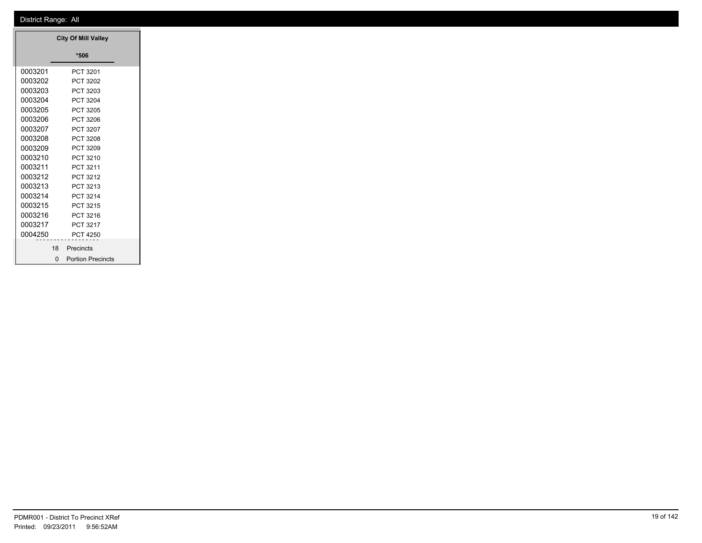|         |          | <b>City Of Mill Valley</b> |
|---------|----------|----------------------------|
|         |          | *506                       |
| 0003201 |          | PCT 3201                   |
| 0003202 |          | PCT 3202                   |
| 0003203 |          | PCT 3203                   |
| 0003204 |          | PCT 3204                   |
| 0003205 |          | PCT 3205                   |
| 0003206 |          | PCT 3206                   |
| 0003207 |          | PCT 3207                   |
| 0003208 |          | PCT 3208                   |
| 0003209 |          | PCT 3209                   |
| 0003210 |          | PCT 3210                   |
| 0003211 |          | PCT 3211                   |
| 0003212 |          | PCT 3212                   |
| 0003213 |          | PCT 3213                   |
| 0003214 |          | PCT 3214                   |
| 0003215 |          | PCT 3215                   |
| 0003216 |          | PCT 3216                   |
| 0003217 |          | PCT 3217                   |
| 0004250 |          | <b>PCT 4250</b>            |
|         | 18       | Precincts                  |
|         | $\Omega$ | <b>Portion Precincts</b>   |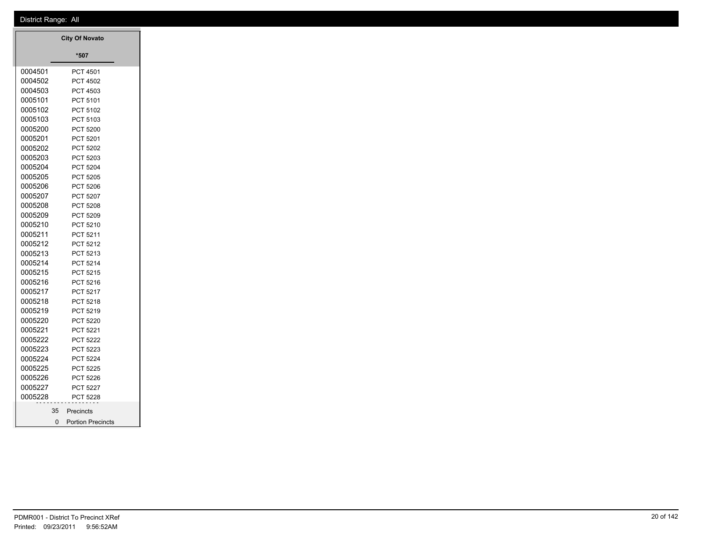|         | <b>City Of Novato</b>    |  |
|---------|--------------------------|--|
|         | *507                     |  |
| 0004501 | PCT 4501                 |  |
| 0004502 | <b>PCT 4502</b>          |  |
| 0004503 | PCT 4503                 |  |
| 0005101 | PCT 5101                 |  |
| 0005102 | <b>PCT 5102</b>          |  |
| 0005103 | PCT 5103                 |  |
| 0005200 | <b>PCT 5200</b>          |  |
| 0005201 | PCT 5201                 |  |
| 0005202 | <b>PCT 5202</b>          |  |
| 0005203 | <b>PCT 5203</b>          |  |
| 0005204 | <b>PCT 5204</b>          |  |
| 0005205 | <b>PCT 5205</b>          |  |
| 0005206 | <b>PCT 5206</b>          |  |
| 0005207 | PCT 5207                 |  |
| 0005208 | <b>PCT 5208</b>          |  |
| 0005209 | <b>PCT 5209</b>          |  |
| 0005210 | PCT 5210                 |  |
| 0005211 | PCT 5211                 |  |
| 0005212 | PCT 5212                 |  |
| 0005213 | <b>PCT 5213</b>          |  |
| 0005214 | <b>PCT 5214</b>          |  |
| 0005215 | <b>PCT 5215</b>          |  |
| 0005216 | PCT 5216                 |  |
| 0005217 | PCT 5217                 |  |
| 0005218 | PCT 5218                 |  |
| 0005219 | <b>PCT 5219</b>          |  |
| 0005220 | <b>PCT 5220</b>          |  |
| 0005221 | PCT 5221                 |  |
| 0005222 | <b>PCT 5222</b>          |  |
| 0005223 | PCT 5223                 |  |
| 0005224 | <b>PCT 5224</b>          |  |
| 0005225 | <b>PCT 5225</b>          |  |
| 0005226 | <b>PCT 5226</b>          |  |
| 0005227 | <b>PCT 5227</b>          |  |
| 0005228 | PCT 5228                 |  |
|         | 35 Precincts             |  |
| 0       | <b>Portion Precincts</b> |  |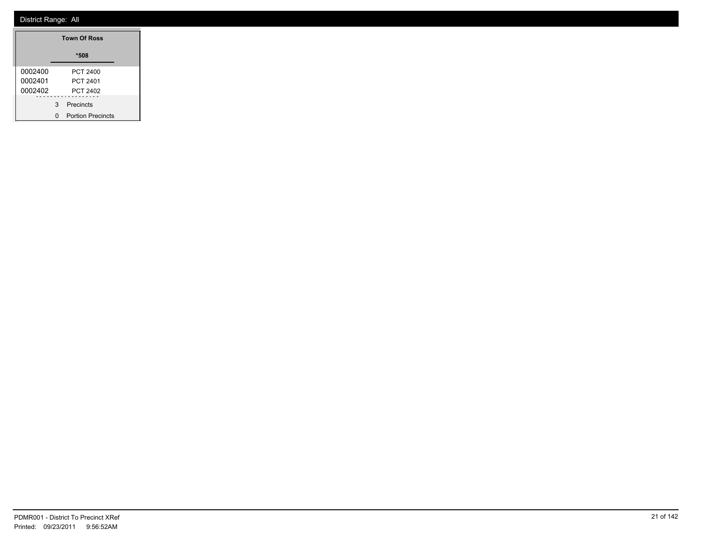|         |   | <b>Town Of Ross</b>      |  |
|---------|---|--------------------------|--|
|         |   | *508                     |  |
| 0002400 |   | PCT 2400                 |  |
| 0002401 |   | PCT 2401                 |  |
| 0002402 |   | PCT 2402                 |  |
|         | 3 | Precincts                |  |
|         | n | <b>Portion Precincts</b> |  |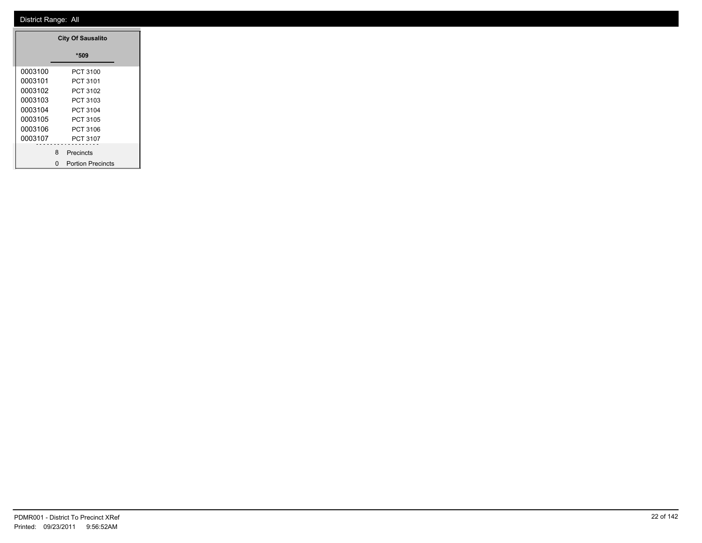|         |   | <b>City Of Sausalito</b> |
|---------|---|--------------------------|
|         |   | *509                     |
| 0003100 |   | PCT 3100                 |
| 0003101 |   | PCT 3101                 |
| 0003102 |   | PCT 3102                 |
| 0003103 |   | PCT 3103                 |
| 0003104 |   | PCT 3104                 |
| 0003105 |   | PCT 3105                 |
| 0003106 |   | PCT 3106                 |
| 0003107 |   | PCT 3107                 |
|         | 8 | Precincts                |
|         | n | <b>Portion Precincts</b> |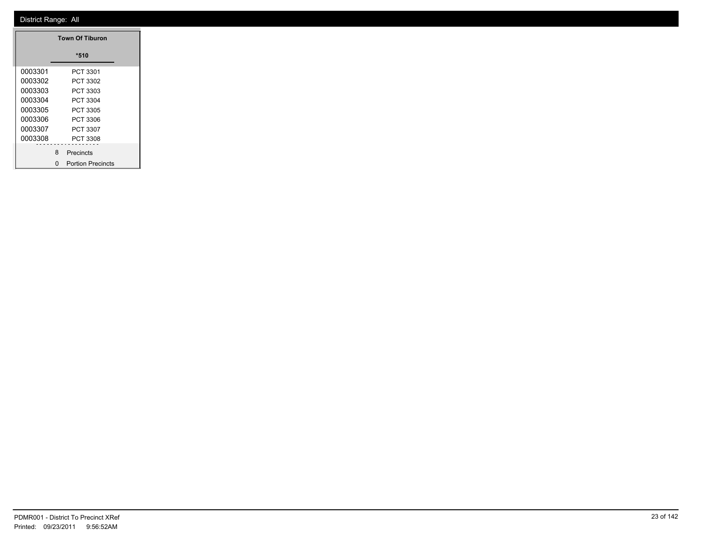|         |   | <b>Town Of Tiburon</b>   |
|---------|---|--------------------------|
|         |   | *510                     |
| 0003301 |   | PCT 3301                 |
| 0003302 |   | PCT 3302                 |
| 0003303 |   | PCT 3303                 |
| 0003304 |   | PCT 3304                 |
| 0003305 |   | PCT 3305                 |
| 0003306 |   | PCT 3306                 |
| 0003307 |   | PCT 3307                 |
| 0003308 |   | PCT 3308                 |
|         | 8 | Precincts                |
|         | n | <b>Portion Precincts</b> |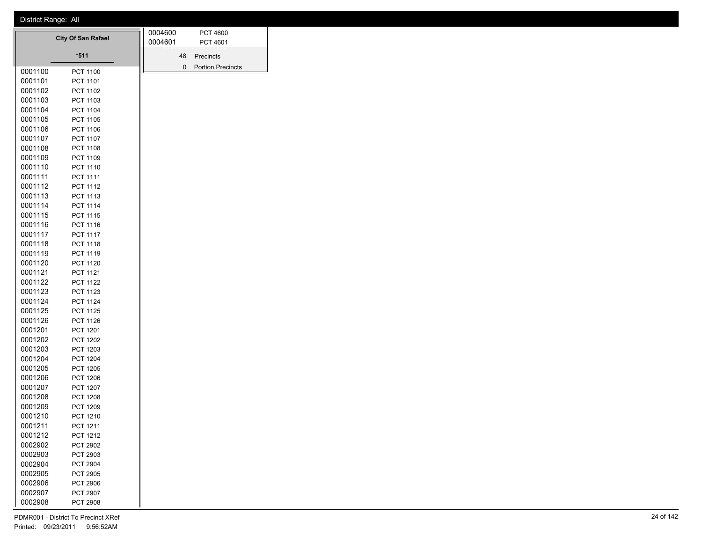| $*511$<br>48<br>Precincts<br>0<br><b>Portion Precincts</b><br>0001100<br>PCT 1100<br>0001101<br>PCT 1101<br>0001102<br><b>PCT 1102</b> |
|----------------------------------------------------------------------------------------------------------------------------------------|
|                                                                                                                                        |
|                                                                                                                                        |
|                                                                                                                                        |
|                                                                                                                                        |
| 0001103<br>PCT 1103                                                                                                                    |
| 0001104<br>PCT 1104                                                                                                                    |
| 0001105<br>PCT 1105                                                                                                                    |
| 0001106<br>PCT 1106                                                                                                                    |
| 0001107<br><b>PCT 1107</b>                                                                                                             |
| 0001108<br><b>PCT 1108</b>                                                                                                             |
| 0001109<br>PCT 1109                                                                                                                    |
| 0001110<br>PCT 1110                                                                                                                    |
| 0001111<br>PCT 1111                                                                                                                    |
| 0001112<br>PCT 1112                                                                                                                    |
| 0001113<br>PCT 1113                                                                                                                    |
| 0001114<br><b>PCT 1114</b>                                                                                                             |
| 0001115<br>PCT 1115                                                                                                                    |
| 0001116<br>PCT 1116                                                                                                                    |
| 0001117<br><b>PCT 1117</b>                                                                                                             |
| 0001118<br>PCT 1118                                                                                                                    |
| 0001119<br>PCT 1119                                                                                                                    |
| 0001120<br>PCT 1120                                                                                                                    |
| 0001121<br>PCT 1121                                                                                                                    |
| 0001122<br><b>PCT 1122</b>                                                                                                             |
| 0001123<br>PCT 1123                                                                                                                    |
| 0001124<br><b>PCT 1124</b>                                                                                                             |
| 0001125<br>PCT 1125                                                                                                                    |
| 0001126<br><b>PCT 1126</b>                                                                                                             |
| 0001201<br>PCT 1201                                                                                                                    |
| 0001202<br><b>PCT 1202</b>                                                                                                             |
| 0001203<br>PCT 1203                                                                                                                    |
| 0001204<br><b>PCT 1204</b>                                                                                                             |
| 0001205<br><b>PCT 1205</b>                                                                                                             |
| 0001206<br><b>PCT 1206</b><br>0001207<br><b>PCT 1207</b>                                                                               |
| 0001208<br><b>PCT 1208</b>                                                                                                             |
| 0001209<br>PCT 1209                                                                                                                    |
| 0001210<br>PCT 1210                                                                                                                    |
| 0001211<br>PCT 1211                                                                                                                    |
| 0001212<br>PCT 1212                                                                                                                    |
| 0002902<br><b>PCT 2902</b>                                                                                                             |
| 0002903<br>PCT 2903                                                                                                                    |
| 0002904<br>PCT 2904                                                                                                                    |
| 0002905<br>PCT 2905                                                                                                                    |
| 0002906<br>PCT 2906                                                                                                                    |
| 0002907<br>PCT 2907                                                                                                                    |
| 0002908<br>PCT 2908                                                                                                                    |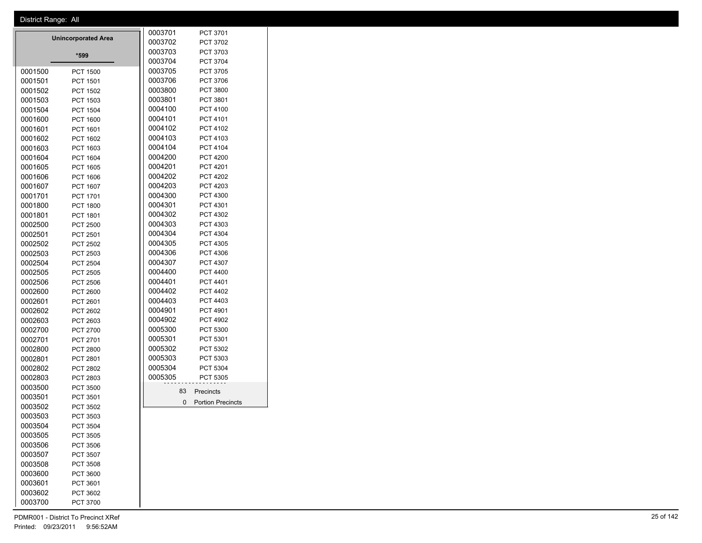|         |                            | 0003701 | PCT 3701                 |
|---------|----------------------------|---------|--------------------------|
|         | <b>Unincorporated Area</b> | 0003702 | PCT 3702                 |
|         | *599                       | 0003703 | PCT 3703                 |
|         |                            | 0003704 | PCT 3704                 |
| 0001500 | <b>PCT 1500</b>            | 0003705 | PCT 3705                 |
| 0001501 | <b>PCT 1501</b>            | 0003706 | <b>PCT 3706</b>          |
| 0001502 | <b>PCT 1502</b>            | 0003800 | <b>PCT 3800</b>          |
| 0001503 | <b>PCT 1503</b>            | 0003801 | PCT 3801                 |
| 0001504 | <b>PCT 1504</b>            | 0004100 | <b>PCT 4100</b>          |
| 0001600 | <b>PCT 1600</b>            | 0004101 | PCT 4101                 |
| 0001601 | PCT 1601                   | 0004102 | <b>PCT 4102</b>          |
| 0001602 | PCT 1602                   | 0004103 | PCT 4103                 |
| 0001603 | PCT 1603                   | 0004104 | PCT 4104                 |
| 0001604 | <b>PCT 1604</b>            | 0004200 | <b>PCT 4200</b>          |
| 0001605 | <b>PCT 1605</b>            | 0004201 | <b>PCT 4201</b>          |
| 0001606 | <b>PCT 1606</b>            | 0004202 | <b>PCT 4202</b>          |
| 0001607 | PCT 1607                   | 0004203 | PCT 4203                 |
| 0001701 | PCT 1701                   | 0004300 | PCT 4300                 |
| 0001800 | <b>PCT 1800</b>            | 0004301 | PCT 4301                 |
| 0001801 | PCT 1801                   | 0004302 | PCT 4302                 |
| 0002500 | <b>PCT 2500</b>            | 0004303 | PCT 4303                 |
| 0002501 | <b>PCT 2501</b>            | 0004304 | PCT 4304                 |
| 0002502 | <b>PCT 2502</b>            | 0004305 | PCT 4305                 |
| 0002503 | PCT 2503                   | 0004306 | PCT 4306                 |
| 0002504 | <b>PCT 2504</b>            | 0004307 | PCT 4307                 |
| 0002505 | PCT 2505                   | 0004400 | PCT 4400                 |
| 0002506 | <b>PCT 2506</b>            | 0004401 | <b>PCT 4401</b>          |
| 0002600 | <b>PCT 2600</b>            | 0004402 | <b>PCT 4402</b>          |
| 0002601 | <b>PCT 2601</b>            | 0004403 | PCT 4403                 |
| 0002602 | <b>PCT 2602</b>            | 0004901 | <b>PCT 4901</b>          |
| 0002603 | PCT 2603                   | 0004902 | <b>PCT 4902</b>          |
| 0002700 | <b>PCT 2700</b>            | 0005300 | PCT 5300                 |
| 0002701 | PCT 2701                   | 0005301 | PCT 5301                 |
| 0002800 | <b>PCT 2800</b>            | 0005302 | PCT 5302                 |
| 0002801 | PCT 2801                   | 0005303 | PCT 5303                 |
| 0002802 | <b>PCT 2802</b>            | 0005304 | PCT 5304                 |
| 0002803 | <b>PCT 2803</b>            | 0005305 | <b>PCT 5305</b>          |
| 0003500 | <b>PCT 3500</b>            | 83      | Precincts                |
| 0003501 | PCT 3501                   | 0       |                          |
| 0003502 | <b>PCT 3502</b>            |         | <b>Portion Precincts</b> |
| 0003503 | PCT 3503                   |         |                          |
| 0003504 | PCT 3504                   |         |                          |
| 0003505 | <b>PCT 3505</b>            |         |                          |
| 0003506 | <b>PCT 3506</b>            |         |                          |
| 0003507 | <b>PCT 3507</b>            |         |                          |

 PCT 3508 PCT 3600 PCT 3601 PCT 3602 PCT 3700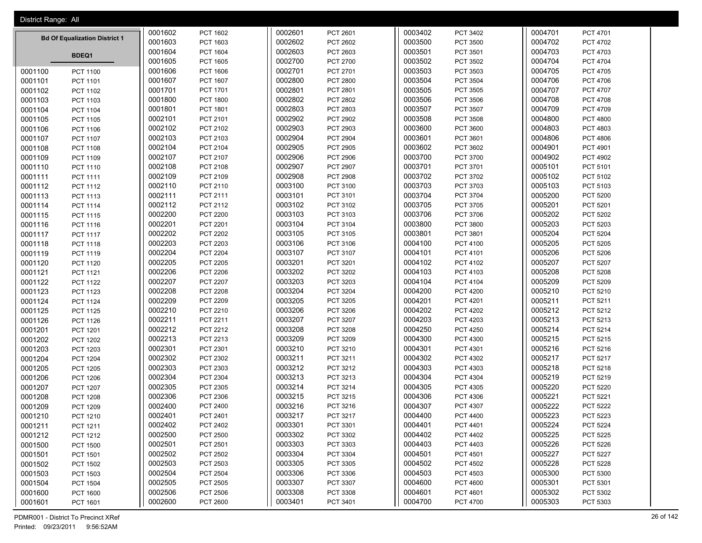| District Range: All |                                      |         |                 |         |                 |         |                 |         |                 |
|---------------------|--------------------------------------|---------|-----------------|---------|-----------------|---------|-----------------|---------|-----------------|
|                     |                                      | 0001602 | PCT 1602        | 0002601 | PCT 2601        | 0003402 | PCT 3402        | 0004701 | PCT 4701        |
|                     | <b>Bd Of Equalization District 1</b> | 0001603 | PCT 1603        | 0002602 | PCT 2602        | 0003500 | PCT 3500        | 0004702 | PCT 4702        |
|                     | BDEQ1                                | 0001604 | PCT 1604        | 0002603 | PCT 2603        | 0003501 | PCT 3501        | 0004703 | PCT 4703        |
|                     |                                      | 0001605 | <b>PCT 1605</b> | 0002700 | PCT 2700        | 0003502 | PCT 3502        | 0004704 | PCT 4704        |
| 0001100             | <b>PCT 1100</b>                      | 0001606 | PCT 1606        | 0002701 | PCT 2701        | 0003503 | PCT 3503        | 0004705 | PCT 4705        |
| 0001101             | PCT 1101                             | 0001607 | PCT 1607        | 0002800 | <b>PCT 2800</b> | 0003504 | PCT 3504        | 0004706 | PCT 4706        |
| 0001102             | PCT 1102                             | 0001701 | PCT 1701        | 0002801 | PCT 2801        | 0003505 | PCT 3505        | 0004707 | <b>PCT 4707</b> |
| 0001103             | PCT 1103                             | 0001800 | <b>PCT 1800</b> | 0002802 | <b>PCT 2802</b> | 0003506 | PCT 3506        | 0004708 | PCT 4708        |
| 0001104             | <b>PCT 1104</b>                      | 0001801 | PCT 1801        | 0002803 | PCT 2803        | 0003507 | PCT 3507        | 0004709 | PCT 4709        |
| 0001105             | <b>PCT 1105</b>                      | 0002101 | PCT 2101        | 0002902 | PCT 2902        | 0003508 | PCT 3508        | 0004800 | <b>PCT 4800</b> |
| 0001106             | PCT 1106                             | 0002102 | PCT 2102        | 0002903 | PCT 2903        | 0003600 | PCT 3600        | 0004803 | PCT 4803        |
| 0001107             | PCT 1107                             | 0002103 | PCT 2103        | 0002904 | PCT 2904        | 0003601 | PCT 3601        | 0004806 | <b>PCT 4806</b> |
| 0001108             | PCT 1108                             | 0002104 | PCT 2104        | 0002905 | <b>PCT 2905</b> | 0003602 | PCT 3602        | 0004901 | PCT 4901        |
| 0001109             | PCT 1109                             | 0002107 | PCT 2107        | 0002906 | <b>PCT 2906</b> | 0003700 | PCT 3700        | 0004902 | PCT 4902        |
| 0001110             | PCT 1110                             | 0002108 | <b>PCT 2108</b> | 0002907 | PCT 2907        | 0003701 | PCT 3701        | 0005101 | PCT 5101        |
| 0001111             | PCT 1111                             | 0002109 | PCT 2109        | 0002908 | <b>PCT 2908</b> | 0003702 | PCT 3702        | 0005102 | PCT 5102        |
| 0001112             | PCT 1112                             | 0002110 | PCT 2110        | 0003100 | PCT 3100        | 0003703 | PCT 3703        | 0005103 | PCT 5103        |
| 0001113             | PCT 1113                             | 0002111 | PCT 2111        | 0003101 | PCT 3101        | 0003704 | PCT 3704        | 0005200 | <b>PCT 5200</b> |
| 0001114             | <b>PCT 1114</b>                      | 0002112 | PCT 2112        | 0003102 | PCT 3102        | 0003705 | PCT 3705        | 0005201 | PCT 5201        |
| 0001115             | PCT 1115                             | 0002200 | <b>PCT 2200</b> | 0003103 | PCT 3103        | 0003706 | PCT 3706        | 0005202 | PCT 5202        |
| 0001116             | PCT 1116                             | 0002201 | PCT 2201        | 0003104 | PCT 3104        | 0003800 | PCT 3800        | 0005203 | PCT 5203        |
| 0001117             | <b>PCT 1117</b>                      | 0002202 | <b>PCT 2202</b> | 0003105 | PCT 3105        | 0003801 | PCT 3801        | 0005204 | <b>PCT 5204</b> |
| 0001118             | PCT 1118                             | 0002203 | <b>PCT 2203</b> | 0003106 | PCT 3106        | 0004100 | PCT 4100        | 0005205 | PCT 5205        |
| 0001119             | PCT 1119                             | 0002204 | <b>PCT 2204</b> | 0003107 | PCT 3107        | 0004101 | PCT 4101        | 0005206 | PCT 5206        |
| 0001120             | <b>PCT 1120</b>                      | 0002205 | <b>PCT 2205</b> | 0003201 | PCT 3201        | 0004102 | PCT 4102        | 0005207 | PCT 5207        |
| 0001121             | PCT 1121                             | 0002206 | <b>PCT 2206</b> | 0003202 | PCT 3202        | 0004103 | PCT 4103        | 0005208 | <b>PCT 5208</b> |
| 0001122             | PCT 1122                             | 0002207 | <b>PCT 2207</b> | 0003203 | PCT 3203        | 0004104 | PCT 4104        | 0005209 | PCT 5209        |
| 0001123             | PCT 1123                             | 0002208 | <b>PCT 2208</b> | 0003204 | PCT 3204        | 0004200 | <b>PCT 4200</b> | 0005210 | PCT 5210        |
| 0001124             | <b>PCT 1124</b>                      | 0002209 | <b>PCT 2209</b> | 0003205 | PCT 3205        | 0004201 | PCT 4201        | 0005211 | PCT 5211        |
| 0001125             | <b>PCT 1125</b>                      | 0002210 | PCT 2210        | 0003206 | PCT 3206        | 0004202 | PCT 4202        | 0005212 | PCT 5212        |
| 0001126             | PCT 1126                             | 0002211 | PCT 2211        | 0003207 | PCT 3207        | 0004203 | PCT 4203        | 0005213 | PCT 5213        |
| 0001201             | PCT 1201                             | 0002212 | PCT 2212        | 0003208 | PCT 3208        | 0004250 | <b>PCT 4250</b> | 0005214 | PCT 5214        |
| 0001202             | PCT 1202                             | 0002213 | PCT 2213        | 0003209 | PCT 3209        | 0004300 | PCT 4300        | 0005215 | PCT 5215        |
| 0001203             | PCT 1203                             | 0002301 | PCT 2301        | 0003210 | PCT 3210        | 0004301 | PCT 4301        | 0005216 | PCT 5216        |
| 0001204             | <b>PCT 1204</b>                      | 0002302 | PCT 2302        | 0003211 | PCT 3211        | 0004302 | PCT 4302        | 0005217 | PCT 5217        |
| 0001205             | <b>PCT 1205</b>                      | 0002303 | PCT 2303        | 0003212 | PCT 3212        | 0004303 | PCT 4303        | 0005218 | PCT 5218        |
| 0001206             | <b>PCT 1206</b>                      | 0002304 | PCT 2304        | 0003213 | PCT 3213        | 0004304 | PCT 4304        | 0005219 | PCT 5219        |
| 0001207             | PCT 1207                             | 0002305 | PCT 2305        | 0003214 | PCT 3214        | 0004305 | PCT 4305        | 0005220 | <b>PCT 5220</b> |
| 0001208             | <b>PCT 1208</b>                      | 0002306 | PCT 2306        | 0003215 | PCT 3215        | 0004306 | PCT 4306        | 0005221 | PCT 5221        |
| 0001209             | <b>PCT 1209</b>                      | 0002400 | PCT 2400        | 0003216 | PCT 3216        | 0004307 | PCT 4307        | 0005222 | PCT 5222        |
| 0001210             | PCT 1210                             | 0002401 | PCT 2401        | 0003217 | PCT 3217        | 0004400 | PCT 4400        | 0005223 | PCT 5223        |
| 0001211             | PCT 1211                             | 0002402 | PCT 2402        | 0003301 | PCT 3301        | 0004401 | PCT 4401        | 0005224 | <b>PCT 5224</b> |
| 0001212             | PCT 1212                             | 0002500 | PCT 2500        | 0003302 | PCT 3302        | 0004402 | PCT 4402        | 0005225 | PCT 5225        |
| 0001500             | <b>PCT 1500</b>                      | 0002501 | PCT 2501        | 0003303 | PCT 3303        | 0004403 | PCT 4403        | 0005226 | PCT 5226        |
| 0001501             | <b>PCT 1501</b>                      | 0002502 | PCT 2502        | 0003304 | PCT 3304        | 0004501 | PCT 4501        | 0005227 | <b>PCT 5227</b> |
| 0001502             | PCT 1502                             | 0002503 | PCT 2503        | 0003305 | PCT 3305        | 0004502 | PCT 4502        | 0005228 | PCT 5228        |
| 0001503             | PCT 1503                             | 0002504 | PCT 2504        | 0003306 | PCT 3306        | 0004503 | PCT 4503        | 0005300 | PCT 5300        |
| 0001504             | <b>PCT 1504</b>                      | 0002505 | PCT 2505        | 0003307 | PCT 3307        | 0004600 | <b>PCT 4600</b> | 0005301 | PCT 5301        |
| 0001600             | PCT 1600                             | 0002506 | PCT 2506        | 0003308 | PCT 3308        | 0004601 | PCT 4601        | 0005302 | PCT 5302        |
| 0001601             | PCT 1601                             | 0002600 | <b>PCT 2600</b> | 0003401 | PCT 3401        | 0004700 | <b>PCT 4700</b> | 0005303 | PCT 5303        |

PDMR001 - District To Precinct XRef 26 of 142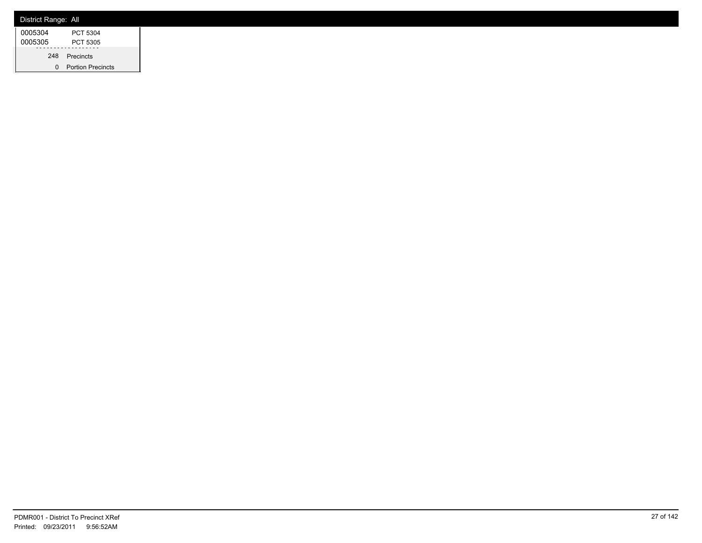| District Range: All |                          |
|---------------------|--------------------------|
| 0005304             | PCT 5304                 |
| 0005305             | PCT 5305                 |
| 248                 | Precincts                |
| 0                   | <b>Portion Precincts</b> |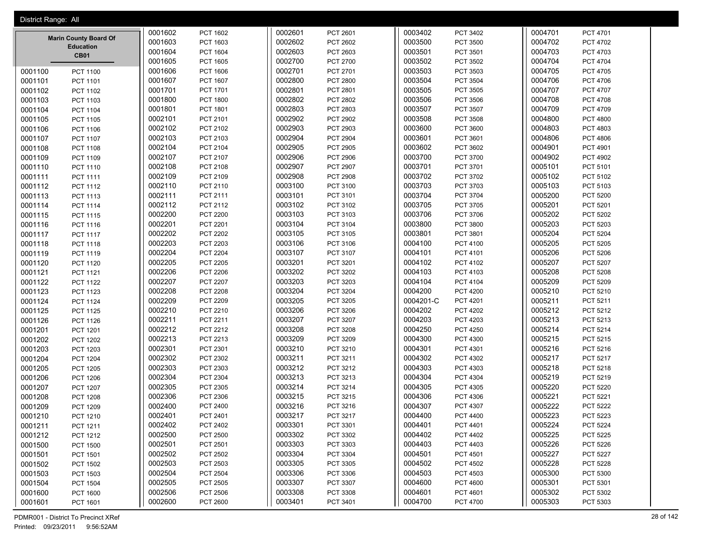|         | District Range: All             |         |                 |         |                 |           |                 |         |                 |
|---------|---------------------------------|---------|-----------------|---------|-----------------|-----------|-----------------|---------|-----------------|
|         |                                 | 0001602 | PCT 1602        | 0002601 | PCT 2601        | 0003402   | PCT 3402        | 0004701 | PCT 4701        |
|         | <b>Marin County Board Of</b>    | 0001603 | PCT 1603        | 0002602 | PCT 2602        | 0003500   | PCT 3500        | 0004702 | PCT 4702        |
|         | <b>Education</b><br><b>CB01</b> | 0001604 | PCT 1604        | 0002603 | PCT 2603        | 0003501   | PCT 3501        | 0004703 | PCT 4703        |
|         |                                 | 0001605 | <b>PCT 1605</b> | 0002700 | PCT 2700        | 0003502   | PCT 3502        | 0004704 | <b>PCT 4704</b> |
| 0001100 | PCT 1100                        | 0001606 | <b>PCT 1606</b> | 0002701 | PCT 2701        | 0003503   | PCT 3503        | 0004705 | <b>PCT 4705</b> |
| 0001101 | PCT 1101                        | 0001607 | <b>PCT 1607</b> | 0002800 | <b>PCT 2800</b> | 0003504   | PCT 3504        | 0004706 | PCT 4706        |
| 0001102 | PCT 1102                        | 0001701 | PCT 1701        | 0002801 | PCT 2801        | 0003505   | PCT 3505        | 0004707 | PCT 4707        |
| 0001103 | PCT 1103                        | 0001800 | <b>PCT 1800</b> | 0002802 | PCT 2802        | 0003506   | <b>PCT 3506</b> | 0004708 | PCT 4708        |
| 0001104 | <b>PCT 1104</b>                 | 0001801 | PCT 1801        | 0002803 | PCT 2803        | 0003507   | PCT 3507        | 0004709 | PCT 4709        |
| 0001105 | PCT 1105                        | 0002101 | PCT 2101        | 0002902 | <b>PCT 2902</b> | 0003508   | PCT 3508        | 0004800 | <b>PCT 4800</b> |
| 0001106 | PCT 1106                        | 0002102 | PCT 2102        | 0002903 | PCT 2903        | 0003600   | PCT 3600        | 0004803 | PCT 4803        |
| 0001107 | PCT 1107                        | 0002103 | PCT 2103        | 0002904 | <b>PCT 2904</b> | 0003601   | PCT 3601        | 0004806 | PCT 4806        |
| 0001108 | PCT 1108                        | 0002104 | PCT 2104        | 0002905 | <b>PCT 2905</b> | 0003602   | PCT 3602        | 0004901 | PCT 4901        |
| 0001109 | PCT 1109                        | 0002107 | PCT 2107        | 0002906 | <b>PCT 2906</b> | 0003700   | PCT 3700        | 0004902 | PCT 4902        |
| 0001110 | PCT 1110                        | 0002108 | PCT 2108        | 0002907 | <b>PCT 2907</b> | 0003701   | PCT 3701        | 0005101 | PCT 5101        |
| 0001111 | PCT 1111                        | 0002109 | PCT 2109        | 0002908 | <b>PCT 2908</b> | 0003702   | PCT 3702        | 0005102 | PCT 5102        |
| 0001112 | PCT 1112                        | 0002110 | PCT 2110        | 0003100 | PCT 3100        | 0003703   | PCT 3703        | 0005103 | PCT 5103        |
| 0001113 | PCT 1113                        | 0002111 | PCT 2111        | 0003101 | PCT 3101        | 0003704   | PCT 3704        | 0005200 | <b>PCT 5200</b> |
| 0001114 | <b>PCT 1114</b>                 | 0002112 | PCT 2112        | 0003102 | PCT 3102        | 0003705   | PCT 3705        | 0005201 | PCT 5201        |
| 0001115 | PCT 1115                        | 0002200 | <b>PCT 2200</b> | 0003103 | PCT 3103        | 0003706   | PCT 3706        | 0005202 | PCT 5202        |
| 0001116 | PCT 1116                        | 0002201 | <b>PCT 2201</b> | 0003104 | PCT 3104        | 0003800   | PCT 3800        | 0005203 | PCT 5203        |
| 0001117 | <b>PCT 1117</b>                 | 0002202 | <b>PCT 2202</b> | 0003105 | PCT 3105        | 0003801   | PCT 3801        | 0005204 | <b>PCT 5204</b> |
| 0001118 | PCT 1118                        | 0002203 | <b>PCT 2203</b> | 0003106 | PCT 3106        | 0004100   | PCT 4100        | 0005205 | PCT 5205        |
| 0001119 | PCT 1119                        | 0002204 | <b>PCT 2204</b> | 0003107 | PCT 3107        | 0004101   | PCT 4101        | 0005206 | PCT 5206        |
| 0001120 | PCT 1120                        | 0002205 | <b>PCT 2205</b> | 0003201 | PCT 3201        | 0004102   | PCT 4102        | 0005207 | <b>PCT 5207</b> |
| 0001121 | PCT 1121                        | 0002206 | <b>PCT 2206</b> | 0003202 | PCT 3202        | 0004103   | PCT 4103        | 0005208 | <b>PCT 5208</b> |
| 0001122 | <b>PCT 1122</b>                 | 0002207 | <b>PCT 2207</b> | 0003203 | PCT 3203        | 0004104   | PCT 4104        | 0005209 | PCT 5209        |
| 0001123 | PCT 1123                        | 0002208 | <b>PCT 2208</b> | 0003204 | PCT 3204        | 0004200   | <b>PCT 4200</b> | 0005210 | PCT 5210        |
| 0001124 | PCT 1124                        | 0002209 | <b>PCT 2209</b> | 0003205 | PCT 3205        | 0004201-C | PCT 4201        | 0005211 | PCT 5211        |
| 0001125 | PCT 1125                        | 0002210 | PCT 2210        | 0003206 | PCT 3206        | 0004202   | <b>PCT 4202</b> | 0005212 | PCT 5212        |
| 0001126 | <b>PCT 1126</b>                 | 0002211 | PCT 2211        | 0003207 | PCT 3207        | 0004203   | PCT 4203        | 0005213 | PCT 5213        |
| 0001201 | PCT 1201                        | 0002212 | PCT 2212        | 0003208 | PCT 3208        | 0004250   | <b>PCT 4250</b> | 0005214 | PCT 5214        |
| 0001202 | <b>PCT 1202</b>                 | 0002213 | PCT 2213        | 0003209 | PCT 3209        | 0004300   | PCT 4300        | 0005215 | PCT 5215        |
| 0001203 | PCT 1203                        | 0002301 | PCT 2301        | 0003210 | PCT 3210        | 0004301   | PCT 4301        | 0005216 | PCT 5216        |
| 0001204 | PCT 1204                        | 0002302 | PCT 2302        | 0003211 | PCT 3211        | 0004302   | PCT 4302        | 0005217 | <b>PCT 5217</b> |
| 0001205 | <b>PCT 1205</b>                 | 0002303 | PCT 2303        | 0003212 | PCT 3212        | 0004303   | PCT 4303        | 0005218 | PCT 5218        |
| 0001206 | <b>PCT 1206</b>                 | 0002304 | <b>PCT 2304</b> | 0003213 | PCT 3213        | 0004304   | PCT 4304        | 0005219 | PCT 5219        |
| 0001207 | PCT 1207                        | 0002305 | PCT 2305        | 0003214 | PCT 3214        | 0004305   | PCT 4305        | 0005220 | <b>PCT 5220</b> |
| 0001208 | <b>PCT 1208</b>                 | 0002306 | PCT 2306        | 0003215 | PCT 3215        | 0004306   | PCT 4306        | 0005221 | PCT 5221        |
| 0001209 | PCT 1209                        | 0002400 | <b>PCT 2400</b> | 0003216 | PCT 3216        | 0004307   | PCT 4307        | 0005222 | <b>PCT 5222</b> |
| 0001210 | PCT 1210                        | 0002401 | PCT 2401        | 0003217 | PCT 3217        | 0004400   | PCT 4400        | 0005223 | PCT 5223        |
| 0001211 | PCT 1211                        | 0002402 | PCT 2402        | 0003301 | PCT 3301        | 0004401   | PCT 4401        | 0005224 | <b>PCT 5224</b> |
| 0001212 | PCT 1212                        | 0002500 | <b>PCT 2500</b> | 0003302 | PCT 3302        | 0004402   | PCT 4402        | 0005225 | <b>PCT 5225</b> |
| 0001500 | <b>PCT 1500</b>                 | 0002501 | PCT 2501        | 0003303 | PCT 3303        | 0004403   | PCT 4403        | 0005226 | PCT 5226        |
| 0001501 | PCT 1501                        | 0002502 | PCT 2502        | 0003304 | PCT 3304        | 0004501   | PCT 4501        | 0005227 | <b>PCT 5227</b> |
| 0001502 | PCT 1502                        | 0002503 | PCT 2503        | 0003305 | PCT 3305        | 0004502   | <b>PCT 4502</b> | 0005228 | PCT 5228        |
| 0001503 | PCT 1503                        | 0002504 | <b>PCT 2504</b> | 0003306 | PCT 3306        | 0004503   | PCT 4503        | 0005300 | PCT 5300        |
| 0001504 | PCT 1504                        | 0002505 | PCT 2505        | 0003307 | PCT 3307        | 0004600   | <b>PCT 4600</b> | 0005301 | PCT 5301        |
| 0001600 | PCT 1600                        | 0002506 | <b>PCT 2506</b> | 0003308 | PCT 3308        | 0004601   | PCT 4601        | 0005302 | PCT 5302        |
| 0001601 | PCT 1601                        | 0002600 | <b>PCT 2600</b> | 0003401 | PCT 3401        | 0004700   | PCT 4700        | 0005303 | PCT 5303        |

PDMR001 - District To Precinct XRef 28 of 142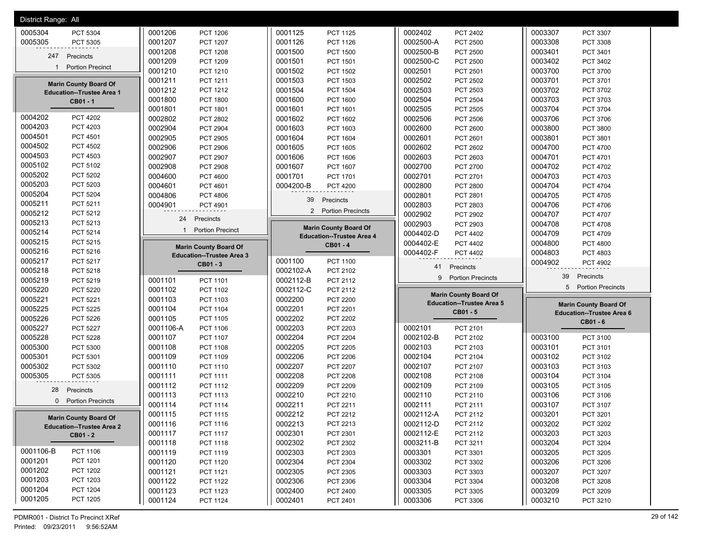| District Range: All              |                                  |                                  |                                  |                                  |
|----------------------------------|----------------------------------|----------------------------------|----------------------------------|----------------------------------|
| 0005304                          | 0001206                          | 0001125                          | 0002402                          | 0003307                          |
| PCT 5304                         | PCT 1206                         | <b>PCT 1125</b>                  | PCT 2402                         | PCT 3307                         |
| 0005305                          | 0001207                          | 0001126                          | 0002500-A                        | 0003308                          |
| PCT 5305                         | PCT 1207                         | PCT 1126                         | <b>PCT 2500</b>                  | <b>PCT 3308</b>                  |
|                                  | 0001208                          | 0001500                          | 0002500-B                        | 0003401                          |
|                                  | <b>PCT 1208</b>                  | <b>PCT 1500</b>                  | <b>PCT 2500</b>                  | PCT 3401                         |
| 247                              | 0001209                          | 0001501                          | 0002500-C                        | 0003402                          |
| Precincts                        | <b>PCT 1209</b>                  | PCT 1501                         | <b>PCT 2500</b>                  | PCT 3402                         |
| <b>Portion Precinct</b>          | 0001210                          | 0001502                          | 0002501                          | 0003700                          |
| 1                                | PCT 1210                         | <b>PCT 1502</b>                  | PCT 2501                         | PCT 3700                         |
|                                  | 0001211                          | 0001503                          | 0002502                          | 0003701                          |
|                                  | PCT 1211                         | PCT 1503                         | PCT 2502                         | PCT 3701                         |
| <b>Marin County Board Of</b>     | 0001212                          | 0001504                          | 0002503                          | 0003702                          |
|                                  | PCT 1212                         | <b>PCT 1504</b>                  | PCT 2503                         | PCT 3702                         |
| <b>Education--Trustee Area 1</b> | 0001800                          | 0001600                          | 0002504                          | 0003703                          |
| CB01-1                           | <b>PCT 1800</b>                  | PCT 1600                         | <b>PCT 2504</b>                  | PCT 3703                         |
|                                  | 0001801                          | 0001601                          | 0002505                          | 0003704                          |
|                                  | PCT 1801                         | PCT 1601                         | PCT 2505                         | PCT 3704                         |
| 0004202                          | 0002802                          | 0001602                          | 0002506                          | 0003706                          |
| <b>PCT 4202</b>                  | PCT 2802                         | PCT 1602                         | <b>PCT 2506</b>                  | PCT 3706                         |
| 0004203                          | 0002904                          | 0001603                          | 0002600                          | 0003800                          |
| PCT 4203                         | PCT 2904                         | PCT 1603                         | PCT 2600                         | <b>PCT 3800</b>                  |
| 0004501                          | 0002905                          | 0001604                          | 0002601                          | 0003801                          |
| PCT 4501                         | <b>PCT 2905</b>                  | PCT 1604                         | PCT 2601                         | <b>PCT 3801</b>                  |
| 0004502                          | 0002906                          | 0001605                          | 0002602                          | 0004700                          |
| <b>PCT 4502</b>                  | <b>PCT 2906</b>                  | PCT 1605                         | PCT 2602                         | <b>PCT 4700</b>                  |
| 0004503                          | 0002907                          | 0001606                          | 0002603                          | 0004701                          |
| PCT 4503                         | PCT 2907                         | PCT 1606                         | PCT 2603                         | PCT 4701                         |
| 0005102                          | 0002908                          | 0001607                          | 0002700                          | 0004702                          |
| PCT 5102                         | <b>PCT 2908</b>                  | <b>PCT 1607</b>                  | PCT 2700                         | <b>PCT 4702</b>                  |
| 0005202                          | 0004600                          | 0001701                          | 0002701                          | 0004703                          |
| <b>PCT 5202</b>                  | <b>PCT 4600</b>                  | <b>PCT 1701</b>                  | PCT 2701                         | PCT 4703                         |
| 0005203                          | 0004601                          | 0004200-B                        | 0002800                          | 0004704                          |
| PCT 5203                         | PCT 4601                         | <b>PCT 4200</b>                  | <b>PCT 2800</b>                  | <b>PCT 4704</b>                  |
| 0005204                          | 0004806                          |                                  | 0002801                          | 0004705                          |
| <b>PCT 5204</b>                  | <b>PCT 4806</b>                  |                                  | <b>PCT 2801</b>                  | <b>PCT 4705</b>                  |
| 0005211                          | 0004901                          | Precincts                        | 0002803                          | 0004706                          |
| PCT 5211                         | PCT 4901                         | 39                               | PCT 2803                         | PCT 4706                         |
| 0005212<br>PCT 5212              |                                  | 2 Portion Precincts              | 0002902<br>PCT 2902              | 0004707<br>PCT 4707              |
| 0005213                          | 24                               |                                  | 0002903                          | 0004708                          |
| PCT 5213                         | Precincts                        |                                  | PCT 2903                         | <b>PCT 4708</b>                  |
| 0005214                          | <b>Portion Precinct</b>          | <b>Marin County Board Of</b>     | 0004402-D                        | 0004709                          |
| PCT 5214                         | $\mathbf{1}$                     |                                  | PCT 4402                         | PCT 4709                         |
| 0005215<br>PCT 5215              |                                  | <b>Education--Trustee Area 4</b> | 0004402-E<br>PCT 4402            | 0004800<br><b>PCT 4800</b>       |
| 0005216<br>PCT 5216              | <b>Marin County Board Of</b>     | CB01-4                           | 0004402-F<br>PCT 4402            | 0004803<br>PCT 4803              |
| 0005217<br>PCT 5217              | <b>Education--Trustee Area 3</b> | 0001100<br><b>PCT 1100</b>       |                                  |                                  |
|                                  |                                  |                                  |                                  |                                  |
|                                  | CB01 - 3                         |                                  | 41<br>Precincts                  | 0004902<br>PCT 4902              |
| 0005218                          |                                  | 0002102-A                        | <b>Portion Precincts</b>         | 39                               |
| PCT 5218                         |                                  | PCT 2102                         | 9                                | Precincts                        |
| 0005219<br>PCT 5219              | 0001101<br>PCT 1101              | 0002112-B<br>PCT 2112            |                                  | 5 Portion Precincts              |
| 0005220<br><b>PCT 5220</b>       | 0001102<br>PCT 1102              | 0002112-C<br>PCT 2112            | <b>Marin County Board Of</b>     |                                  |
| 0005221<br>PCT 5221              | 0001103<br>PCT 1103              | 0002200<br><b>PCT 2200</b>       | <b>Education--Trustee Area 5</b> | <b>Marin County Board Of</b>     |
| 0005225<br><b>PCT 5225</b>       | 0001104<br><b>PCT 1104</b>       | 0002201<br>PCT 2201              | CB01 - 5                         | <b>Education--Trustee Area 6</b> |
| 0005226<br><b>PCT 5226</b>       | 0001105<br><b>PCT 1105</b>       | 0002202<br><b>PCT 2202</b>       |                                  | CB01 - 6                         |
| 0005227                          | 0001106-A                        | 0002203                          | 0002101                          |                                  |
| <b>PCT 5227</b>                  | PCT 1106                         | PCT 2203                         | PCT 2101                         |                                  |
| 0005228                          | 0001107                          | 0002204                          | 0002102-B                        | 0003100                          |
| <b>PCT 5228</b>                  | PCT 1107                         | <b>PCT 2204</b>                  | PCT 2102                         | PCT 3100                         |
| 0005300                          | 0001108                          | 0002205                          | 0002103                          | 0003101                          |
| PCT 5300                         | <b>PCT 1108</b>                  | <b>PCT 2205</b>                  | PCT 2103                         | PCT 3101                         |
| 0005301                          | 0001109                          | 0002206                          | 0002104                          | 0003102                          |
| PCT 5301                         | PCT 1109                         | <b>PCT 2206</b>                  | PCT 2104                         | PCT 3102                         |
| 0005302                          | 0001110                          | 0002207                          | 0002107                          | 0003103                          |
| PCT 5302                         | PCT 1110                         | <b>PCT 2207</b>                  | PCT 2107                         | PCT 3103                         |
| 0005305                          | 0001111                          | 0002208                          | 0002108                          | 0003104                          |
| PCT 5305                         | PCT 1111                         | <b>PCT 2208</b>                  | PCT 2108                         | <b>PCT 3104</b>                  |
| 28                               | 0001112                          | 0002209                          | 0002109                          | 0003105                          |
| Precincts                        | PCT 1112                         | <b>PCT 2209</b>                  | PCT 2109                         | PCT 3105                         |
| 0 Portion Precincts              | 0001113                          | 0002210                          | 0002110                          | 0003106                          |
|                                  | PCT 1113                         | PCT 2210                         | PCT 2110                         | PCT 3106                         |
|                                  | 0001114                          | 0002211                          | 0002111                          | 0003107                          |
|                                  | PCT 1114                         | PCT 2211                         | PCT 2111                         | PCT 3107                         |
| <b>Marin County Board Of</b>     | 0001115                          | 0002212                          | 0002112-A                        | 0003201                          |
|                                  | PCT 1115                         | PCT 2212                         | PCT 2112                         | PCT 3201                         |
| <b>Education--Trustee Area 2</b> | 0001116                          | 0002213                          | 0002112-D                        | 0003202                          |
|                                  | PCT 1116                         | PCT 2213                         | PCT 2112                         | PCT 3202                         |
| CB01 - 2                         | 0001117                          | 0002301                          | 0002112-E                        | 0003203                          |
|                                  | <b>PCT 1117</b>                  | PCT 2301                         | PCT 2112                         | PCT 3203                         |
|                                  | 0001118                          | 0002302                          | 0003211-B                        | 0003204                          |
|                                  | PCT 1118                         | PCT 2302                         | PCT 3211                         | PCT 3204                         |
| 0001106-B                        | 0001119                          | 0002303                          | 0003301                          | 0003205                          |
| PCT 1106                         | PCT 1119                         | PCT 2303                         | PCT 3301                         | PCT 3205                         |
| 0001201                          | 0001120                          | 0002304                          | 0003302                          | 0003206                          |
| PCT 1201                         | PCT 1120                         | PCT 2304                         | PCT 3302                         | PCT 3206                         |
| 0001202                          | 0001121                          | 0002305                          | 0003303                          | 0003207                          |
| PCT 1202                         | PCT 1121                         | PCT 2305                         | PCT 3303                         | PCT 3207                         |
| 0001203                          | 0001122                          | 0002306                          | 0003304                          | 0003208                          |
| PCT 1203                         | <b>PCT 1122</b>                  | PCT 2306                         | PCT 3304                         | PCT 3208                         |
| 0001204                          | 0001123                          | 0002400                          | 0003305                          | 0003209                          |
| <b>PCT 1204</b>                  | PCT 1123                         | <b>PCT 2400</b>                  | PCT 3305                         | PCT 3209                         |
| 0001205                          | 0001124                          | 0002401                          | 0003306                          | 0003210                          |
| PCT 1205                         | PCT 1124                         | PCT 2401                         | PCT 3306                         | PCT 3210                         |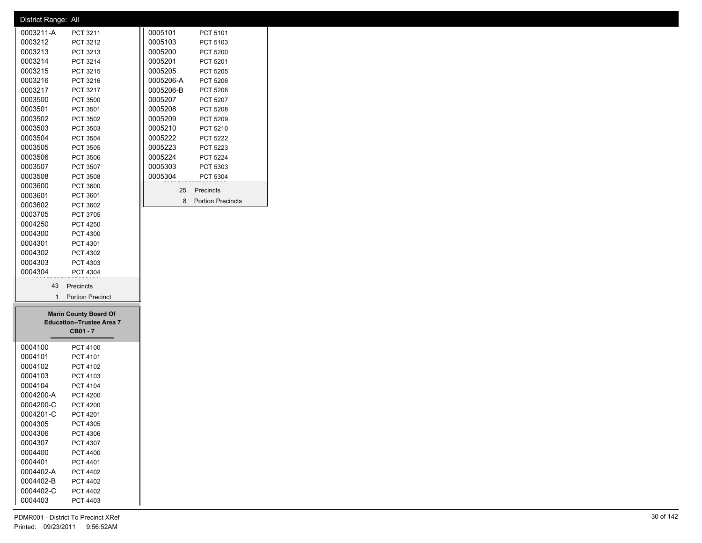| District Range: All  |                                  |           |                     |
|----------------------|----------------------------------|-----------|---------------------|
| 0003211-A            | PCT 3211                         | 0005101   | PCT 5101            |
| 0003212              | PCT 3212                         | 0005103   | PCT 5103            |
| 0003213              | PCT 3213                         | 0005200   | <b>PCT 5200</b>     |
| 0003214              | PCT 3214                         | 0005201   | PCT 5201            |
| 0003215              | PCT 3215                         | 0005205   | PCT 5205            |
| 0003216              | PCT 3216                         | 0005206-A | PCT 5206            |
| 0003217              | PCT 3217                         | 0005206-B | PCT 5206            |
| 0003500              | <b>PCT 3500</b>                  | 0005207   | PCT 5207            |
| 0003501              | PCT 3501                         | 0005208   | PCT 5208            |
| 0003502              | PCT 3502                         | 0005209   | PCT 5209            |
| 0003503              | PCT 3503                         | 0005210   | PCT 5210            |
| 0003504              | PCT 3504                         | 0005222   | <b>PCT 5222</b>     |
| 0003505              | PCT 3505                         | 0005223   | PCT 5223            |
| 0003506              | PCT 3506                         | 0005224   | PCT 5224            |
| 0003507              | PCT 3507                         | 0005303   | PCT 5303            |
| 0003508              | PCT 3508                         | 0005304   | PCT 5304            |
| 0003600              | PCT 3600                         | 25        | Precincts           |
| 0003601              | PCT 3601                         |           |                     |
| 0003602              | PCT 3602                         |           | 8 Portion Precincts |
| 0003705              | PCT 3705                         |           |                     |
| 0004250              | <b>PCT 4250</b>                  |           |                     |
| 0004300              | <b>PCT 4300</b>                  |           |                     |
| 0004301              | PCT 4301                         |           |                     |
| 0004302              | PCT 4302                         |           |                     |
| 0004303              | PCT 4303                         |           |                     |
| 0004304              | PCT 4304                         |           |                     |
| 43                   | Precincts                        |           |                     |
| $\mathbf{1}$         | <b>Portion Precinct</b>          |           |                     |
|                      |                                  |           |                     |
|                      | <b>Marin County Board Of</b>     |           |                     |
|                      | <b>Education--Trustee Area 7</b> |           |                     |
|                      | CB01 - 7                         |           |                     |
|                      |                                  |           |                     |
| 0004100<br>0004101   | PCT 4100                         |           |                     |
|                      | PCT 4101                         |           |                     |
| 0004102<br>0004103   | PCT 4102                         |           |                     |
|                      | PCT 4103                         |           |                     |
| 0004104<br>0004200-A | PCT 4104                         |           |                     |
|                      | <b>PCT 4200</b>                  |           |                     |
| 0004200-C            | <b>PCT 4200</b>                  |           |                     |
| 0004201-C            | PCT 4201                         |           |                     |
| 0004305              | <b>PCT 4305</b>                  |           |                     |
| 0004306              | PCT 4306                         |           |                     |
| 0004307              | PCT 4307                         |           |                     |
| 0004400              | <b>PCT 4400</b>                  |           |                     |
| 0004401              | PCT 4401                         |           |                     |
| 0004402-A            | PCT 4402                         |           |                     |
|                      | <b>PCT 4402</b>                  |           |                     |
| 0004402-B            |                                  |           |                     |
| 0004402-C<br>0004403 | <b>PCT 4402</b><br>PCT 4403      |           |                     |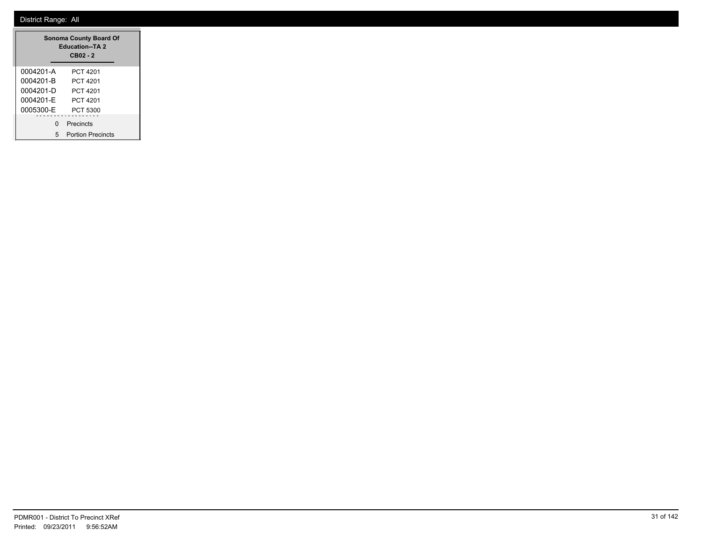|           | <b>Sonoma County Board Of</b><br><b>Education--TA 2</b><br>CB02 - 2 |
|-----------|---------------------------------------------------------------------|
| 0004201-A | PCT 4201                                                            |
| 0004201-B | PCT 4201                                                            |
| 0004201-D | PCT 4201                                                            |
| 0004201-F | PCT 4201                                                            |
| 0005300-F | PCT 5300                                                            |
| ŋ         | Precincts                                                           |
| 5         | <b>Portion Precincts</b>                                            |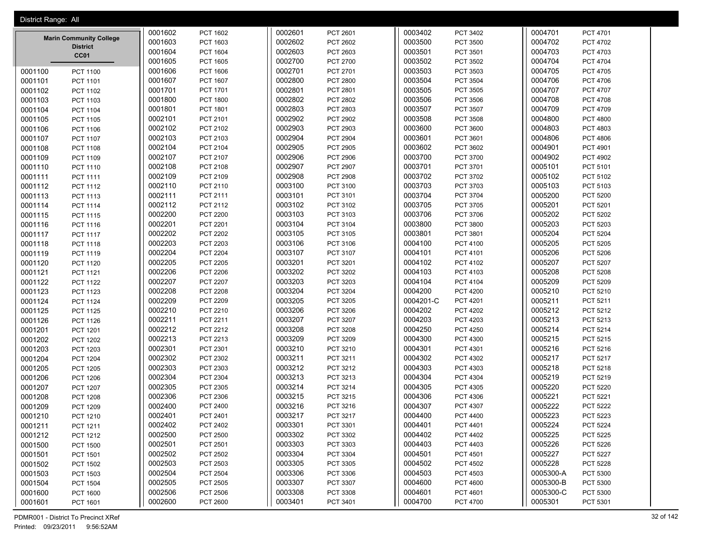| District Range: All |                                |         |                 |         |                 |           |                 |           |                 |
|---------------------|--------------------------------|---------|-----------------|---------|-----------------|-----------|-----------------|-----------|-----------------|
|                     |                                | 0001602 | <b>PCT 1602</b> | 0002601 | PCT 2601        | 0003402   | PCT 3402        | 0004701   | PCT 4701        |
|                     | <b>Marin Community College</b> | 0001603 | PCT 1603        | 0002602 | PCT 2602        | 0003500   | PCT 3500        | 0004702   | PCT 4702        |
|                     | <b>District</b><br>CC01        | 0001604 | PCT 1604        | 0002603 | PCT 2603        | 0003501   | PCT 3501        | 0004703   | PCT 4703        |
|                     |                                | 0001605 | PCT 1605        | 0002700 | PCT 2700        | 0003502   | PCT 3502        | 0004704   | PCT 4704        |
| 0001100             | PCT 1100                       | 0001606 | <b>PCT 1606</b> | 0002701 | PCT 2701        | 0003503   | PCT 3503        | 0004705   | PCT 4705        |
| 0001101             | PCT 1101                       | 0001607 | PCT 1607        | 0002800 | <b>PCT 2800</b> | 0003504   | PCT 3504        | 0004706   | PCT 4706        |
| 0001102             | PCT 1102                       | 0001701 | PCT 1701        | 0002801 | PCT 2801        | 0003505   | PCT 3505        | 0004707   | PCT 4707        |
| 0001103             | PCT 1103                       | 0001800 | <b>PCT 1800</b> | 0002802 | <b>PCT 2802</b> | 0003506   | PCT 3506        | 0004708   | PCT 4708        |
| 0001104             | PCT 1104                       | 0001801 | PCT 1801        | 0002803 | PCT 2803        | 0003507   | PCT 3507        | 0004709   | PCT 4709        |
| 0001105             | PCT 1105                       | 0002101 | PCT 2101        | 0002902 | <b>PCT 2902</b> | 0003508   | PCT 3508        | 0004800   | <b>PCT 4800</b> |
| 0001106             | PCT 1106                       | 0002102 | PCT 2102        | 0002903 | PCT 2903        | 0003600   | PCT 3600        | 0004803   | PCT 4803        |
| 0001107             | PCT 1107                       | 0002103 | PCT 2103        | 0002904 | <b>PCT 2904</b> | 0003601   | PCT 3601        | 0004806   | <b>PCT 4806</b> |
| 0001108             | PCT 1108                       | 0002104 | PCT 2104        | 0002905 | PCT 2905        | 0003602   | PCT 3602        | 0004901   | PCT 4901        |
| 0001109             | PCT 1109                       | 0002107 | PCT 2107        | 0002906 | <b>PCT 2906</b> | 0003700   | PCT 3700        | 0004902   | PCT 4902        |
| 0001110             | PCT 1110                       | 0002108 | PCT 2108        | 0002907 | <b>PCT 2907</b> | 0003701   | PCT 3701        | 0005101   | PCT 5101        |
| 0001111             | PCT 1111                       | 0002109 | PCT 2109        | 0002908 | <b>PCT 2908</b> | 0003702   | PCT 3702        | 0005102   | PCT 5102        |
| 0001112             | PCT 1112                       | 0002110 | PCT 2110        | 0003100 | PCT 3100        | 0003703   | PCT 3703        | 0005103   | PCT 5103        |
| 0001113             | PCT 1113                       | 0002111 | PCT 2111        | 0003101 | PCT 3101        | 0003704   | PCT 3704        | 0005200   | PCT 5200        |
| 0001114             | PCT 1114                       | 0002112 | PCT 2112        | 0003102 | PCT 3102        | 0003705   | PCT 3705        | 0005201   | PCT 5201        |
| 0001115             | PCT 1115                       | 0002200 | <b>PCT 2200</b> | 0003103 | PCT 3103        | 0003706   | PCT 3706        | 0005202   | PCT 5202        |
| 0001116             | PCT 1116                       | 0002201 | <b>PCT 2201</b> | 0003104 | PCT 3104        | 0003800   | <b>PCT 3800</b> | 0005203   | PCT 5203        |
| 0001117             | <b>PCT 1117</b>                | 0002202 | PCT 2202        | 0003105 | PCT 3105        | 0003801   | PCT 3801        | 0005204   | PCT 5204        |
| 0001118             | PCT 1118                       | 0002203 | PCT 2203        | 0003106 | PCT 3106        | 0004100   | PCT 4100        | 0005205   | PCT 5205        |
| 0001119             | PCT 1119                       | 0002204 | <b>PCT 2204</b> | 0003107 | PCT 3107        | 0004101   | PCT 4101        | 0005206   | PCT 5206        |
| 0001120             | PCT 1120                       | 0002205 | <b>PCT 2205</b> | 0003201 | PCT 3201        | 0004102   | PCT 4102        | 0005207   | PCT 5207        |
| 0001121             | PCT 1121                       | 0002206 | PCT 2206        | 0003202 | PCT 3202        | 0004103   | PCT 4103        | 0005208   | PCT 5208        |
| 0001122             | <b>PCT 1122</b>                | 0002207 | <b>PCT 2207</b> | 0003203 | PCT 3203        | 0004104   | PCT 4104        | 0005209   | PCT 5209        |
| 0001123             | PCT 1123                       | 0002208 | <b>PCT 2208</b> | 0003204 | <b>PCT 3204</b> | 0004200   | <b>PCT 4200</b> | 0005210   | PCT 5210        |
| 0001124             | PCT 1124                       | 0002209 | PCT 2209        | 0003205 | PCT 3205        | 0004201-C | PCT 4201        | 0005211   | PCT 5211        |
| 0001125             | <b>PCT 1125</b>                | 0002210 | PCT 2210        | 0003206 | PCT 3206        | 0004202   | <b>PCT 4202</b> | 0005212   | PCT 5212        |
| 0001126             | PCT 1126                       | 0002211 | PCT 2211        | 0003207 | PCT 3207        | 0004203   | PCT 4203        | 0005213   | PCT 5213        |
| 0001201             | PCT 1201                       | 0002212 | PCT 2212        | 0003208 | PCT 3208        | 0004250   | <b>PCT 4250</b> | 0005214   | PCT 5214        |
| 0001202             | <b>PCT 1202</b>                | 0002213 | PCT 2213        | 0003209 | PCT 3209        | 0004300   | PCT 4300        | 0005215   | PCT 5215        |
| 0001203             | PCT 1203                       | 0002301 | PCT 2301        | 0003210 | PCT 3210        | 0004301   | PCT 4301        | 0005216   | PCT 5216        |
| 0001204             | PCT 1204                       | 0002302 | PCT 2302        | 0003211 | PCT 3211        | 0004302   | PCT 4302        | 0005217   | <b>PCT 5217</b> |
| 0001205             | <b>PCT 1205</b>                | 0002303 | PCT 2303        | 0003212 | PCT 3212        | 0004303   | PCT 4303        | 0005218   | PCT 5218        |
| 0001206             | <b>PCT 1206</b>                | 0002304 | PCT 2304        | 0003213 | PCT 3213        | 0004304   | PCT 4304        | 0005219   | PCT 5219        |
| 0001207             | PCT 1207                       | 0002305 | PCT 2305        | 0003214 | PCT 3214        | 0004305   | PCT 4305        | 0005220   | <b>PCT 5220</b> |
| 0001208             | PCT 1208                       | 0002306 | PCT 2306        | 0003215 | PCT 3215        | 0004306   | PCT 4306        | 0005221   | PCT 5221        |
| 0001209             | PCT 1209                       | 0002400 | PCT 2400        | 0003216 | PCT 3216        | 0004307   | PCT 4307        | 0005222   | <b>PCT 5222</b> |
| 0001210             | PCT 1210                       | 0002401 | PCT 2401        | 0003217 | PCT 3217        | 0004400   | PCT 4400        | 0005223   | <b>PCT 5223</b> |
| 0001211             | PCT 1211                       | 0002402 | PCT 2402        | 0003301 | PCT 3301        | 0004401   | PCT 4401        | 0005224   | <b>PCT 5224</b> |
| 0001212             | PCT 1212                       | 0002500 | PCT 2500        | 0003302 | PCT 3302        | 0004402   | PCT 4402        | 0005225   | PCT 5225        |
| 0001500             | <b>PCT 1500</b>                | 0002501 | PCT 2501        | 0003303 | PCT 3303        | 0004403   | PCT 4403        | 0005226   | PCT 5226        |
| 0001501             | PCT 1501                       | 0002502 | PCT 2502        | 0003304 | PCT 3304        | 0004501   | PCT 4501        | 0005227   | PCT 5227        |
| 0001502             | PCT 1502                       | 0002503 | PCT 2503        | 0003305 | PCT 3305        | 0004502   | <b>PCT 4502</b> | 0005228   | PCT 5228        |
| 0001503             | PCT 1503                       | 0002504 | <b>PCT 2504</b> | 0003306 | PCT 3306        | 0004503   | PCT 4503        | 0005300-A | PCT 5300        |
| 0001504             | PCT 1504                       | 0002505 | PCT 2505        | 0003307 | PCT 3307        | 0004600   | <b>PCT 4600</b> | 0005300-B | PCT 5300        |
| 0001600             | PCT 1600                       | 0002506 | PCT 2506        | 0003308 | PCT 3308        | 0004601   | PCT 4601        | 0005300-C | PCT 5300        |
| 0001601             | PCT 1601                       | 0002600 | PCT 2600        | 0003401 | PCT 3401        | 0004700   | <b>PCT 4700</b> | 0005301   | PCT 5301        |

PDMR001 - District To Precinct XRef 32 of 142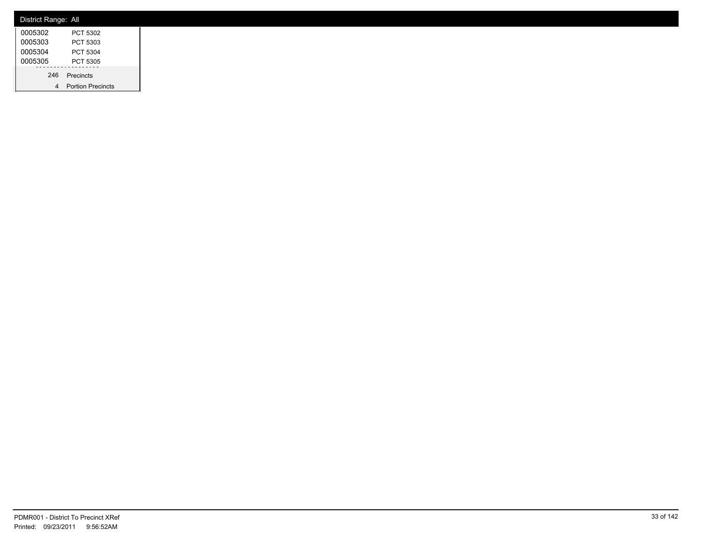| District Range: All |                          |
|---------------------|--------------------------|
| 0005302             | PCT 5302                 |
| 0005303             | PCT 5303                 |
| 0005304             | PCT 5304                 |
| 0005305             | PCT 5305                 |
| 246                 | Precincts                |
| 4                   | <b>Portion Precincts</b> |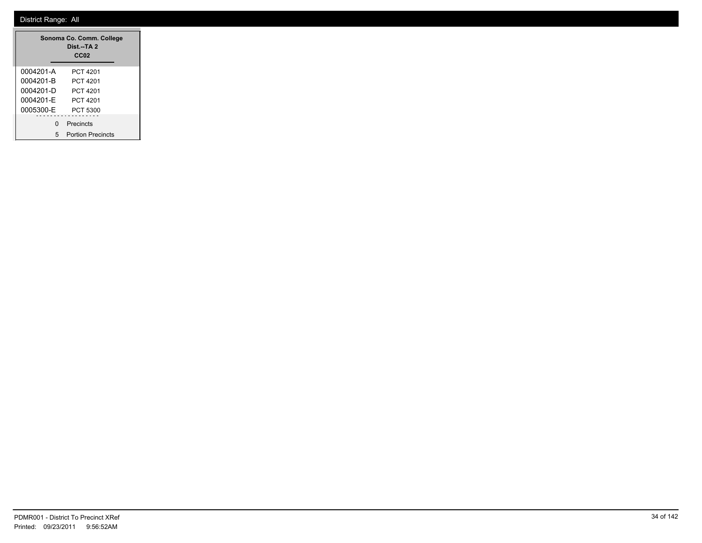|           | Sonoma Co. Comm. College<br>Dist.--TA 2<br>CC <sub>02</sub> |
|-----------|-------------------------------------------------------------|
| 0004201-A | PCT 4201                                                    |
| 0004201-B | PCT 4201                                                    |
| 0004201-D | PCT 4201                                                    |
| 0004201-F | PCT 4201                                                    |
| 0005300-F | PCT 5300                                                    |
| n         | Precincts                                                   |
| 5         | <b>Portion Precincts</b>                                    |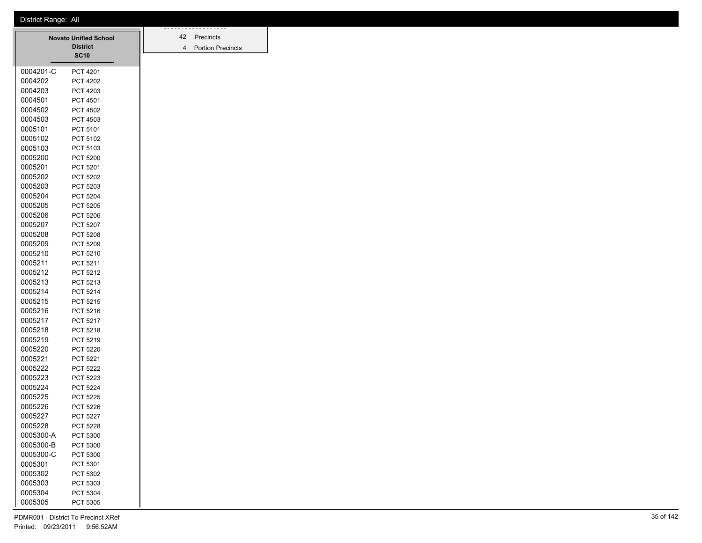|           | <b>Novato Unified School</b><br><b>District</b> | 42<br>$\overline{4}$ | Precincts<br><b>Portion Pred</b> |
|-----------|-------------------------------------------------|----------------------|----------------------------------|
|           | <b>SC10</b>                                     |                      |                                  |
| 0004201-C | PCT 4201                                        |                      |                                  |
| 0004202   | <b>PCT 4202</b>                                 |                      |                                  |
| 0004203   | PCT 4203                                        |                      |                                  |
| 0004501   | PCT 4501                                        |                      |                                  |
| 0004502   | <b>PCT 4502</b>                                 |                      |                                  |
| 0004503   | PCT 4503                                        |                      |                                  |
| 0005101   | PCT 5101                                        |                      |                                  |
| 0005102   | PCT 5102                                        |                      |                                  |
| 0005103   | PCT 5103                                        |                      |                                  |
| 0005200   | <b>PCT 5200</b>                                 |                      |                                  |
| 0005201   | PCT 5201                                        |                      |                                  |
| 0005202   | PCT 5202                                        |                      |                                  |
| 0005203   | PCT 5203                                        |                      |                                  |
| 0005204   | PCT 5204                                        |                      |                                  |
| 0005205   | <b>PCT 5205</b>                                 |                      |                                  |
| 0005206   | <b>PCT 5206</b>                                 |                      |                                  |
| 0005207   | PCT 5207                                        |                      |                                  |
| 0005208   | PCT 5208                                        |                      |                                  |
| 0005209   | PCT 5209                                        |                      |                                  |
| 0005210   | PCT 5210                                        |                      |                                  |
| 0005211   | PCT 5211                                        |                      |                                  |
| 0005212   | PCT 5212                                        |                      |                                  |
| 0005213   | PCT 5213                                        |                      |                                  |
| 0005214   | PCT 5214                                        |                      |                                  |
| 0005215   | PCT 5215                                        |                      |                                  |
| 0005216   | PCT 5216                                        |                      |                                  |
| 0005217   | PCT 5217                                        |                      |                                  |
| 0005218   | PCT 5218                                        |                      |                                  |
| 0005219   | PCT 5219                                        |                      |                                  |
| 0005220   | <b>PCT 5220</b>                                 |                      |                                  |
| 0005221   | PCT 5221                                        |                      |                                  |
| 0005222   | <b>PCT 5222</b>                                 |                      |                                  |
| 0005223   | PCT 5223                                        |                      |                                  |
| 0005224   | PCT 5224                                        |                      |                                  |
| 0005225   | <b>PCT 5225</b>                                 |                      |                                  |
| 0005226   | <b>PCT 5226</b>                                 |                      |                                  |
| 0005227   | <b>PCT 5227</b>                                 |                      |                                  |
| 0005228   | <b>PCT 5228</b>                                 |                      |                                  |
| 0005300-A | PCT 5300                                        |                      |                                  |
| 0005300-B | PCT 5300                                        |                      |                                  |
| 0005300-C | PCT 5300                                        |                      |                                  |
| 0005301   | PCT 5301                                        |                      |                                  |
| 0005302   | PCT 5302                                        |                      |                                  |
| 0005303   | PCT 5303                                        |                      |                                  |
| 0005304   | PCT 5304                                        |                      |                                  |
| 0005305   | PCT 5305                                        |                      |                                  |

Precincts Portion Precincts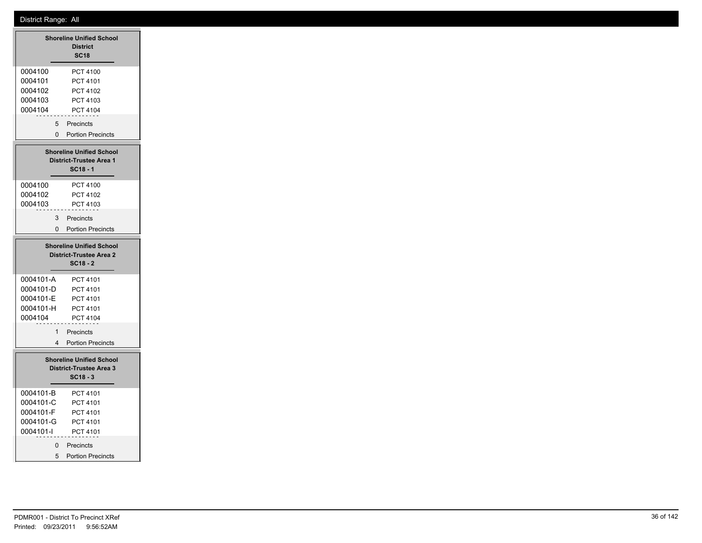|                                                                                 | <b>Shoreline Unified School</b><br><b>District</b><br><b>SC18</b>               |  |  |  |
|---------------------------------------------------------------------------------|---------------------------------------------------------------------------------|--|--|--|
| 0004100<br>0004101<br>0004102<br>0004103<br>0004104                             | PCT 4100<br>PCT 4101<br>PCT 4102<br>PCT 4103<br>PCT 4104                        |  |  |  |
| 5<br>$\Omega$                                                                   | Precincts<br><b>Portion Precincts</b>                                           |  |  |  |
|                                                                                 | <b>Shoreline Unified School</b><br><b>District-Trustee Area 1</b><br>$SC18 - 1$ |  |  |  |
| 0004100<br>0004102<br>0004103                                                   | PCT 4100<br>PCT 4102<br>PCT 4103                                                |  |  |  |
| 3<br>0                                                                          | Precincts<br><b>Portion Precincts</b>                                           |  |  |  |
| <b>Shoreline Unified School</b><br><b>District-Trustee Area 2</b><br>$SC18 - 2$ |                                                                                 |  |  |  |
| 0004101-A<br>0004101-D<br>0004101-E<br>0004101-H<br>0004104                     | PCT 4101<br>PCT 4101<br><b>PCT 4101</b><br>PCT 4101<br>PCT 4104                 |  |  |  |
| $\mathbf{1}$<br>4                                                               | Precincts<br><b>Portion Precincts</b>                                           |  |  |  |
|                                                                                 | <b>Shoreline Unified School</b><br>District-Trustee Area 3<br>SC18 - 3          |  |  |  |
|                                                                                 |                                                                                 |  |  |  |
| 0004101-B<br>0004101-C<br>0004101-F<br>0004101-G<br>0004101-I                   | PCT 4101<br>PCT 4101<br>PCT 4101<br>PCT 4101<br>PCT 4101                        |  |  |  |

5 Portion Precincts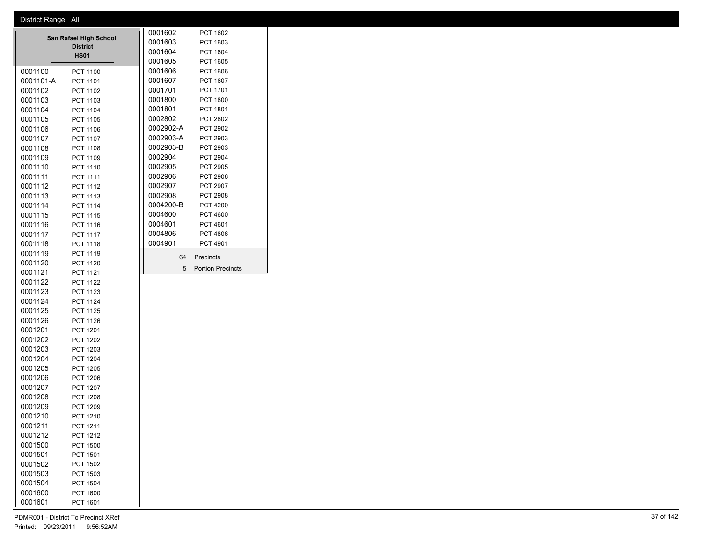|                                                          |           |                 | 0001602  | <b>PCT 1602</b> |                          |  |
|----------------------------------------------------------|-----------|-----------------|----------|-----------------|--------------------------|--|
| San Rafael High School<br><b>District</b><br><b>HS01</b> |           | 0001603         | PCT 1603 |                 |                          |  |
|                                                          |           | 0001604         | PCT 1604 |                 |                          |  |
|                                                          |           |                 |          | 0001605         | <b>PCT 1605</b>          |  |
|                                                          | 0001100   | <b>PCT 1100</b> |          | 0001606         | PCT 1606                 |  |
|                                                          | 0001101-A | PCT 1101        |          | 0001607         | PCT 1607                 |  |
|                                                          | 0001102   | PCT 1102        |          | 0001701         | PCT 1701                 |  |
|                                                          | 0001103   | PCT 1103        |          | 0001800         | <b>PCT 1800</b>          |  |
|                                                          | 0001104   | <b>PCT 1104</b> |          | 0001801         | <b>PCT 1801</b>          |  |
|                                                          | 0001105   | <b>PCT 1105</b> |          | 0002802         | PCT 2802                 |  |
|                                                          | 0001106   | PCT 1106        |          | 0002902-A       | PCT 2902                 |  |
|                                                          | 0001107   | <b>PCT 1107</b> |          | 0002903-A       | PCT 2903                 |  |
|                                                          | 0001108   | PCT 1108        |          | 0002903-B       | PCT 2903                 |  |
|                                                          | 0001109   | <b>PCT 1109</b> |          | 0002904         | <b>PCT 2904</b>          |  |
|                                                          | 0001110   | PCT 1110        |          | 0002905         | PCT 2905                 |  |
|                                                          | 0001111   | <b>PCT 1111</b> |          | 0002906         | PCT 2906                 |  |
|                                                          | 0001112   | PCT 1112        |          | 0002907         | PCT 2907                 |  |
|                                                          | 0001113   | PCT 1113        |          | 0002908         | <b>PCT 2908</b>          |  |
|                                                          | 0001114   | <b>PCT 1114</b> |          | 0004200-B       | <b>PCT 4200</b>          |  |
|                                                          | 0001115   | <b>PCT 1115</b> |          | 0004600         | <b>PCT 4600</b>          |  |
|                                                          | 0001116   | PCT 1116        |          | 0004601         | PCT 4601                 |  |
|                                                          | 0001117   | <b>PCT 1117</b> |          | 0004806         | <b>PCT 4806</b>          |  |
|                                                          | 0001118   | PCT 1118        |          | 0004901         | <b>PCT 4901</b>          |  |
|                                                          | 0001119   | <b>PCT 1119</b> |          | 64              | Precincts                |  |
|                                                          | 0001120   | <b>PCT 1120</b> |          | 5               | <b>Portion Precincts</b> |  |
|                                                          | 0001121   | <b>PCT 1121</b> |          |                 |                          |  |
|                                                          | 0001122   | <b>PCT 1122</b> |          |                 |                          |  |
|                                                          | 0001123   | PCT 1123        |          |                 |                          |  |
|                                                          | 0001124   | <b>PCT 1124</b> |          |                 |                          |  |
|                                                          | 0001125   | <b>PCT 1125</b> |          |                 |                          |  |
|                                                          | 0001126   | <b>PCT 1126</b> |          |                 |                          |  |
|                                                          | 0001201   | PCT 1201        |          |                 |                          |  |
|                                                          | 0001202   | <b>PCT 1202</b> |          |                 |                          |  |
|                                                          | 0001203   | PCT 1203        |          |                 |                          |  |
|                                                          | 0001204   | <b>PCT 1204</b> |          |                 |                          |  |
|                                                          | 0001205   | <b>PCT 1205</b> |          |                 |                          |  |
|                                                          | 0001206   | <b>PCT 1206</b> |          |                 |                          |  |
|                                                          | 0001207   | <b>PCT 1207</b> |          |                 |                          |  |
|                                                          | 0001208   | <b>PCT 1208</b> |          |                 |                          |  |
|                                                          | 0001209   | <b>PCT 1209</b> |          |                 |                          |  |
|                                                          | 0001210   | <b>PCT 1210</b> |          |                 |                          |  |
|                                                          | 0001211   | PCT 1211        |          |                 |                          |  |
|                                                          | 0001212   | PCT 1212        |          |                 |                          |  |
|                                                          | 0001500   | PCT 1500        |          |                 |                          |  |
|                                                          | 0001501   | PCT 1501        |          |                 |                          |  |
|                                                          | 0001502   | <b>PCT 1502</b> |          |                 |                          |  |
|                                                          | 0001503   | PCT 1503        |          |                 |                          |  |
|                                                          | 0001504   | PCT 1504        |          |                 |                          |  |
|                                                          | 0001600   | PCT 1600        |          |                 |                          |  |

PCT 1601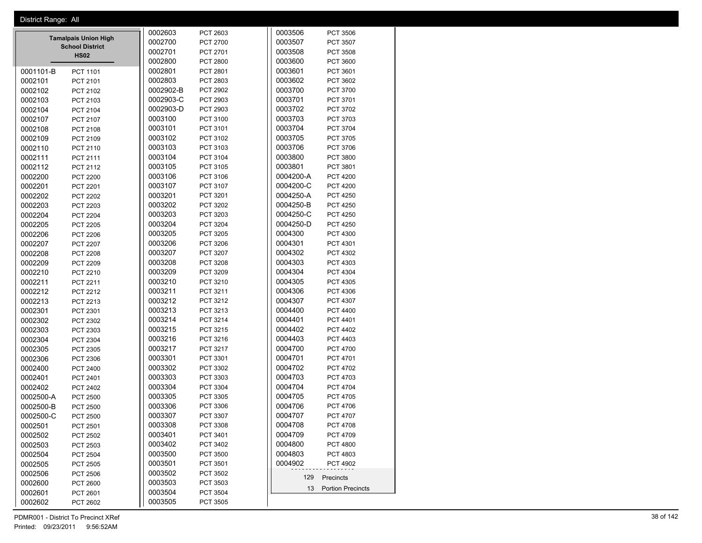| District Range: All          |           |                 |           |                      |  |  |  |
|------------------------------|-----------|-----------------|-----------|----------------------|--|--|--|
|                              | 0002603   | PCT 2603        | 0003506   | PCT 3506             |  |  |  |
| <b>Tamalpais Union High</b>  | 0002700   | PCT 2700        | 0003507   | PCT 3507             |  |  |  |
| <b>School District</b>       | 0002701   | PCT 2701        | 0003508   | PCT 3508             |  |  |  |
| <b>HS02</b>                  | 0002800   | <b>PCT 2800</b> | 0003600   | PCT 3600             |  |  |  |
| 0001101-B<br>PCT 1101        | 0002801   | PCT 2801        | 0003601   | PCT 3601             |  |  |  |
| 0002101<br>PCT 2101          | 0002803   | PCT 2803        | 0003602   | PCT 3602             |  |  |  |
| 0002102<br>PCT 2102          | 0002902-B | PCT 2902        | 0003700   | PCT 3700             |  |  |  |
| 0002103<br>PCT 2103          | 0002903-C | PCT 2903        | 0003701   | PCT 3701             |  |  |  |
| 0002104<br>PCT 2104          | 0002903-D | PCT 2903        | 0003702   | PCT 3702             |  |  |  |
| 0002107<br>PCT 2107          | 0003100   | PCT 3100        | 0003703   | PCT 3703             |  |  |  |
| 0002108<br>PCT 2108          | 0003101   | PCT 3101        | 0003704   | PCT 3704             |  |  |  |
| 0002109<br>PCT 2109          | 0003102   | PCT 3102        | 0003705   | PCT 3705             |  |  |  |
| 0002110<br>PCT 2110          | 0003103   | PCT 3103        | 0003706   | PCT 3706             |  |  |  |
| 0002111<br>PCT 2111          | 0003104   | PCT 3104        | 0003800   | PCT 3800             |  |  |  |
| 0002112<br>PCT 2112          | 0003105   | PCT 3105        | 0003801   | PCT 3801             |  |  |  |
| 0002200<br><b>PCT 2200</b>   | 0003106   | PCT 3106        | 0004200-A | <b>PCT 4200</b>      |  |  |  |
| 0002201<br>PCT 2201          | 0003107   | PCT 3107        | 0004200-C | <b>PCT 4200</b>      |  |  |  |
| 0002202<br><b>PCT 2202</b>   | 0003201   | PCT 3201        | 0004250-A | <b>PCT 4250</b>      |  |  |  |
| 0002203<br>PCT 2203          | 0003202   | PCT 3202        | 0004250-B | <b>PCT 4250</b>      |  |  |  |
| 0002204<br><b>PCT 2204</b>   | 0003203   | PCT 3203        | 0004250-C | <b>PCT 4250</b>      |  |  |  |
| 0002205<br><b>PCT 2205</b>   | 0003204   | PCT 3204        | 0004250-D | <b>PCT 4250</b>      |  |  |  |
| 0002206<br><b>PCT 2206</b>   | 0003205   | PCT 3205        | 0004300   | PCT 4300             |  |  |  |
| 0002207<br><b>PCT 2207</b>   | 0003206   | PCT 3206        | 0004301   | PCT 4301             |  |  |  |
| 0002208<br><b>PCT 2208</b>   | 0003207   | PCT 3207        | 0004302   | PCT 4302             |  |  |  |
| 0002209<br>PCT 2209          | 0003208   | PCT 3208        | 0004303   | PCT 4303             |  |  |  |
| 0002210<br>PCT 2210          | 0003209   | PCT 3209        | 0004304   | PCT 4304             |  |  |  |
| 0002211<br>PCT 2211          | 0003210   | PCT 3210        | 0004305   | PCT 4305             |  |  |  |
| 0002212<br>PCT 2212          | 0003211   | PCT 3211        | 0004306   | PCT 4306             |  |  |  |
| 0002213<br>PCT 2213          | 0003212   | PCT 3212        | 0004307   | PCT 4307             |  |  |  |
| 0002301<br>PCT 2301          | 0003213   | PCT 3213        | 0004400   | <b>PCT 4400</b>      |  |  |  |
| 0002302<br>PCT 2302          | 0003214   | PCT 3214        | 0004401   | PCT 4401             |  |  |  |
| 0002303<br>PCT 2303          | 0003215   | PCT 3215        | 0004402   | PCT 4402             |  |  |  |
| 0002304<br>PCT 2304          | 0003216   | PCT 3216        | 0004403   | PCT 4403             |  |  |  |
| 0002305<br>PCT 2305          | 0003217   | PCT 3217        | 0004700   | PCT 4700             |  |  |  |
| 0002306<br>PCT 2306          | 0003301   | PCT 3301        | 0004701   | PCT 4701             |  |  |  |
| 0002400<br>PCT 2400          | 0003302   | PCT 3302        | 0004702   | PCT 4702             |  |  |  |
| 0002401<br>PCT 2401          | 0003303   | PCT 3303        | 0004703   | PCT 4703             |  |  |  |
| 0002402<br>PCT 2402          | 0003304   | PCT 3304        | 0004704   | PCT 4704             |  |  |  |
| 0002500-A<br><b>PCT 2500</b> | 0003305   | PCT 3305        | 0004705   | PCT 4705             |  |  |  |
| 0002500-B<br><b>PCT 2500</b> | 0003306   | PCT 3306        | 0004706   | PCT 4706             |  |  |  |
| 0002500-C<br><b>PCT 2500</b> | 0003307   | PCT 3307        | 0004707   | <b>PCT 4707</b>      |  |  |  |
| 0002501<br>PCT 2501          | 0003308   | PCT 3308        | 0004708   | <b>PCT 4708</b>      |  |  |  |
| 0002502<br>PCT 2502          | 0003401   | PCT 3401        | 0004709   | PCT 4709             |  |  |  |
| 0002503<br>PCT 2503          | 0003402   | PCT 3402        | 0004800   | <b>PCT 4800</b>      |  |  |  |
| 0002504<br><b>PCT 2504</b>   | 0003500   | PCT 3500        | 0004803   | PCT 4803             |  |  |  |
| 0002505<br>PCT 2505          | 0003501   | PCT 3501        | 0004902   | PCT 4902             |  |  |  |
| 0002506<br>PCT 2506          | 0003502   | PCT 3502        |           | 129 Precincts        |  |  |  |
| 0002600<br>PCT 2600          | 0003503   | PCT 3503        |           |                      |  |  |  |
| 0002601<br>PCT 2601          | 0003504   | PCT 3504        |           | 13 Portion Precincts |  |  |  |
| 0002602<br>PCT 2602          | 0003505   | PCT 3505        |           |                      |  |  |  |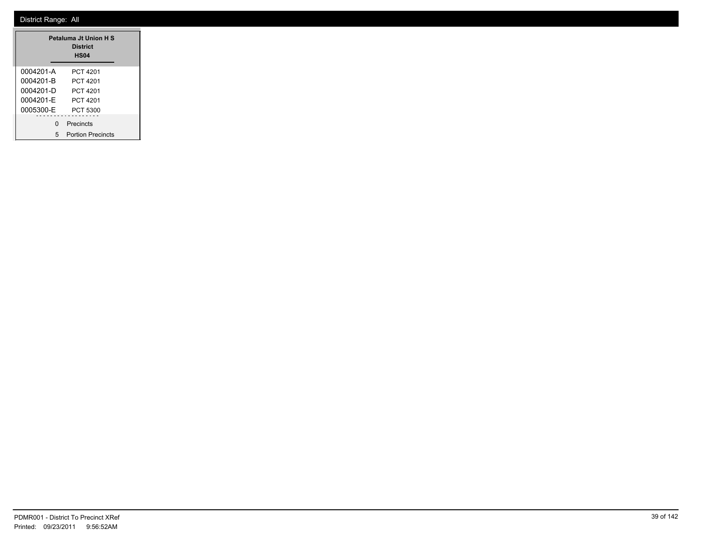| Petaluma Jt Union H S<br><b>District</b><br><b>HS04</b> |                          |  |  |  |  |
|---------------------------------------------------------|--------------------------|--|--|--|--|
| 0004201-A                                               | PCT 4201                 |  |  |  |  |
| 0004201-B                                               | PCT 4201                 |  |  |  |  |
| 0004201-D                                               | PCT 4201                 |  |  |  |  |
| 0004201-F                                               | PCT 4201                 |  |  |  |  |
| 0005300-E                                               | PCT 5300                 |  |  |  |  |
| $\Omega$                                                | Precincts                |  |  |  |  |
| 5                                                       | <b>Portion Precincts</b> |  |  |  |  |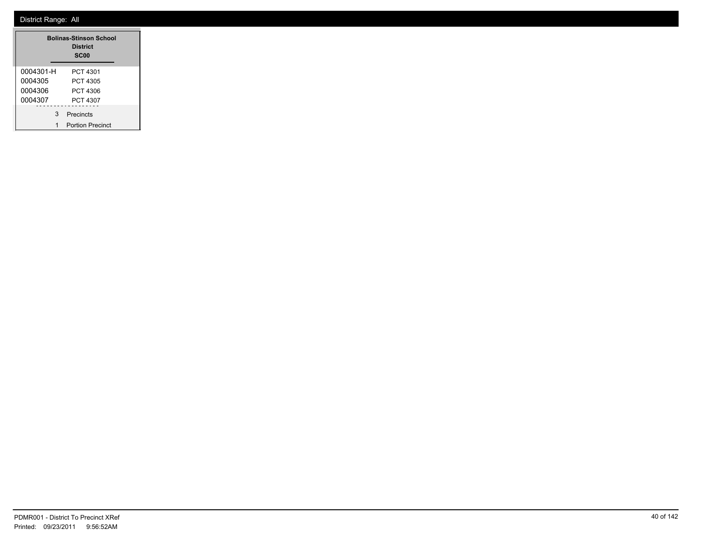|           | <b>Bolinas-Stinson School</b><br><b>District</b><br><b>SC00</b> |
|-----------|-----------------------------------------------------------------|
| 0004301-H | PCT 4301                                                        |
| 0004305   | PCT 4305                                                        |
| 0004306   | PCT 4306                                                        |
| 0004307   | PCT 4307                                                        |
| 3         | Precincts                                                       |
| 1         | <b>Portion Precinct</b>                                         |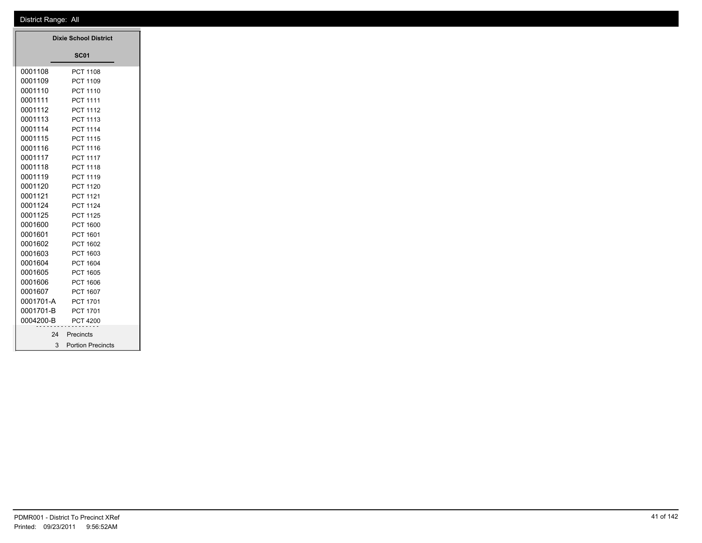|           | <b>Dixie School District</b> |  |
|-----------|------------------------------|--|
|           | <b>SC01</b>                  |  |
| 0001108   | <b>PCT 1108</b>              |  |
| 0001109   | PCT 1109                     |  |
| 0001110   | <b>PCT 1110</b>              |  |
| 0001111   | <b>PCT 1111</b>              |  |
| 0001112   | <b>PCT 1112</b>              |  |
| 0001113   | <b>PCT 1113</b>              |  |
| 0001114   | <b>PCT 1114</b>              |  |
| 0001115   | <b>PCT 1115</b>              |  |
| 0001116   | PCT 1116                     |  |
| 0001117   | <b>PCT 1117</b>              |  |
| 0001118   | <b>PCT 1118</b>              |  |
| 0001119   | PCT 1119                     |  |
| 0001120   | <b>PCT 1120</b>              |  |
| 0001121   | <b>PCT 1121</b>              |  |
| 0001124   | <b>PCT 1124</b>              |  |
| 0001125   | <b>PCT 1125</b>              |  |
| 0001600   | <b>PCT 1600</b>              |  |
| 0001601   | PCT 1601                     |  |
| 0001602   | PCT 1602                     |  |
| 0001603   | PCT 1603                     |  |
| 0001604   | <b>PCT 1604</b>              |  |
| 0001605   | <b>PCT 1605</b>              |  |
| 0001606   | PCT 1606                     |  |
| 0001607   | PCT 1607                     |  |
| 0001701-A | <b>PCT 1701</b>              |  |
| 0001701-B | <b>PCT 1701</b>              |  |
| 0004200-B | <b>PCT 4200</b>              |  |
| 24        | Precincts                    |  |
| 3         | <b>Portion Precincts</b>     |  |

m.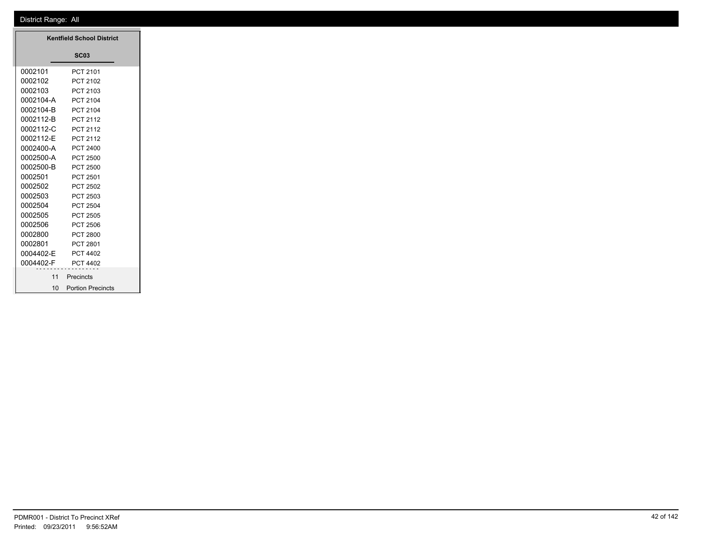|                 | <b>Kentfield School District</b> |
|-----------------|----------------------------------|
|                 | <b>SC03</b>                      |
| 0002101         | PCT 2101                         |
| 0002102         | PCT 2102                         |
| 0002103         | PCT 2103                         |
| 0002104-A       | PCT 2104                         |
| 0002104-B       | PCT 2104                         |
|                 |                                  |
| 0002112-B       | PCT 2112                         |
| 0002112-C       | PCT 2112                         |
| 0002112-E       | PCT 2112                         |
| 0002400-A       | PCT 2400                         |
| 0002500-A       | <b>PCT 2500</b>                  |
| 0002500-B       | <b>PCT 2500</b>                  |
| 0002501         | PCT 2501                         |
| 0002502         | <b>PCT 2502</b>                  |
| 0002503         | PCT 2503                         |
| 0002504         | PCT 2504                         |
| 0002505         | PCT 2505                         |
| 0002506         | <b>PCT 2506</b>                  |
| 0002800         | <b>PCT 2800</b>                  |
| 0002801         | PCT 2801                         |
| 0004402-E       | PCT 4402                         |
| 0004402-F       | PCT 4402                         |
|                 |                                  |
| 11              | Precincts                        |
| 10 <sup>°</sup> | <b>Portion Precincts</b>         |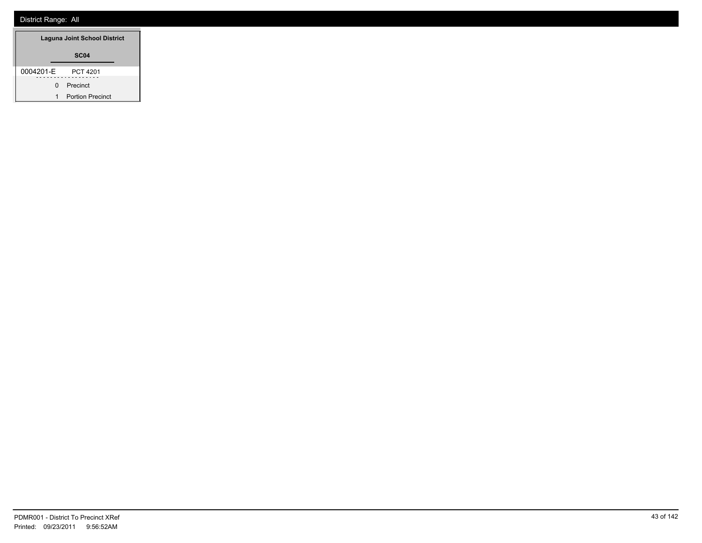| <b>Laguna Joint School District</b> |                         |
|-------------------------------------|-------------------------|
| <b>SC04</b>                         |                         |
| 0004201-E                           | PCT 4201<br>.           |
| 0                                   | Precinct                |
|                                     | <b>Portion Precinct</b> |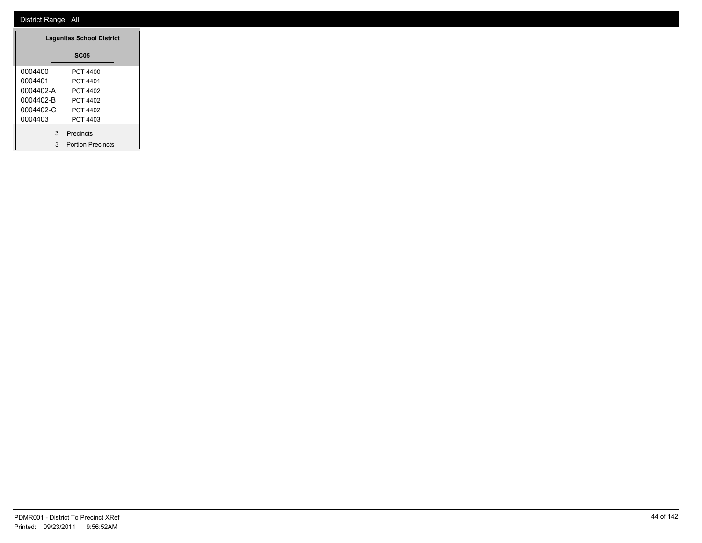| <b>Lagunitas School District</b> |                          |  |  |  |
|----------------------------------|--------------------------|--|--|--|
|                                  | <b>SC05</b>              |  |  |  |
| 0004400                          | PCT 4400                 |  |  |  |
| 0004401                          | PCT 4401                 |  |  |  |
| 0004402-A                        | PCT 4402                 |  |  |  |
| 0004402-B                        | PCT 4402                 |  |  |  |
| 0004402-C                        | PCT 4402                 |  |  |  |
| 0004403                          | PCT 4403                 |  |  |  |
| 3                                | Precincts                |  |  |  |
| 3                                | <b>Portion Precincts</b> |  |  |  |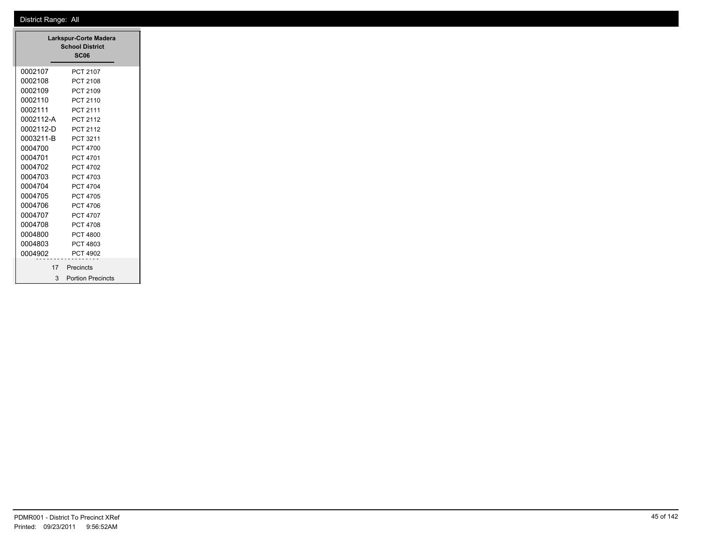|           | <b>Larkspur-Corte Madera</b><br><b>School District</b><br><b>SC06</b> |
|-----------|-----------------------------------------------------------------------|
| 0002107   | <b>PCT 2107</b>                                                       |
| 0002108   | PCT 2108                                                              |
| 0002109   | PCT 2109                                                              |
| 0002110   | PCT 2110                                                              |
| 0002111   | PCT 2111                                                              |
| 0002112-A | <b>PCT 2112</b>                                                       |
| 0002112-D | PCT 2112                                                              |
| 0003211-B | PCT 3211                                                              |
| 0004700   | PCT 4700                                                              |
| 0004701   | <b>PCT 4701</b>                                                       |
| 0004702   | <b>PCT 4702</b>                                                       |
| 0004703   | PCT 4703                                                              |
| 0004704   | PCT 4704                                                              |
| 0004705   | PCT 4705                                                              |
| 0004706   | PCT 4706                                                              |
| 0004707   | <b>PCT 4707</b>                                                       |
| 0004708   | <b>PCT 4708</b>                                                       |
| 0004800   | PCT 4800                                                              |
| 0004803   | PCT 4803                                                              |
| 0004902   | <b>PCT 4902</b>                                                       |
| 17        | Precincts                                                             |
| 3         | <b>Portion Precincts</b>                                              |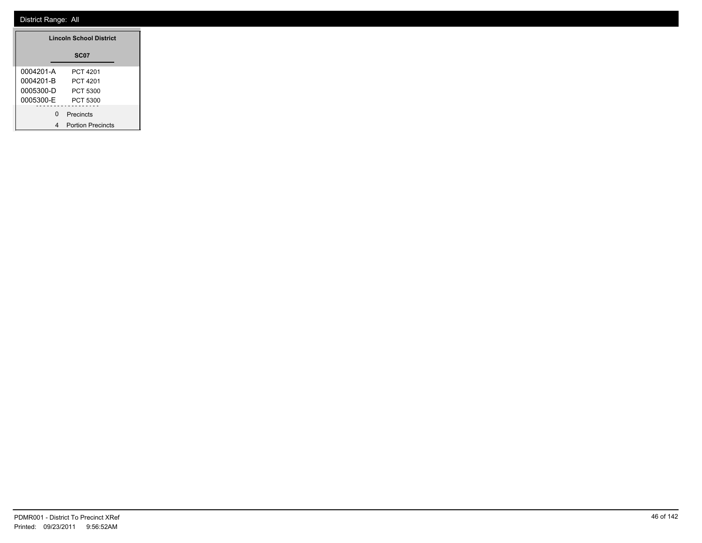| <b>Lincoln School District</b> |                          |  |  |
|--------------------------------|--------------------------|--|--|
|                                | SC07                     |  |  |
| 0004201-A                      | PCT 4201                 |  |  |
| 0004201-B                      | PCT 4201                 |  |  |
| 0005300-D                      | PCT 5300                 |  |  |
| 0005300-E                      | PCT 5300                 |  |  |
| O                              | Precincts                |  |  |
|                                | <b>Portion Precincts</b> |  |  |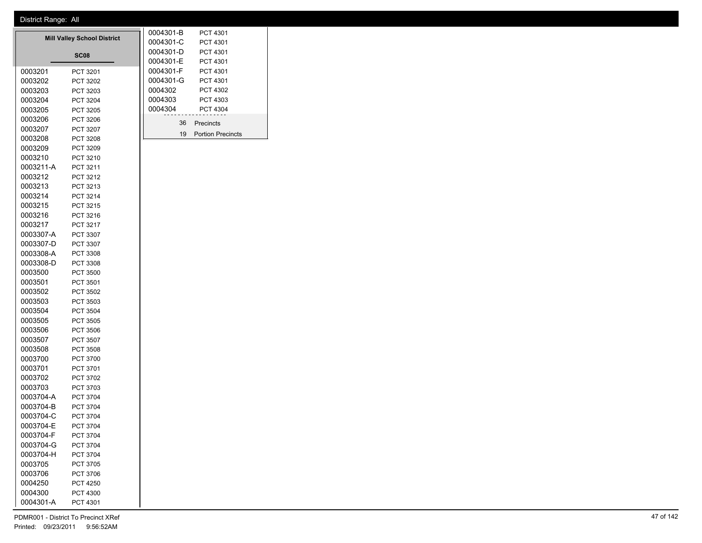| <b>Mill Valley School District</b> |                 |  | 0004301-B<br>0004301-C | PCT 4301<br>PCT 4301     |
|------------------------------------|-----------------|--|------------------------|--------------------------|
|                                    |                 |  | 0004301-D              | PCT 4301                 |
|                                    | <b>SC08</b>     |  | 0004301-E              | PCT 4301                 |
| 0003201                            | PCT 3201        |  | 0004301-F              | PCT 4301                 |
| 0003202                            | PCT 3202        |  | 0004301-G              | PCT 4301                 |
| 0003203                            | PCT 3203        |  | 0004302                | PCT 4302                 |
| 0003204                            | PCT 3204        |  | 0004303                | PCT 4303                 |
| 0003205                            | PCT 3205        |  | 0004304                | PCT 4304                 |
| 0003206                            | PCT 3206        |  |                        |                          |
| 0003207                            | <b>PCT 3207</b> |  | 36                     | Precincts                |
| 0003208                            | PCT 3208        |  | 19                     | <b>Portion Precincts</b> |
| 0003209                            | PCT 3209        |  |                        |                          |
| 0003210                            | PCT 3210        |  |                        |                          |
| 0003211-A                          | PCT 3211        |  |                        |                          |
| 0003212                            | PCT 3212        |  |                        |                          |
| 0003213                            | PCT 3213        |  |                        |                          |
| 0003214                            | PCT 3214        |  |                        |                          |
| 0003215                            | <b>PCT 3215</b> |  |                        |                          |
| 0003216                            | PCT 3216        |  |                        |                          |
| 0003217                            | PCT 3217        |  |                        |                          |
| 0003307-A                          | PCT 3307        |  |                        |                          |
| 0003307-D                          | PCT 3307        |  |                        |                          |
| 0003308-A                          | PCT 3308        |  |                        |                          |
| 0003308-D                          | PCT 3308        |  |                        |                          |
| 0003500                            | <b>PCT 3500</b> |  |                        |                          |
| 0003501                            | PCT 3501        |  |                        |                          |
| 0003502                            | PCT 3502        |  |                        |                          |
| 0003503                            | PCT 3503        |  |                        |                          |
| 0003504                            | <b>PCT 3504</b> |  |                        |                          |
| 0003505                            | <b>PCT 3505</b> |  |                        |                          |
| 0003506                            | <b>PCT 3506</b> |  |                        |                          |
| 0003507                            | <b>PCT 3507</b> |  |                        |                          |
| 0003508                            | <b>PCT 3508</b> |  |                        |                          |
| 0003700                            | PCT 3700        |  |                        |                          |
| 0003701                            | PCT 3701        |  |                        |                          |
| 0003702                            | PCT 3702        |  |                        |                          |
| 0003703                            | PCT 3703        |  |                        |                          |
| 0003704-A                          | <b>PCT 3704</b> |  |                        |                          |
| 0003704-B                          | PCT 3704        |  |                        |                          |
| 0003704-C                          | <b>PCT 3704</b> |  |                        |                          |
| 0003704-E                          | <b>PCT 3704</b> |  |                        |                          |
| 0003704-F                          | <b>PCT 3704</b> |  |                        |                          |
| 0003704-G                          | PCT 3704        |  |                        |                          |
| 0003704-H                          | PCT 3704        |  |                        |                          |
| 0003705                            | PCT 3705        |  |                        |                          |
| 0003706                            | PCT 3706        |  |                        |                          |
| 0004250                            | <b>PCT 4250</b> |  |                        |                          |
| 0004300                            | PCT 4300        |  |                        |                          |
| 0004301-A                          | PCT 4301        |  |                        |                          |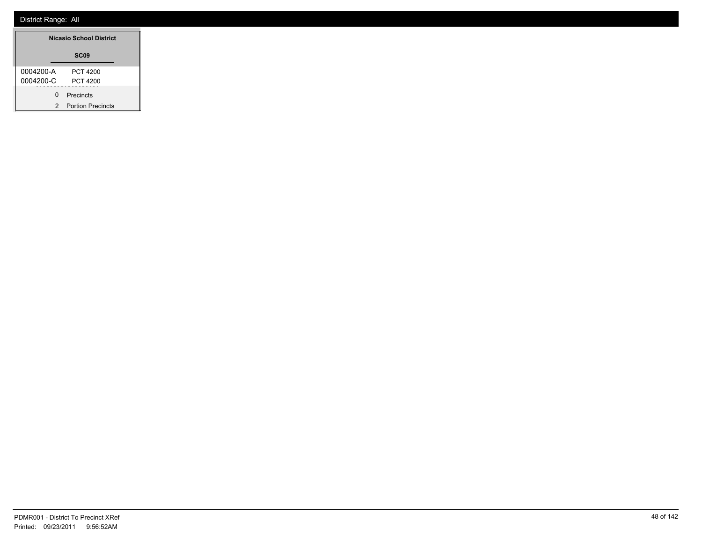| <b>Nicasio School District</b> |                          |  |  |
|--------------------------------|--------------------------|--|--|
|                                | SC <sub>09</sub>         |  |  |
| 0004200-A                      | PCT 4200                 |  |  |
| 0004200-C                      | PCT 4200                 |  |  |
| ŋ                              | Precincts                |  |  |
| 2                              | <b>Portion Precincts</b> |  |  |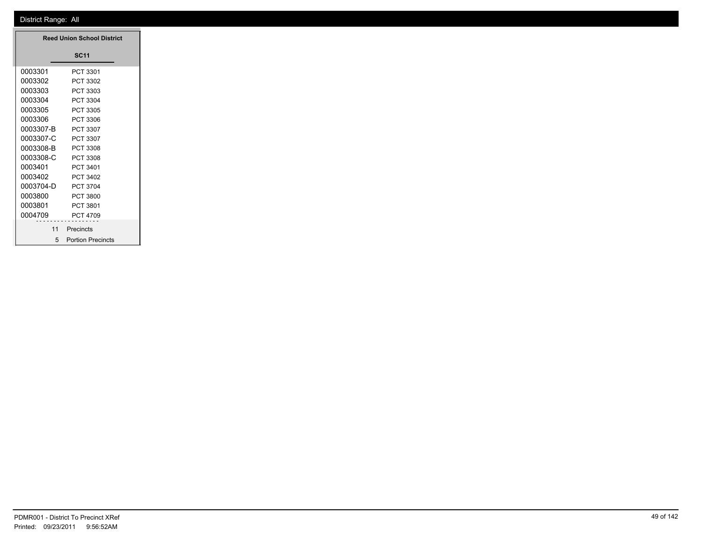|                    | Reed Union School District |  |
|--------------------|----------------------------|--|
|                    | <b>SC11</b>                |  |
| 0003301            | PCT 3301                   |  |
| 0003302            | PCT 3302                   |  |
| 0003303            | PCT 3303                   |  |
| 0003304 PCT 3304   |                            |  |
| 0003305            | PCT 3305                   |  |
| 0003306 PCT 3306   |                            |  |
| 0003307-B PCT 3307 |                            |  |
| 0003307-C PCT 3307 |                            |  |
| 0003308-B PCT 3308 |                            |  |
| 0003308-C PCT 3308 |                            |  |
| 0003401 PCT 3401   |                            |  |
| 0003402 PCT 3402   |                            |  |
| 0003704-D PCT 3704 |                            |  |
| 0003800            | PCT 3800                   |  |
| 0003801 PCT 3801   |                            |  |
| 0004709 PCT 4709   |                            |  |
|                    | 11 Precincts               |  |
| 5                  | <b>Portion Precincts</b>   |  |

**Reed Union School District**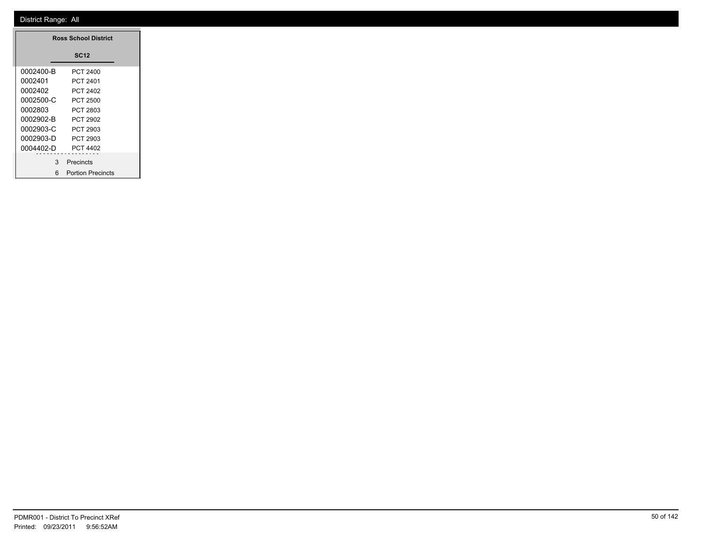T

|           | <b>Ross School District</b> |
|-----------|-----------------------------|
|           | <b>SC12</b>                 |
| 0002400-B | <b>PCT 2400</b>             |
| 0002401   | PCT 2401                    |
| 0002402   | PCT 2402                    |
| 0002500-C | <b>PCT 2500</b>             |
| 0002803   | PCT 2803                    |
| 0002902-B | PCT 2902                    |
| 0002903-C | PCT 2903                    |
| 0002903-D | PCT 2903                    |
| 0004402-D | <b>PCT 4402</b>             |
| 3         | - - - - - - - -             |
|           | Precincts                   |
|           | 6 Portion Precincts         |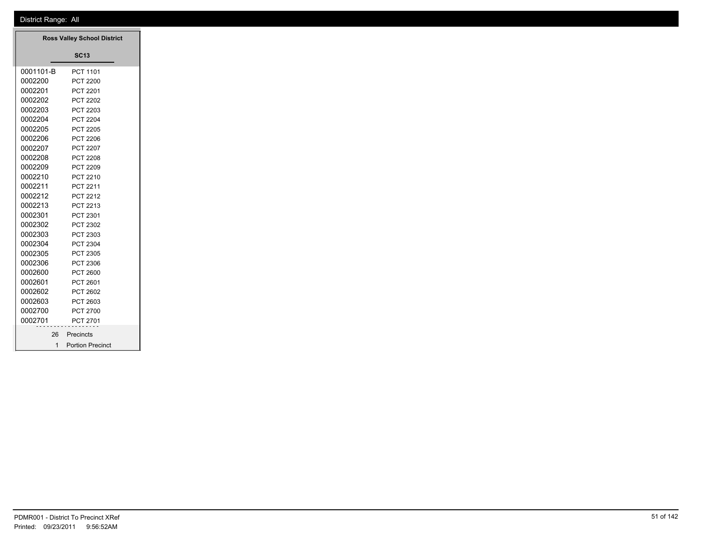|              | <b>Ross Valley School District</b> |
|--------------|------------------------------------|
|              | <b>SC13</b>                        |
| 0001101-B    | PCT 1101                           |
| 0002200      | <b>PCT 2200</b>                    |
| 0002201      | PCT 2201                           |
| 0002202      | PCT 2202                           |
| 0002203      | PCT 2203                           |
| 0002204      | <b>PCT 2204</b>                    |
| 0002205      | <b>PCT 2205</b>                    |
| 0002206      | <b>PCT 2206</b>                    |
| 0002207      | <b>PCT 2207</b>                    |
| 0002208      | <b>PCT 2208</b>                    |
| 0002209      | PCT 2209                           |
| 0002210      | PCT 2210                           |
| 0002211      | PCT 2211                           |
| 0002212      | PCT 2212                           |
| 0002213      | PCT 2213                           |
| 0002301      | PCT 2301                           |
| 0002302      | PCT 2302                           |
| 0002303      | PCT 2303                           |
| 0002304      | PCT 2304                           |
| 0002305      | PCT 2305                           |
| 0002306      | PCT 2306                           |
| 0002600      | PCT 2600                           |
| 0002601      | PCT 2601                           |
| 0002602      | PCT 2602                           |
| 0002603      | PCT 2603                           |
| 0002700      | PCT 2700                           |
| 0002701      | PCT 2701                           |
| 26           | Precincts                          |
| $\mathbf{1}$ | <b>Portion Precinct</b>            |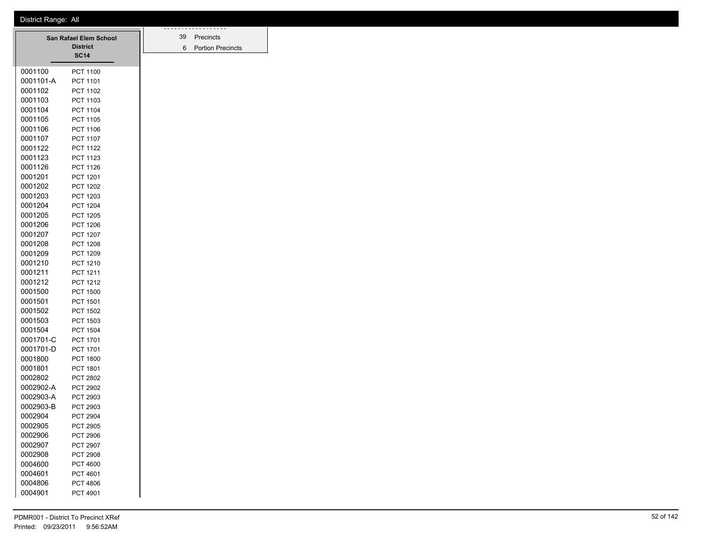| District Range: All |
|---------------------|
|---------------------|

| San Rafael Elem School |                 | 39 | .<br>Precincts |                          |
|------------------------|-----------------|----|----------------|--------------------------|
|                        | <b>District</b> |    | 6              | <b>Portion Precincts</b> |
|                        | <b>SC14</b>     |    |                |                          |
| 0001100                | <b>PCT 1100</b> |    |                |                          |
| 0001101-A              | PCT 1101        |    |                |                          |
| 0001102                | <b>PCT 1102</b> |    |                |                          |
| 0001103                | PCT 1103        |    |                |                          |
| 0001104                | <b>PCT 1104</b> |    |                |                          |
| 0001105                | <b>PCT 1105</b> |    |                |                          |
| 0001106                | PCT 1106        |    |                |                          |
| 0001107                | <b>PCT 1107</b> |    |                |                          |
| 0001122                | <b>PCT 1122</b> |    |                |                          |
| 0001123                | PCT 1123        |    |                |                          |
| 0001126                | <b>PCT 1126</b> |    |                |                          |
| 0001201                | PCT 1201        |    |                |                          |
| 0001202                | <b>PCT 1202</b> |    |                |                          |
| 0001203                | <b>PCT 1203</b> |    |                |                          |
| 0001204                | <b>PCT 1204</b> |    |                |                          |
| 0001205                | <b>PCT 1205</b> |    |                |                          |
| 0001206                | <b>PCT 1206</b> |    |                |                          |
| 0001207                | <b>PCT 1207</b> |    |                |                          |
| 0001208                | <b>PCT 1208</b> |    |                |                          |
| 0001209                | PCT 1209        |    |                |                          |
| 0001210                | PCT 1210        |    |                |                          |
| 0001211                | PCT 1211        |    |                |                          |
| 0001212                | PCT 1212        |    |                |                          |
| 0001500                | <b>PCT 1500</b> |    |                |                          |
| 0001501                | <b>PCT 1501</b> |    |                |                          |
| 0001502                | <b>PCT 1502</b> |    |                |                          |
| 0001503                | PCT 1503        |    |                |                          |
| 0001504                | <b>PCT 1504</b> |    |                |                          |
| 0001701-C              | <b>PCT 1701</b> |    |                |                          |
| 0001701-D              | <b>PCT 1701</b> |    |                |                          |
| 0001800                | <b>PCT 1800</b> |    |                |                          |
| 0001801                | PCT 1801        |    |                |                          |
| 0002802                | <b>PCT 2802</b> |    |                |                          |
| 0002902-A              | PCT 2902        |    |                |                          |
| 0002903-A              | PCT 2903        |    |                |                          |
| 0002903-B              | <b>PCT 2903</b> |    |                |                          |
| 0002904                | <b>PCT 2904</b> |    |                |                          |
| 0002905                | PCT 2905        |    |                |                          |
| 0002906                | PCT 2906        |    |                |                          |
| 0002907                | PCT 2907        |    |                |                          |
| 0002908                | PCT 2908        |    |                |                          |
| 0004600                | PCT 4600        |    |                |                          |
| 0004601                | PCT 4601        |    |                |                          |
| 0004806                | PCT 4806        |    |                |                          |
| 0004901                | PCT 4901        |    |                |                          |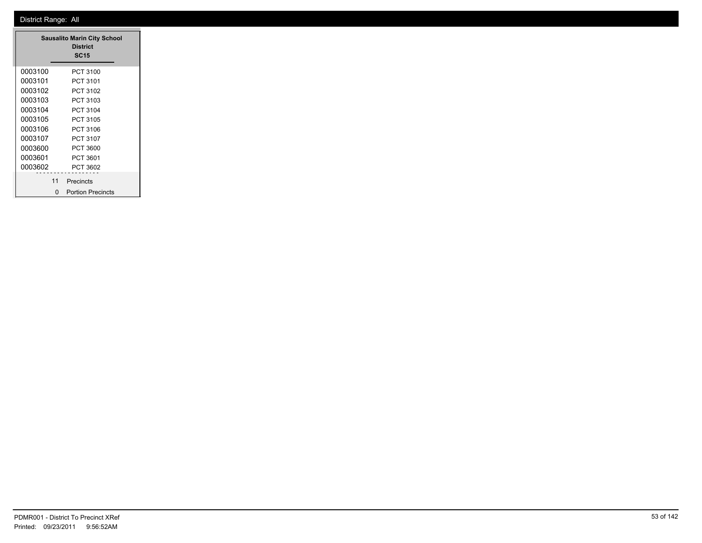|         |    | <b>Sausalito Marin City School</b><br><b>District</b><br><b>SC15</b> |
|---------|----|----------------------------------------------------------------------|
| 0003100 |    | PCT 3100                                                             |
| 0003101 |    | PCT 3101                                                             |
| 0003102 |    | PCT 3102                                                             |
| 0003103 |    | PCT 3103                                                             |
| 0003104 |    | PCT 3104                                                             |
| 0003105 |    | PCT 3105                                                             |
| 0003106 |    | PCT 3106                                                             |
| 0003107 |    | PCT 3107                                                             |
| 0003600 |    | PCT 3600                                                             |
| 0003601 |    | PCT 3601                                                             |
| 0003602 |    | PCT 3602                                                             |
|         | 11 | Precincts                                                            |
|         | ŋ  | <b>Portion Precincts</b>                                             |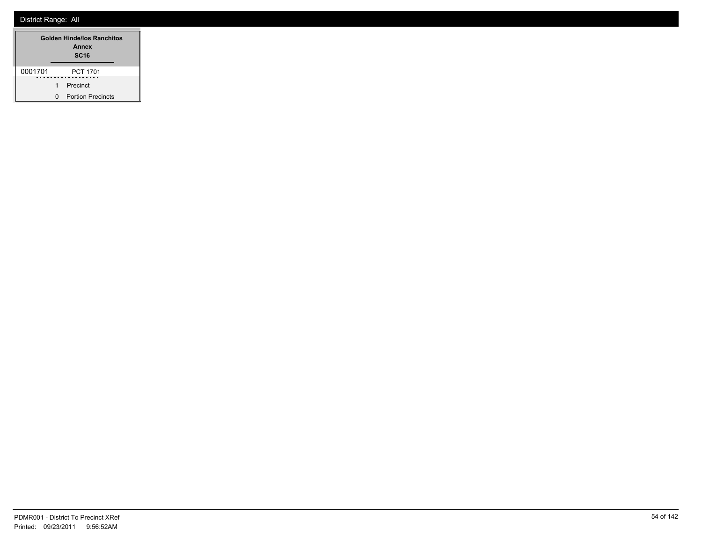|         |   | Golden Hinde/los Ranchitos<br>Annex<br><b>SC16</b> |
|---------|---|----------------------------------------------------|
| 0001701 |   | PCT 1701                                           |
|         | 1 | Precinct                                           |
|         | O | <b>Portion Precincts</b>                           |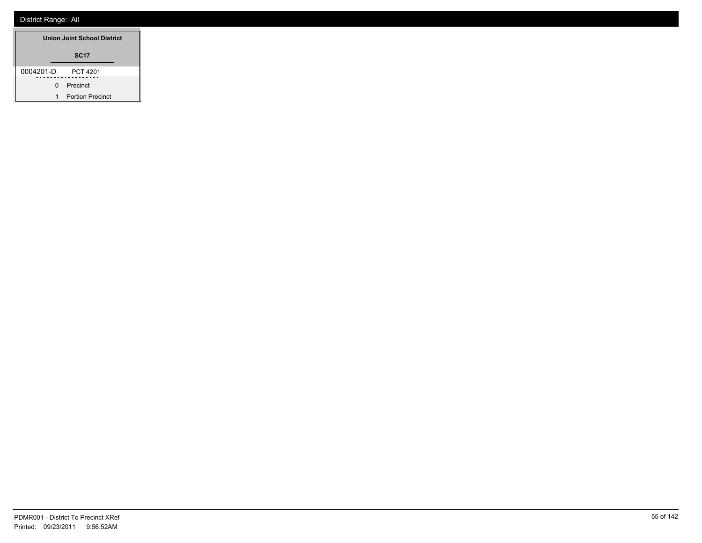| <b>Union Joint School District</b> |                         |
|------------------------------------|-------------------------|
|                                    | <b>SC17</b>             |
| 0004201-D                          | PCT 4201                |
| 0                                  | Precinct                |
| 1                                  | <b>Portion Precinct</b> |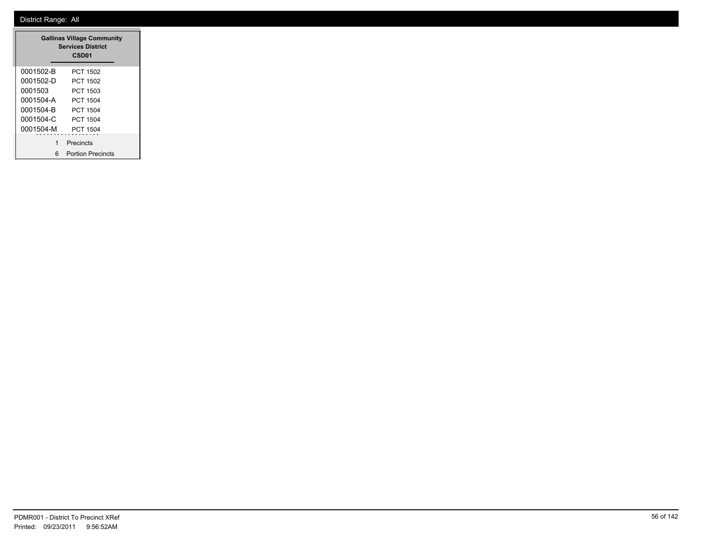| <b>Gallinas Village Community</b><br><b>Services District</b><br>CSD <sub>01</sub> |                          |  |
|------------------------------------------------------------------------------------|--------------------------|--|
| 0001502-B                                                                          | PCT 1502                 |  |
| 0001502-D                                                                          | PCT 1502                 |  |
| 0001503                                                                            | PCT 1503                 |  |
| 0001504-A                                                                          | PCT 1504                 |  |
| 0001504-B                                                                          | PCT 1504                 |  |
| 0001504-C                                                                          | PCT 1504                 |  |
| 0001504-M                                                                          | PCT 1504                 |  |
| 1                                                                                  | Precincts                |  |
| 6                                                                                  | <b>Portion Precincts</b> |  |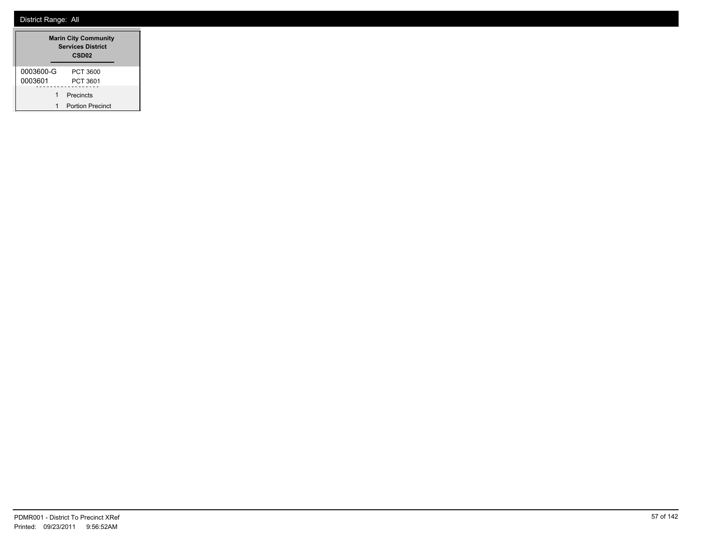| <b>Marin City Community</b><br><b>Services District</b><br>CSD <sub>02</sub> |                         |  |
|------------------------------------------------------------------------------|-------------------------|--|
| 0003600-G                                                                    | PCT 3600                |  |
| 0003601                                                                      | PCT 3601                |  |
| 1                                                                            | Precincts               |  |
| 1                                                                            | <b>Portion Precinct</b> |  |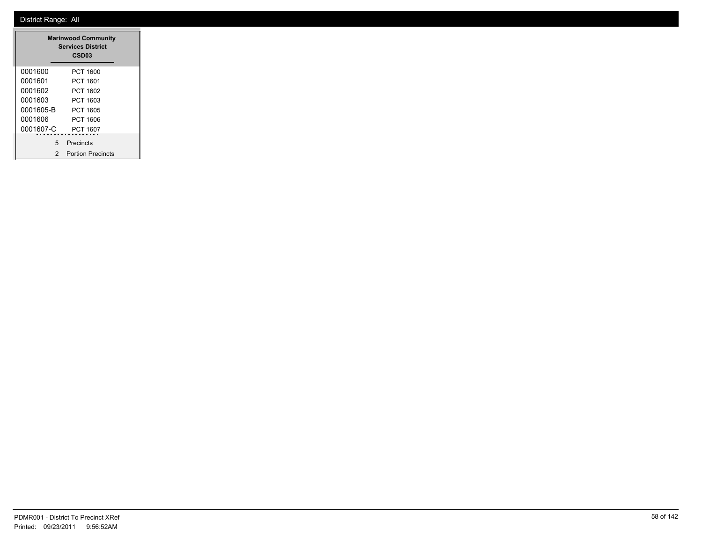|           | <b>Marinwood Community</b><br><b>Services District</b><br>CSD <sub>03</sub> |  |
|-----------|-----------------------------------------------------------------------------|--|
| 0001600   | PCT 1600                                                                    |  |
| 0001601   | PCT 1601                                                                    |  |
| 0001602   | PCT 1602                                                                    |  |
| 0001603   | PCT 1603                                                                    |  |
| 0001605-B | PCT 1605                                                                    |  |
| 0001606   | PCT 1606                                                                    |  |
| 0001607-C | PCT 1607                                                                    |  |
| 5         | Precincts                                                                   |  |
| 2         | <b>Portion Precincts</b>                                                    |  |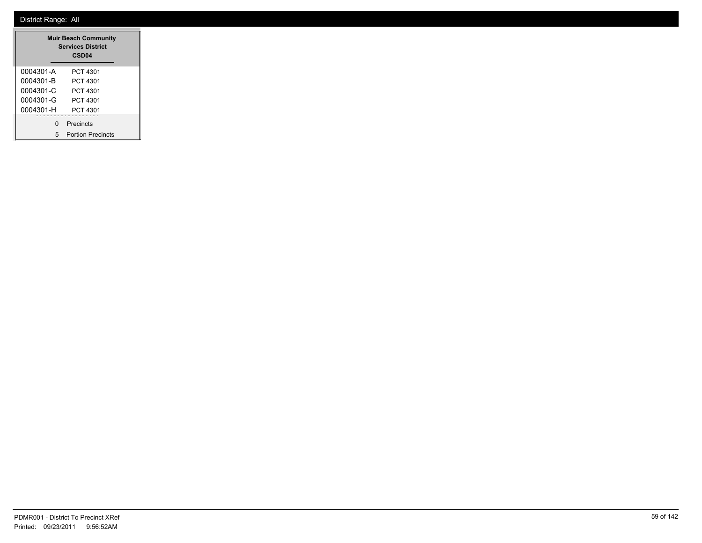| <b>Muir Beach Community</b><br><b>Services District</b><br>CSD <sub>04</sub> |                          |  |
|------------------------------------------------------------------------------|--------------------------|--|
| 0004301-A                                                                    | PCT 4301                 |  |
| 0004301-B                                                                    | PCT 4301                 |  |
| 0004301-C                                                                    | PCT 4301                 |  |
| 0004301-G                                                                    | PCT 4301                 |  |
| 0004301-H                                                                    | PCT 4301                 |  |
| O                                                                            | Precincts                |  |
| 5                                                                            | <b>Portion Precincts</b> |  |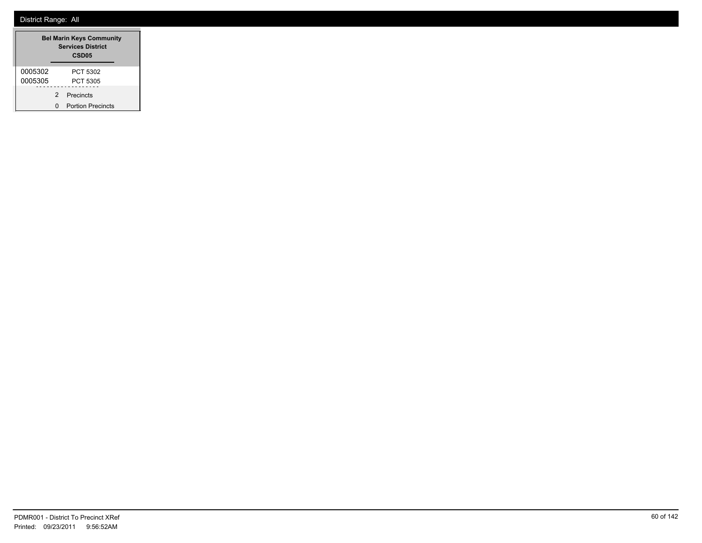|         | <b>Bel Marin Keys Community</b><br><b>Services District</b><br>CSD <sub>05</sub> |                          |  |
|---------|----------------------------------------------------------------------------------|--------------------------|--|
| 0005302 |                                                                                  | PCT 5302                 |  |
| 0005305 |                                                                                  | PCT 5305                 |  |
|         | 2                                                                                | Precincts                |  |
|         | O                                                                                | <b>Portion Precincts</b> |  |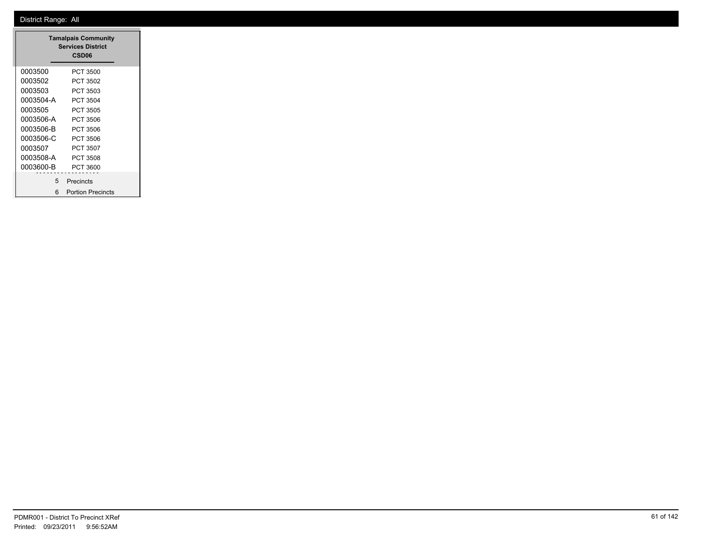| <b>Tamalpais Community</b><br><b>Services District</b><br>CSD <sub>06</sub> |                          |  |
|-----------------------------------------------------------------------------|--------------------------|--|
| 0003500                                                                     | PCT 3500                 |  |
| 0003502                                                                     | PCT 3502                 |  |
| 0003503                                                                     | PCT 3503                 |  |
| 0003504-A                                                                   | PCT 3504                 |  |
| 0003505                                                                     | PCT 3505                 |  |
| 0003506-A                                                                   | PCT 3506                 |  |
| 0003506-B                                                                   | PCT 3506                 |  |
| 0003506-C                                                                   | PCT 3506                 |  |
| 0003507                                                                     | PCT 3507                 |  |
| 0003508-A                                                                   | PCT 3508                 |  |
| 0003600-B                                                                   | PCT 3600                 |  |
| 5                                                                           | Precincts                |  |
| 6                                                                           | <b>Portion Precincts</b> |  |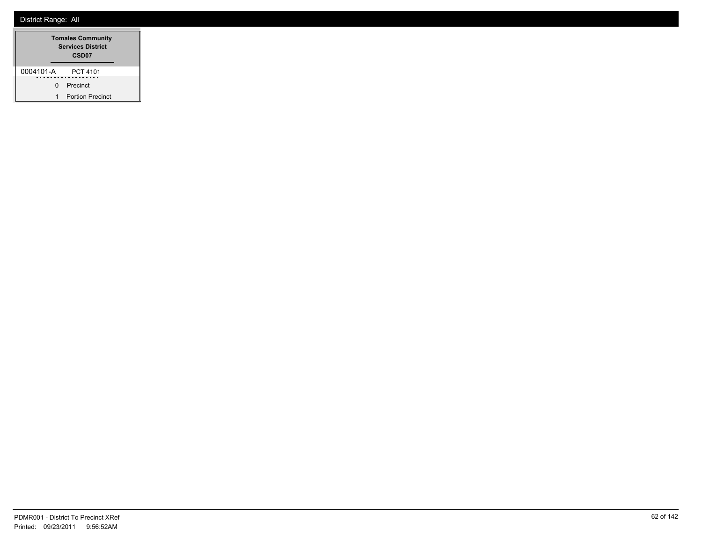|           | <b>Tomales Community</b><br><b>Services District</b><br>CSD <sub>07</sub> |
|-----------|---------------------------------------------------------------------------|
| 0004101-A | PCT 4101                                                                  |
| n         | Precinct                                                                  |
| 1         | <b>Portion Precinct</b>                                                   |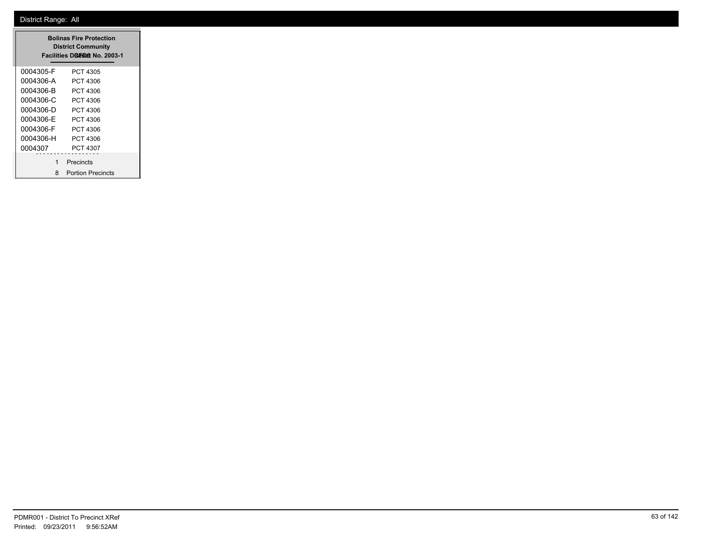| <b>Bolinas Fire Protection</b><br><b>District Community</b><br>Facilities Disman No. 2003-1 |                          |  |
|---------------------------------------------------------------------------------------------|--------------------------|--|
| 0004305-F                                                                                   | PCT 4305                 |  |
| 0004306-A                                                                                   | PCT 4306                 |  |
| 0004306-B                                                                                   | PCT 4306                 |  |
| 0004306-C                                                                                   | PCT 4306                 |  |
| 0004306-D                                                                                   | PCT 4306                 |  |
| 0004306-E                                                                                   | PCT 4306                 |  |
| 0004306-F                                                                                   | PCT 4306                 |  |
| 0004306-H                                                                                   | PCT 4306                 |  |
| 0004307                                                                                     | PCT 4307                 |  |
| 1                                                                                           | Precincts                |  |
| 8                                                                                           | <b>Portion Precincts</b> |  |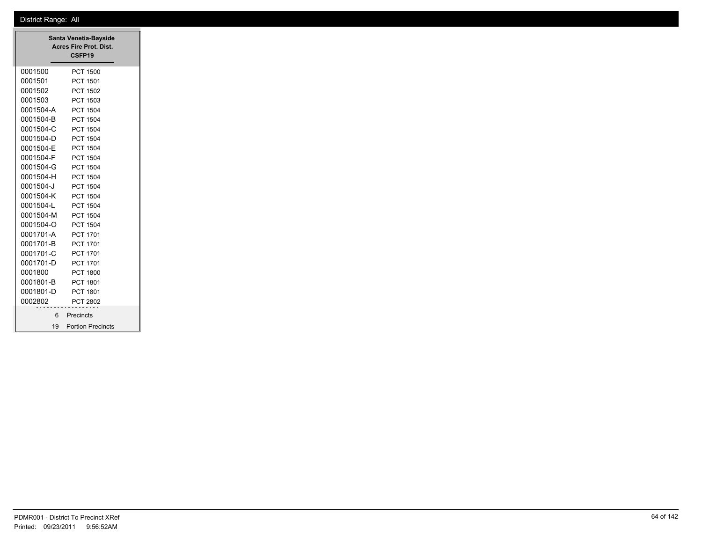|           | Santa Venetia-Bayside<br>Acres Fire Prot. Dist.<br>CSFP19 |
|-----------|-----------------------------------------------------------|
| 0001500   | <b>PCT 1500</b>                                           |
| 0001501   | PCT 1501                                                  |
| 0001502   | PCT 1502                                                  |
| 0001503   | PCT 1503                                                  |
| 0001504-A | PCT 1504                                                  |
| 0001504-B | PCT 1504                                                  |
| 0001504-C | <b>PCT 1504</b>                                           |
| 0001504-D | PCT 1504                                                  |
| 0001504-E | PCT 1504                                                  |
| 0001504-F | PCT 1504                                                  |
| 0001504-G | PCT 1504                                                  |
| 0001504-H | PCT 1504                                                  |
| 0001504-J | PCT 1504                                                  |
| 0001504-K | <b>PCT 1504</b>                                           |
| 0001504-L | PCT 1504                                                  |
| 0001504-M | PCT 1504                                                  |
| 0001504-O | PCT 1504                                                  |
| 0001701-A | PCT 1701                                                  |
| 0001701-B | PCT 1701                                                  |
| 0001701-C | PCT 1701                                                  |
| 0001701-D | PCT 1701                                                  |
| 0001800   | <b>PCT 1800</b>                                           |
| 0001801-B | PCT 1801                                                  |
| 0001801-D | PCT 1801                                                  |
| 0002802   | PCT 2802                                                  |
| 6         | Precincts                                                 |
|           |                                                           |
|           | 19 Portion Precincts                                      |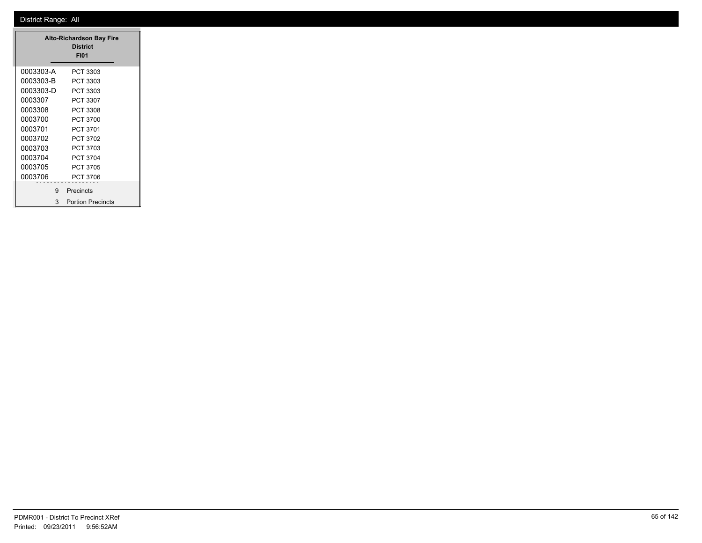| <b>Alto-Richardson Bay Fire</b><br><b>District</b> |                          |  |
|----------------------------------------------------|--------------------------|--|
|                                                    | <b>FI01</b>              |  |
| 0003303-A                                          | PCT 3303                 |  |
| 0003303-B                                          | PCT 3303                 |  |
| 0003303-D                                          | PCT 3303                 |  |
| 0003307                                            | PCT 3307                 |  |
| 0003308                                            | PCT 3308                 |  |
| 0003700                                            | <b>PCT 3700</b>          |  |
| 0003701                                            | <b>PCT 3701</b>          |  |
| 0003702                                            | <b>PCT 3702</b>          |  |
| 0003703                                            | PCT 3703                 |  |
| 0003704                                            | <b>PCT 3704</b>          |  |
| 0003705                                            | <b>PCT 3705</b>          |  |
| 0003706                                            | <b>PCT 3706</b>          |  |
| 9                                                  | Precincts                |  |
| 3                                                  | <b>Portion Precincts</b> |  |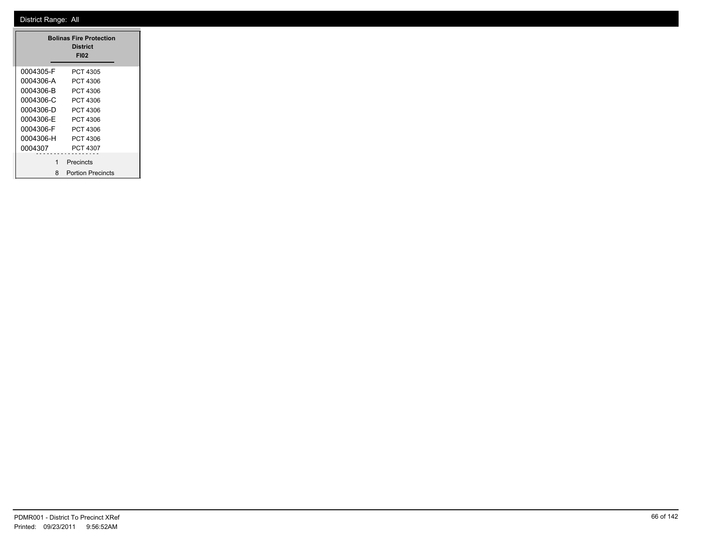| <b>Bolinas Fire Protection</b><br>District<br><b>FI02</b> |                          |  |  |
|-----------------------------------------------------------|--------------------------|--|--|
| 0004305-F                                                 | PCT 4305                 |  |  |
| 0004306-A                                                 | PCT 4306                 |  |  |
| 0004306-B                                                 | PCT 4306                 |  |  |
| 0004306-C                                                 | PCT 4306                 |  |  |
| 0004306-D                                                 | PCT 4306                 |  |  |
| 0004306-E                                                 | PCT 4306                 |  |  |
| 0004306-F                                                 | PCT 4306                 |  |  |
| 0004306-H                                                 | PCT 4306                 |  |  |
| 0004307                                                   | PCT 4307                 |  |  |
| 1                                                         | Precincts                |  |  |
| 8                                                         | <b>Portion Precincts</b> |  |  |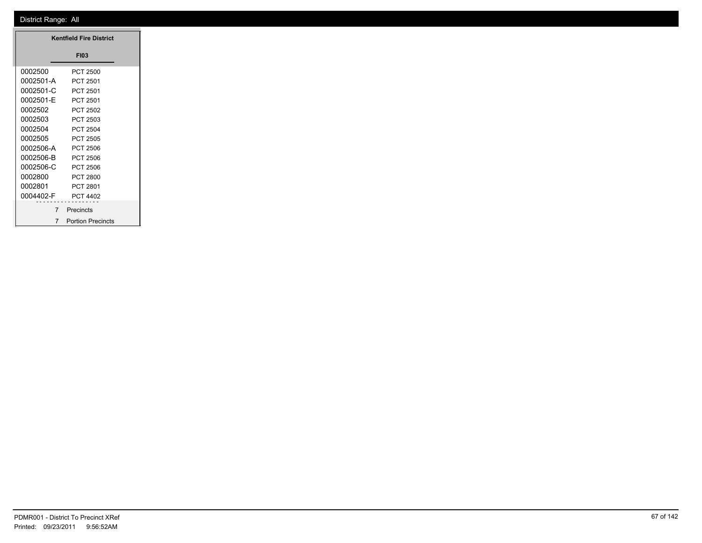|           | <b>Kentfield Fire District</b> |
|-----------|--------------------------------|
|           | <b>FI03</b>                    |
| 0002500   |                                |
|           | <b>PCT 2500</b>                |
| 0002501-A | PCT 2501                       |
| 0002501-C | PCT 2501                       |
| 0002501-E | PCT 2501                       |
| 0002502   | PCT 2502                       |
| 0002503   | PCT 2503                       |
| 0002504   | PCT 2504                       |
| 0002505   | PCT 2505                       |
| 0002506-A | PCT 2506                       |
| 0002506-B | PCT 2506                       |
| 0002506-C | PCT 2506                       |
| 0002800   | <b>PCT 2800</b>                |
| 0002801   | PCT 2801                       |
| 0004402-F | PCT 4402                       |
| .         | .                              |
|           | Precincts                      |
|           | 7 Portion Precincts            |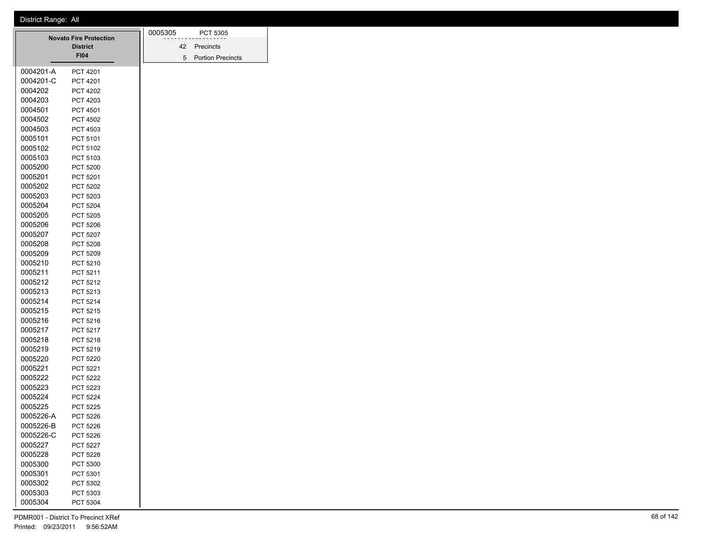|           |                                                  | 0005305 |    | PCT 5305                 |
|-----------|--------------------------------------------------|---------|----|--------------------------|
|           | <b>Novato Fire Protection</b><br><b>District</b> |         | 42 | Precincts                |
|           | <b>FI04</b>                                      |         | 5  | <b>Portion Precincts</b> |
|           |                                                  |         |    |                          |
| 0004201-A | PCT 4201                                         |         |    |                          |
| 0004201-C | <b>PCT 4201</b>                                  |         |    |                          |
| 0004202   | <b>PCT 4202</b>                                  |         |    |                          |
| 0004203   | PCT 4203                                         |         |    |                          |
| 0004501   | PCT 4501                                         |         |    |                          |
| 0004502   | <b>PCT 4502</b>                                  |         |    |                          |
| 0004503   | PCT 4503                                         |         |    |                          |
| 0005101   | PCT 5101                                         |         |    |                          |
| 0005102   | PCT 5102                                         |         |    |                          |
| 0005103   | PCT 5103                                         |         |    |                          |
| 0005200   | <b>PCT 5200</b>                                  |         |    |                          |
| 0005201   | PCT 5201                                         |         |    |                          |
| 0005202   | PCT 5202                                         |         |    |                          |
| 0005203   | PCT 5203                                         |         |    |                          |
| 0005204   | <b>PCT 5204</b>                                  |         |    |                          |
| 0005205   | <b>PCT 5205</b>                                  |         |    |                          |
| 0005206   | <b>PCT 5206</b>                                  |         |    |                          |
| 0005207   | PCT 5207                                         |         |    |                          |
| 0005208   | <b>PCT 5208</b>                                  |         |    |                          |
| 0005209   | PCT 5209                                         |         |    |                          |
| 0005210   | PCT 5210                                         |         |    |                          |
| 0005211   | PCT 5211                                         |         |    |                          |
| 0005212   | <b>PCT 5212</b>                                  |         |    |                          |
| 0005213   | PCT 5213                                         |         |    |                          |
| 0005214   | PCT 5214                                         |         |    |                          |
| 0005215   | PCT 5215                                         |         |    |                          |
| 0005216   | PCT 5216                                         |         |    |                          |
| 0005217   | PCT 5217                                         |         |    |                          |
| 0005218   | PCT 5218                                         |         |    |                          |
| 0005219   | PCT 5219                                         |         |    |                          |
| 0005220   | <b>PCT 5220</b>                                  |         |    |                          |
| 0005221   | PCT 5221                                         |         |    |                          |
| 0005222   | <b>PCT 5222</b>                                  |         |    |                          |
| 0005223   | PCT 5223                                         |         |    |                          |
| 0005224   | PCT 5224                                         |         |    |                          |
| 0005225   | <b>PCT 5225</b>                                  |         |    |                          |
| 0005226-A | <b>PCT 5226</b>                                  |         |    |                          |
| 0005226-B | PCT 5226                                         |         |    |                          |
| 0005226-C | PCT 5226                                         |         |    |                          |
| 0005227   | PCT 5227                                         |         |    |                          |
| 0005228   | PCT 5228                                         |         |    |                          |
| 0005300   | <b>PCT 5300</b>                                  |         |    |                          |
| 0005301   | PCT 5301                                         |         |    |                          |
| 0005302   | PCT 5302                                         |         |    |                          |
| 0005303   | PCT 5303                                         |         |    |                          |
| 0005304   | PCT 5304                                         |         |    |                          |
|           |                                                  |         |    |                          |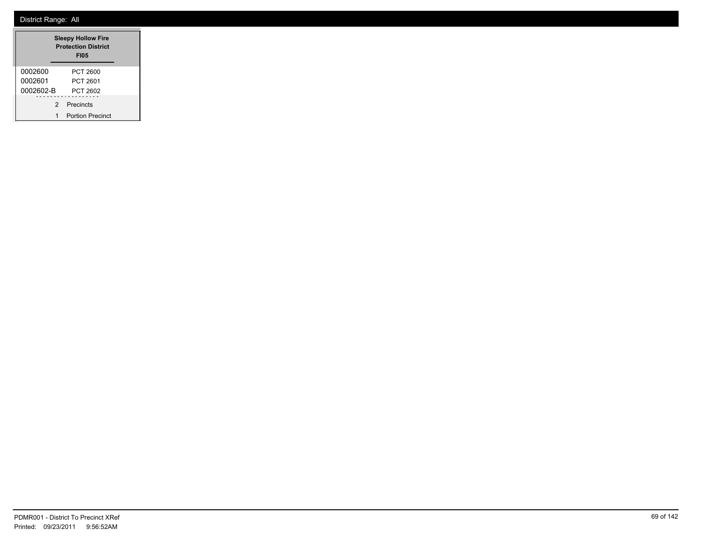|           | <b>Sleepy Hollow Fire</b><br><b>Protection District</b><br><b>FI05</b> |
|-----------|------------------------------------------------------------------------|
| 0002600   | PCT 2600                                                               |
| 0002601   | PCT 2601                                                               |
| 0002602-B | PCT 2602                                                               |
| 2         | Precincts                                                              |
| 1         | <b>Portion Precinct</b>                                                |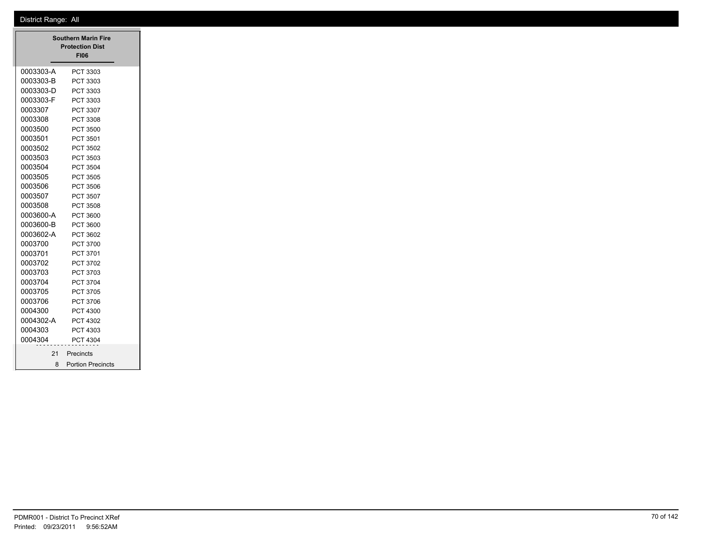| 0003303-A<br>PCT 3303<br>0003303-B<br>PCT 3303<br>0003303-D<br>PCT 3303<br>0003303-F<br>PCT 3303<br>PCT 3307<br>PCT 3308<br><b>PCT 3500</b><br>PCT 3501<br>PCT 3502<br>PCT 3503<br><b>PCT 3504</b><br>PCT 3505 |
|----------------------------------------------------------------------------------------------------------------------------------------------------------------------------------------------------------------|
|                                                                                                                                                                                                                |
|                                                                                                                                                                                                                |
|                                                                                                                                                                                                                |
|                                                                                                                                                                                                                |
|                                                                                                                                                                                                                |
|                                                                                                                                                                                                                |
|                                                                                                                                                                                                                |
|                                                                                                                                                                                                                |
|                                                                                                                                                                                                                |
|                                                                                                                                                                                                                |
|                                                                                                                                                                                                                |
|                                                                                                                                                                                                                |
| PCT 3506                                                                                                                                                                                                       |
| PCT 3507                                                                                                                                                                                                       |
| PCT 3508                                                                                                                                                                                                       |
| 0003600-A<br>PCT 3600                                                                                                                                                                                          |
| 0003600-B<br>PCT 3600                                                                                                                                                                                          |
| 0003602-A<br>PCT 3602                                                                                                                                                                                          |
| PCT 3700                                                                                                                                                                                                       |
| PCT 3701                                                                                                                                                                                                       |
| PCT 3702                                                                                                                                                                                                       |
| PCT 3703                                                                                                                                                                                                       |
| <b>PCT 3704</b>                                                                                                                                                                                                |
| PCT 3705                                                                                                                                                                                                       |
| PCT 3706                                                                                                                                                                                                       |
| <b>PCT 4300</b>                                                                                                                                                                                                |
| 0004302-A<br>PCT 4302                                                                                                                                                                                          |
| PCT 4303                                                                                                                                                                                                       |
| <b>PCT 4304</b>                                                                                                                                                                                                |
|                                                                                                                                                                                                                |
| 21 Precincts                                                                                                                                                                                                   |
|                                                                                                                                                                                                                |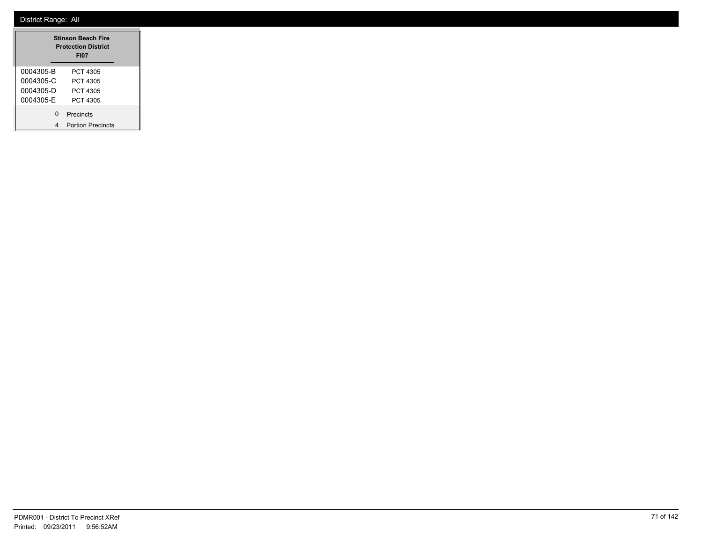| <b>Stinson Beach Fire</b><br><b>Protection District</b><br><b>FI07</b> |                                              |  |  |
|------------------------------------------------------------------------|----------------------------------------------|--|--|
| 0004305-B<br>0004305-C<br>0004305-D<br>0004305-E                       | PCT 4305<br>PCT 4305<br>PCT 4305<br>PCT 4305 |  |  |
| n                                                                      | Precincts<br><b>Portion Precincts</b>        |  |  |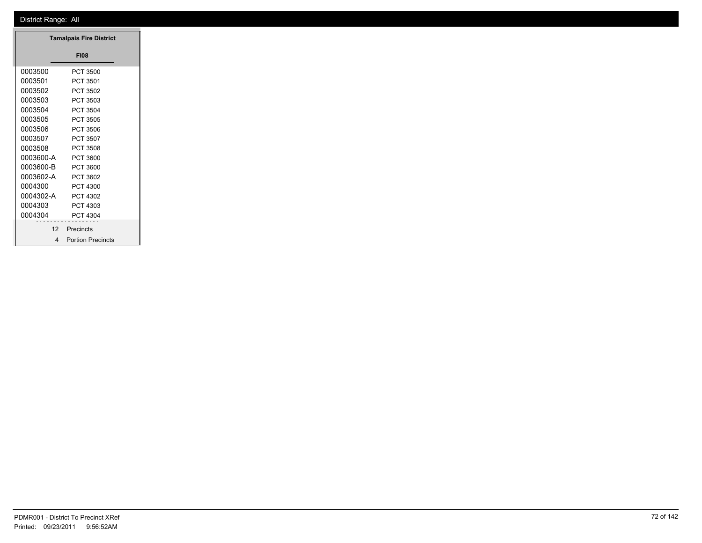| <b>Tamalpais Fire District</b> |                     |
|--------------------------------|---------------------|
|                                | <b>FI08</b>         |
| 0003500                        | PCT 3500            |
| 0003501                        | PCT 3501            |
| 0003502                        | PCT 3502            |
| 0003503                        | PCT 3503            |
| 0003504                        | PCT 3504            |
| 0003505                        | PCT 3505            |
| 0003506                        | PCT 3506            |
| 0003507                        | PCT 3507            |
| 0003508                        | PCT 3508            |
| 0003600-A                      | PCT 3600            |
| 0003600-B                      | PCT 3600            |
| 0003602-A                      | PCT 3602            |
| 0004300                        | PCT 4300            |
| 0004302-A                      | PCT 4302            |
| 0004303                        | PCT 4303            |
| 0004304                        | PCT 4304            |
| 12                             | .<br>Precincts      |
|                                |                     |
|                                | 4 Portion Precincts |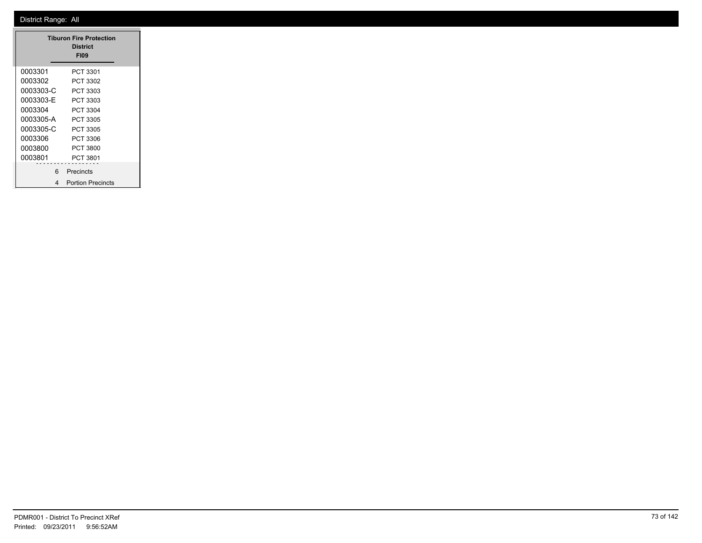|           | <b>Tiburon Fire Protection</b><br><b>District</b><br><b>FI09</b> |
|-----------|------------------------------------------------------------------|
| 0003301   | PCT 3301                                                         |
| 0003302   | PCT 3302                                                         |
| 0003303-C | PCT 3303                                                         |
| 0003303-E | PCT 3303                                                         |
| 0003304   | PCT 3304                                                         |
| 0003305-A | PCT 3305                                                         |
| 0003305-C | PCT 3305                                                         |
| 0003306   | PCT 3306                                                         |
| 0003800   | PCT 3800                                                         |
| 0003801   | PCT 3801                                                         |
| ี่ค       | Precincts                                                        |
| 4         | <b>Portion Precincts</b>                                         |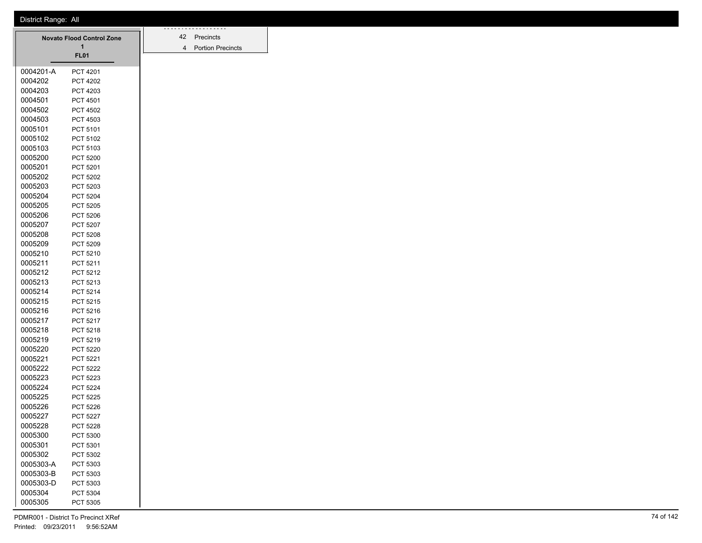|           | <b>Novato Flood Control Zone</b><br>1 | 42<br>4 | Precincts<br><b>Portion Pred</b> |
|-----------|---------------------------------------|---------|----------------------------------|
|           | <b>FL01</b>                           |         |                                  |
| 0004201-A | <b>PCT 4201</b>                       |         |                                  |
| 0004202   | <b>PCT 4202</b>                       |         |                                  |
| 0004203   | PCT 4203                              |         |                                  |
| 0004501   | <b>PCT 4501</b>                       |         |                                  |
| 0004502   | <b>PCT 4502</b>                       |         |                                  |
| 0004503   | <b>PCT 4503</b>                       |         |                                  |
| 0005101   | PCT 5101                              |         |                                  |
| 0005102   | PCT 5102                              |         |                                  |
| 0005103   | PCT 5103                              |         |                                  |
| 0005200   | <b>PCT 5200</b>                       |         |                                  |
| 0005201   | PCT 5201                              |         |                                  |
| 0005202   | <b>PCT 5202</b>                       |         |                                  |
| 0005203   | PCT 5203                              |         |                                  |
| 0005204   | <b>PCT 5204</b>                       |         |                                  |
| 0005205   | <b>PCT 5205</b>                       |         |                                  |
| 0005206   | <b>PCT 5206</b>                       |         |                                  |
| 0005207   | <b>PCT 5207</b>                       |         |                                  |
| 0005208   | PCT 5208                              |         |                                  |
| 0005209   | <b>PCT 5209</b>                       |         |                                  |
| 0005210   | PCT 5210                              |         |                                  |
| 0005211   | PCT 5211                              |         |                                  |
| 0005212   | PCT 5212                              |         |                                  |
| 0005213   | PCT 5213                              |         |                                  |
| 0005214   | PCT 5214                              |         |                                  |
| 0005215   | <b>PCT 5215</b>                       |         |                                  |
| 0005216   | PCT 5216                              |         |                                  |
| 0005217   | PCT 5217                              |         |                                  |
| 0005218   | PCT 5218                              |         |                                  |
| 0005219   | PCT 5219                              |         |                                  |
| 0005220   | <b>PCT 5220</b>                       |         |                                  |
| 0005221   | PCT 5221                              |         |                                  |
| 0005222   | <b>PCT 5222</b>                       |         |                                  |
| 0005223   | PCT 5223                              |         |                                  |
| 0005224   | <b>PCT 5224</b>                       |         |                                  |
| 0005225   | <b>PCT 5225</b>                       |         |                                  |
| 0005226   | <b>PCT 5226</b>                       |         |                                  |
| 0005227   | <b>PCT 5227</b>                       |         |                                  |
| 0005228   | <b>PCT 5228</b>                       |         |                                  |
| 0005300   | PCT 5300                              |         |                                  |
| 0005301   | PCT 5301                              |         |                                  |
| 0005302   | PCT 5302                              |         |                                  |
| 0005303-A | PCT 5303                              |         |                                  |
| 0005303-B | PCT 5303                              |         |                                  |
| 0005303-D | PCT 5303                              |         |                                  |
| 0005304   | PCT 5304                              |         |                                  |
| 0005305   | PCT 5305                              |         |                                  |

Portion Precincts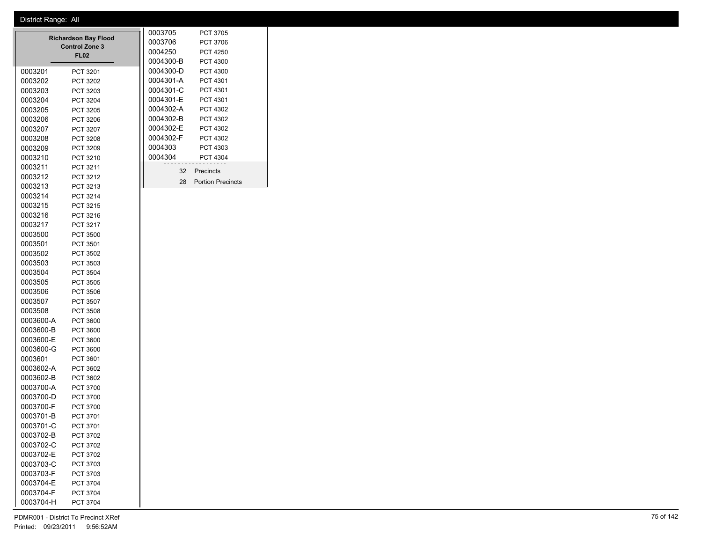|           | <b>Richardson Bay Flood</b><br><b>Control Zone 3</b><br><b>FL02</b> | 0003705<br>0003706<br>0004250<br>0004300-B | <b>PCT 3705</b><br>PCT 3706<br><b>PCT 4250</b><br><b>PCT 4300</b> |
|-----------|---------------------------------------------------------------------|--------------------------------------------|-------------------------------------------------------------------|
| 0003201   | PCT 3201                                                            | 0004300-D                                  | PCT 4300                                                          |
| 0003202   | PCT 3202                                                            | 0004301-A                                  | PCT 4301                                                          |
| 0003203   | PCT 3203                                                            | 0004301-C                                  | PCT 4301                                                          |
| 0003204   | PCT 3204                                                            | 0004301-E                                  | PCT 4301                                                          |
| 0003205   | PCT 3205                                                            | 0004302-A                                  | PCT 4302                                                          |
| 0003206   | PCT 3206                                                            | 0004302-B                                  | PCT 4302                                                          |
| 0003207   | <b>PCT 3207</b>                                                     | 0004302-E                                  | PCT 4302                                                          |
| 0003208   | <b>PCT 3208</b>                                                     | 0004302-F                                  | PCT 4302                                                          |
| 0003209   | PCT 3209                                                            | 0004303                                    | PCT 4303                                                          |
| 0003210   | PCT 3210                                                            | 0004304                                    | PCT 4304                                                          |
| 0003211   | PCT 3211                                                            | 32                                         | Precincts                                                         |
| 0003212   | PCT 3212                                                            | 28                                         | <b>Portion Precincts</b>                                          |
| 0003213   | PCT 3213                                                            |                                            |                                                                   |
| 0003214   | PCT 3214                                                            |                                            |                                                                   |
| 0003215   | PCT 3215                                                            |                                            |                                                                   |
| 0003216   | PCT 3216                                                            |                                            |                                                                   |
| 0003217   | PCT 3217                                                            |                                            |                                                                   |
| 0003500   | <b>PCT 3500</b>                                                     |                                            |                                                                   |
| 0003501   | PCT 3501                                                            |                                            |                                                                   |
| 0003502   | PCT 3502                                                            |                                            |                                                                   |
| 0003503   | PCT 3503                                                            |                                            |                                                                   |
| 0003504   | <b>PCT 3504</b>                                                     |                                            |                                                                   |
| 0003505   | PCT 3505                                                            |                                            |                                                                   |
| 0003506   | PCT 3506                                                            |                                            |                                                                   |
| 0003507   | <b>PCT 3507</b>                                                     |                                            |                                                                   |
| 0003508   | <b>PCT 3508</b>                                                     |                                            |                                                                   |
| 0003600-A | PCT 3600                                                            |                                            |                                                                   |
| 0003600-B | <b>PCT 3600</b>                                                     |                                            |                                                                   |
| 0003600-E | <b>PCT 3600</b>                                                     |                                            |                                                                   |
| 0003600-G | <b>PCT 3600</b>                                                     |                                            |                                                                   |
| 0003601   | PCT 3601                                                            |                                            |                                                                   |
| 0003602-A | PCT 3602                                                            |                                            |                                                                   |
| 0003602-B | PCT 3602                                                            |                                            |                                                                   |
| 0003700-A | <b>PCT 3700</b>                                                     |                                            |                                                                   |

0003700-D PCT 3700 0003700-F PCT 3700 0003701-B PCT 3701 0003701-C PCT 3701 0003702-B PCT 3702 0003702-C PCT 3702 0003702-E PCT 3702 0003703-C PCT 3703 0003703-F PCT 3703 0003704-E PCT 3704 0003704-F PCT 3704 0003704-H PCT 3704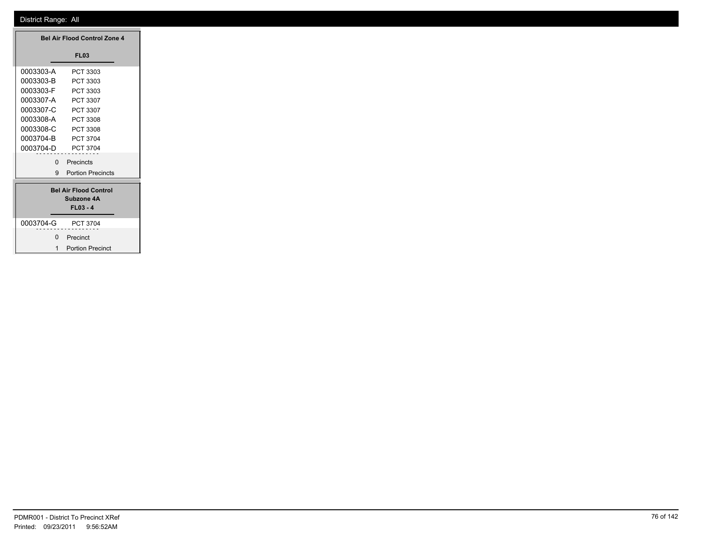|           |              | <b>Bel Air Flood Control Zone 4</b>        |
|-----------|--------------|--------------------------------------------|
|           |              | <b>FL03</b>                                |
| 0003303-A |              | PCT 3303                                   |
| 0003303-B |              | PCT 3303                                   |
| 0003303-F |              | PCT 3303                                   |
| 0003307-A |              | PCT 3307                                   |
| 0003307-C |              | PCT 3307                                   |
| 0003308-A |              | PCT 3308                                   |
| 0003308-C |              | PCT 3308                                   |
| 0003704-B |              | PCT 3704                                   |
| 0003704-D |              | PCT 3704                                   |
|           |              | 0 Precincts                                |
|           |              | 9 Portion Precincts                        |
|           |              |                                            |
|           |              | <b>Bel Air Flood Control</b><br>Subzone 4A |
|           |              | $FL03 - 4$                                 |
|           |              |                                            |
| 0003704-G |              | PCT 3704                                   |
|           |              | 0 Precinct                                 |
|           | $\mathbf{1}$ | <b>Portion Precinct</b>                    |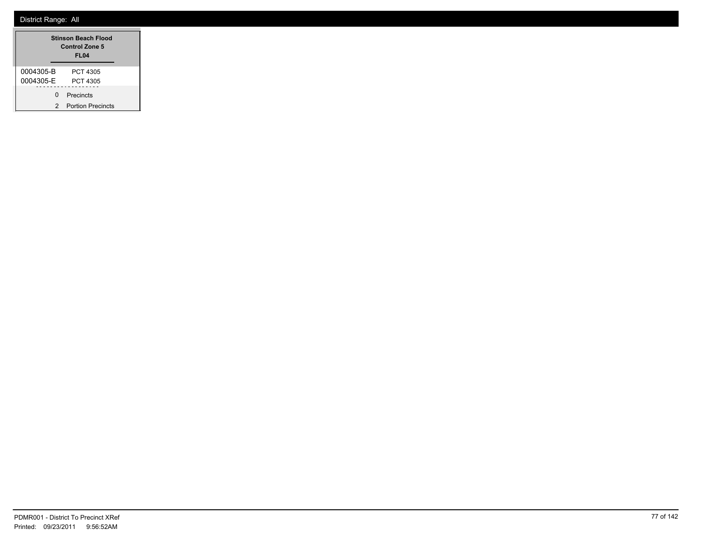|           | <b>Stinson Beach Flood</b><br>Control Zone 5<br><b>FL04</b> |
|-----------|-------------------------------------------------------------|
| 0004305-B | PCT 4305                                                    |
| 0004305-F | PCT 4305                                                    |
| ŋ         | Precincts                                                   |
| 2         | <b>Portion Precincts</b>                                    |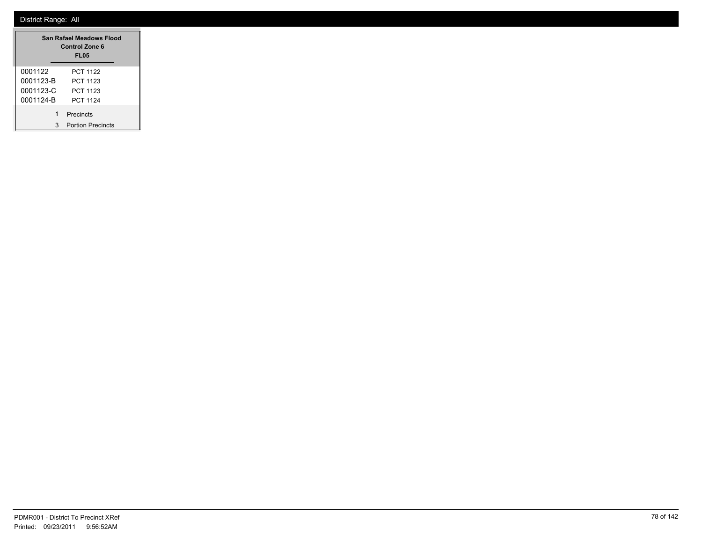|           | San Rafael Meadows Flood<br><b>Control Zone 6</b><br>FL <sub>05</sub> |
|-----------|-----------------------------------------------------------------------|
| 0001122   | <b>PCT 1122</b>                                                       |
| 0001123-B | PCT 1123                                                              |
| 0001123-C | PCT 1123                                                              |
| 0001124-B | <b>PCT 1124</b>                                                       |
| 1         | Precincts                                                             |
| 3         | <b>Portion Precincts</b>                                              |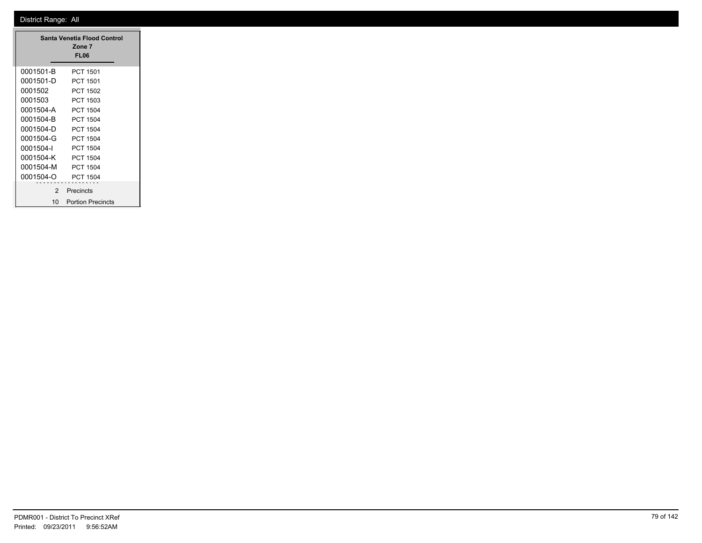|           | Santa Venetia Flood Control<br>Zone 7<br>FL06 |
|-----------|-----------------------------------------------|
| 0001501-B | PCT 1501                                      |
| 0001501-D | PCT 1501                                      |
| 0001502   | <b>PCT 1502</b>                               |
| 0001503   | PCT 1503                                      |
| 0001504-A | <b>PCT 1504</b>                               |
| 0001504-B | PCT 1504                                      |
| 0001504-D | PCT 1504                                      |
| 0001504-G | PCT 1504                                      |
| 0001504-l | PCT 1504                                      |
| 0001504-K | PCT 1504                                      |
| 0001504-M | PCT 1504                                      |
| 0001504-O | PCT 1504                                      |
| 2         | Precincts                                     |
| 10        | <b>Portion Precincts</b>                      |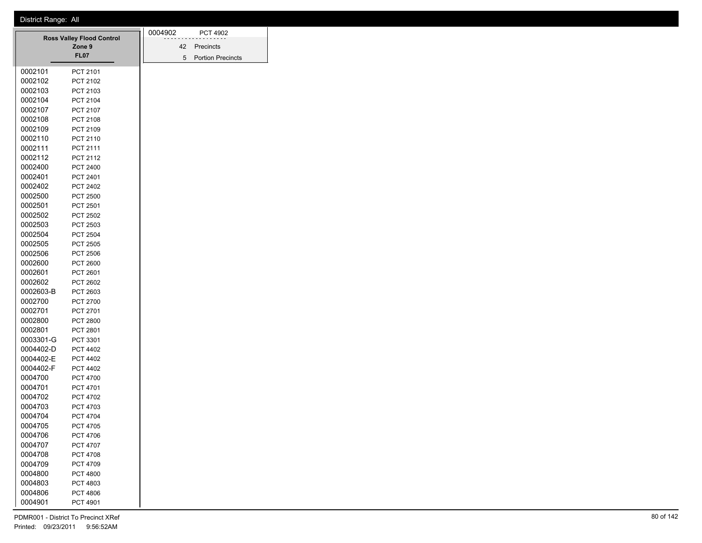|                                  | 0004902               |  | <b>PCT 4902</b> |           |                          |
|----------------------------------|-----------------------|--|-----------------|-----------|--------------------------|
| <b>Ross Valley Flood Control</b> |                       |  | 42              | Precincts |                          |
|                                  | Zone 9<br><b>FL07</b> |  |                 | 5         | <b>Portion Precincts</b> |
|                                  |                       |  |                 |           |                          |
| 0002101                          | PCT 2101              |  |                 |           |                          |
| 0002102                          | PCT 2102              |  |                 |           |                          |
| 0002103                          | PCT 2103              |  |                 |           |                          |
| 0002104                          | PCT 2104              |  |                 |           |                          |
| 0002107                          | PCT 2107              |  |                 |           |                          |
| 0002108                          | PCT 2108              |  |                 |           |                          |
| 0002109                          | PCT 2109              |  |                 |           |                          |
| 0002110                          | PCT 2110              |  |                 |           |                          |
| 0002111                          | PCT 2111              |  |                 |           |                          |
| 0002112                          | PCT 2112              |  |                 |           |                          |
| 0002400                          | PCT 2400              |  |                 |           |                          |
| 0002401                          | PCT 2401              |  |                 |           |                          |
| 0002402                          | PCT 2402              |  |                 |           |                          |
| 0002500                          | <b>PCT 2500</b>       |  |                 |           |                          |
| 0002501                          | PCT 2501              |  |                 |           |                          |
| 0002502                          | PCT 2502              |  |                 |           |                          |
| 0002503                          | PCT 2503              |  |                 |           |                          |
| 0002504                          | <b>PCT 2504</b>       |  |                 |           |                          |
| 0002505                          | <b>PCT 2505</b>       |  |                 |           |                          |
| 0002506                          | PCT 2506              |  |                 |           |                          |
| 0002600                          | <b>PCT 2600</b>       |  |                 |           |                          |
| 0002601                          | PCT 2601              |  |                 |           |                          |
| 0002602                          | <b>PCT 2602</b>       |  |                 |           |                          |
| 0002603-B                        | PCT 2603              |  |                 |           |                          |
| 0002700                          | PCT 2700              |  |                 |           |                          |
| 0002701                          | PCT 2701              |  |                 |           |                          |
| 0002800                          | <b>PCT 2800</b>       |  |                 |           |                          |
| 0002801                          | PCT 2801              |  |                 |           |                          |
| 0003301-G                        | PCT 3301              |  |                 |           |                          |
| 0004402-D                        | PCT 4402              |  |                 |           |                          |
| 0004402-E                        | <b>PCT 4402</b>       |  |                 |           |                          |
| 0004402-F                        | <b>PCT 4402</b>       |  |                 |           |                          |
| 0004700                          | <b>PCT 4700</b>       |  |                 |           |                          |
| 0004701                          | PCT 4701              |  |                 |           |                          |
| 0004702                          | PCT 4702              |  |                 |           |                          |
| 0004703                          | PCT 4703              |  |                 |           |                          |
| 0004704                          | <b>PCT 4704</b>       |  |                 |           |                          |
| 0004705                          | PCT 4705              |  |                 |           |                          |
| 0004706                          | PCT 4706              |  |                 |           |                          |
| 0004707                          | PCT 4707              |  |                 |           |                          |
| 0004708                          | PCT 4708              |  |                 |           |                          |
| 0004709                          | PCT 4709              |  |                 |           |                          |
| 0004800                          | <b>PCT 4800</b>       |  |                 |           |                          |
| 0004803                          | PCT 4803              |  |                 |           |                          |
| 0004806                          | PCT 4806              |  |                 |           |                          |
| 0004901                          | PCT 4901              |  |                 |           |                          |
|                                  |                       |  |                 |           |                          |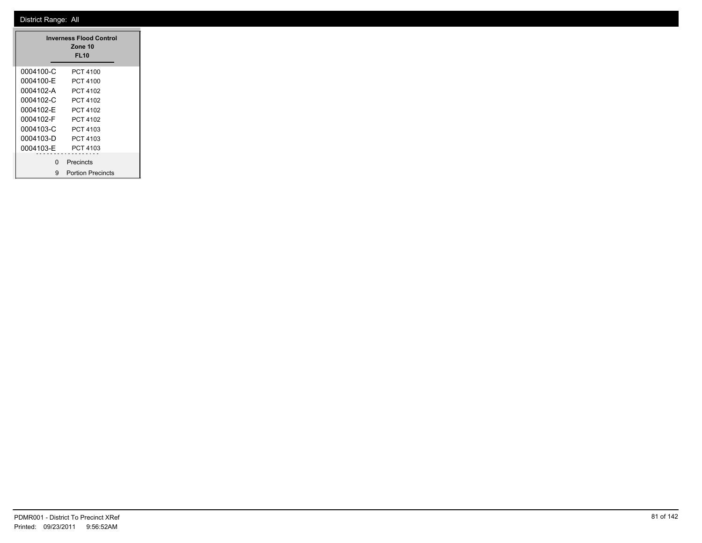|           | <b>Inverness Flood Control</b><br>Zone 10<br><b>FL10</b> |
|-----------|----------------------------------------------------------|
| 0004100-C | PCT 4100                                                 |
| 0004100-E | PCT 4100                                                 |
| 0004102-A | PCT 4102                                                 |
| 0004102-C | PCT 4102                                                 |
| 0004102-F | PCT 4102                                                 |
| 0004102-F | PCT 4102                                                 |
| 0004103-C | PCT 4103                                                 |
| 0004103-D | PCT 4103                                                 |
| 0004103-F | PCT 4103                                                 |
| n         | Precincts                                                |
| 9         | <b>Portion Precincts</b>                                 |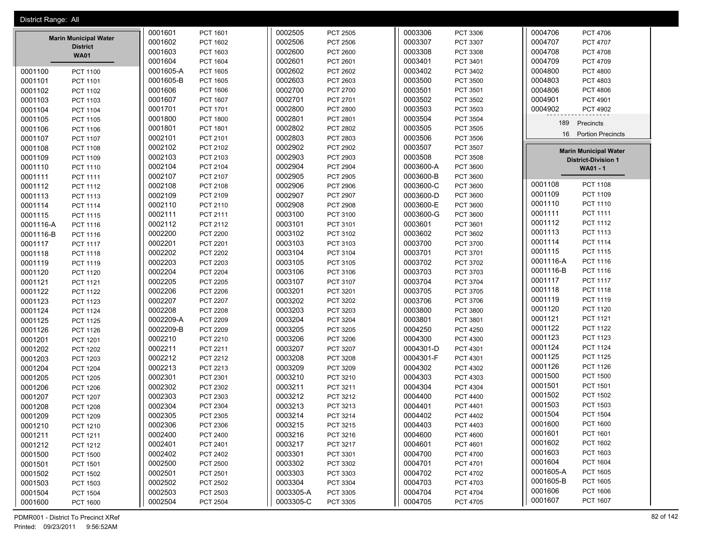| District Range: All |                                |           |                 |           |                 |           |                 |                              |                             |
|---------------------|--------------------------------|-----------|-----------------|-----------|-----------------|-----------|-----------------|------------------------------|-----------------------------|
|                     |                                | 0001601   | PCT 1601        | 0002505   | PCT 2505        | 0003306   | PCT 3306        | 0004706                      | PCT 4706                    |
|                     | <b>Marin Municipal Water</b>   | 0001602   | <b>PCT 1602</b> | 0002506   | <b>PCT 2506</b> | 0003307   | PCT 3307        | 0004707                      | <b>PCT 4707</b>             |
|                     | <b>District</b><br><b>WA01</b> | 0001603   | PCT 1603        | 0002600   | PCT 2600        | 0003308   | <b>PCT 3308</b> | 0004708                      | <b>PCT 4708</b>             |
|                     |                                | 0001604   | PCT 1604        | 0002601   | PCT 2601        | 0003401   | PCT 3401        | 0004709                      | PCT 4709                    |
| 0001100             | <b>PCT 1100</b>                | 0001605-A | <b>PCT 1605</b> | 0002602   | PCT 2602        | 0003402   | PCT 3402        | 0004800                      | <b>PCT 4800</b>             |
| 0001101             | PCT 1101                       | 0001605-B | <b>PCT 1605</b> | 0002603   | PCT 2603        | 0003500   | PCT 3500        | 0004803                      | PCT 4803                    |
| 0001102             | PCT 1102                       | 0001606   | PCT 1606        | 0002700   | PCT 2700        | 0003501   | PCT 3501        | 0004806                      | <b>PCT 4806</b>             |
| 0001103             | PCT 1103                       | 0001607   | PCT 1607        | 0002701   | PCT 2701        | 0003502   | PCT 3502        | 0004901                      | PCT 4901                    |
| 0001104             | <b>PCT 1104</b>                | 0001701   | PCT 1701        | 0002800   | <b>PCT 2800</b> | 0003503   | PCT 3503        | 0004902                      | PCT 4902                    |
| 0001105             | <b>PCT 1105</b>                | 0001800   | <b>PCT 1800</b> | 0002801   | PCT 2801        | 0003504   | <b>PCT 3504</b> | 189<br>Precincts             |                             |
| 0001106             | <b>PCT 1106</b>                | 0001801   | PCT 1801        | 0002802   | PCT 2802        | 0003505   | PCT 3505        |                              |                             |
| 0001107             | <b>PCT 1107</b>                | 0002101   | PCT 2101        | 0002803   | PCT 2803        | 0003506   | PCT 3506        | 16                           | <b>Portion Precincts</b>    |
| 0001108             | PCT 1108                       | 0002102   | PCT 2102        | 0002902   | PCT 2902        | 0003507   | PCT 3507        | <b>Marin Municipal Water</b> |                             |
| 0001109             | PCT 1109                       | 0002103   | PCT 2103        | 0002903   | PCT 2903        | 0003508   | <b>PCT 3508</b> | <b>District-Division 1</b>   |                             |
| 0001110             | PCT 1110                       | 0002104   | PCT 2104        | 0002904   | <b>PCT 2904</b> | 0003600-A | <b>PCT 3600</b> | WA01 - 1                     |                             |
| 0001111             | <b>PCT 1111</b>                | 0002107   | PCT 2107        | 0002905   | PCT 2905        | 0003600-B | PCT 3600        |                              |                             |
| 0001112             | PCT 1112                       | 0002108   | PCT 2108        | 0002906   | <b>PCT 2906</b> | 0003600-C | PCT 3600        | 0001108                      | <b>PCT 1108</b>             |
| 0001113             | PCT 1113                       | 0002109   | PCT 2109        | 0002907   | <b>PCT 2907</b> | 0003600-D | <b>PCT 3600</b> | 0001109                      | PCT 1109                    |
| 0001114             | <b>PCT 1114</b>                | 0002110   | PCT 2110        | 0002908   | <b>PCT 2908</b> | 0003600-E | <b>PCT 3600</b> | 0001110                      | PCT 1110                    |
| 0001115             | <b>PCT 1115</b>                | 0002111   | PCT 2111        | 0003100   | PCT 3100        | 0003600-G | <b>PCT 3600</b> | 0001111                      | PCT 1111                    |
| 0001116-A           | PCT 1116                       | 0002112   | PCT 2112        | 0003101   | PCT 3101        | 0003601   | PCT 3601        | 0001112                      | PCT 1112                    |
| 0001116-B           | PCT 1116                       | 0002200   | <b>PCT 2200</b> | 0003102   | PCT 3102        | 0003602   | PCT 3602        | 0001113                      | PCT 1113                    |
| 0001117             | <b>PCT 1117</b>                | 0002201   | PCT 2201        | 0003103   | PCT 3103        | 0003700   | <b>PCT 3700</b> | 0001114                      | <b>PCT 1114</b>             |
| 0001118             | <b>PCT 1118</b>                | 0002202   | <b>PCT 2202</b> | 0003104   | PCT 3104        | 0003701   | PCT 3701        | 0001115                      | PCT 1115                    |
| 0001119             | PCT 1119                       | 0002203   | PCT 2203        | 0003105   | PCT 3105        | 0003702   | PCT 3702        | 0001116-A                    | PCT 1116                    |
| 0001120             | <b>PCT 1120</b>                | 0002204   | <b>PCT 2204</b> | 0003106   | PCT 3106        | 0003703   | PCT 3703        | 0001116-B                    | PCT 1116                    |
| 0001121             | PCT 1121                       | 0002205   | <b>PCT 2205</b> | 0003107   | PCT 3107        | 0003704   | PCT 3704        | 0001117                      | <b>PCT 1117</b>             |
| 0001122             | <b>PCT 1122</b>                | 0002206   | PCT 2206        | 0003201   | PCT 3201        | 0003705   | PCT 3705        | 0001118                      | <b>PCT 1118</b>             |
| 0001123             | PCT 1123                       | 0002207   | PCT 2207        | 0003202   | PCT 3202        | 0003706   | PCT 3706        | 0001119                      | PCT 1119                    |
| 0001124             | <b>PCT 1124</b>                | 0002208   | <b>PCT 2208</b> | 0003203   | PCT 3203        | 0003800   | <b>PCT 3800</b> | 0001120                      | PCT 1120                    |
| 0001125             | <b>PCT 1125</b>                | 0002209-A | PCT 2209        | 0003204   | PCT 3204        | 0003801   | PCT 3801        | 0001121                      | PCT 1121                    |
| 0001126             | PCT 1126                       | 0002209-B | PCT 2209        | 0003205   | <b>PCT 3205</b> | 0004250   | <b>PCT 4250</b> | 0001122                      | <b>PCT 1122</b><br>PCT 1123 |
| 0001201             | PCT 1201                       | 0002210   | PCT 2210        | 0003206   | PCT 3206        | 0004300   | PCT 4300        | 0001123<br>0001124           |                             |
| 0001202             | PCT 1202                       | 0002211   | PCT 2211        | 0003207   | PCT 3207        | 0004301-D | PCT 4301        |                              | PCT 1124                    |
| 0001203             | PCT 1203                       | 0002212   | PCT 2212        | 0003208   | PCT 3208        | 0004301-F | PCT 4301        | 0001125<br>0001126           | <b>PCT 1125</b>             |
| 0001204             | <b>PCT 1204</b>                | 0002213   | PCT 2213        | 0003209   | PCT 3209        | 0004302   | PCT 4302        | 0001500                      | PCT 1126<br><b>PCT 1500</b> |
| 0001205             | PCT 1205                       | 0002301   | PCT 2301        | 0003210   | PCT 3210        | 0004303   | PCT 4303        | 0001501                      | PCT 1501                    |
| 0001206             | PCT 1206                       | 0002302   | PCT 2302        | 0003211   | PCT 3211        | 0004304   | PCT 4304        | 0001502                      | PCT 1502                    |
| 0001207             | <b>PCT 1207</b>                | 0002303   | PCT 2303        | 0003212   | PCT 3212        | 0004400   | <b>PCT 4400</b> | 0001503                      | PCT 1503                    |
| 0001208             | <b>PCT 1208</b>                | 0002304   | PCT 2304        | 0003213   | PCT 3213        | 0004401   | PCT 4401        | 0001504<br><b>PCT 1504</b>   |                             |
| 0001209             | PCT 1209                       | 0002305   | PCT 2305        | 0003214   | PCT 3214        | 0004402   | <b>PCT 4402</b> | 0001600                      | PCT 1600                    |
| 0001210             | PCT 1210                       | 0002306   | PCT 2306        | 0003215   | PCT 3215        | 0004403   | PCT 4403        | 0001601                      | PCT 1601                    |
| 0001211             | PCT 1211                       | 0002400   | PCT 2400        | 0003216   | PCT 3216        | 0004600   | PCT 4600        | 0001602                      | PCT 1602                    |
| 0001212             | PCT 1212                       | 0002401   | PCT 2401        | 0003217   | PCT 3217        | 0004601   | PCT 4601        | 0001603                      | PCT 1603                    |
| 0001500             | <b>PCT 1500</b>                | 0002402   | PCT 2402        | 0003301   | PCT 3301        | 0004700   | <b>PCT 4700</b> | 0001604                      | PCT 1604                    |
| 0001501             | PCT 1501                       | 0002500   | <b>PCT 2500</b> | 0003302   | PCT 3302        | 0004701   | PCT 4701        | 0001605-A                    | PCT 1605                    |
| 0001502             | PCT 1502                       | 0002501   | PCT 2501        | 0003303   | PCT 3303        | 0004702   | PCT 4702        | 0001605-B                    | PCT 1605                    |
| 0001503             | PCT 1503                       | 0002502   | PCT 2502        | 0003304   | PCT 3304        | 0004703   | PCT 4703        | 0001606                      | PCT 1606                    |
| 0001504             | <b>PCT 1504</b>                | 0002503   | PCT 2503        | 0003305-A | PCT 3305        | 0004704   | PCT 4704        | 0001607                      | PCT 1607                    |
| 0001600             | PCT 1600                       | 0002504   | PCT 2504        | 0003305-C | PCT 3305        | 0004705   | PCT 4705        |                              |                             |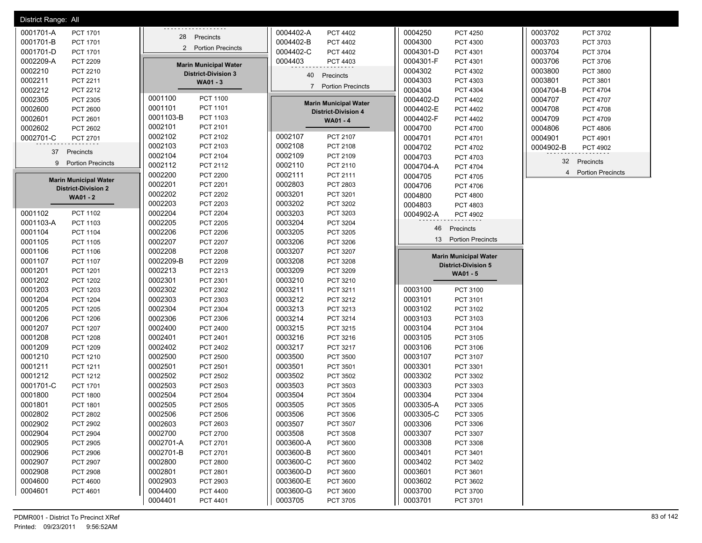| District Range: All          |                              |                                    |                              |                          |
|------------------------------|------------------------------|------------------------------------|------------------------------|--------------------------|
| 0001701-A                    | .                            | 0004402-A                          | 0004250                      | 0003702                  |
| PCT 1701                     |                              | PCT 4402                           | <b>PCT 4250</b>              | PCT 3702                 |
| 0001701-B                    | 28                           | 0004402-B                          | 0004300                      | 0003703                  |
| PCT 1701                     | Precincts                    | <b>PCT 4402</b>                    | PCT 4300                     | PCT 3703                 |
| 0001701-D                    | 2 Portion Precincts          | 0004402-C                          | 0004301-D                    | 0003704                  |
| PCT 1701                     |                              | PCT 4402                           | PCT 4301                     | PCT 3704                 |
| 0002209-A                    |                              | 0004403                            | 0004301-F                    | 0003706                  |
| PCT 2209                     |                              | PCT 4403                           | PCT 4301                     | PCT 3706                 |
| 0002210                      | <b>Marin Municipal Water</b> |                                    | 0004302                      | 0003800                  |
| PCT 2210                     | <b>District-Division 3</b>   |                                    | PCT 4302                     | PCT 3800                 |
| 0002211<br>PCT 2211          | WA01 - 3                     | 40 Precincts                       | 0004303<br>PCT 4303          | 0003801<br>PCT 3801      |
| 0002212<br>PCT 2212          |                              | 7 Portion Precincts                | 0004304<br>PCT 4304          | 0004704-B<br>PCT 4704    |
| 0002305                      | 0001100                      | <b>Marin Municipal Water</b>       | 0004402-D                    | 0004707                  |
| PCT 2305                     | <b>PCT 1100</b>              |                                    | PCT 4402                     | PCT 4707                 |
| 0002600                      | 0001101                      | <b>District-Division 4</b>         | 0004402-E                    | 0004708                  |
| PCT 2600                     | PCT 1101                     |                                    | PCT 4402                     | PCT 4708                 |
| 0002601                      | 0001103-B                    | WA01 - 4                           | 0004402-F                    | 0004709                  |
| PCT 2601                     | PCT 1103                     |                                    | PCT 4402                     | <b>PCT 4709</b>          |
| 0002602                      | 0002101                      |                                    | 0004700                      | 0004806                  |
| PCT 2602                     | PCT 2101                     |                                    | PCT 4700                     | <b>PCT 4806</b>          |
| 0002701-C                    | 0002102                      | 0002107                            | 0004701                      | 0004901                  |
| PCT 2701                     | PCT 2102                     | PCT 2107                           | PCT 4701                     | PCT 4901                 |
|                              | 0002103                      | 0002108                            | 0004702                      | 0004902-B                |
|                              | PCT 2103                     | PCT 2108                           | PCT 4702                     | PCT 4902                 |
| 37                           | 0002104                      | 0002109                            | 0004703                      |                          |
| Precincts                    | PCT 2104                     | PCT 2109                           | PCT 4703                     |                          |
| 9 Portion Precincts          | 0002112<br>PCT 2112          | 0002110<br>PCT 2110                | 0004704-A<br>PCT 4704        | 32 Precincts             |
| <b>Marin Municipal Water</b> | 0002200                      | 0002111                            | 0004705                      | <b>Portion Precincts</b> |
|                              | <b>PCT 2200</b>              | PCT 2111                           | PCT 4705                     | 4                        |
| <b>District-Division 2</b>   | 0002201<br>PCT 2201          | 0002803<br>PCT 2803                | 0004706<br>PCT 4706          |                          |
| <b>WA01 - 2</b>              | 0002202<br><b>PCT 2202</b>   | 0003201<br>PCT 3201                | 0004800<br><b>PCT 4800</b>   |                          |
|                              | 0002203<br><b>PCT 2203</b>   | 0003202<br>PCT 3202                | 0004803<br>PCT 4803          |                          |
| 0001102                      | 0002204                      | 0003203                            | 0004902-A                    |                          |
| <b>PCT 1102</b>              | <b>PCT 2204</b>              | PCT 3203                           | PCT 4902                     |                          |
| 0001103-A                    | 0002205                      | 0003204                            | 46                           |                          |
| PCT 1103                     | <b>PCT 2205</b>              | PCT 3204                           | Precincts                    |                          |
| 0001104<br>PCT 1104          | 0002206<br><b>PCT 2206</b>   | 0003205<br>PCT 3205                |                              |                          |
| 0001105                      | 0002207                      | 0003206                            | <b>Portion Precincts</b>     |                          |
| <b>PCT 1105</b>              | <b>PCT 2207</b>              | PCT 3206                           | 13                           |                          |
| 0001106<br>PCT 1106          | 0002208<br><b>PCT 2208</b>   | 0003207<br>PCT 3207                | <b>Marin Municipal Water</b> |                          |
| 0001107<br><b>PCT 1107</b>   | 0002209-B<br><b>PCT 2209</b> | 0003208<br>PCT 3208                | <b>District-Division 5</b>   |                          |
| 0001201<br>PCT 1201          | 0002213<br>PCT 2213          | 0003209<br>PCT 3209                | WA01 - 5                     |                          |
| 0001202<br><b>PCT 1202</b>   | 0002301<br>PCT 2301          | 0003210<br>PCT 3210                |                              |                          |
| 0001203                      | 0002302                      | 0003211                            | 0003100                      |                          |
| PCT 1203                     | PCT 2302                     | PCT 3211                           | PCT 3100                     |                          |
| 0001204                      | 0002303                      | 0003212                            | 0003101                      |                          |
| PCT 1204                     | PCT 2303                     | PCT 3212                           | PCT 3101                     |                          |
| 0001205                      | 0002304                      | 0003213                            | 0003102                      |                          |
| <b>PCT 1205</b>              | PCT 2304                     | PCT 3213                           | PCT 3102                     |                          |
| 0001206                      | 0002306                      | 0003214                            | 0003103                      |                          |
| <b>PCT 1206</b>              | PCT 2306                     | PCT 3214                           | PCT 3103                     |                          |
| 0001207                      | 0002400                      | 0003215                            | 0003104                      |                          |
| PCT 1207                     | <b>PCT 2400</b>              | PCT 3215                           | PCT 3104                     |                          |
| 0001208                      | 0002401                      | 0003216                            | 0003105                      |                          |
| <b>PCT 1208</b>              | PCT 2401                     | PCT 3216                           | PCT 3105                     |                          |
| 0001209                      | 0002402                      | 0003217                            | 0003106                      |                          |
| PCT 1209                     | PCT 2402                     | PCT 3217                           | PCT 3106                     |                          |
| 0001210                      | 0002500                      | 0003500                            | 0003107                      |                          |
| PCT 1210                     | <b>PCT 2500</b>              | PCT 3500                           | PCT 3107                     |                          |
| 0001211                      | 0002501                      | 0003501                            | 0003301                      |                          |
| PCT 1211                     | PCT 2501                     | PCT 3501                           | PCT 3301                     |                          |
| 0001212                      | 0002502                      | 0003502                            | 0003302                      |                          |
| PCT 1212                     | <b>PCT 2502</b>              | PCT 3502                           | PCT 3302                     |                          |
| 0001701-C                    | 0002503                      | 0003503                            | 0003303                      |                          |
| PCT 1701                     | PCT 2503                     | PCT 3503                           | PCT 3303                     |                          |
| 0001800                      | 0002504                      | 0003504                            | 0003304                      |                          |
| <b>PCT 1800</b>              | <b>PCT 2504</b>              | PCT 3504                           | PCT 3304                     |                          |
| 0001801                      | 0002505                      | 0003505                            | 0003305-A                    |                          |
| PCT 1801                     | PCT 2505                     | PCT 3505                           | PCT 3305                     |                          |
| 0002802                      | 0002506                      | 0003506                            | 0003305-C                    |                          |
| PCT 2802                     | <b>PCT 2506</b>              | PCT 3506                           | PCT 3305                     |                          |
| 0002902                      | 0002603                      | 0003507                            | 0003306                      |                          |
| <b>PCT 2902</b>              | PCT 2603                     | PCT 3507                           | PCT 3306                     |                          |
| 0002904                      | 0002700                      | 0003508                            | 0003307                      |                          |
| <b>PCT 2904</b>              | PCT 2700                     | <b>PCT 3508</b>                    | PCT 3307                     |                          |
| 0002905                      | 0002701-A                    | 0003600-A                          | 0003308                      |                          |
| <b>PCT 2905</b>              | PCT 2701                     | PCT 3600                           | PCT 3308                     |                          |
| 0002906                      | 0002701-B                    | 0003600-B                          | 0003401                      |                          |
| <b>PCT 2906</b>              | PCT 2701                     | PCT 3600                           | PCT 3401                     |                          |
| 0002907                      | 0002800                      | 0003600-C                          | 0003402                      |                          |
| <b>PCT 2907</b>              | <b>PCT 2800</b>              | PCT 3600                           | PCT 3402                     |                          |
| 0002908                      | 0002801                      | 0003600-D                          | 0003601                      |                          |
| <b>PCT 2908</b>              | PCT 2801                     | PCT 3600                           | PCT 3601                     |                          |
| 0004600<br><b>PCT 4600</b>   | 0002903<br>PCT 2903          | 0003600-E<br>PCT 3600<br>0003600-G | 0003602<br>PCT 3602          |                          |
| 0004601<br>PCT 4601          | 0004400<br>PCT 4400          | PCT 3600                           | 0003700<br>PCT 3700          |                          |
|                              | 0004401<br>PCT 4401          | 0003705<br><b>PCT 3705</b>         | 0003701<br>PCT 3701          |                          |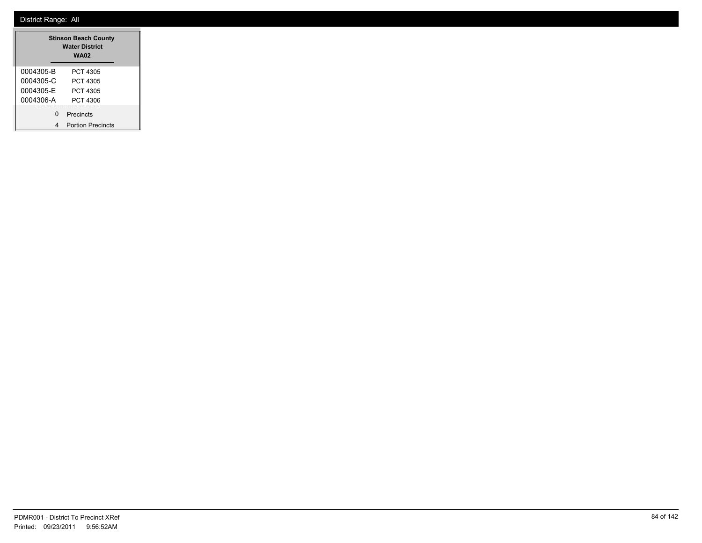|                                                  | <b>Stinson Beach County</b><br><b>Water District</b><br><b>WA02</b> |
|--------------------------------------------------|---------------------------------------------------------------------|
| 0004305-B<br>0004305-C<br>0004305-E<br>0004306-A | PCT 4305<br>PCT 4305<br>PCT 4305<br>PCT 4306                        |
| ŋ                                                | Precincts<br><b>Portion Precincts</b>                               |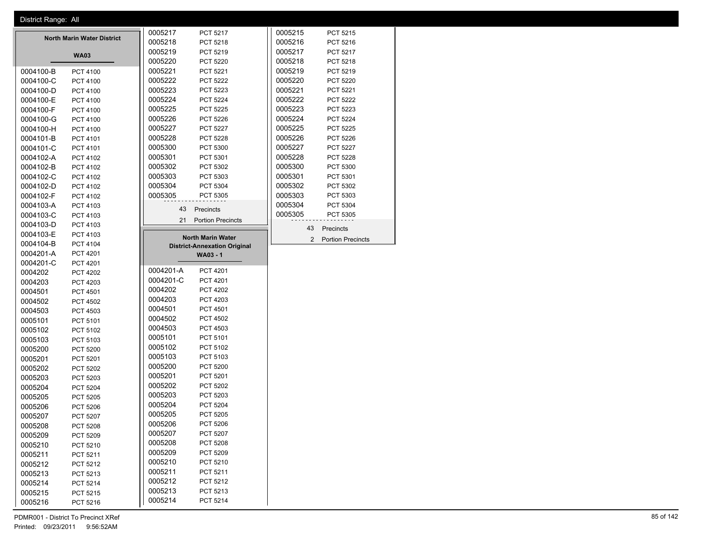| District Range: All |                                   |                                     |         |                                            |  |
|---------------------|-----------------------------------|-------------------------------------|---------|--------------------------------------------|--|
|                     |                                   | 0005217<br>PCT 5217                 | 0005215 | PCT 5215                                   |  |
|                     | <b>North Marin Water District</b> | 0005218<br>PCT 5218                 | 0005216 | PCT 5216                                   |  |
|                     |                                   | 0005219<br>PCT 5219                 | 0005217 | PCT 5217                                   |  |
|                     | <b>WA03</b>                       | 0005220<br><b>PCT 5220</b>          | 0005218 | PCT 5218                                   |  |
| 0004100-B           | PCT 4100                          | 0005221<br>PCT 5221                 | 0005219 | PCT 5219                                   |  |
| 0004100-C           | PCT 4100                          | 0005222<br><b>PCT 5222</b>          | 0005220 | PCT 5220                                   |  |
| 0004100-D           | PCT 4100                          | 0005223<br>PCT 5223                 | 0005221 | PCT 5221                                   |  |
| 0004100-E           | PCT 4100                          | 0005224<br><b>PCT 5224</b>          | 0005222 | PCT 5222                                   |  |
| 0004100-F           | PCT 4100                          | 0005225<br><b>PCT 5225</b>          | 0005223 | PCT 5223                                   |  |
| 0004100-G           | PCT 4100                          | 0005226<br>PCT 5226                 | 0005224 | PCT 5224                                   |  |
| 0004100-H           |                                   | 0005227<br><b>PCT 5227</b>          | 0005225 | PCT 5225                                   |  |
|                     | PCT 4100                          |                                     |         |                                            |  |
| 0004101-B           | PCT 4101                          | 0005228<br><b>PCT 5228</b>          | 0005226 | PCT 5226                                   |  |
| 0004101-C           | PCT 4101                          | 0005300<br>PCT 5300                 | 0005227 | <b>PCT 5227</b>                            |  |
| 0004102-A           | PCT 4102                          | 0005301<br>PCT 5301                 | 0005228 | PCT 5228                                   |  |
| 0004102-B           | PCT 4102                          | 0005302<br>PCT 5302                 | 0005300 | PCT 5300                                   |  |
| 0004102-C           | PCT 4102                          | 0005303<br>PCT 5303                 | 0005301 | PCT 5301                                   |  |
| 0004102-D           | PCT 4102                          | 0005304<br>PCT 5304                 | 0005302 | PCT 5302                                   |  |
| 0004102-F           | PCT 4102                          | 0005305<br>PCT 5305                 | 0005303 | PCT 5303                                   |  |
| 0004103-A           | PCT 4103                          | 43 Precincts                        | 0005304 | PCT 5304                                   |  |
| 0004103-C           | PCT 4103                          |                                     | 0005305 | PCT 5305                                   |  |
| 0004103-D           | PCT 4103                          | 21 Portion Precincts                |         | 43                                         |  |
| 0004103-E           | PCT 4103                          | <b>North Marin Water</b>            |         | Precincts                                  |  |
| 0004104-B           | PCT 4104                          | <b>District-Annexation Original</b> |         | $\overline{2}$<br><b>Portion Precincts</b> |  |
| 0004201-A           | PCT 4201                          | <b>WA03 - 1</b>                     |         |                                            |  |
| 0004201-C           | PCT 4201                          |                                     |         |                                            |  |
| 0004202             | <b>PCT 4202</b>                   | 0004201-A<br>PCT 4201               |         |                                            |  |
| 0004203             | PCT 4203                          | 0004201-C<br>PCT 4201               |         |                                            |  |
| 0004501             | PCT 4501                          | 0004202<br><b>PCT 4202</b>          |         |                                            |  |
| 0004502             | PCT 4502                          | 0004203<br>PCT 4203                 |         |                                            |  |
|                     |                                   | 0004501<br>PCT 4501                 |         |                                            |  |
| 0004503             | PCT 4503                          | 0004502<br><b>PCT 4502</b>          |         |                                            |  |
| 0005101             | PCT 5101                          | 0004503<br>PCT 4503                 |         |                                            |  |
| 0005102             | PCT 5102                          | 0005101<br>PCT 5101                 |         |                                            |  |
| 0005103             | PCT 5103                          |                                     |         |                                            |  |
| 0005200             | PCT 5200                          | 0005102<br>PCT 5102                 |         |                                            |  |
| 0005201             | PCT 5201                          | 0005103<br>PCT 5103                 |         |                                            |  |
| 0005202             | PCT 5202                          | 0005200<br><b>PCT 5200</b>          |         |                                            |  |
| 0005203             | PCT 5203                          | 0005201<br>PCT 5201                 |         |                                            |  |
| 0005204             | PCT 5204                          | 0005202<br>PCT 5202                 |         |                                            |  |
| 0005205             | PCT 5205                          | 0005203<br>PCT 5203                 |         |                                            |  |
| 0005206             | PCT 5206                          | 0005204<br>PCT 5204                 |         |                                            |  |
| 0005207             | <b>PCT 5207</b>                   | 0005205<br>PCT 5205                 |         |                                            |  |
| 0005208             | <b>PCT 5208</b>                   | 0005206<br><b>PCT 5206</b>          |         |                                            |  |
| 0005209             | PCT 5209                          | 0005207<br>PCT 5207                 |         |                                            |  |
| 0005210             | PCT 5210                          | 0005208<br>PCT 5208                 |         |                                            |  |
| 0005211             | PCT 5211                          | 0005209<br>PCT 5209                 |         |                                            |  |
| 0005212             | PCT 5212                          | 0005210<br>PCT 5210                 |         |                                            |  |
| 0005213             | PCT 5213                          | 0005211<br>PCT 5211                 |         |                                            |  |
| 0005214             |                                   | 0005212<br>PCT 5212                 |         |                                            |  |
|                     | PCT 5214                          | 0005213<br>PCT 5213                 |         |                                            |  |
| 0005215             | PCT 5215                          | 0005214                             |         |                                            |  |
| 0005216             | PCT 5216                          | PCT 5214                            |         |                                            |  |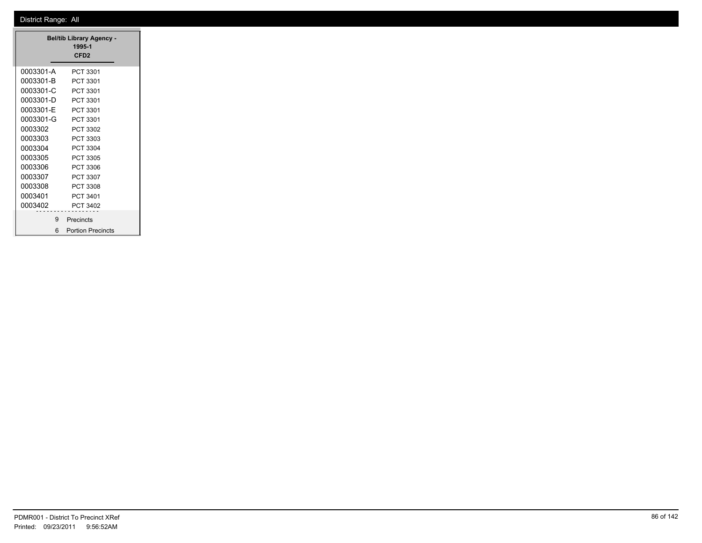| <b>Bel/tib Library Agency -</b><br>1995-1<br>CFD <sub>2</sub> |                          |  |  |  |  |
|---------------------------------------------------------------|--------------------------|--|--|--|--|
| 0003301-A                                                     | PCT 3301                 |  |  |  |  |
| 0003301-B                                                     | PCT 3301                 |  |  |  |  |
| 0003301-C                                                     | PCT 3301                 |  |  |  |  |
| 0003301-D                                                     | PCT 3301                 |  |  |  |  |
| 0003301-E                                                     | PCT 3301                 |  |  |  |  |
| 0003301-G                                                     | PCT 3301                 |  |  |  |  |
| 0003302                                                       | PCT 3302                 |  |  |  |  |
| 0003303                                                       | PCT 3303                 |  |  |  |  |
| 0003304                                                       | PCT 3304                 |  |  |  |  |
| 0003305                                                       | PCT 3305                 |  |  |  |  |
| 0003306                                                       | PCT 3306                 |  |  |  |  |
| 0003307                                                       | PCT 3307                 |  |  |  |  |
| 0003308                                                       | PCT 3308                 |  |  |  |  |
| 0003401                                                       | PCT 3401                 |  |  |  |  |
| 0003402                                                       | PCT 3402                 |  |  |  |  |
| 9.                                                            | Precincts                |  |  |  |  |
| 6                                                             | <b>Portion Precincts</b> |  |  |  |  |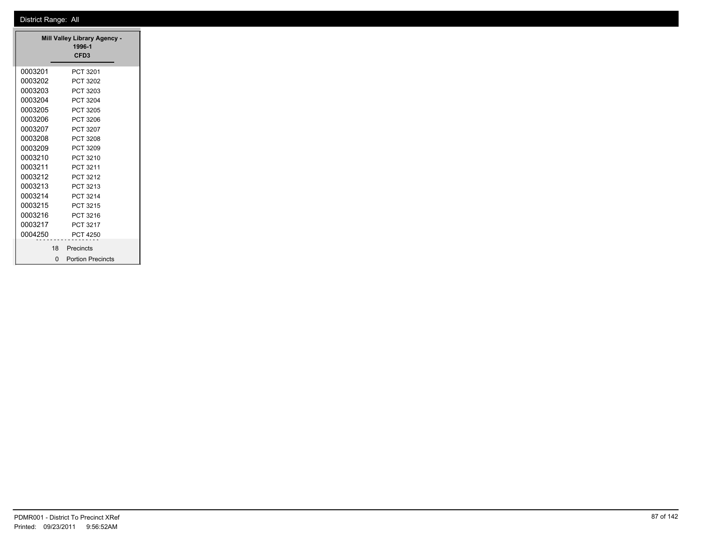| <b>Mill Valley Library Agency -</b><br>1996-1<br>CFD <sub>3</sub> |    |                          |  |  |  |  |  |
|-------------------------------------------------------------------|----|--------------------------|--|--|--|--|--|
| 0003201                                                           |    | PCT 3201                 |  |  |  |  |  |
| 0003202                                                           |    | PCT 3202                 |  |  |  |  |  |
| 0003203                                                           |    | PCT 3203                 |  |  |  |  |  |
| 0003204                                                           |    | <b>PCT 3204</b>          |  |  |  |  |  |
| 0003205                                                           |    | PCT 3205                 |  |  |  |  |  |
| 0003206                                                           |    | PCT 3206                 |  |  |  |  |  |
| 0003207                                                           |    | PCT 3207                 |  |  |  |  |  |
| 0003208                                                           |    | PCT 3208                 |  |  |  |  |  |
| 0003209                                                           |    | PCT 3209                 |  |  |  |  |  |
| 0003210                                                           |    | PCT 3210                 |  |  |  |  |  |
| 0003211                                                           |    | PCT 3211                 |  |  |  |  |  |
| 0003212                                                           |    | PCT 3212                 |  |  |  |  |  |
| 0003213                                                           |    | PCT 3213                 |  |  |  |  |  |
| 0003214                                                           |    | PCT 3214                 |  |  |  |  |  |
| 0003215                                                           |    | PCT 3215                 |  |  |  |  |  |
| 0003216                                                           |    | PCT 3216                 |  |  |  |  |  |
| 0003217                                                           |    | PCT 3217                 |  |  |  |  |  |
| 0004250                                                           |    | <b>PCT 4250</b>          |  |  |  |  |  |
|                                                                   | 18 | Precincts                |  |  |  |  |  |
|                                                                   | O  | <b>Portion Precincts</b> |  |  |  |  |  |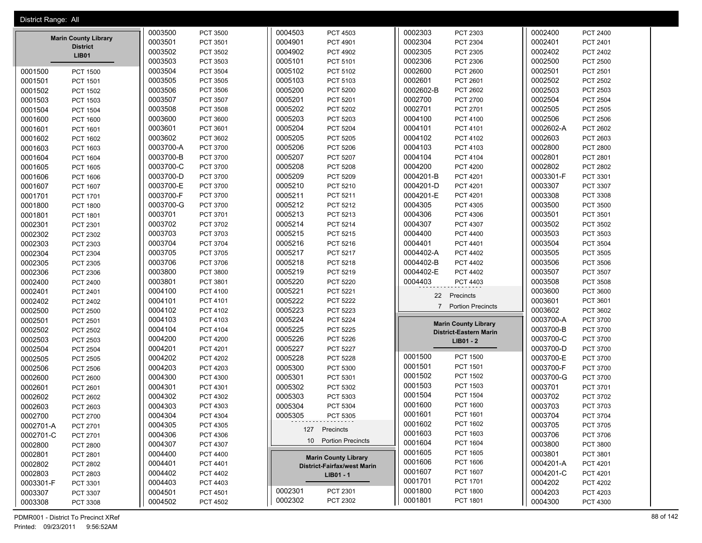| District Range: All |                                 |           |                 |         |                             |           |                               |           |                 |
|---------------------|---------------------------------|-----------|-----------------|---------|-----------------------------|-----------|-------------------------------|-----------|-----------------|
|                     |                                 | 0003500   | <b>PCT 3500</b> | 0004503 | PCT 4503                    | 0002303   | PCT 2303                      | 0002400   | <b>PCT 2400</b> |
|                     | <b>Marin County Library</b>     | 0003501   | PCT 3501        | 0004901 | PCT 4901                    | 0002304   | PCT 2304                      | 0002401   | PCT 2401        |
|                     | <b>District</b><br><b>LIB01</b> | 0003502   | <b>PCT 3502</b> | 0004902 | <b>PCT 4902</b>             | 0002305   | PCT 2305                      | 0002402   | <b>PCT 2402</b> |
|                     |                                 | 0003503   | PCT 3503        | 0005101 | PCT 5101                    | 0002306   | PCT 2306                      | 0002500   | <b>PCT 2500</b> |
| 0001500             | <b>PCT 1500</b>                 | 0003504   | <b>PCT 3504</b> | 0005102 | PCT 5102                    | 0002600   | <b>PCT 2600</b>               | 0002501   | PCT 2501        |
| 0001501             | PCT 1501                        | 0003505   | <b>PCT 3505</b> | 0005103 | PCT 5103                    | 0002601   | PCT 2601                      | 0002502   | PCT 2502        |
| 0001502             | <b>PCT 1502</b>                 | 0003506   | <b>PCT 3506</b> | 0005200 | <b>PCT 5200</b>             | 0002602-B | PCT 2602                      | 0002503   | PCT 2503        |
| 0001503             | PCT 1503                        | 0003507   | <b>PCT 3507</b> | 0005201 | PCT 5201                    | 0002700   | PCT 2700                      | 0002504   | <b>PCT 2504</b> |
| 0001504             | <b>PCT 1504</b>                 | 0003508   | <b>PCT 3508</b> | 0005202 | <b>PCT 5202</b>             | 0002701   | PCT 2701                      | 0002505   | PCT 2505        |
| 0001600             | <b>PCT 1600</b>                 | 0003600   | <b>PCT 3600</b> | 0005203 | PCT 5203                    | 0004100   | PCT 4100                      | 0002506   | <b>PCT 2506</b> |
| 0001601             | PCT 1601                        | 0003601   | PCT 3601        | 0005204 | <b>PCT 5204</b>             | 0004101   | PCT 4101                      | 0002602-A | PCT 2602        |
| 0001602             | PCT 1602                        | 0003602   | PCT 3602        | 0005205 | <b>PCT 5205</b>             | 0004102   | PCT 4102                      | 0002603   | PCT 2603        |
| 0001603             | PCT 1603                        | 0003700-A | <b>PCT 3700</b> | 0005206 | PCT 5206                    | 0004103   | PCT 4103                      | 0002800   | <b>PCT 2800</b> |
| 0001604             | PCT 1604                        | 0003700-B | <b>PCT 3700</b> | 0005207 | <b>PCT 5207</b>             | 0004104   | PCT 4104                      | 0002801   | PCT 2801        |
| 0001605             | <b>PCT 1605</b>                 | 0003700-C | <b>PCT 3700</b> | 0005208 | <b>PCT 5208</b>             | 0004200   | <b>PCT 4200</b>               | 0002802   | <b>PCT 2802</b> |
| 0001606             | PCT 1606                        | 0003700-D | <b>PCT 3700</b> | 0005209 | <b>PCT 5209</b>             | 0004201-B | PCT 4201                      | 0003301-F | PCT 3301        |
| 0001607             | PCT 1607                        | 0003700-E | <b>PCT 3700</b> | 0005210 | PCT 5210                    | 0004201-D | PCT 4201                      | 0003307   | PCT 3307        |
| 0001701             | PCT 1701                        | 0003700-F | <b>PCT 3700</b> | 0005211 | PCT 5211                    | 0004201-E | PCT 4201                      | 0003308   | PCT 3308        |
| 0001800             | <b>PCT 1800</b>                 | 0003700-G | <b>PCT 3700</b> | 0005212 | PCT 5212                    | 0004305   | <b>PCT 4305</b>               | 0003500   | PCT 3500        |
| 0001801             | PCT 1801                        | 0003701   | PCT 3701        | 0005213 | PCT 5213                    | 0004306   | PCT 4306                      | 0003501   | PCT 3501        |
| 0002301             | PCT 2301                        | 0003702   | PCT 3702        | 0005214 | PCT 5214                    | 0004307   | PCT 4307                      | 0003502   | PCT 3502        |
| 0002302             | PCT 2302                        | 0003703   | PCT 3703        | 0005215 | PCT 5215                    | 0004400   | PCT 4400                      | 0003503   | PCT 3503        |
| 0002303             | PCT 2303                        | 0003704   | <b>PCT 3704</b> | 0005216 | PCT 5216                    | 0004401   | PCT 4401                      | 0003504   | <b>PCT 3504</b> |
| 0002304             | PCT 2304                        | 0003705   | <b>PCT 3705</b> | 0005217 | PCT 5217                    | 0004402-A | <b>PCT 4402</b>               | 0003505   | PCT 3505        |
| 0002305             | PCT 2305                        | 0003706   | <b>PCT 3706</b> | 0005218 | PCT 5218                    | 0004402-B | <b>PCT 4402</b>               | 0003506   | PCT 3506        |
| 0002306             | PCT 2306                        | 0003800   | <b>PCT 3800</b> | 0005219 | PCT 5219                    | 0004402-E | <b>PCT 4402</b>               | 0003507   | PCT 3507        |
| 0002400             | <b>PCT 2400</b>                 | 0003801   | PCT 3801        | 0005220 | <b>PCT 5220</b>             | 0004403   | PCT 4403                      | 0003508   | PCT 3508        |
| 0002401             | PCT 2401                        | 0004100   | <b>PCT 4100</b> | 0005221 | PCT 5221                    |           |                               | 0003600   | PCT 3600        |
| 0002402             | <b>PCT 2402</b>                 | 0004101   | PCT 4101        | 0005222 | <b>PCT 5222</b>             | 22        | Precincts                     | 0003601   | PCT 3601        |
| 0002500             | <b>PCT 2500</b>                 | 0004102   | PCT 4102        | 0005223 | <b>PCT 5223</b>             |           | 7 Portion Precincts           | 0003602   | PCT 3602        |
| 0002501             | PCT 2501                        | 0004103   | PCT 4103        | 0005224 | <b>PCT 5224</b>             |           |                               | 0003700-A | PCT 3700        |
| 0002502             | <b>PCT 2502</b>                 | 0004104   | PCT 4104        | 0005225 | <b>PCT 5225</b>             |           | <b>Marin County Library</b>   | 0003700-B | PCT 3700        |
| 0002503             | PCT 2503                        | 0004200   | <b>PCT 4200</b> | 0005226 | <b>PCT 5226</b>             |           | <b>District-Eastern Marin</b> | 0003700-C | PCT 3700        |
| 0002504             | <b>PCT 2504</b>                 | 0004201   | PCT 4201        | 0005227 | <b>PCT 5227</b>             |           | $LIB01 - 2$                   | 0003700-D | PCT 3700        |
| 0002505             | <b>PCT 2505</b>                 | 0004202   | <b>PCT 4202</b> | 0005228 | <b>PCT 5228</b>             | 0001500   | <b>PCT 1500</b>               | 0003700-E | PCT 3700        |
| 0002506             | <b>PCT 2506</b>                 | 0004203   | PCT 4203        | 0005300 | <b>PCT 5300</b>             | 0001501   | PCT 1501                      | 0003700-F | PCT 3700        |
| 0002600             | <b>PCT 2600</b>                 | 0004300   | <b>PCT 4300</b> | 0005301 | PCT 5301                    | 0001502   | <b>PCT 1502</b>               | 0003700-G | PCT 3700        |
| 0002601             | PCT 2601                        | 0004301   | PCT 4301        | 0005302 | PCT 5302                    | 0001503   | PCT 1503                      | 0003701   | PCT 3701        |
| 0002602             | <b>PCT 2602</b>                 | 0004302   | PCT 4302        | 0005303 | PCT 5303                    | 0001504   | PCT 1504                      | 0003702   | PCT 3702        |
| 0002603             | PCT 2603                        | 0004303   | PCT 4303        | 0005304 | PCT 5304                    | 0001600   | <b>PCT 1600</b>               | 0003703   | PCT 3703        |
| 0002700             | PCT 2700                        | 0004304   | PCT 4304        | 0005305 | PCT 5305                    | 0001601   | PCT 1601                      | 0003704   | PCT 3704        |
| 0002701-A           | PCT 2701                        | 0004305   | PCT 4305        |         |                             | 0001602   | PCT 1602                      | 0003705   | PCT 3705        |
| 0002701-C           | PCT 2701                        | 0004306   | PCT 4306        |         | 127 Precincts               | 0001603   | PCT 1603                      | 0003706   | PCT 3706        |
| 0002800             | <b>PCT 2800</b>                 | 0004307   | PCT 4307        |         | 10 Portion Precincts        | 0001604   | PCT 1604                      | 0003800   | PCT 3800        |
| 0002801             | PCT 2801                        | 0004400   | PCT 4400        |         |                             | 0001605   | PCT 1605                      | 0003801   | PCT 3801        |
| 0002802             |                                 | 0004401   | PCT 4401        |         | <b>Marin County Library</b> | 0001606   | <b>PCT 1606</b>               | 0004201-A | PCT 4201        |
| 0002803             | PCT 2802                        | 0004402   | PCT 4402        |         | District-Fairfax/west Marin | 0001607   | PCT 1607                      | 0004201-C | PCT 4201        |
| 0003301-F           | PCT 2803                        | 0004403   | PCT 4403        |         | LIB01 - 1                   | 0001701   | PCT 1701                      | 0004202   | PCT 4202        |
|                     | PCT 3301                        | 0004501   | PCT 4501        | 0002301 | PCT 2301                    | 0001800   | <b>PCT 1800</b>               | 0004203   | PCT 4203        |
| 0003307             | PCT 3307                        | 0004502   |                 | 0002302 | PCT 2302                    | 0001801   | PCT 1801                      | 0004300   | PCT 4300        |
| 0003308             | PCT 3308                        |           | PCT 4502        |         |                             |           |                               |           |                 |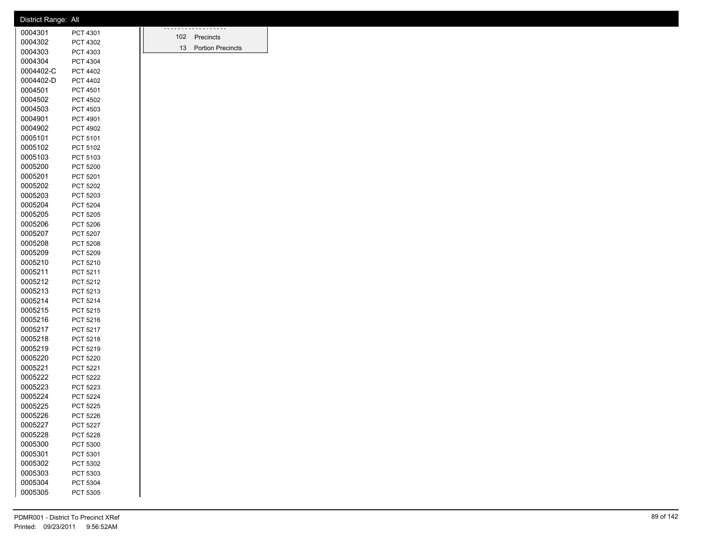| .<br>0004301<br>PCT 4301<br>102 Precincts<br>0004302<br>PCT 4302<br>13 Portion Precincts<br>0004303<br>PCT 4303<br>0004304<br>PCT 4304<br>0004402-C<br>PCT 4402<br>0004402-D<br>PCT 4402<br>0004501<br>PCT 4501<br>0004502<br>PCT 4502<br>0004503<br>PCT 4503<br>0004901<br>PCT 4901<br>0004902<br>PCT 4902<br>0005101<br>PCT 5101<br>0005102<br>PCT 5102<br>0005103<br>PCT 5103<br>0005200<br>PCT 5200<br>0005201<br>PCT 5201<br>0005202<br>PCT 5202<br>0005203<br>PCT 5203<br>0005204<br>PCT 5204<br>0005205<br>PCT 5205<br>0005206<br>PCT 5206<br>0005207<br>PCT 5207<br>0005208<br>PCT 5208<br>0005209<br>PCT 5209<br>0005210<br>PCT 5210<br>0005211<br>PCT 5211<br>0005212<br>PCT 5212<br>0005213<br>PCT 5213<br>0005214<br>PCT 5214<br>0005215<br>PCT 5215<br>0005216<br>PCT 5216<br>0005217<br>PCT 5217<br>0005218<br>PCT 5218<br>0005219<br>PCT 5219<br>0005220<br>PCT 5220<br>0005221<br>PCT 5221<br>0005222<br><b>PCT 5222</b><br>0005223<br>PCT 5223<br>0005224<br>PCT 5224<br>0005225<br>PCT 5225<br>0005226<br>PCT 5226<br>0005227<br>PCT 5227<br>0005228<br><b>PCT 5228</b><br>0005300<br>PCT 5300<br>0005301<br>PCT 5301<br>0005302<br>PCT 5302<br>0005303<br>PCT 5303<br>0005304<br>PCT 5304 | District Range: All |          |  |
|--------------------------------------------------------------------------------------------------------------------------------------------------------------------------------------------------------------------------------------------------------------------------------------------------------------------------------------------------------------------------------------------------------------------------------------------------------------------------------------------------------------------------------------------------------------------------------------------------------------------------------------------------------------------------------------------------------------------------------------------------------------------------------------------------------------------------------------------------------------------------------------------------------------------------------------------------------------------------------------------------------------------------------------------------------------------------------------------------------------------------------------------------------------------------------------------------------------|---------------------|----------|--|
|                                                                                                                                                                                                                                                                                                                                                                                                                                                                                                                                                                                                                                                                                                                                                                                                                                                                                                                                                                                                                                                                                                                                                                                                              |                     |          |  |
|                                                                                                                                                                                                                                                                                                                                                                                                                                                                                                                                                                                                                                                                                                                                                                                                                                                                                                                                                                                                                                                                                                                                                                                                              |                     |          |  |
|                                                                                                                                                                                                                                                                                                                                                                                                                                                                                                                                                                                                                                                                                                                                                                                                                                                                                                                                                                                                                                                                                                                                                                                                              |                     |          |  |
|                                                                                                                                                                                                                                                                                                                                                                                                                                                                                                                                                                                                                                                                                                                                                                                                                                                                                                                                                                                                                                                                                                                                                                                                              |                     |          |  |
|                                                                                                                                                                                                                                                                                                                                                                                                                                                                                                                                                                                                                                                                                                                                                                                                                                                                                                                                                                                                                                                                                                                                                                                                              |                     |          |  |
|                                                                                                                                                                                                                                                                                                                                                                                                                                                                                                                                                                                                                                                                                                                                                                                                                                                                                                                                                                                                                                                                                                                                                                                                              |                     |          |  |
|                                                                                                                                                                                                                                                                                                                                                                                                                                                                                                                                                                                                                                                                                                                                                                                                                                                                                                                                                                                                                                                                                                                                                                                                              |                     |          |  |
|                                                                                                                                                                                                                                                                                                                                                                                                                                                                                                                                                                                                                                                                                                                                                                                                                                                                                                                                                                                                                                                                                                                                                                                                              |                     |          |  |
|                                                                                                                                                                                                                                                                                                                                                                                                                                                                                                                                                                                                                                                                                                                                                                                                                                                                                                                                                                                                                                                                                                                                                                                                              |                     |          |  |
|                                                                                                                                                                                                                                                                                                                                                                                                                                                                                                                                                                                                                                                                                                                                                                                                                                                                                                                                                                                                                                                                                                                                                                                                              |                     |          |  |
|                                                                                                                                                                                                                                                                                                                                                                                                                                                                                                                                                                                                                                                                                                                                                                                                                                                                                                                                                                                                                                                                                                                                                                                                              |                     |          |  |
|                                                                                                                                                                                                                                                                                                                                                                                                                                                                                                                                                                                                                                                                                                                                                                                                                                                                                                                                                                                                                                                                                                                                                                                                              |                     |          |  |
|                                                                                                                                                                                                                                                                                                                                                                                                                                                                                                                                                                                                                                                                                                                                                                                                                                                                                                                                                                                                                                                                                                                                                                                                              |                     |          |  |
|                                                                                                                                                                                                                                                                                                                                                                                                                                                                                                                                                                                                                                                                                                                                                                                                                                                                                                                                                                                                                                                                                                                                                                                                              |                     |          |  |
|                                                                                                                                                                                                                                                                                                                                                                                                                                                                                                                                                                                                                                                                                                                                                                                                                                                                                                                                                                                                                                                                                                                                                                                                              |                     |          |  |
|                                                                                                                                                                                                                                                                                                                                                                                                                                                                                                                                                                                                                                                                                                                                                                                                                                                                                                                                                                                                                                                                                                                                                                                                              |                     |          |  |
|                                                                                                                                                                                                                                                                                                                                                                                                                                                                                                                                                                                                                                                                                                                                                                                                                                                                                                                                                                                                                                                                                                                                                                                                              |                     |          |  |
|                                                                                                                                                                                                                                                                                                                                                                                                                                                                                                                                                                                                                                                                                                                                                                                                                                                                                                                                                                                                                                                                                                                                                                                                              |                     |          |  |
|                                                                                                                                                                                                                                                                                                                                                                                                                                                                                                                                                                                                                                                                                                                                                                                                                                                                                                                                                                                                                                                                                                                                                                                                              |                     |          |  |
|                                                                                                                                                                                                                                                                                                                                                                                                                                                                                                                                                                                                                                                                                                                                                                                                                                                                                                                                                                                                                                                                                                                                                                                                              |                     |          |  |
|                                                                                                                                                                                                                                                                                                                                                                                                                                                                                                                                                                                                                                                                                                                                                                                                                                                                                                                                                                                                                                                                                                                                                                                                              |                     |          |  |
|                                                                                                                                                                                                                                                                                                                                                                                                                                                                                                                                                                                                                                                                                                                                                                                                                                                                                                                                                                                                                                                                                                                                                                                                              |                     |          |  |
|                                                                                                                                                                                                                                                                                                                                                                                                                                                                                                                                                                                                                                                                                                                                                                                                                                                                                                                                                                                                                                                                                                                                                                                                              |                     |          |  |
|                                                                                                                                                                                                                                                                                                                                                                                                                                                                                                                                                                                                                                                                                                                                                                                                                                                                                                                                                                                                                                                                                                                                                                                                              |                     |          |  |
|                                                                                                                                                                                                                                                                                                                                                                                                                                                                                                                                                                                                                                                                                                                                                                                                                                                                                                                                                                                                                                                                                                                                                                                                              |                     |          |  |
|                                                                                                                                                                                                                                                                                                                                                                                                                                                                                                                                                                                                                                                                                                                                                                                                                                                                                                                                                                                                                                                                                                                                                                                                              |                     |          |  |
|                                                                                                                                                                                                                                                                                                                                                                                                                                                                                                                                                                                                                                                                                                                                                                                                                                                                                                                                                                                                                                                                                                                                                                                                              |                     |          |  |
|                                                                                                                                                                                                                                                                                                                                                                                                                                                                                                                                                                                                                                                                                                                                                                                                                                                                                                                                                                                                                                                                                                                                                                                                              |                     |          |  |
|                                                                                                                                                                                                                                                                                                                                                                                                                                                                                                                                                                                                                                                                                                                                                                                                                                                                                                                                                                                                                                                                                                                                                                                                              |                     |          |  |
|                                                                                                                                                                                                                                                                                                                                                                                                                                                                                                                                                                                                                                                                                                                                                                                                                                                                                                                                                                                                                                                                                                                                                                                                              |                     |          |  |
|                                                                                                                                                                                                                                                                                                                                                                                                                                                                                                                                                                                                                                                                                                                                                                                                                                                                                                                                                                                                                                                                                                                                                                                                              |                     |          |  |
|                                                                                                                                                                                                                                                                                                                                                                                                                                                                                                                                                                                                                                                                                                                                                                                                                                                                                                                                                                                                                                                                                                                                                                                                              |                     |          |  |
|                                                                                                                                                                                                                                                                                                                                                                                                                                                                                                                                                                                                                                                                                                                                                                                                                                                                                                                                                                                                                                                                                                                                                                                                              |                     |          |  |
|                                                                                                                                                                                                                                                                                                                                                                                                                                                                                                                                                                                                                                                                                                                                                                                                                                                                                                                                                                                                                                                                                                                                                                                                              |                     |          |  |
|                                                                                                                                                                                                                                                                                                                                                                                                                                                                                                                                                                                                                                                                                                                                                                                                                                                                                                                                                                                                                                                                                                                                                                                                              |                     |          |  |
|                                                                                                                                                                                                                                                                                                                                                                                                                                                                                                                                                                                                                                                                                                                                                                                                                                                                                                                                                                                                                                                                                                                                                                                                              |                     |          |  |
|                                                                                                                                                                                                                                                                                                                                                                                                                                                                                                                                                                                                                                                                                                                                                                                                                                                                                                                                                                                                                                                                                                                                                                                                              |                     |          |  |
|                                                                                                                                                                                                                                                                                                                                                                                                                                                                                                                                                                                                                                                                                                                                                                                                                                                                                                                                                                                                                                                                                                                                                                                                              |                     |          |  |
|                                                                                                                                                                                                                                                                                                                                                                                                                                                                                                                                                                                                                                                                                                                                                                                                                                                                                                                                                                                                                                                                                                                                                                                                              |                     |          |  |
|                                                                                                                                                                                                                                                                                                                                                                                                                                                                                                                                                                                                                                                                                                                                                                                                                                                                                                                                                                                                                                                                                                                                                                                                              |                     |          |  |
|                                                                                                                                                                                                                                                                                                                                                                                                                                                                                                                                                                                                                                                                                                                                                                                                                                                                                                                                                                                                                                                                                                                                                                                                              |                     |          |  |
|                                                                                                                                                                                                                                                                                                                                                                                                                                                                                                                                                                                                                                                                                                                                                                                                                                                                                                                                                                                                                                                                                                                                                                                                              |                     |          |  |
|                                                                                                                                                                                                                                                                                                                                                                                                                                                                                                                                                                                                                                                                                                                                                                                                                                                                                                                                                                                                                                                                                                                                                                                                              |                     |          |  |
|                                                                                                                                                                                                                                                                                                                                                                                                                                                                                                                                                                                                                                                                                                                                                                                                                                                                                                                                                                                                                                                                                                                                                                                                              |                     |          |  |
|                                                                                                                                                                                                                                                                                                                                                                                                                                                                                                                                                                                                                                                                                                                                                                                                                                                                                                                                                                                                                                                                                                                                                                                                              |                     |          |  |
|                                                                                                                                                                                                                                                                                                                                                                                                                                                                                                                                                                                                                                                                                                                                                                                                                                                                                                                                                                                                                                                                                                                                                                                                              |                     |          |  |
|                                                                                                                                                                                                                                                                                                                                                                                                                                                                                                                                                                                                                                                                                                                                                                                                                                                                                                                                                                                                                                                                                                                                                                                                              |                     |          |  |
|                                                                                                                                                                                                                                                                                                                                                                                                                                                                                                                                                                                                                                                                                                                                                                                                                                                                                                                                                                                                                                                                                                                                                                                                              |                     |          |  |
|                                                                                                                                                                                                                                                                                                                                                                                                                                                                                                                                                                                                                                                                                                                                                                                                                                                                                                                                                                                                                                                                                                                                                                                                              |                     |          |  |
|                                                                                                                                                                                                                                                                                                                                                                                                                                                                                                                                                                                                                                                                                                                                                                                                                                                                                                                                                                                                                                                                                                                                                                                                              |                     |          |  |
|                                                                                                                                                                                                                                                                                                                                                                                                                                                                                                                                                                                                                                                                                                                                                                                                                                                                                                                                                                                                                                                                                                                                                                                                              | 0005305             | PCT 5305 |  |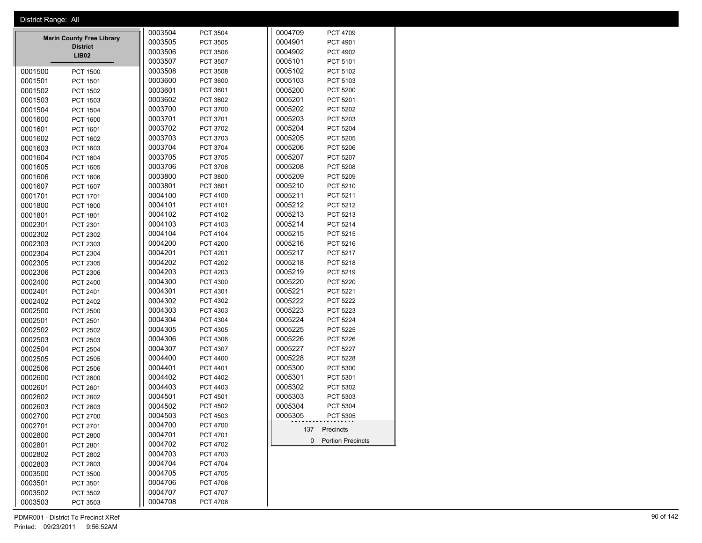|                                  | District Range: All |                 |         |                     |  |
|----------------------------------|---------------------|-----------------|---------|---------------------|--|
|                                  | 0003504             | PCT 3504        | 0004709 | PCT 4709            |  |
| <b>Marin County Free Library</b> | 0003505             | PCT 3505        | 0004901 | PCT 4901            |  |
| <b>District</b><br><b>LIB02</b>  | 0003506             | PCT 3506        | 0004902 | PCT 4902            |  |
|                                  | 0003507             | PCT 3507        | 0005101 | PCT 5101            |  |
| 0001500<br><b>PCT 1500</b>       | 0003508             | PCT 3508        | 0005102 | PCT 5102            |  |
| 0001501<br>PCT 1501              | 0003600             | PCT 3600        | 0005103 | PCT 5103            |  |
| 0001502<br>PCT 1502              | 0003601             | PCT 3601        | 0005200 | <b>PCT 5200</b>     |  |
| 0001503<br>PCT 1503              | 0003602             | PCT 3602        | 0005201 | PCT 5201            |  |
| 0001504<br><b>PCT 1504</b>       | 0003700             | PCT 3700        | 0005202 | PCT 5202            |  |
| 0001600<br>PCT 1600              | 0003701             | PCT 3701        | 0005203 | PCT 5203            |  |
| 0001601<br>PCT 1601              | 0003702             | PCT 3702        | 0005204 | PCT 5204            |  |
| 0001602<br>PCT 1602              | 0003703             | PCT 3703        | 0005205 | PCT 5205            |  |
| 0001603<br>PCT 1603              | 0003704             | PCT 3704        | 0005206 | PCT 5206            |  |
| 0001604<br>PCT 1604              | 0003705             | PCT 3705        | 0005207 | PCT 5207            |  |
| 0001605<br>PCT 1605              | 0003706             | PCT 3706        | 0005208 | PCT 5208            |  |
| 0001606<br>PCT 1606              | 0003800             | PCT 3800        | 0005209 | PCT 5209            |  |
| 0001607<br>PCT 1607              | 0003801             | PCT 3801        | 0005210 | PCT 5210            |  |
| 0001701<br>PCT 1701              | 0004100             | PCT 4100        | 0005211 | PCT 5211            |  |
| 0001800<br><b>PCT 1800</b>       | 0004101             | PCT 4101        | 0005212 | PCT 5212            |  |
| 0001801<br>PCT 1801              | 0004102             | PCT 4102        | 0005213 | PCT 5213            |  |
| 0002301<br>PCT 2301              | 0004103             | PCT 4103        | 0005214 | PCT 5214            |  |
| 0002302<br>PCT 2302              | 0004104             | PCT 4104        | 0005215 | PCT 5215            |  |
| 0002303<br>PCT 2303              | 0004200             | <b>PCT 4200</b> | 0005216 | PCT 5216            |  |
| 0002304<br>PCT 2304              | 0004201             | PCT 4201        | 0005217 | PCT 5217            |  |
| 0002305<br>PCT 2305              | 0004202             | PCT 4202        | 0005218 | PCT 5218            |  |
| 0002306<br>PCT 2306              | 0004203             | PCT 4203        | 0005219 | PCT 5219            |  |
| 0002400<br>PCT 2400              | 0004300             | PCT 4300        | 0005220 | <b>PCT 5220</b>     |  |
| 0002401<br>PCT 2401              | 0004301             | PCT 4301        | 0005221 | PCT 5221            |  |
| 0002402<br>PCT 2402              | 0004302             | PCT 4302        | 0005222 | <b>PCT 5222</b>     |  |
| 0002500<br><b>PCT 2500</b>       | 0004303             | PCT 4303        | 0005223 | PCT 5223            |  |
| 0002501<br>PCT 2501              | 0004304             | PCT 4304        | 0005224 | <b>PCT 5224</b>     |  |
| 0002502<br>PCT 2502              | 0004305             | PCT 4305        | 0005225 | PCT 5225            |  |
| 0002503<br>PCT 2503              | 0004306             | PCT 4306        | 0005226 | PCT 5226            |  |
| 0002504<br><b>PCT 2504</b>       | 0004307             | PCT 4307        | 0005227 | <b>PCT 5227</b>     |  |
| 0002505<br>PCT 2505              | 0004400             | PCT 4400        | 0005228 | PCT 5228            |  |
| 0002506<br><b>PCT 2506</b>       | 0004401             | PCT 4401        | 0005300 | PCT 5300            |  |
| 0002600<br>PCT 2600              | 0004402             | <b>PCT 4402</b> | 0005301 | PCT 5301            |  |
| 0002601<br>PCT 2601              | 0004403             | PCT 4403        | 0005302 | PCT 5302            |  |
| 0002602<br>PCT 2602              | 0004501             | PCT 4501        | 0005303 | PCT 5303            |  |
| 0002603<br>PCT 2603              | 0004502             | PCT 4502        | 0005304 | PCT 5304            |  |
| 0002700<br><b>PCT 2700</b>       | 0004503             | PCT 4503        | 0005305 | PCT 5305            |  |
| 0002701<br>PCT 2701              | 0004700             | <b>PCT 4700</b> |         |                     |  |
| 0002800<br><b>PCT 2800</b>       | 0004701             | PCT 4701        |         | 137 Precincts       |  |
| 0002801<br>PCT 2801              | 0004702             | PCT 4702        |         | 0 Portion Precincts |  |
| 0002802<br>PCT 2802              | 0004703             | PCT 4703        |         |                     |  |
| 0002803<br>PCT 2803              | 0004704             | <b>PCT 4704</b> |         |                     |  |
| 0003500<br>PCT 3500              | 0004705             | <b>PCT 4705</b> |         |                     |  |
| 0003501<br>PCT 3501              | 0004706             | <b>PCT 4706</b> |         |                     |  |
| 0003502<br>PCT 3502              | 0004707             | PCT 4707        |         |                     |  |
| 0003503<br>PCT 3503              | 0004708             | PCT 4708        |         |                     |  |
|                                  |                     |                 |         |                     |  |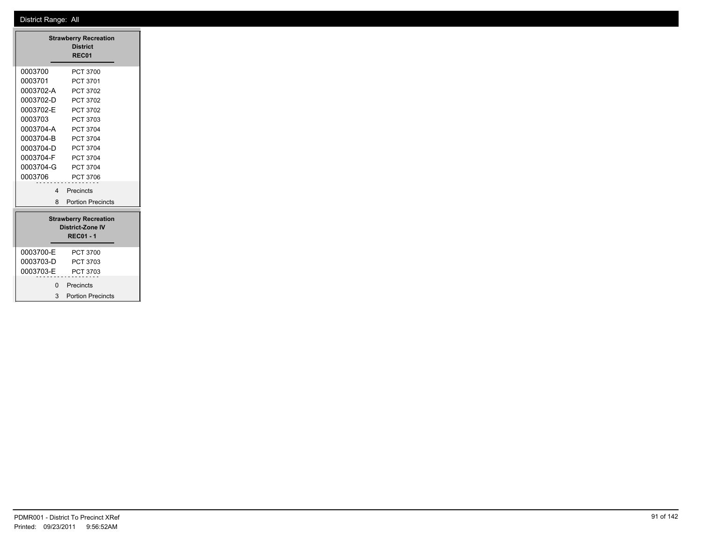|                                                                    | <b>Strawberry Recreation</b><br><b>District</b><br>REC01 |  |  |  |  |  |
|--------------------------------------------------------------------|----------------------------------------------------------|--|--|--|--|--|
| 0003700                                                            | PCT 3700                                                 |  |  |  |  |  |
| 0003701                                                            | PCT 3701                                                 |  |  |  |  |  |
| 0003702-A                                                          | PCT 3702                                                 |  |  |  |  |  |
| 0003702-D                                                          | PCT 3702                                                 |  |  |  |  |  |
| 0003702-E                                                          | PCT 3702                                                 |  |  |  |  |  |
| 0003703                                                            | PCT 3703                                                 |  |  |  |  |  |
| 0003704-A                                                          | <b>PCT 3704</b>                                          |  |  |  |  |  |
| 0003704-B                                                          | <b>PCT 3704</b>                                          |  |  |  |  |  |
| 0003704-D                                                          | <b>PCT 3704</b>                                          |  |  |  |  |  |
| 0003704-F                                                          | <b>PCT 3704</b>                                          |  |  |  |  |  |
| 0003704-G                                                          | <b>PCT 3704</b>                                          |  |  |  |  |  |
| 0003706                                                            | PCT 3706                                                 |  |  |  |  |  |
| 4                                                                  | Precincts                                                |  |  |  |  |  |
| 8                                                                  | <b>Portion Precincts</b>                                 |  |  |  |  |  |
| <b>Strawberry Recreation</b><br>District-Zone IV<br><b>REC01-1</b> |                                                          |  |  |  |  |  |
| 0003700-E                                                          | PCT 3700                                                 |  |  |  |  |  |
| 0003703-D                                                          | PCT 3703                                                 |  |  |  |  |  |
| 0003703-E                                                          | PCT 3703                                                 |  |  |  |  |  |
| ŋ                                                                  | Precincts                                                |  |  |  |  |  |
| 3                                                                  | <b>Portion Precincts</b>                                 |  |  |  |  |  |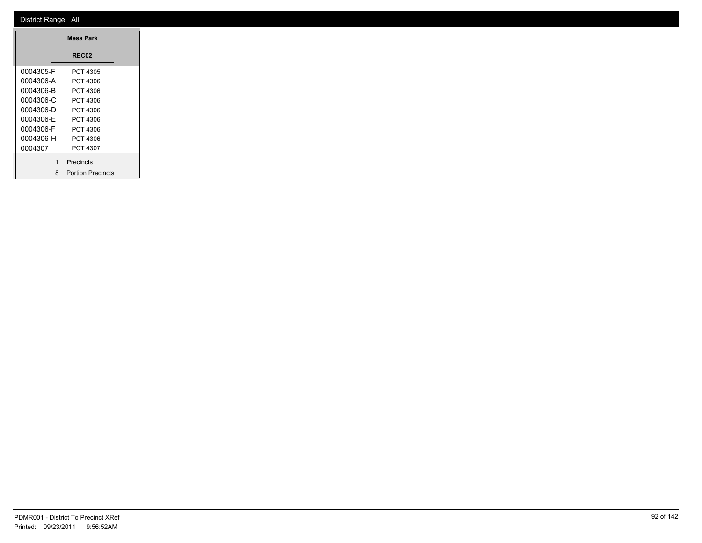| Mesa Park |                          |  |  |  |  |
|-----------|--------------------------|--|--|--|--|
|           | <b>REC02</b>             |  |  |  |  |
| 0004305-F | PCT 4305                 |  |  |  |  |
| 0004306-A | PCT 4306                 |  |  |  |  |
| 0004306-B | PCT 4306                 |  |  |  |  |
| 0004306-C | PCT 4306                 |  |  |  |  |
| 0004306-D | PCT 4306                 |  |  |  |  |
| 0004306-F | PCT 4306                 |  |  |  |  |
| 0004306-F | PCT 4306                 |  |  |  |  |
| 0004306-H | PCT 4306                 |  |  |  |  |
| 0004307   | PCT 4307                 |  |  |  |  |
| 1         | Precincts                |  |  |  |  |
| 8         | <b>Portion Precincts</b> |  |  |  |  |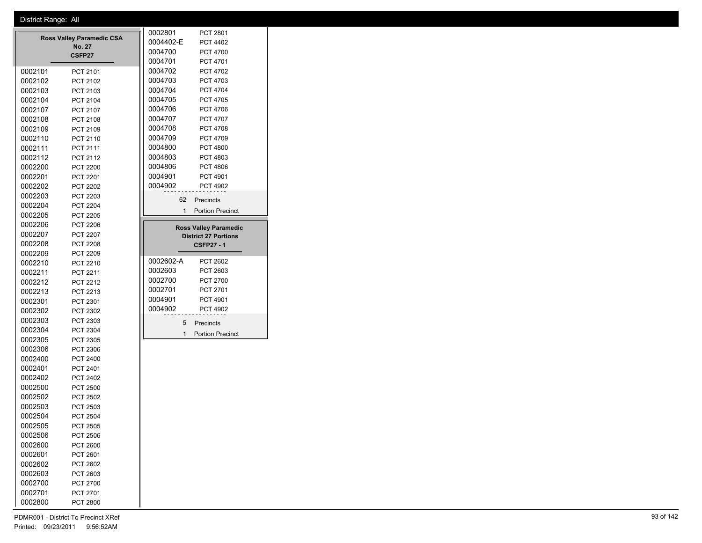|                    |                                  | 0002801   | PCT 2801                     |
|--------------------|----------------------------------|-----------|------------------------------|
|                    | <b>Ross Valley Paramedic CSA</b> | 0004402-E | PCT 4402                     |
|                    | <b>No. 27</b><br>CSFP27          | 0004700   | <b>PCT 4700</b>              |
|                    |                                  | 0004701   | PCT 4701                     |
| 0002101            | PCT 2101                         | 0004702   | <b>PCT 4702</b>              |
| 0002102            | PCT 2102                         | 0004703   | PCT 4703                     |
| 0002103            | PCT 2103                         | 0004704   | <b>PCT 4704</b>              |
| 0002104            | PCT 2104                         | 0004705   | <b>PCT 4705</b>              |
| 0002107            | PCT 2107                         | 0004706   | <b>PCT 4706</b>              |
| 0002108            | PCT 2108                         | 0004707   | <b>PCT 4707</b>              |
| 0002109            | PCT 2109                         | 0004708   | <b>PCT 4708</b>              |
| 0002110            | PCT 2110                         | 0004709   | PCT 4709                     |
| 0002111            | PCT 2111                         | 0004800   | <b>PCT 4800</b>              |
| 0002112            | PCT 2112                         | 0004803   | PCT 4803                     |
| 0002200            | <b>PCT 2200</b>                  | 0004806   | <b>PCT 4806</b>              |
| 0002201            | <b>PCT 2201</b>                  | 0004901   | PCT 4901                     |
| 0002202            | PCT 2202                         | 0004902   | PCT 4902                     |
| 0002203            | PCT 2203                         | 62        | Precincts                    |
| 0002204            | PCT 2204                         | 1         | <b>Portion Precinct</b>      |
| 0002205            | <b>PCT 2205</b>                  |           |                              |
| 0002206            | <b>PCT 2206</b>                  |           | <b>Ross Valley Paramedic</b> |
| 0002207            | PCT 2207                         |           | <b>District 27 Portions</b>  |
| 0002208            | PCT 2208                         |           | <b>CSFP27 - 1</b>            |
| 0002209            | PCT 2209                         |           |                              |
| 0002210            | PCT 2210                         | 0002602-A | <b>PCT 2602</b>              |
| 0002211            | PCT 2211                         | 0002603   | PCT 2603                     |
| 0002212            | PCT 2212                         | 0002700   | <b>PCT 2700</b>              |
| 0002213            | PCT 2213                         | 0002701   | PCT 2701                     |
| 0002301            | PCT 2301                         | 0004901   | PCT 4901                     |
| 0002302            | PCT 2302                         | 0004902   | <b>PCT 4902</b>              |
| 0002303            | PCT 2303                         | 5         | Precincts                    |
| 0002304            | PCT 2304                         | 1         | <b>Portion Precinct</b>      |
| 0002305            | PCT 2305                         |           |                              |
| 0002306            | PCT 2306                         |           |                              |
| 0002400            | PCT 2400                         |           |                              |
| 0002401            | PCT 2401                         |           |                              |
| 0002402            | PCT 2402                         |           |                              |
| 0002500            | PCT 2500                         |           |                              |
| 0002502            | PCT 2502                         |           |                              |
| 0002503            | PCT 2503                         |           |                              |
| 0002504            | <b>PCT 2504</b>                  |           |                              |
| 0002505            | <b>PCT 2505</b>                  |           |                              |
| 0002506            | PCT 2506                         |           |                              |
| 0002600            | PCT 2600                         |           |                              |
|                    |                                  |           |                              |
| 0002601            | PCT 2601                         |           |                              |
| 0002602<br>0002603 | PCT 2602<br>PCT 2603             |           |                              |

 PCT 2700 PCT 2701 PCT 2800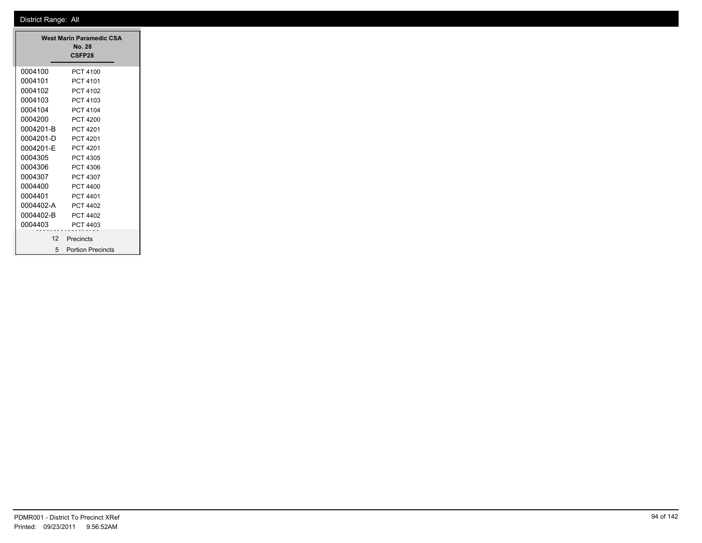| West Marin Paramedic CSA<br>No. 28<br>CSFP28 |                          |  |  |  |  |
|----------------------------------------------|--------------------------|--|--|--|--|
| 0004100                                      | PCT 4100                 |  |  |  |  |
| 0004101                                      | PCT 4101                 |  |  |  |  |
| 0004102                                      | PCT 4102                 |  |  |  |  |
| 0004103                                      | PCT 4103                 |  |  |  |  |
| 0004104                                      | <b>PCT 4104</b>          |  |  |  |  |
| 0004200                                      | PCT 4200                 |  |  |  |  |
| 0004201-B                                    | PCT 4201                 |  |  |  |  |
| 0004201-D                                    | PCT 4201                 |  |  |  |  |
| 0004201-F                                    | <b>PCT 4201</b>          |  |  |  |  |
| 0004305                                      | PCT 4305                 |  |  |  |  |
| 0004306                                      | PCT 4306                 |  |  |  |  |
| 0004307                                      | PCT 4307                 |  |  |  |  |
| 0004400                                      | <b>PCT 4400</b>          |  |  |  |  |
| 0004401                                      | <b>PCT 4401</b>          |  |  |  |  |
| 0004402-A                                    | PCT 4402                 |  |  |  |  |
| 0004402-B                                    | PCT 4402                 |  |  |  |  |
| 0004403                                      | PCT 4403                 |  |  |  |  |
| 12                                           | Precincts                |  |  |  |  |
| 5                                            | <b>Portion Precincts</b> |  |  |  |  |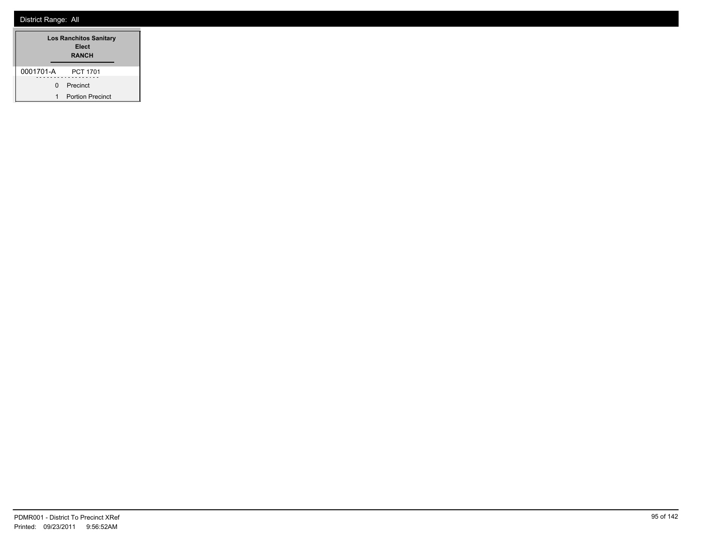| <b>Los Ranchitos Sanitary</b><br>Elect<br><b>RANCH</b> |                         |  |  |  |  |
|--------------------------------------------------------|-------------------------|--|--|--|--|
| 0001701-A                                              | <b>PCT 1701</b>         |  |  |  |  |
| <sup>n</sup>                                           | Precinct                |  |  |  |  |
|                                                        | <b>Portion Precinct</b> |  |  |  |  |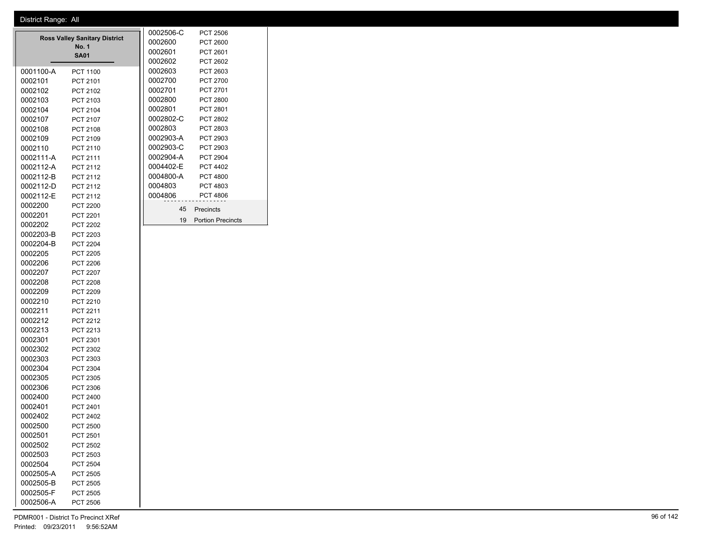|           |                                               | 0002506-C | <b>PCT 2506</b>          |
|-----------|-----------------------------------------------|-----------|--------------------------|
|           | <b>Ross Valley Sanitary District</b><br>No. 1 | 0002600   | PCT 2600                 |
|           | <b>SA01</b>                                   | 0002601   | PCT 2601                 |
|           |                                               | 0002602   | <b>PCT 2602</b>          |
| 0001100-A | PCT 1100                                      | 0002603   | PCT 2603                 |
| 0002101   | PCT 2101                                      | 0002700   | <b>PCT 2700</b>          |
| 0002102   | PCT 2102                                      | 0002701   | <b>PCT 2701</b>          |
| 0002103   | PCT 2103                                      | 0002800   | <b>PCT 2800</b>          |
| 0002104   | PCT 2104                                      | 0002801   | <b>PCT 2801</b>          |
| 0002107   | <b>PCT 2107</b>                               | 0002802-C | <b>PCT 2802</b>          |
| 0002108   | PCT 2108                                      | 0002803   | PCT 2803                 |
| 0002109   | PCT 2109                                      | 0002903-A | PCT 2903                 |
| 0002110   | PCT 2110                                      | 0002903-C | PCT 2903                 |
| 0002111-A | PCT 2111                                      | 0002904-A | <b>PCT 2904</b>          |
| 0002112-A | <b>PCT 2112</b>                               | 0004402-E | <b>PCT 4402</b>          |
| 0002112-B | <b>PCT 2112</b>                               | 0004800-A | <b>PCT 4800</b>          |
| 0002112-D | <b>PCT 2112</b>                               | 0004803   | PCT 4803                 |
| 0002112-E | <b>PCT 2112</b>                               | 0004806   | <b>PCT 4806</b>          |
| 0002200   | <b>PCT 2200</b>                               | 45        | Precincts                |
| 0002201   | <b>PCT 2201</b>                               |           |                          |
| 0002202   | <b>PCT 2202</b>                               | 19        | <b>Portion Precincts</b> |
| 0002203-B | <b>PCT 2203</b>                               |           |                          |
| 0002204-B | <b>PCT 2204</b>                               |           |                          |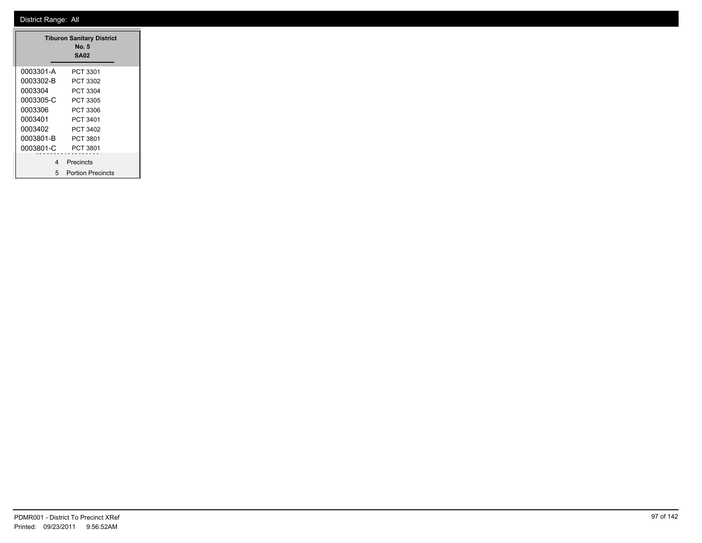|           | <b>Tiburon Sanitary District</b><br>No. 5<br><b>SA02</b> |
|-----------|----------------------------------------------------------|
| 0003301-A | PCT 3301                                                 |
| 0003302-B | PCT 3302                                                 |
| 0003304   | PCT 3304                                                 |
| 0003305-C | PCT 3305                                                 |
| 0003306   | PCT 3306                                                 |
| 0003401   | PCT 3401                                                 |
| 0003402   | PCT 3402                                                 |
| 0003801-B | PCT 3801                                                 |
| 0003801-C | PCT 3801                                                 |
| 4         | Precincts                                                |
| 5         | <b>Portion Precincts</b>                                 |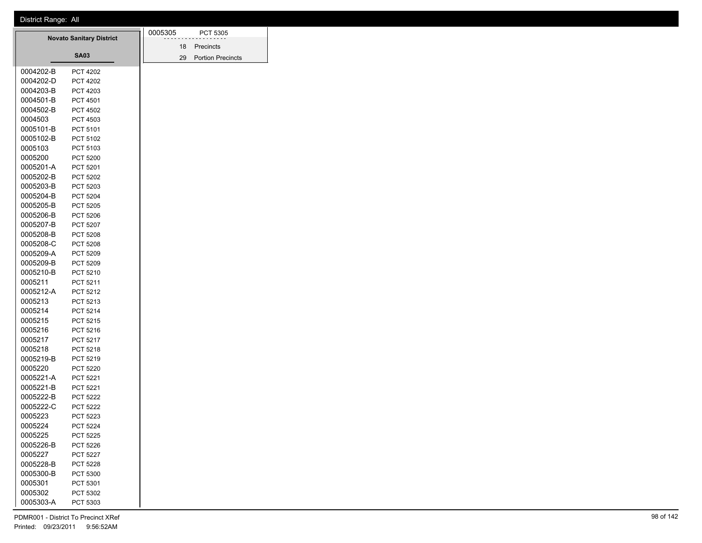| <b>Novato Sanitary District</b> |           | 0005305         |  | PCT 5305 |                          |
|---------------------------------|-----------|-----------------|--|----------|--------------------------|
|                                 |           |                 |  |          | 18 Precincts             |
|                                 |           | <b>SA03</b>     |  | 29       | <b>Portion Precincts</b> |
|                                 | 0004202-B | <b>PCT 4202</b> |  |          |                          |
|                                 | 0004202-D | <b>PCT 4202</b> |  |          |                          |
|                                 | 0004203-B | PCT 4203        |  |          |                          |
|                                 | 0004501-B | PCT 4501        |  |          |                          |
|                                 | 0004502-B | <b>PCT 4502</b> |  |          |                          |
|                                 | 0004503   | PCT 4503        |  |          |                          |
|                                 | 0005101-B | PCT 5101        |  |          |                          |
|                                 | 0005102-B | PCT 5102        |  |          |                          |
|                                 | 0005103   | PCT 5103        |  |          |                          |
|                                 | 0005200   | PCT 5200        |  |          |                          |
|                                 | 0005201-A | PCT 5201        |  |          |                          |
|                                 | 0005202-B | <b>PCT 5202</b> |  |          |                          |
|                                 | 0005203-B | PCT 5203        |  |          |                          |
|                                 | 0005204-B | PCT 5204        |  |          |                          |
|                                 | 0005205-B | <b>PCT 5205</b> |  |          |                          |
|                                 | 0005206-B | PCT 5206        |  |          |                          |
|                                 | 0005207-B | <b>PCT 5207</b> |  |          |                          |
|                                 | 0005208-B | <b>PCT 5208</b> |  |          |                          |
|                                 | 0005208-C | PCT 5208        |  |          |                          |
|                                 | 0005209-A | PCT 5209        |  |          |                          |
|                                 | 0005209-B | PCT 5209        |  |          |                          |
|                                 | 0005210-B | PCT 5210        |  |          |                          |
|                                 | 0005211   | PCT 5211        |  |          |                          |
|                                 | 0005212-A | PCT 5212        |  |          |                          |
|                                 | 0005213   | PCT 5213        |  |          |                          |
|                                 | 0005214   | PCT 5214        |  |          |                          |
|                                 | 0005215   | PCT 5215        |  |          |                          |
|                                 | 0005216   | PCT 5216        |  |          |                          |
|                                 | 0005217   | PCT 5217        |  |          |                          |
|                                 | 0005218   | PCT 5218        |  |          |                          |
|                                 | 0005219-B | PCT 5219        |  |          |                          |
|                                 | 0005220   | <b>PCT 5220</b> |  |          |                          |
|                                 | 0005221-A | PCT 5221        |  |          |                          |
|                                 | 0005221-B | PCT 5221        |  |          |                          |
|                                 | 0005222-B | <b>PCT 5222</b> |  |          |                          |
|                                 | 0005222-C | <b>PCT 5222</b> |  |          |                          |
|                                 | 0005223   | PCT 5223        |  |          |                          |
|                                 | 0005224   | <b>PCT 5224</b> |  |          |                          |
|                                 | 0005225   | PCT 5225        |  |          |                          |
|                                 | 0005226-B | PCT 5226        |  |          |                          |
|                                 | 0005227   | PCT 5227        |  |          |                          |
|                                 | 0005228-B | PCT 5228        |  |          |                          |
|                                 | 0005300-B | PCT 5300        |  |          |                          |
|                                 | 0005301   | PCT 5301        |  |          |                          |
|                                 | 0005302   | PCT 5302        |  |          |                          |
|                                 | 0005303-A | PCT 5303        |  |          |                          |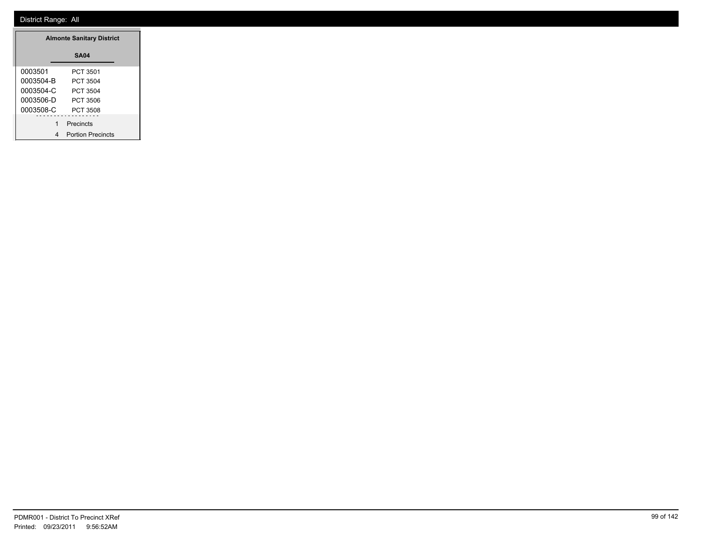| <b>Almonte Sanitary District</b> |                          |
|----------------------------------|--------------------------|
|                                  | <b>SA04</b>              |
| 0003501                          | PCT 3501                 |
| 0003504-B                        | PCT 3504                 |
| 0003504-C                        | PCT 3504                 |
| 0003506-D                        | PCT 3506                 |
| 0003508-C                        | PCT 3508                 |
| 1                                | Precincts                |
| 4                                | <b>Portion Precincts</b> |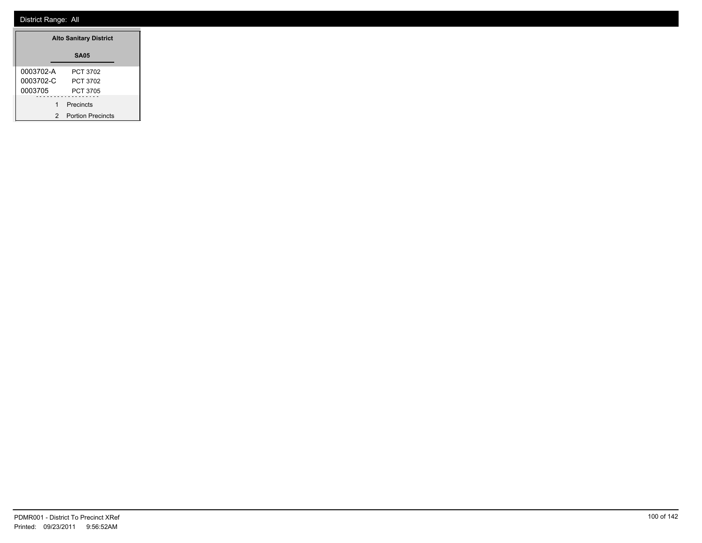| <b>Alto Sanitary District</b> |                          |
|-------------------------------|--------------------------|
|                               | <b>SA05</b>              |
| 0003702-A                     | PCT 3702                 |
| 0003702-C                     | PCT 3702                 |
| 0003705                       | PCT 3705                 |
| 1                             | Precincts                |
| 2                             | <b>Portion Precincts</b> |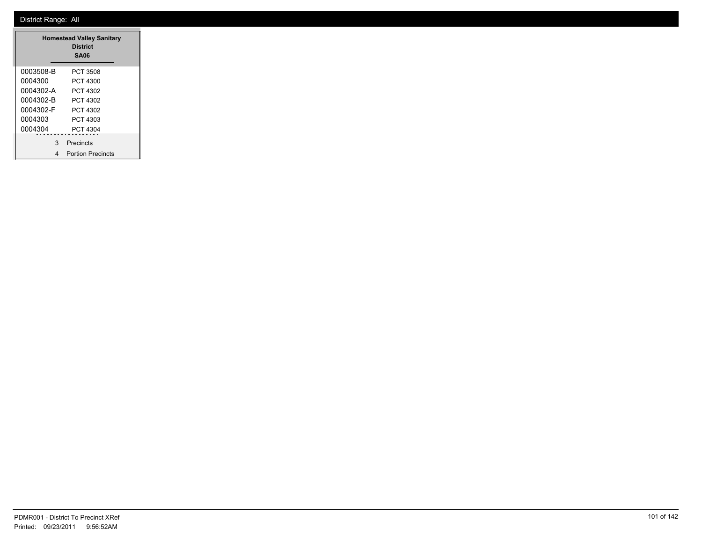|           | <b>Homestead Valley Sanitary</b><br><b>District</b><br>SA06 |
|-----------|-------------------------------------------------------------|
| 0003508-B | PCT 3508                                                    |
| 0004300   | PCT 4300                                                    |
| 0004302-A | PCT 4302                                                    |
| 0004302-B | PCT 4302                                                    |
| 0004302-F | PCT 4302                                                    |
| 0004303   | PCT 4303                                                    |
| 0004304   | PCT 4304                                                    |
| 3         | Precincts                                                   |
| 4         | <b>Portion Precincts</b>                                    |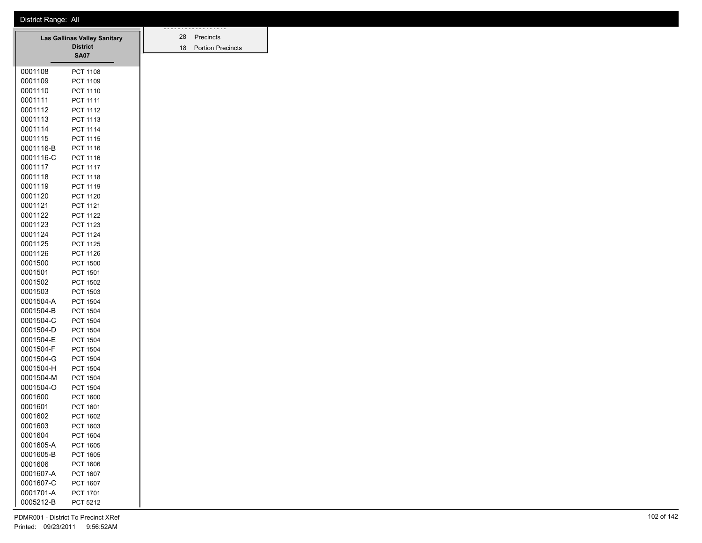| District Range: All |  |
|---------------------|--|
|                     |  |

|                      | Las Gallinas Valley Sanitary<br><b>District</b> | 28<br>18 | Precincts<br><b>Portion Prec</b> |
|----------------------|-------------------------------------------------|----------|----------------------------------|
|                      | <b>SA07</b>                                     |          |                                  |
| 0001108              | <b>PCT 1108</b>                                 |          |                                  |
| 0001109              | PCT 1109                                        |          |                                  |
| 0001110              | PCT 1110                                        |          |                                  |
| 0001111              | PCT 1111                                        |          |                                  |
| 0001112              | PCT 1112                                        |          |                                  |
| 0001113              | PCT 1113                                        |          |                                  |
| 0001114              | PCT 1114                                        |          |                                  |
| 0001115              | <b>PCT 1115</b>                                 |          |                                  |
| 0001116-B            | <b>PCT 1116</b>                                 |          |                                  |
| 0001116-C            | PCT 1116                                        |          |                                  |
| 0001117              | <b>PCT 1117</b>                                 |          |                                  |
| 0001118              | PCT 1118                                        |          |                                  |
| 0001119              | PCT 1119                                        |          |                                  |
| 0001120              | <b>PCT 1120</b>                                 |          |                                  |
| 0001121              | <b>PCT 1121</b>                                 |          |                                  |
| 0001122              | <b>PCT 1122</b>                                 |          |                                  |
| 0001123              | <b>PCT 1123</b>                                 |          |                                  |
| 0001124              | <b>PCT 1124</b>                                 |          |                                  |
| 0001125              | <b>PCT 1125</b>                                 |          |                                  |
| 0001126              | <b>PCT 1126</b>                                 |          |                                  |
| 0001500              | <b>PCT 1500</b>                                 |          |                                  |
| 0001501              | PCT 1501                                        |          |                                  |
| 0001502              | <b>PCT 1502</b>                                 |          |                                  |
| 0001503              | PCT 1503                                        |          |                                  |
| 0001504-A            | <b>PCT 1504</b>                                 |          |                                  |
| 0001504-B            | <b>PCT 1504</b>                                 |          |                                  |
| 0001504-C            | <b>PCT 1504</b>                                 |          |                                  |
| 0001504-D            | <b>PCT 1504</b>                                 |          |                                  |
| 0001504-E            | <b>PCT 1504</b>                                 |          |                                  |
| 0001504-F            | <b>PCT 1504</b>                                 |          |                                  |
| 0001504-G            | <b>PCT 1504</b>                                 |          |                                  |
| 0001504-H            | <b>PCT 1504</b>                                 |          |                                  |
| 0001504-M            | <b>PCT 1504</b>                                 |          |                                  |
| 0001504-O<br>0001600 | <b>PCT 1504</b><br><b>PCT 1600</b>              |          |                                  |
| 0001601              | PCT 1601                                        |          |                                  |
| 0001602              | <b>PCT 1602</b>                                 |          |                                  |
| 0001603              | PCT 1603                                        |          |                                  |
| 0001604              | PCT 1604                                        |          |                                  |
| 0001605-A            | PCT 1605                                        |          |                                  |
| 0001605-B            | PCT 1605                                        |          |                                  |
| 0001606              | PCT 1606                                        |          |                                  |
| 0001607-A            | PCT 1607                                        |          |                                  |
| 0001607-C            | PCT 1607                                        |          |                                  |
| 0001701-A            | PCT 1701                                        |          |                                  |
| 0005212-B            | PCT 5212                                        |          |                                  |

28 Precincts 18 Portion Precincts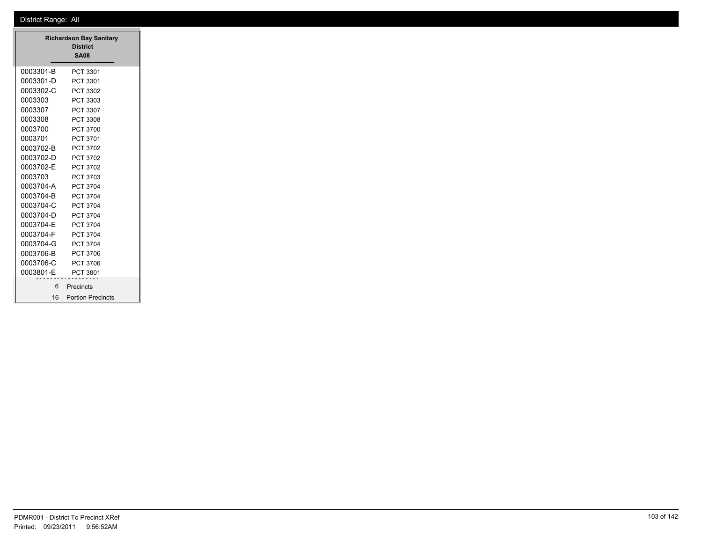|           | <b>Richardson Bay Sanitary</b><br><b>District</b><br><b>SA08</b> |
|-----------|------------------------------------------------------------------|
| 0003301-B | PCT 3301                                                         |
| 0003301-D | PCT 3301                                                         |
| 0003302-C | PCT 3302                                                         |
| 0003303   | PCT 3303                                                         |
| 0003307   | PCT 3307                                                         |
| 0003308   | PCT 3308                                                         |
| 0003700   | <b>PCT 3700</b>                                                  |
| 0003701   | PCT 3701                                                         |
| 0003702-B | PCT 3702                                                         |
| 0003702-D | PCT 3702                                                         |
| 0003702-E | PCT 3702                                                         |
| 0003703   | PCT 3703                                                         |
| 0003704-A | <b>PCT 3704</b>                                                  |
| 0003704-B | <b>PCT 3704</b>                                                  |
| 0003704-C | <b>PCT 3704</b>                                                  |
| 0003704-D | PCT 3704                                                         |
| 0003704-F | PCT 3704                                                         |
| 0003704-F | <b>PCT 3704</b>                                                  |
| 0003704-G | <b>PCT 3704</b>                                                  |
| 0003706-B | PCT 3706                                                         |
| 0003706-C | PCT 3706                                                         |
| 0003801-E | PCT 3801                                                         |
| 6         | Precincts                                                        |
| 16        | <b>Portion Precincts</b>                                         |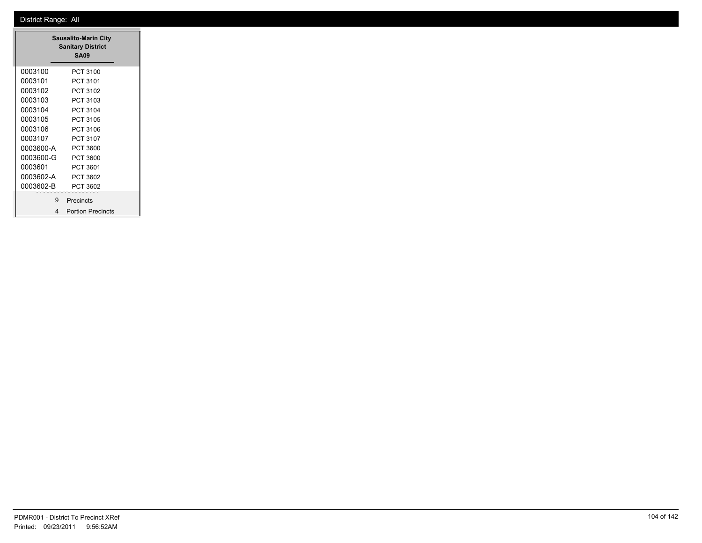|           | <b>Sausalito-Marin City</b><br><b>Sanitary District</b><br><b>SA09</b> |  |
|-----------|------------------------------------------------------------------------|--|
| 0003100   | PCT 3100                                                               |  |
| 0003101   | PCT 3101                                                               |  |
| 0003102   | PCT 3102                                                               |  |
| 0003103   | PCT 3103                                                               |  |
| 0003104   | PCT 3104                                                               |  |
| 0003105   | PCT 3105                                                               |  |
| 0003106   | PCT 3106                                                               |  |
| 0003107   | PCT 3107                                                               |  |
| 0003600-A | PCT 3600                                                               |  |
| 0003600-G | PCT 3600                                                               |  |
| 0003601   | PCT 3601                                                               |  |
| 0003602-A | PCT 3602                                                               |  |
| 0003602-B | PCT 3602                                                               |  |
| 9         | Precincts                                                              |  |
| 4         | <b>Portion Precincts</b>                                               |  |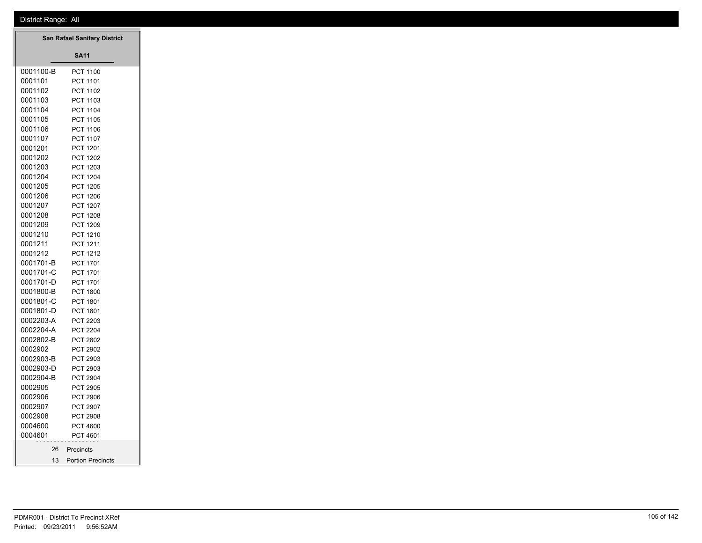|           | San Rafael Sanitary District |
|-----------|------------------------------|
|           | <b>SA11</b>                  |
| 0001100-B | PCT 1100                     |
| 0001101   | PCT 1101                     |
| 0001102   | <b>PCT 1102</b>              |
| 0001103   | <b>PCT 1103</b>              |
| 0001104   | <b>PCT 1104</b>              |
| 0001105   | <b>PCT 1105</b>              |
| 0001106   | PCT 1106                     |
| 0001107   | <b>PCT 1107</b>              |
| 0001201   | PCT 1201                     |
| 0001202   | <b>PCT 1202</b>              |
| 0001203   | PCT 1203                     |
| 0001204   | <b>PCT 1204</b>              |
| 0001205   | <b>PCT 1205</b>              |
| 0001206   | <b>PCT 1206</b>              |
| 0001207   | <b>PCT 1207</b>              |
| 0001208   | PCT 1208                     |
| 0001209   | PCT 1209                     |
| 0001210   | <b>PCT 1210</b>              |
| 0001211   | PCT 1211                     |
| 0001212   | PCT 1212                     |
| 0001701-B | <b>PCT 1701</b>              |
| 0001701-C | PCT 1701                     |
| 0001701-D | PCT 1701                     |
| 0001800-B | <b>PCT 1800</b>              |
| 0001801-C | PCT 1801                     |
| 0001801-D | PCT 1801                     |
| 0002203-A | PCT 2203                     |
| 0002204-A | <b>PCT 2204</b>              |
| 0002802-B | <b>PCT 2802</b>              |
| 0002902   | <b>PCT 2902</b>              |
| 0002903-B | PCT 2903                     |
| 0002903-D | PCT 2903                     |
| 0002904-B | <b>PCT 2904</b>              |
| 0002905   | <b>PCT 2905</b>              |
| 0002906   | PCT 2906                     |
| 0002907   | <b>PCT 2907</b>              |
| 0002908   | PCT 2908                     |
| 0004600   | <b>PCT 4600</b>              |
| 0004601   | PCT 4601                     |
| 26        | Precincts                    |
| 13        | <b>Portion Precincts</b>     |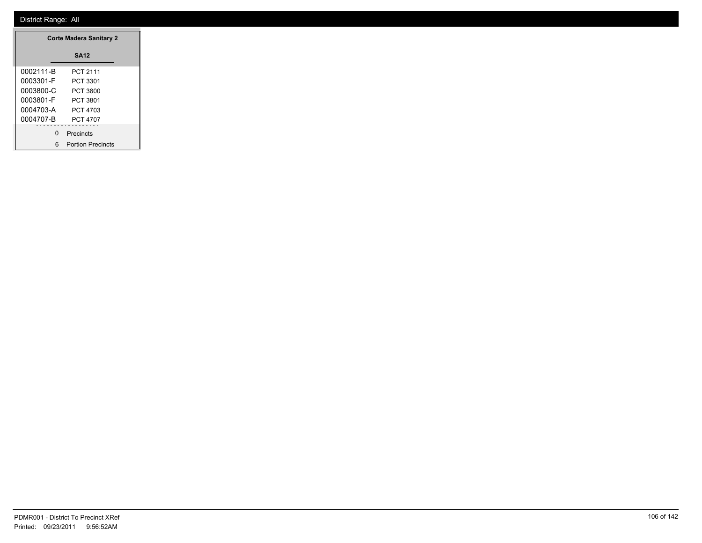|           | <b>Corte Madera Sanitary 2</b> |
|-----------|--------------------------------|
|           | <b>SA12</b>                    |
| 0002111-B | PCT 2111                       |
| 0003301-F | PCT 3301                       |
| 0003800-C | PCT 3800                       |
| 0003801-F | PCT 3801                       |
| 0004703-A | PCT 4703                       |
| 0004707-B | <b>PCT 4707</b>                |
|           | 0 Precincts                    |
|           |                                |
|           | 6 Portion Precincts            |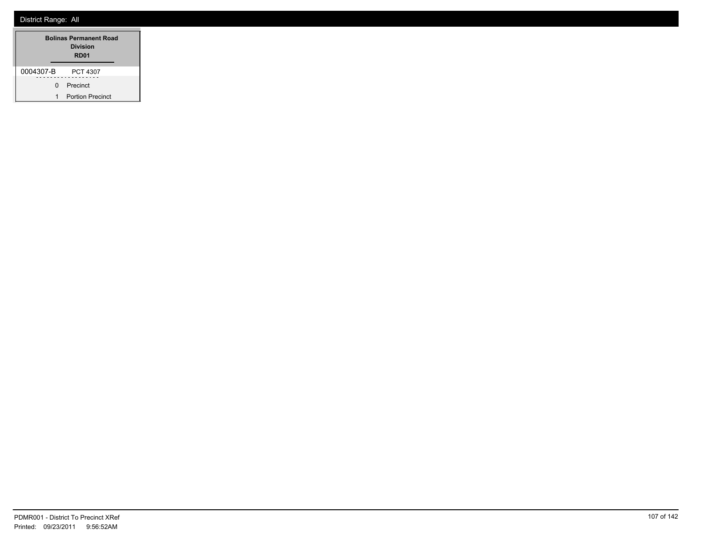| <b>Bolinas Permanent Road</b><br>Division<br>RD <sub>01</sub> |                         |  |
|---------------------------------------------------------------|-------------------------|--|
| 0004307-B                                                     | <b>PCT 4307</b>         |  |
| <sup>n</sup>                                                  | Precinct                |  |
| 1                                                             | <b>Portion Precinct</b> |  |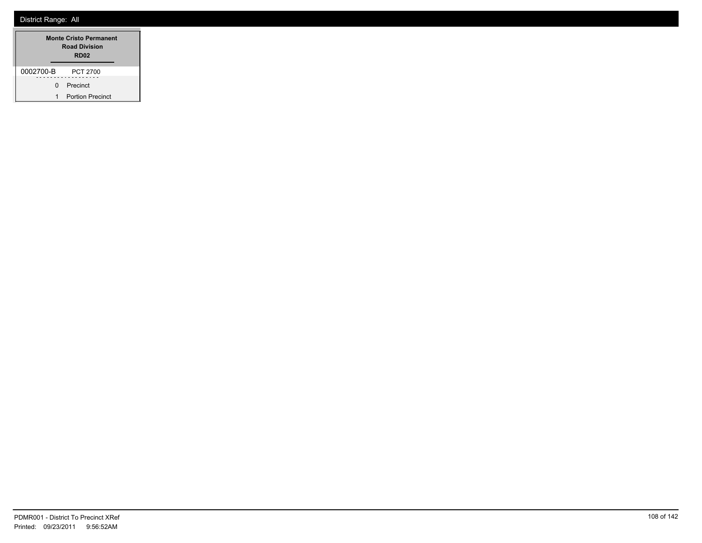| <b>Monte Cristo Permanent</b><br><b>Road Division</b><br>RD <sub>02</sub> |                         |
|---------------------------------------------------------------------------|-------------------------|
| 0002700-B                                                                 | PCT 2700                |
| n                                                                         | Precinct                |
| 1                                                                         | <b>Portion Precinct</b> |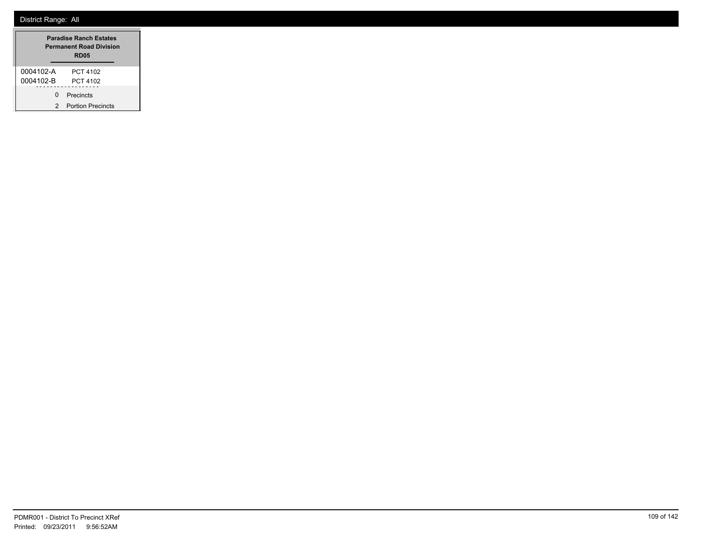|           | <b>Paradise Ranch Estates</b><br><b>Permanent Road Division</b><br><b>RD05</b> |
|-----------|--------------------------------------------------------------------------------|
| 0004102-A | PCT 4102                                                                       |
| 0004102-B | PCT 4102                                                                       |
| ŋ         | Precincts                                                                      |
| 2         | <b>Portion Precincts</b>                                                       |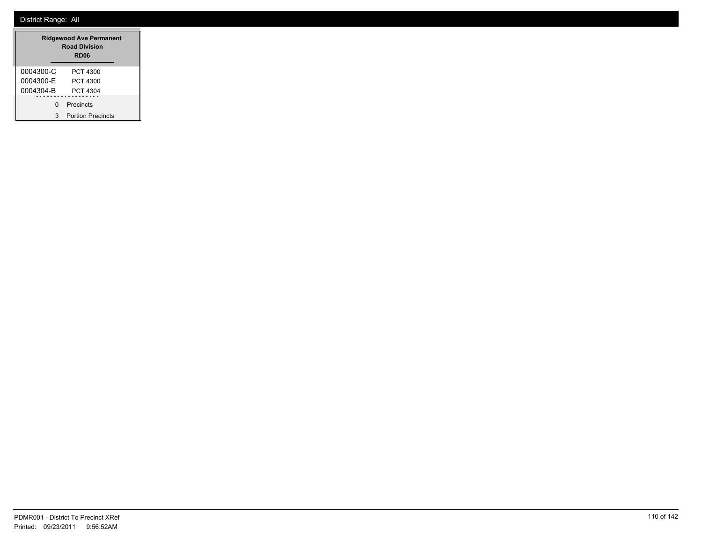|           | <b>Ridgewood Ave Permanent</b><br><b>Road Division</b><br><b>RD06</b> |
|-----------|-----------------------------------------------------------------------|
| 0004300-C | PCT 4300                                                              |
| 0004300-F | PCT 4300                                                              |
| 0004304-B | PCT 4304                                                              |
| ŋ         | Precincts                                                             |
| 3         | <b>Portion Precincts</b>                                              |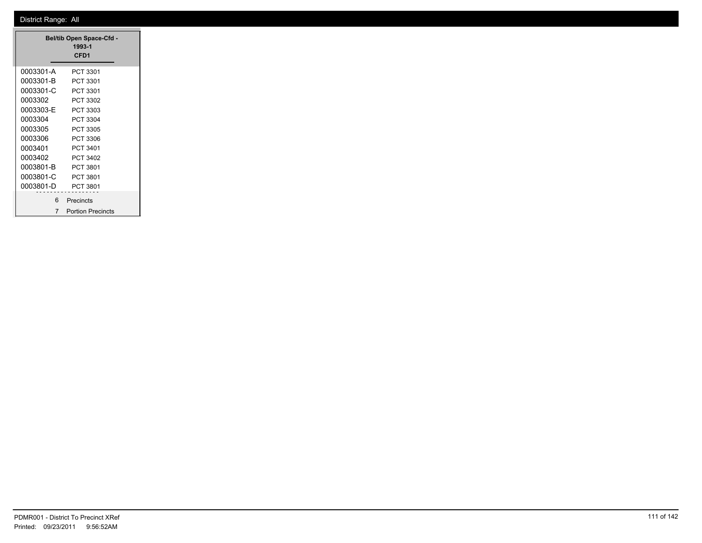|           | <b>Bel/tib Open Space-Cfd -</b><br>1993-1<br>CFD <sub>1</sub> |
|-----------|---------------------------------------------------------------|
| 0003301-A | PCT 3301                                                      |
| 0003301-B | PCT 3301                                                      |
| 0003301-C | PCT 3301                                                      |
| 0003302   | PCT 3302                                                      |
| 0003303-E | PCT 3303                                                      |
| 0003304   | PCT 3304                                                      |
| 0003305   | PCT 3305                                                      |
| 0003306   | PCT 3306                                                      |
| 0003401   | PCT 3401                                                      |
| 0003402   | PCT 3402                                                      |
| 0003801-B | PCT 3801                                                      |
| 0003801-C | PCT 3801                                                      |
| 0003801-D | PCT 3801                                                      |
| 6.        | Precincts                                                     |
| 7         | <b>Portion Precincts</b>                                      |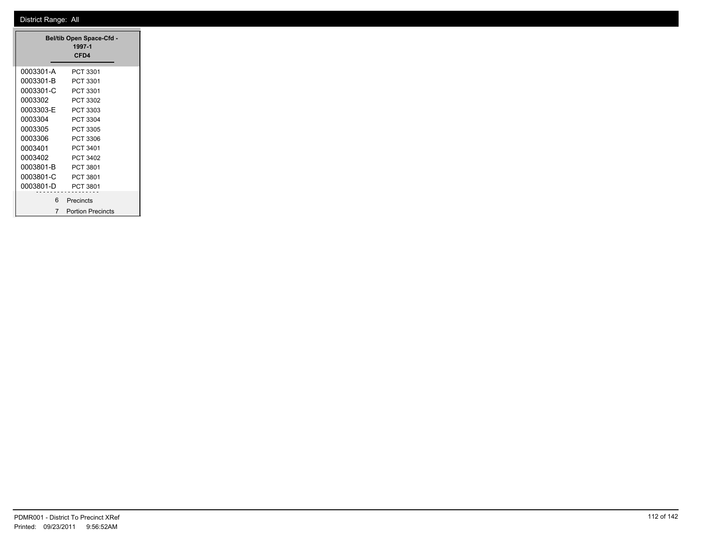|           | <b>Bel/tib Open Space-Cfd -</b><br>1997-1<br>CFD <sub>4</sub> |
|-----------|---------------------------------------------------------------|
| 0003301-A | PCT 3301                                                      |
| 0003301-B | PCT 3301                                                      |
| 0003301-C | PCT 3301                                                      |
| 0003302   | PCT 3302                                                      |
| 0003303-E | PCT 3303                                                      |
| 0003304   | PCT 3304                                                      |
| 0003305   | PCT 3305                                                      |
| 0003306   | PCT 3306                                                      |
| 0003401   | PCT 3401                                                      |
| 0003402   | PCT 3402                                                      |
| 0003801-B | PCT 3801                                                      |
| 0003801-C | PCT 3801                                                      |
| 0003801-D | PCT 3801                                                      |
| 6         | Precincts                                                     |
| 7         | <b>Portion Precincts</b>                                      |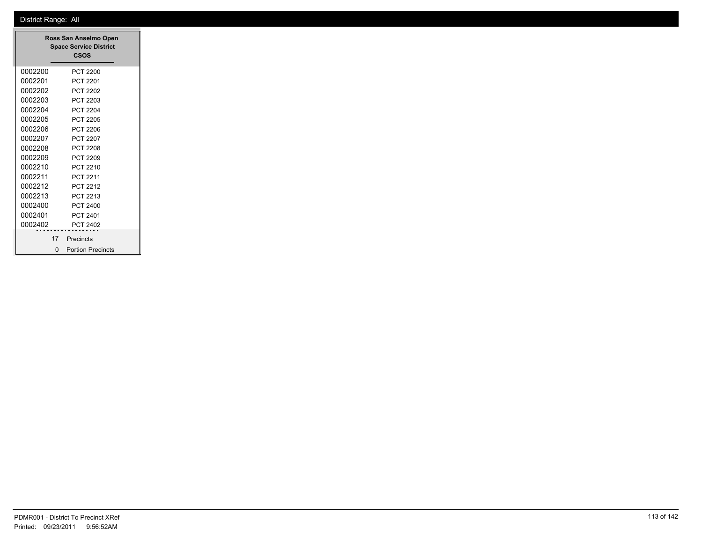|         | Ross San Anselmo Open<br><b>Space Service District</b><br><b>CSOS</b> |
|---------|-----------------------------------------------------------------------|
| 0002200 | <b>PCT 2200</b>                                                       |
| 0002201 | PCT 2201                                                              |
| 0002202 | PCT 2202                                                              |
| 0002203 | PCT 2203                                                              |
| 0002204 | PCT 2204                                                              |
| 0002205 | PCT 2205                                                              |
| 0002206 | PCT 2206                                                              |
| 0002207 | <b>PCT 2207</b>                                                       |
| 0002208 | <b>PCT 2208</b>                                                       |
| 0002209 | PCT 2209                                                              |
| 0002210 | PCT 2210                                                              |
| 0002211 | PCT 2211                                                              |
| 0002212 | PCT 2212                                                              |
| 0002213 | PCT 2213                                                              |
| 0002400 | PCT 2400                                                              |
| 0002401 | PCT 2401                                                              |
| 0002402 | <b>PCT 2402</b>                                                       |
| 17      | Precincts                                                             |
| ŋ       | <b>Portion Precincts</b>                                              |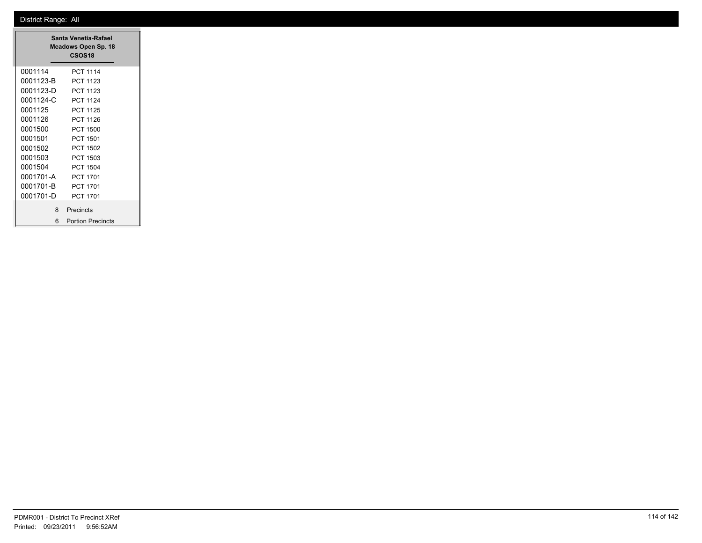|           | Santa Venetia-Rafael<br>Meadows Open Sp. 18<br>CSOS <sub>18</sub> |  |
|-----------|-------------------------------------------------------------------|--|
| 0001114   | PCT 1114                                                          |  |
| 0001123-B | PCT 1123                                                          |  |
| 0001123-D | PCT 1123                                                          |  |
| 0001124-C | <b>PCT 1124</b>                                                   |  |
| 0001125   | <b>PCT 1125</b>                                                   |  |
| 0001126   | <b>PCT 1126</b>                                                   |  |
| 0001500   | PCT 1500                                                          |  |
| 0001501   | PCT 1501                                                          |  |
| 0001502   | PCT 1502                                                          |  |
| 0001503   | PCT 1503                                                          |  |
| 0001504   | PCT 1504                                                          |  |
| 0001701-A | <b>PCT 1701</b>                                                   |  |
| 0001701-B | PCT 1701                                                          |  |
| 0001701-D | PCT 1701                                                          |  |
| 8         | Precincts                                                         |  |
| 6         | <b>Portion Precincts</b>                                          |  |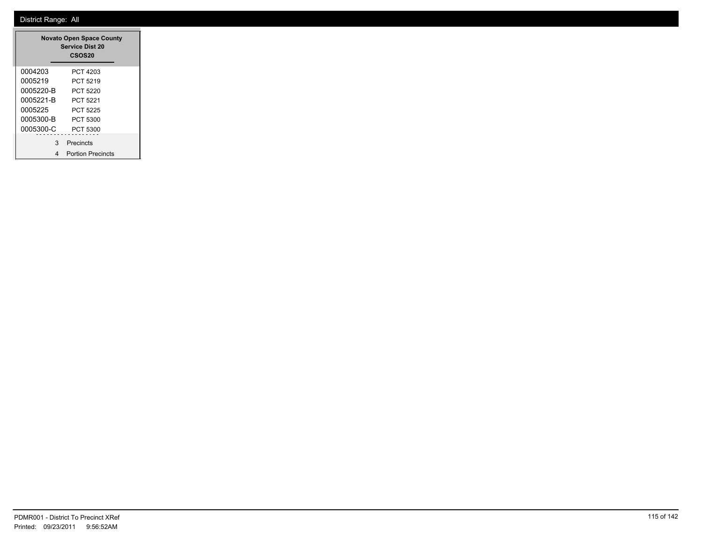|           | <b>Novato Open Space County</b><br><b>Service Dist 20</b><br><b>CSOS20</b> |
|-----------|----------------------------------------------------------------------------|
| 0004203   | PCT 4203                                                                   |
| 0005219   | PCT 5219                                                                   |
| 0005220-B | PCT 5220                                                                   |
| 0005221-B | PCT 5221                                                                   |
| 0005225   | PCT 5225                                                                   |
| 0005300-B | PCT 5300                                                                   |
| 0005300-C | PCT 5300                                                                   |
| 3         | Precincts                                                                  |
| 4         | <b>Portion Precincts</b>                                                   |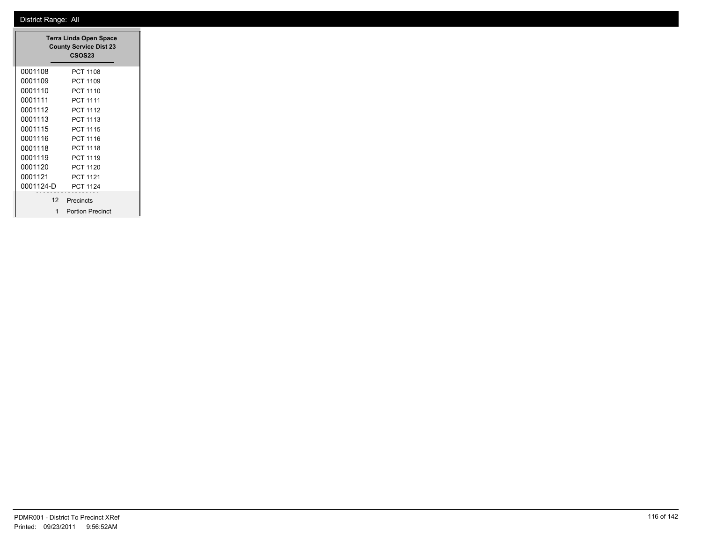| <b>Terra Linda Open Space</b><br><b>County Service Dist 23</b><br>CSOS <sub>23</sub> |                         |  |
|--------------------------------------------------------------------------------------|-------------------------|--|
| 0001108                                                                              | <b>PCT 1108</b>         |  |
| 0001109                                                                              | PCT 1109                |  |
| 0001110                                                                              | PCT 1110                |  |
| 0001111                                                                              | PCT 1111                |  |
| 0001112                                                                              | <b>PCT 1112</b>         |  |
| 0001113                                                                              | <b>PCT 1113</b>         |  |
| 0001115                                                                              | <b>PCT 1115</b>         |  |
| 0001116                                                                              | PCT 1116                |  |
| 0001118                                                                              | <b>PCT 1118</b>         |  |
| 0001119                                                                              | <b>PCT 1119</b>         |  |
| 0001120                                                                              | PCT 1120                |  |
| 0001121                                                                              | PCT 1121                |  |
| 0001124-D                                                                            | <b>PCT 1124</b>         |  |
| 12 <sup>7</sup>                                                                      | Precincts               |  |
| 1                                                                                    | <b>Portion Precinct</b> |  |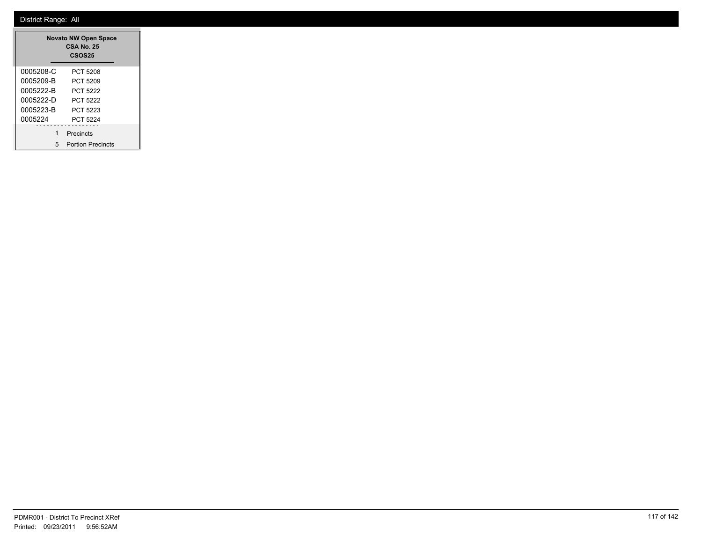|           | <b>Novato NW Open Space</b><br><b>CSA No. 25</b><br><b>CSOS25</b> |
|-----------|-------------------------------------------------------------------|
| 0005208-C | PCT 5208                                                          |
| 0005209-B | PCT 5209                                                          |
| 0005222-B | PCT 5222                                                          |
| 0005222-D | PCT 5222                                                          |
| 0005223-B | PCT 5223                                                          |
| 0005224   | <b>PCT 5224</b>                                                   |
| 1         | Precincts                                                         |
| 5         | <b>Portion Precincts</b>                                          |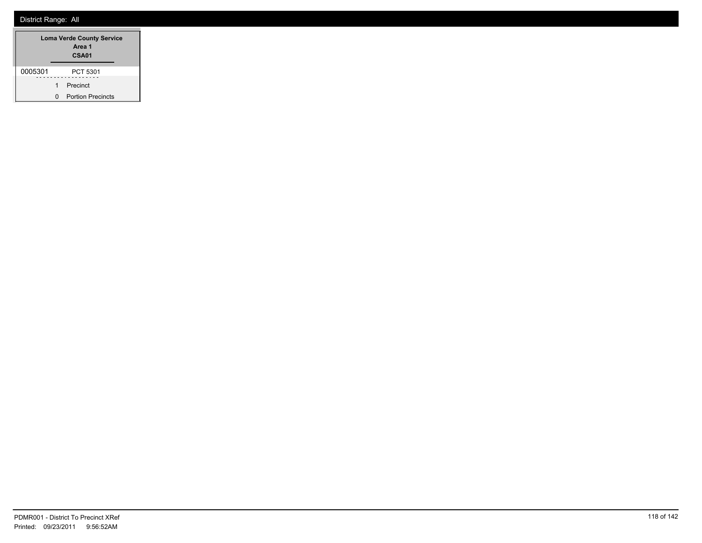|         |   | <b>Loma Verde County Service</b><br>Area 1<br><b>CSA01</b> |
|---------|---|------------------------------------------------------------|
| 0005301 |   | PCT 5301                                                   |
|         | 1 | Precinct                                                   |
|         | n | <b>Portion Precincts</b>                                   |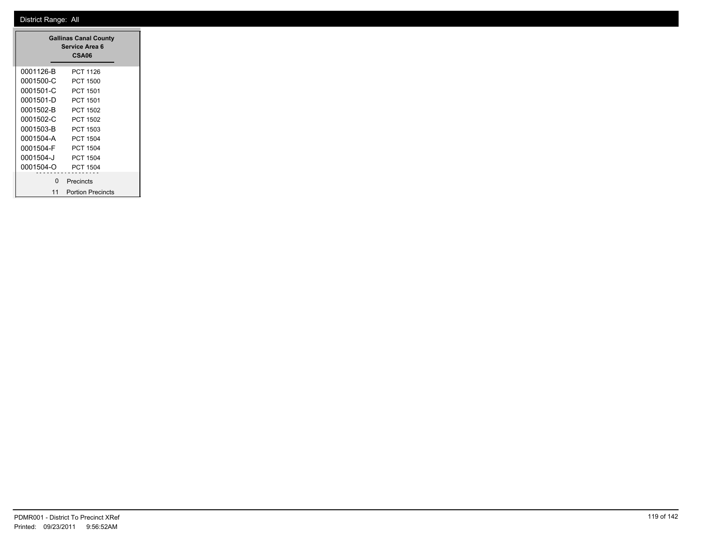|           | <b>Gallinas Canal County</b><br>Service Area 6<br>CSA06 |
|-----------|---------------------------------------------------------|
| 0001126-B | PCT 1126                                                |
| 0001500-C | PCT 1500                                                |
| 0001501-C | <b>PCT 1501</b>                                         |
| 0001501-D | PCT 1501                                                |
| 0001502-B | PCT 1502                                                |
| 0001502-C | <b>PCT 1502</b>                                         |
| 0001503-B | PCT 1503                                                |
| 0001504-A | PCT 1504                                                |
| 0001504-F | PCT 1504                                                |
| 0001504-J | PCT 1504                                                |
| 0001504-O | <b>PCT 1504</b>                                         |
| n         | Precincts                                               |
| 11        | <b>Portion Precincts</b>                                |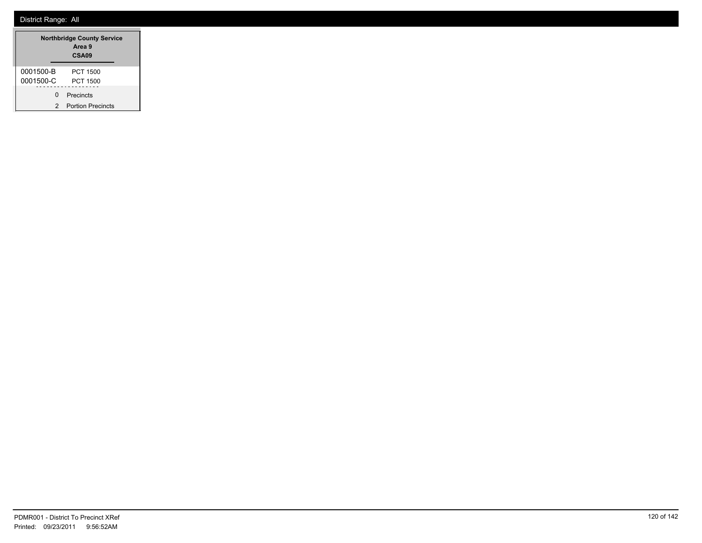|           | <b>Northbridge County Service</b><br>Area 9<br>CSA09 |
|-----------|------------------------------------------------------|
| 0001500-B | PCT 1500                                             |
| 0001500-C | PCT 1500                                             |
| ŋ         | Precincts                                            |
| 2         | <b>Portion Precincts</b>                             |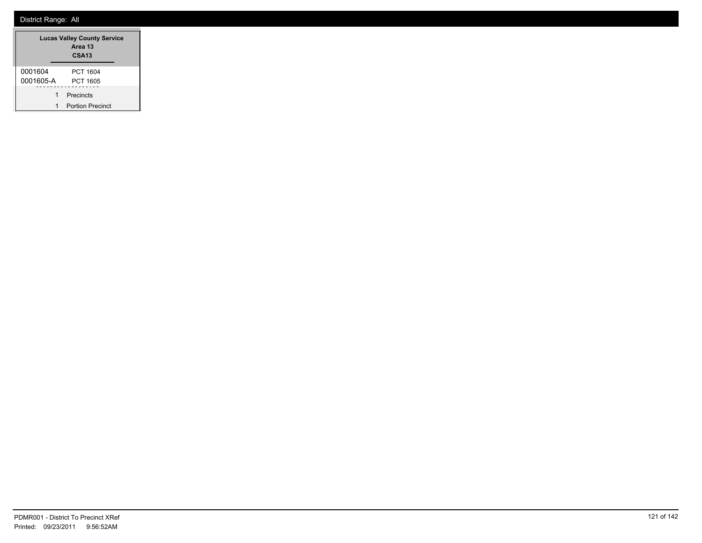|           | <b>Lucas Valley County Service</b><br>Area 13<br><b>CSA13</b> |
|-----------|---------------------------------------------------------------|
| 0001604   | PCT 1604                                                      |
| 0001605-A | PCT 1605                                                      |
| 1         | Precincts                                                     |
|           | <b>Portion Precinct</b>                                       |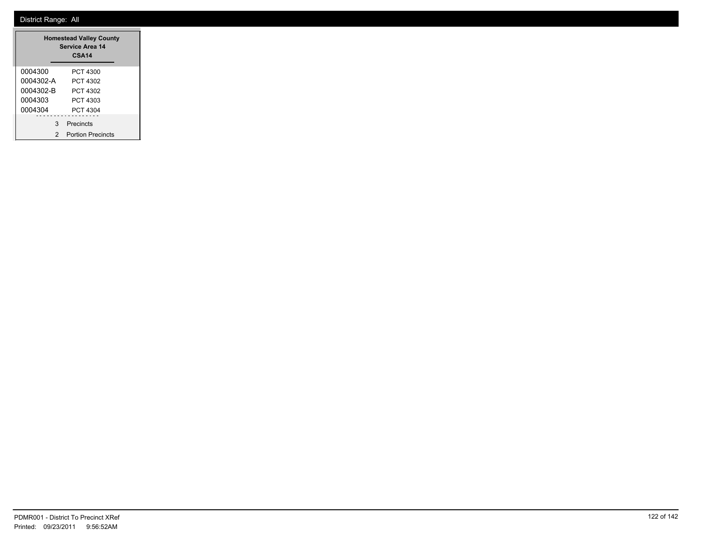| <b>Homestead Valley County</b><br><b>Service Area 14</b><br>CSA <sub>14</sub> |                          |  |  |  |  |
|-------------------------------------------------------------------------------|--------------------------|--|--|--|--|
| 0004300                                                                       | PCT 4300                 |  |  |  |  |
| 0004302-A                                                                     | PCT 4302                 |  |  |  |  |
| 0004302-B                                                                     | PCT 4302                 |  |  |  |  |
| 0004303                                                                       | PCT 4303                 |  |  |  |  |
| 0004304                                                                       | PCT 4304                 |  |  |  |  |
| 3                                                                             | Precincts                |  |  |  |  |
| 2                                                                             | <b>Portion Precincts</b> |  |  |  |  |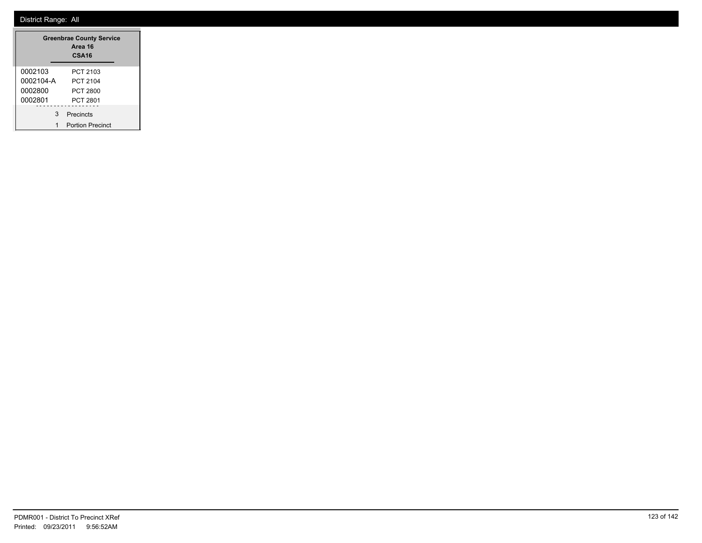|           |   | <b>Greenbrae County Service</b><br>Area 16<br>CSA <sub>16</sub> |
|-----------|---|-----------------------------------------------------------------|
| 0002103   |   | PCT 2103                                                        |
| 0002104-A |   | PCT 2104                                                        |
| 0002800   |   | PCT 2800                                                        |
| 0002801   |   | PCT 2801                                                        |
|           | 3 | Precincts                                                       |
|           |   | <b>Portion Precinct</b>                                         |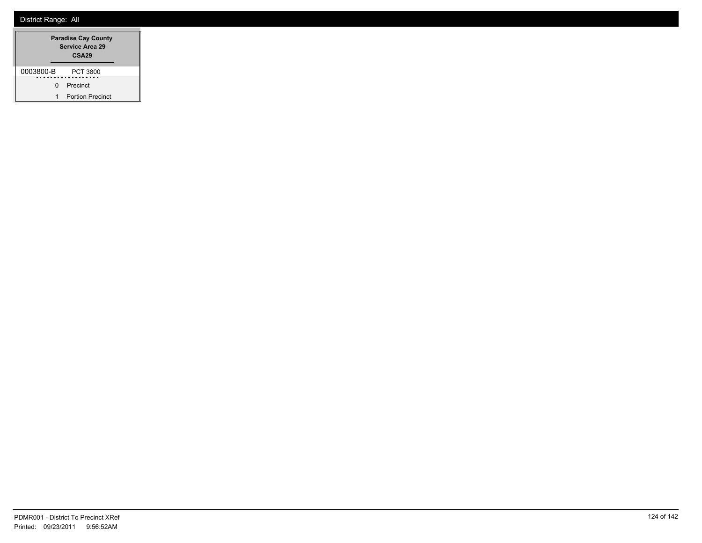|           |   | <b>Paradise Cay County</b><br>Service Area 29<br>CSA <sub>29</sub> |
|-----------|---|--------------------------------------------------------------------|
| 0003800-B |   | PCT 3800                                                           |
|           | ŋ | Precinct                                                           |
|           | 1 | <b>Portion Precinct</b>                                            |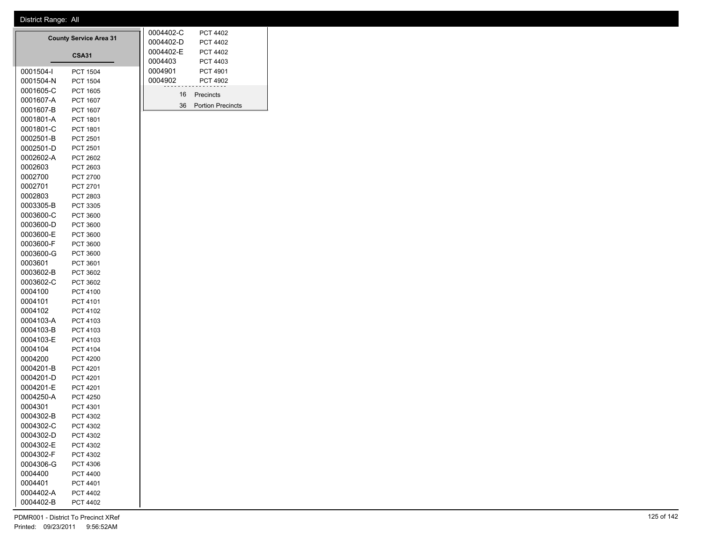0001801-C PCT 1801 0002501-B PCT 2501 0002501-D PCT 2501 0002602-A PCT 2602 0002603 PCT 2603 0002700 PCT 2700 0002701 PCT 2701 0002803 PCT 2803 0003305-B PCT 3305 0003600-C PCT 3600 0003600-D PCT 3600 0003600-E PCT 3600 0003600-F PCT 3600 0003600-G PCT 3600 0003601 PCT 3601 0003602-B PCT 3602 0003602-C PCT 3602 0004100 PCT 4100 0004101 PCT 4101 0004102 PCT 4102 0004103-A PCT 4103 0004103-B PCT 4103 0004103-E PCT 4103 0004104 PCT 4104 0004200 PCT 4200 0004201-B PCT 4201 0004201-D PCT 4201 0004201-E PCT 4201 0004250-A PCT 4250 0004301 PCT 4301 0004302-B PCT 4302 0004302-C PCT 4302 0004302-D PCT 4302 0004302-E PCT 4302 0004302-F PCT 4302 0004306-G PCT 4306 0004400 PCT 4400 0004401 PCT 4401 0004402-A PCT 4402 0004402-B PCT 4402

|           |                               | 0004402-C | <b>PCT 4402</b>          |  |
|-----------|-------------------------------|-----------|--------------------------|--|
|           | <b>County Service Area 31</b> | 0004402-D | <b>PCT 4402</b>          |  |
|           | <b>CSA31</b>                  | 0004402-E | <b>PCT 4402</b>          |  |
|           |                               | 0004403   | PCT 4403                 |  |
| 0001504-I | <b>PCT 1504</b>               | 0004901   | PCT 4901                 |  |
| 0001504-N | <b>PCT 1504</b>               | 0004902   | <b>PCT 4902</b>          |  |
| 0001605-C | PCT 1605                      | 16        | Precincts                |  |
| 0001607-A | <b>PCT 1607</b>               |           |                          |  |
| 0001607-B | <b>PCT 1607</b>               | 36        | <b>Portion Precincts</b> |  |
| 0001801-A | PCT 1801                      |           |                          |  |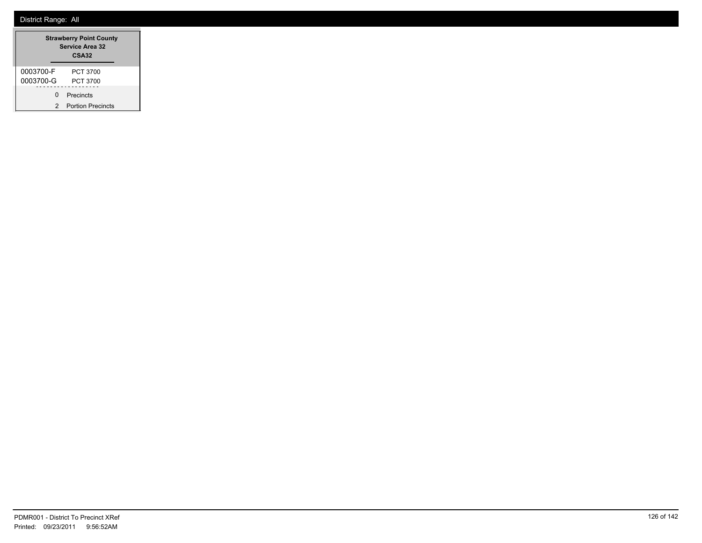| <b>Strawberry Point County</b><br><b>Service Area 32</b><br>CSA32 |                          |  |  |  |
|-------------------------------------------------------------------|--------------------------|--|--|--|
| 0003700-F                                                         | PCT 3700                 |  |  |  |
| 0003700-G                                                         | PCT 3700                 |  |  |  |
| ŋ                                                                 | Precincts                |  |  |  |
| 2                                                                 | <b>Portion Precincts</b> |  |  |  |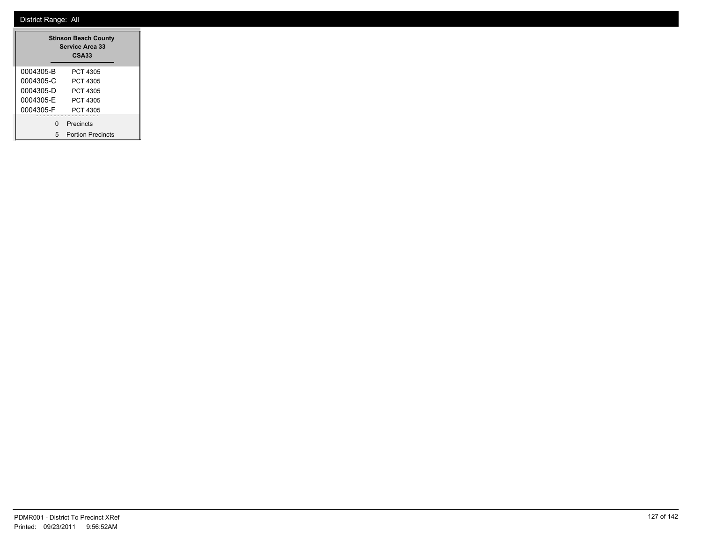|           | <b>Stinson Beach County</b><br><b>Service Area 33</b><br><b>CSA33</b> |
|-----------|-----------------------------------------------------------------------|
| 0004305-B | PCT 4305                                                              |
| 0004305-C | PCT 4305                                                              |
| 0004305-D | PCT 4305                                                              |
| 0004305-F | PCT 4305                                                              |
| 0004305-F | PCT 4305                                                              |
| $\Omega$  | Precincts                                                             |
| 5         | <b>Portion Precincts</b>                                              |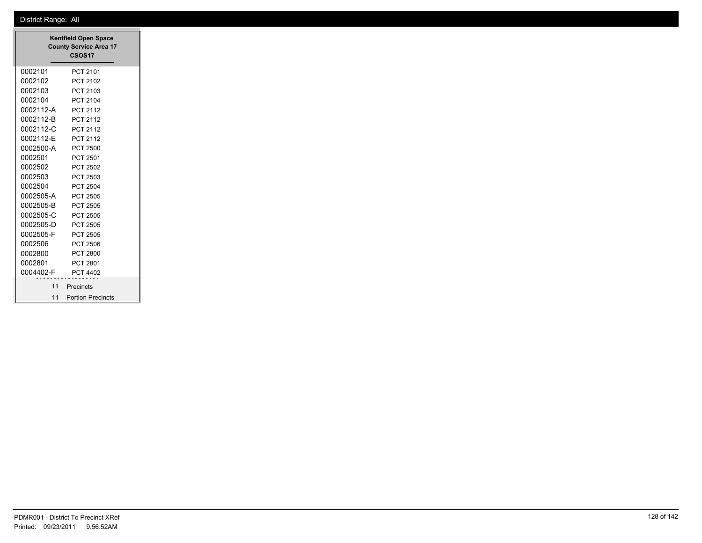| <b>Kentfield Open Space</b><br><b>County Service Area 17</b><br>CSOS <sub>17</sub> |                          |  |  |  |
|------------------------------------------------------------------------------------|--------------------------|--|--|--|
| 0002101                                                                            | PCT 2101                 |  |  |  |
| 0002102                                                                            | PCT 2102                 |  |  |  |
| 0002103                                                                            | PCT 2103                 |  |  |  |
| 0002104                                                                            | <b>PCT 2104</b>          |  |  |  |
| 0002112-A                                                                          | PCT 2112                 |  |  |  |
| 0002112-B                                                                          | <b>PCT 2112</b>          |  |  |  |
| 0002112-C                                                                          | PCT 2112                 |  |  |  |
| 0002112-E                                                                          | PCT 2112                 |  |  |  |
| 0002500-A                                                                          | <b>PCT 2500</b>          |  |  |  |
| 0002501                                                                            | <b>PCT 2501</b>          |  |  |  |
| 0002502                                                                            | <b>PCT 2502</b>          |  |  |  |
| 0002503                                                                            | PCT 2503                 |  |  |  |
| 0002504                                                                            | <b>PCT 2504</b>          |  |  |  |
| 0002505-A                                                                          | <b>PCT 2505</b>          |  |  |  |
| 0002505-B                                                                          | <b>PCT 2505</b>          |  |  |  |
| 0002505-C                                                                          | <b>PCT 2505</b>          |  |  |  |
| 0002505-D                                                                          | <b>PCT 2505</b>          |  |  |  |
| 0002505-F                                                                          | <b>PCT 2505</b>          |  |  |  |
| 0002506                                                                            | <b>PCT 2506</b>          |  |  |  |
| 0002800                                                                            | <b>PCT 2800</b>          |  |  |  |
| 0002801                                                                            | PCT 2801                 |  |  |  |
| 0004402-F                                                                          | <b>PCT 4402</b>          |  |  |  |
| 11                                                                                 | Precincts                |  |  |  |
| 11                                                                                 | <b>Portion Precincts</b> |  |  |  |

┓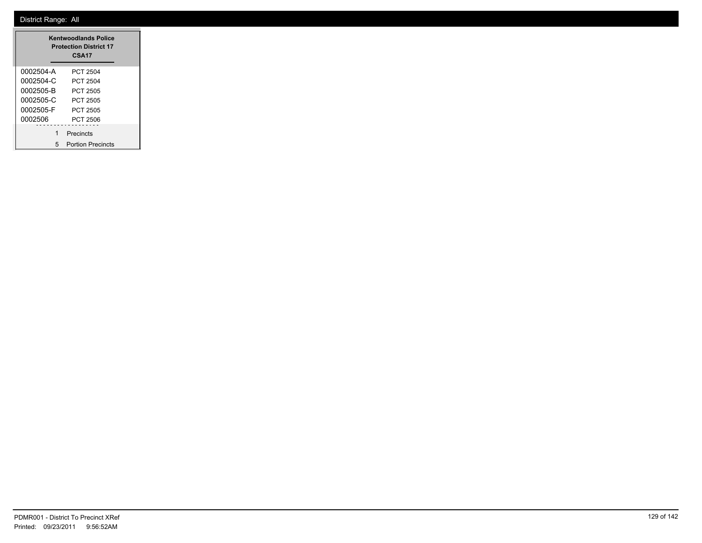| <b>Kentwoodlands Police</b><br><b>Protection District 17</b><br>CSA <sub>17</sub> |                          |  |  |  |  |
|-----------------------------------------------------------------------------------|--------------------------|--|--|--|--|
| 0002504-A                                                                         | PCT 2504                 |  |  |  |  |
| 0002504-C                                                                         | PCT 2504                 |  |  |  |  |
| 0002505-B                                                                         | PCT 2505                 |  |  |  |  |
| 0002505-C                                                                         | PCT 2505                 |  |  |  |  |
| 0002505-F                                                                         | PCT 2505                 |  |  |  |  |
| 0002506                                                                           | PCT 2506                 |  |  |  |  |
| 1                                                                                 | Precincts                |  |  |  |  |
| 5                                                                                 | <b>Portion Precincts</b> |  |  |  |  |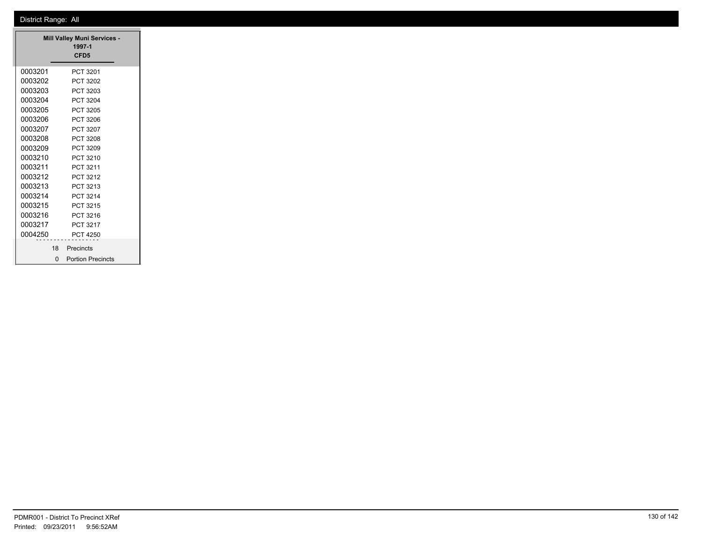|         |          | <b>Mill Valley Muni Services -</b><br>1997-1<br>CFD <sub>5</sub> |  |  |  |
|---------|----------|------------------------------------------------------------------|--|--|--|
| 0003201 |          | PCT 3201                                                         |  |  |  |
| 0003202 |          | PCT 3202                                                         |  |  |  |
| 0003203 |          | PCT 3203                                                         |  |  |  |
| 0003204 |          | PCT 3204                                                         |  |  |  |
| 0003205 |          | PCT 3205                                                         |  |  |  |
| 0003206 |          | PCT 3206                                                         |  |  |  |
| 0003207 |          | PCT 3207                                                         |  |  |  |
| 0003208 |          | PCT 3208                                                         |  |  |  |
| 0003209 |          | PCT 3209                                                         |  |  |  |
| 0003210 |          | PCT 3210                                                         |  |  |  |
| 0003211 |          | PCT 3211                                                         |  |  |  |
| 0003212 | PCT 3212 |                                                                  |  |  |  |
| 0003213 |          | PCT 3213                                                         |  |  |  |
| 0003214 |          | PCT 3214                                                         |  |  |  |
| 0003215 |          | PCT 3215                                                         |  |  |  |
| 0003216 |          | PCT 3216                                                         |  |  |  |
| 0003217 |          | PCT 3217                                                         |  |  |  |
| 0004250 |          | PCT 4250                                                         |  |  |  |
|         | 18       | Precincts                                                        |  |  |  |
|         | 0        | <b>Portion Precincts</b>                                         |  |  |  |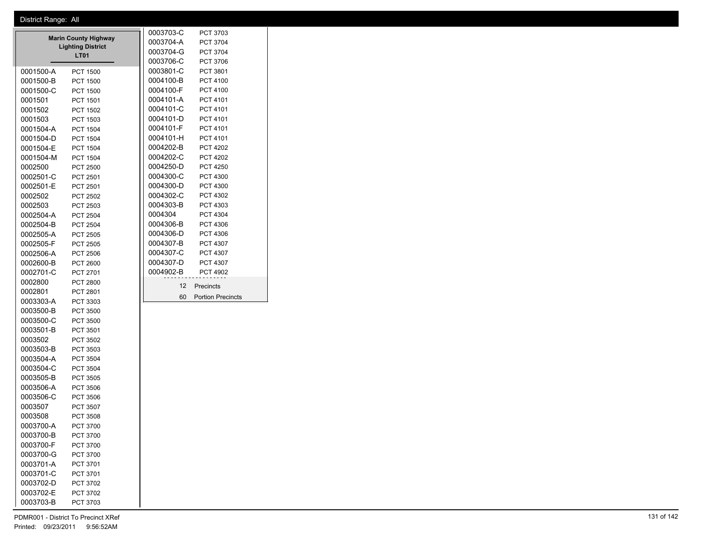|           |                                                         | 0003703-C | PCT 3703          |                          |
|-----------|---------------------------------------------------------|-----------|-------------------|--------------------------|
|           | <b>Marin County Highway</b><br><b>Lighting District</b> | 0003704-A | PCT 3704          |                          |
|           | <b>LT01</b>                                             | 0003704-G | PCT 3704          |                          |
|           |                                                         |           | 0003706-C         | PCT 3706                 |
| 0001500-A | <b>PCT 1500</b>                                         |           | 0003801-C         | PCT 3801                 |
| 0001500-B | <b>PCT 1500</b>                                         |           | 0004100-B         | PCT 4100                 |
| 0001500-C | <b>PCT 1500</b>                                         |           | 0004100-F         | PCT 4100                 |
| 0001501   | <b>PCT 1501</b>                                         |           | 0004101-A         | PCT 4101                 |
| 0001502   | <b>PCT 1502</b>                                         |           | 0004101-C         | PCT 4101                 |
| 0001503   | PCT 1503                                                |           | 0004101-D         | PCT 4101                 |
| 0001504-A | <b>PCT 1504</b>                                         |           | 0004101-F         | PCT 4101                 |
| 0001504-D | <b>PCT 1504</b>                                         |           | 0004101-H         | PCT 4101                 |
| 0001504-E | <b>PCT 1504</b>                                         |           | 0004202-B         | <b>PCT 4202</b>          |
| 0001504-M | <b>PCT 1504</b>                                         |           | 0004202-C         | <b>PCT 4202</b>          |
| 0002500   | <b>PCT 2500</b>                                         |           | 0004250-D         | <b>PCT 4250</b>          |
| 0002501-C | <b>PCT 2501</b>                                         |           | 0004300-C         | PCT 4300                 |
| 0002501-E | PCT 2501                                                |           | 0004300-D         | PCT 4300                 |
| 0002502   | PCT 2502                                                |           | 0004302-C         | PCT 4302                 |
| 0002503   | PCT 2503                                                |           | 0004303-B         | PCT 4303                 |
| 0002504-A | <b>PCT 2504</b>                                         |           | 0004304           | PCT 4304                 |
| 0002504-B | <b>PCT 2504</b>                                         |           | 0004306-B         | PCT 4306                 |
| 0002505-A | <b>PCT 2505</b>                                         |           | 0004306-D         | PCT 4306                 |
| 0002505-F | <b>PCT 2505</b>                                         |           | 0004307-B         | PCT 4307                 |
| 0002506-A | <b>PCT 2506</b>                                         |           | 0004307-C         | PCT 4307                 |
| 0002600-B | <b>PCT 2600</b>                                         |           | 0004307-D         | PCT 4307                 |
| 0002701-C | PCT 2701                                                |           | 0004902-B         | <b>PCT 4902</b>          |
| 0002800   | <b>PCT 2800</b>                                         |           | $12 \overline{ }$ | Precincts                |
| 0002801   | PCT 2801                                                |           | 60                | <b>Portion Precincts</b> |
| 0003303-A | PCT 3303                                                |           |                   |                          |
| 0003500-B | <b>PCT 3500</b>                                         |           |                   |                          |
| 0003500-C | <b>PCT 3500</b>                                         |           |                   |                          |
| 0003501-B | PCT 3501                                                |           |                   |                          |
| 0003502   | PCT 3502                                                |           |                   |                          |
| 0003503-B | PCT 3503                                                |           |                   |                          |
| 0003504-A | <b>PCT 3504</b>                                         |           |                   |                          |
| 0003504-C | <b>PCT 3504</b>                                         |           |                   |                          |
| 0003505-B | <b>PCT 3505</b>                                         |           |                   |                          |
| 0003506-A | PCT 3506                                                |           |                   |                          |
| 0003506-C | PCT 3506                                                |           |                   |                          |
| 0003507   | <b>PCT 3507</b>                                         |           |                   |                          |
| 0003508   | <b>PCT 3508</b>                                         |           |                   |                          |
| 0003700-A | PCT 3700                                                |           |                   |                          |
| 0003700-B | PCT 3700                                                |           |                   |                          |
| 0003700-F | PCT 3700                                                |           |                   |                          |
| 0003700-G | <b>PCT 3700</b>                                         |           |                   |                          |
| 0003701-A | PCT 3701                                                |           |                   |                          |
| 0003701-C | PCT 3701                                                |           |                   |                          |

0003702-D PCT 3702 0003702-E PCT 3702 0003703-B PCT 3703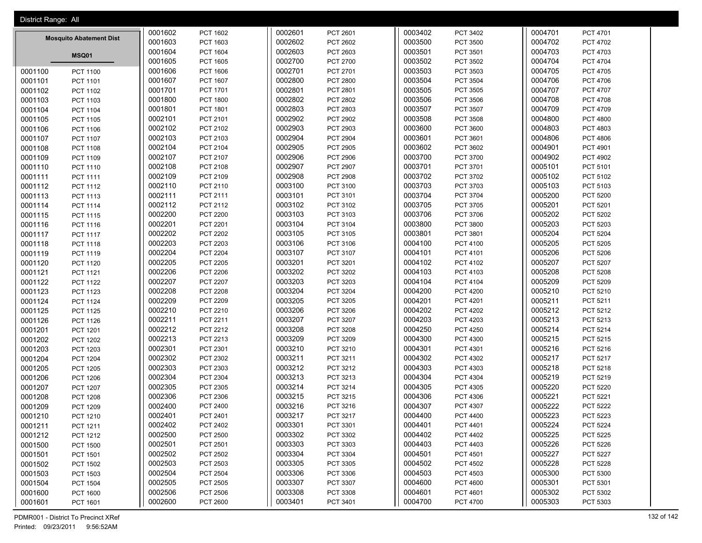| District Range: All            |                 |         |                 |         |                 |         |                 |         |                 |
|--------------------------------|-----------------|---------|-----------------|---------|-----------------|---------|-----------------|---------|-----------------|
|                                |                 | 0001602 | PCT 1602        | 0002601 | PCT 2601        | 0003402 | PCT 3402        | 0004701 | PCT 4701        |
| <b>Mosquito Abatement Dist</b> |                 | 0001603 | PCT 1603        | 0002602 | <b>PCT 2602</b> | 0003500 | PCT 3500        | 0004702 | PCT 4702        |
|                                | <b>MSQ01</b>    | 0001604 | <b>PCT 1604</b> | 0002603 | PCT 2603        | 0003501 | PCT 3501        | 0004703 | PCT 4703        |
|                                |                 | 0001605 | <b>PCT 1605</b> | 0002700 | PCT 2700        | 0003502 | PCT 3502        | 0004704 | <b>PCT 4704</b> |
| 0001100                        | <b>PCT 1100</b> | 0001606 | <b>PCT 1606</b> | 0002701 | PCT 2701        | 0003503 | PCT 3503        | 0004705 | PCT 4705        |
| 0001101                        | PCT 1101        | 0001607 | PCT 1607        | 0002800 | <b>PCT 2800</b> | 0003504 | PCT 3504        | 0004706 | PCT 4706        |
| 0001102                        | PCT 1102        | 0001701 | PCT 1701        | 0002801 | PCT 2801        | 0003505 | PCT 3505        | 0004707 | PCT 4707        |
| 0001103                        | PCT 1103        | 0001800 | <b>PCT 1800</b> | 0002802 | <b>PCT 2802</b> | 0003506 | PCT 3506        | 0004708 | PCT 4708        |
| 0001104                        | <b>PCT 1104</b> | 0001801 | PCT 1801        | 0002803 | PCT 2803        | 0003507 | PCT 3507        | 0004709 | PCT 4709        |
| 0001105                        | <b>PCT 1105</b> | 0002101 | PCT 2101        | 0002902 | PCT 2902        | 0003508 | PCT 3508        | 0004800 | <b>PCT 4800</b> |
| 0001106                        | PCT 1106        | 0002102 | PCT 2102        | 0002903 | PCT 2903        | 0003600 | PCT 3600        | 0004803 | PCT 4803        |
| 0001107                        | PCT 1107        | 0002103 | PCT 2103        | 0002904 | PCT 2904        | 0003601 | PCT 3601        | 0004806 | PCT 4806        |
| 0001108                        | <b>PCT 1108</b> | 0002104 | PCT 2104        | 0002905 | <b>PCT 2905</b> | 0003602 | PCT 3602        | 0004901 | PCT 4901        |
| 0001109                        | PCT 1109        | 0002107 | PCT 2107        | 0002906 | <b>PCT 2906</b> | 0003700 | PCT 3700        | 0004902 | PCT 4902        |
| 0001110                        | PCT 1110        | 0002108 | <b>PCT 2108</b> | 0002907 | <b>PCT 2907</b> | 0003701 | PCT 3701        | 0005101 | PCT 5101        |
| 0001111                        | <b>PCT 1111</b> | 0002109 | PCT 2109        | 0002908 | <b>PCT 2908</b> | 0003702 | PCT 3702        | 0005102 | PCT 5102        |
| 0001112                        | PCT 1112        | 0002110 | PCT 2110        | 0003100 | PCT 3100        | 0003703 | PCT 3703        | 0005103 | PCT 5103        |
| 0001113                        | PCT 1113        | 0002111 | PCT 2111        | 0003101 | PCT 3101        | 0003704 | PCT 3704        | 0005200 | <b>PCT 5200</b> |
| 0001114                        | <b>PCT 1114</b> | 0002112 | PCT 2112        | 0003102 | PCT 3102        | 0003705 | PCT 3705        | 0005201 | PCT 5201        |
| 0001115                        | PCT 1115        | 0002200 | <b>PCT 2200</b> | 0003103 | PCT 3103        | 0003706 | PCT 3706        | 0005202 | PCT 5202        |
| 0001116                        | PCT 1116        | 0002201 | PCT 2201        | 0003104 | PCT 3104        | 0003800 | PCT 3800        | 0005203 | PCT 5203        |
| 0001117                        | <b>PCT 1117</b> | 0002202 | <b>PCT 2202</b> | 0003105 | PCT 3105        | 0003801 | PCT 3801        | 0005204 | <b>PCT 5204</b> |
| 0001118                        | PCT 1118        | 0002203 | <b>PCT 2203</b> | 0003106 | PCT 3106        | 0004100 | PCT 4100        | 0005205 | PCT 5205        |
| 0001119                        | PCT 1119        | 0002204 | <b>PCT 2204</b> | 0003107 | PCT 3107        | 0004101 | PCT 4101        | 0005206 | PCT 5206        |
| 0001120                        | <b>PCT 1120</b> | 0002205 | <b>PCT 2205</b> | 0003201 | PCT 3201        | 0004102 | PCT 4102        | 0005207 | PCT 5207        |
| 0001121                        | PCT 1121        | 0002206 | <b>PCT 2206</b> | 0003202 | PCT 3202        | 0004103 | PCT 4103        | 0005208 | <b>PCT 5208</b> |
| 0001122                        | PCT 1122        | 0002207 | <b>PCT 2207</b> | 0003203 | PCT 3203        | 0004104 | PCT 4104        | 0005209 | PCT 5209        |
| 0001123                        | <b>PCT 1123</b> | 0002208 | <b>PCT 2208</b> | 0003204 | PCT 3204        | 0004200 | <b>PCT 4200</b> | 0005210 | PCT 5210        |
| 0001124                        | <b>PCT 1124</b> | 0002209 | <b>PCT 2209</b> | 0003205 | PCT 3205        | 0004201 | PCT 4201        | 0005211 | PCT 5211        |
| 0001125                        | PCT 1125        | 0002210 | PCT 2210        | 0003206 | PCT 3206        | 0004202 | PCT 4202        | 0005212 | PCT 5212        |
| 0001126                        | <b>PCT 1126</b> | 0002211 | PCT 2211        | 0003207 | PCT 3207        | 0004203 | PCT 4203        | 0005213 | PCT 5213        |
| 0001201                        | PCT 1201        | 0002212 | PCT 2212        | 0003208 | <b>PCT 3208</b> | 0004250 | <b>PCT 4250</b> | 0005214 | PCT 5214        |
| 0001202                        | PCT 1202        | 0002213 | PCT 2213        | 0003209 | PCT 3209        | 0004300 | PCT 4300        | 0005215 | PCT 5215        |
| 0001203                        | PCT 1203        | 0002301 | PCT 2301        | 0003210 | PCT 3210        | 0004301 | PCT 4301        | 0005216 | PCT 5216        |
| 0001204                        | <b>PCT 1204</b> | 0002302 | PCT 2302        | 0003211 | PCT 3211        | 0004302 | PCT 4302        | 0005217 | PCT 5217        |
| 0001205                        | <b>PCT 1205</b> | 0002303 | PCT 2303        | 0003212 | PCT 3212        | 0004303 | PCT 4303        | 0005218 | PCT 5218        |
| 0001206                        | <b>PCT 1206</b> | 0002304 | PCT 2304        | 0003213 | PCT 3213        | 0004304 | PCT 4304        | 0005219 | PCT 5219        |
| 0001207                        | PCT 1207        | 0002305 | PCT 2305        | 0003214 | PCT 3214        | 0004305 | PCT 4305        | 0005220 | <b>PCT 5220</b> |
| 0001208                        | <b>PCT 1208</b> | 0002306 | PCT 2306        | 0003215 | PCT 3215        | 0004306 | PCT 4306        | 0005221 | PCT 5221        |
| 0001209                        | <b>PCT 1209</b> | 0002400 | <b>PCT 2400</b> | 0003216 | PCT 3216        | 0004307 | PCT 4307        | 0005222 | PCT 5222        |
| 0001210                        | PCT 1210        | 0002401 | PCT 2401        | 0003217 | PCT 3217        | 0004400 | PCT 4400        | 0005223 | PCT 5223        |
| 0001211                        | PCT 1211        | 0002402 | PCT 2402        | 0003301 | PCT 3301        | 0004401 | PCT 4401        | 0005224 | <b>PCT 5224</b> |
| 0001212                        | PCT 1212        | 0002500 | PCT 2500        | 0003302 | PCT 3302        | 0004402 | PCT 4402        | 0005225 | PCT 5225        |
| 0001500                        | <b>PCT 1500</b> | 0002501 | PCT 2501        | 0003303 | PCT 3303        | 0004403 | PCT 4403        | 0005226 | PCT 5226        |
| 0001501                        | <b>PCT 1501</b> | 0002502 | PCT 2502        | 0003304 | PCT 3304        | 0004501 | PCT 4501        | 0005227 | <b>PCT 5227</b> |
| 0001502                        | PCT 1502        | 0002503 | PCT 2503        | 0003305 | PCT 3305        | 0004502 | PCT 4502        | 0005228 | PCT 5228        |
| 0001503                        | PCT 1503        | 0002504 | <b>PCT 2504</b> | 0003306 | PCT 3306        | 0004503 | PCT 4503        | 0005300 | PCT 5300        |
| 0001504                        | <b>PCT 1504</b> | 0002505 | PCT 2505        | 0003307 | PCT 3307        | 0004600 | <b>PCT 4600</b> | 0005301 | PCT 5301        |
| 0001600                        | PCT 1600        | 0002506 | <b>PCT 2506</b> | 0003308 | PCT 3308        | 0004601 | PCT 4601        | 0005302 | PCT 5302        |
| 0001601                        | PCT 1601        | 0002600 | <b>PCT 2600</b> | 0003401 | PCT 3401        | 0004700 | <b>PCT 4700</b> | 0005303 | PCT 5303        |

PDMR001 - District To Precinct XRef 132 of 142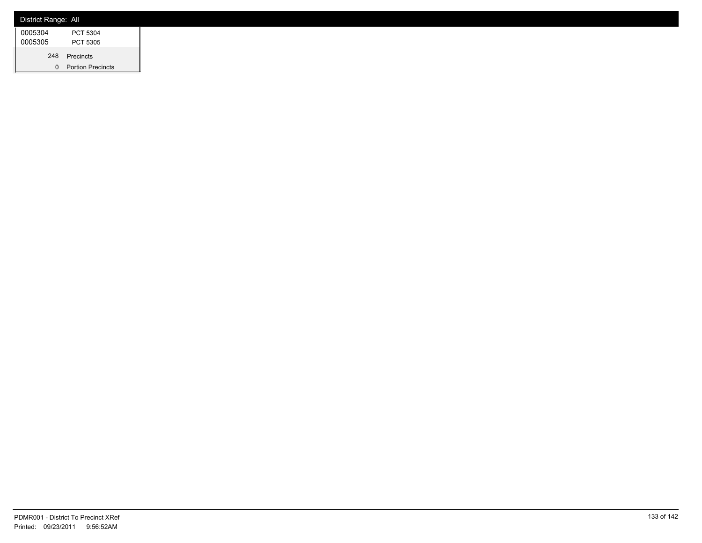| District Range: All |                          |
|---------------------|--------------------------|
| 0005304             | PCT 5304                 |
| 0005305             | PCT 5305                 |
| 248                 | Precincts                |
| 0                   | <b>Portion Precincts</b> |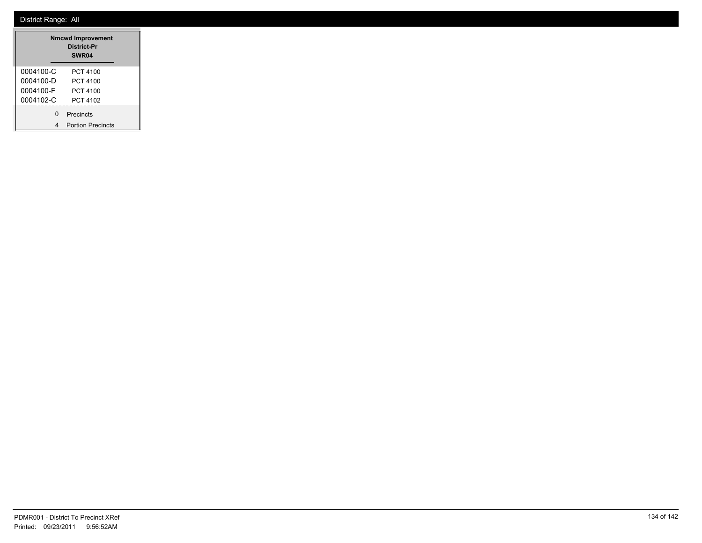| <b>Nmcwd Improvement</b><br>District-Pr<br>SWR04 |                          |  |  |  |  |  |
|--------------------------------------------------|--------------------------|--|--|--|--|--|
| 0004100-C                                        | PCT 4100                 |  |  |  |  |  |
| 0004100-D                                        | PCT 4100                 |  |  |  |  |  |
| 0004100-F                                        | PCT 4100                 |  |  |  |  |  |
| 0004102-C                                        | PCT 4102                 |  |  |  |  |  |
| ŋ                                                | Precincts                |  |  |  |  |  |
|                                                  | <b>Portion Precincts</b> |  |  |  |  |  |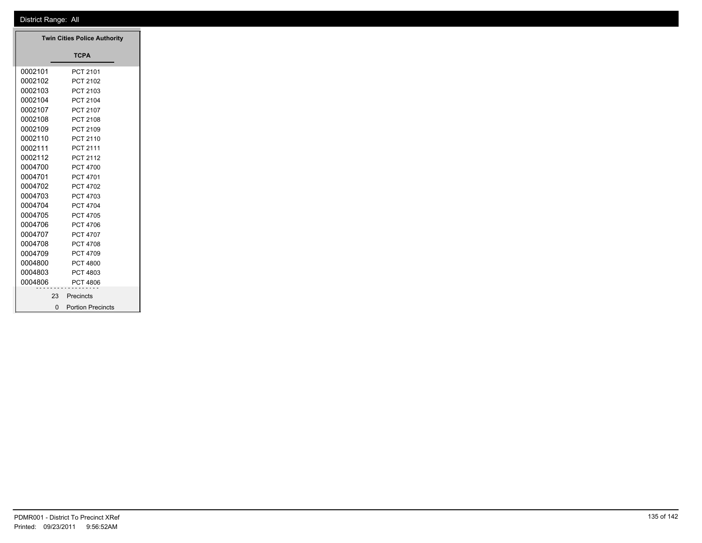| <b>Twin Cities Police Authority</b> |                     |
|-------------------------------------|---------------------|
|                                     | <b>TCPA</b>         |
| 0002101                             | PCT 2101            |
| 0002102                             | PCT 2102            |
| 0002103                             | PCT 2103            |
| 0002104                             | PCT 2104            |
| 0002107                             | PCT 2107            |
| 0002108                             | PCT 2108            |
| 0002109                             | PCT 2109            |
| 0002110                             | PCT 2110            |
| 0002111                             | PCT 2111            |
| 0002112                             | PCT 2112            |
| 0004700                             | <b>PCT 4700</b>     |
| 0004701                             | PCT 4701            |
| 0004702                             | PCT 4702            |
| 0004703                             | PCT 4703            |
| 0004704                             | PCT 4704            |
| 0004705                             | PCT 4705            |
| 0004706                             | PCT 4706            |
| 0004707                             | PCT 4707            |
| 0004708                             | PCT 4708            |
| 0004709                             | PCT 4709            |
| 0004800                             | <b>PCT 4800</b>     |
| 0004803                             | PCT 4803            |
| 0004806                             | <b>PCT 4806</b>     |
| 23                                  | Precincts           |
|                                     | 0 Portion Precincts |
|                                     |                     |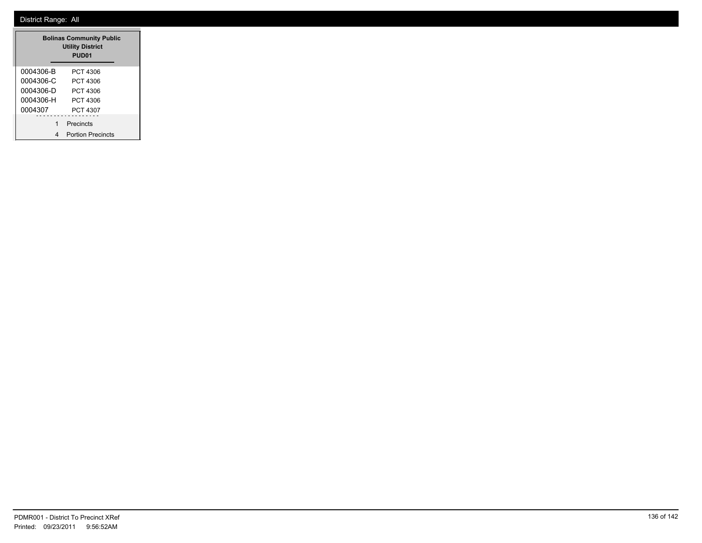| <b>Bolinas Community Public</b><br><b>Utility District</b><br>PUD <sub>01</sub> |                          |  |  |  |  |  |  |
|---------------------------------------------------------------------------------|--------------------------|--|--|--|--|--|--|
| 0004306-B                                                                       | PCT 4306                 |  |  |  |  |  |  |
| 0004306-C                                                                       | PCT 4306                 |  |  |  |  |  |  |
| 0004306-D                                                                       | PCT 4306                 |  |  |  |  |  |  |
| 0004306-H                                                                       | PCT 4306                 |  |  |  |  |  |  |
| 0004307                                                                         | PCT 4307                 |  |  |  |  |  |  |
| 1                                                                               | Precincts                |  |  |  |  |  |  |
| 4                                                                               | <b>Portion Precincts</b> |  |  |  |  |  |  |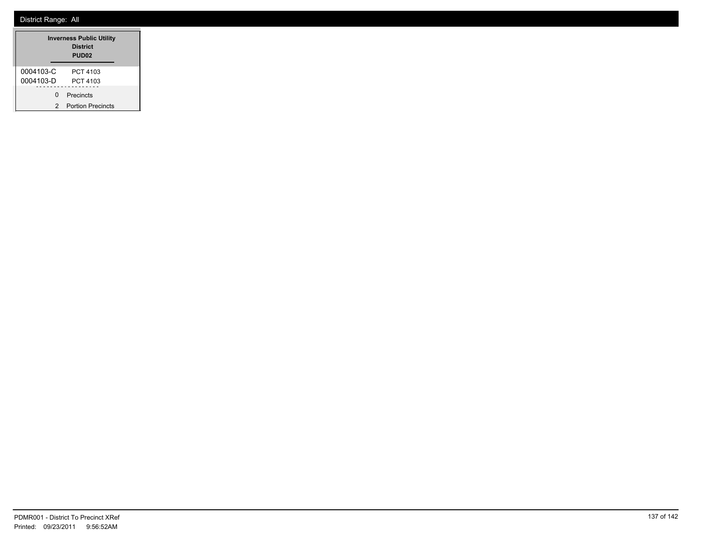|           | <b>Inverness Public Utility</b><br><b>District</b><br>PUD <sub>02</sub> |  |  |
|-----------|-------------------------------------------------------------------------|--|--|
| 0004103-C | PCT 4103                                                                |  |  |
| 0004103-D | PCT 4103                                                                |  |  |
| ŋ         | Precincts                                                               |  |  |
| 2         | <b>Portion Precincts</b>                                                |  |  |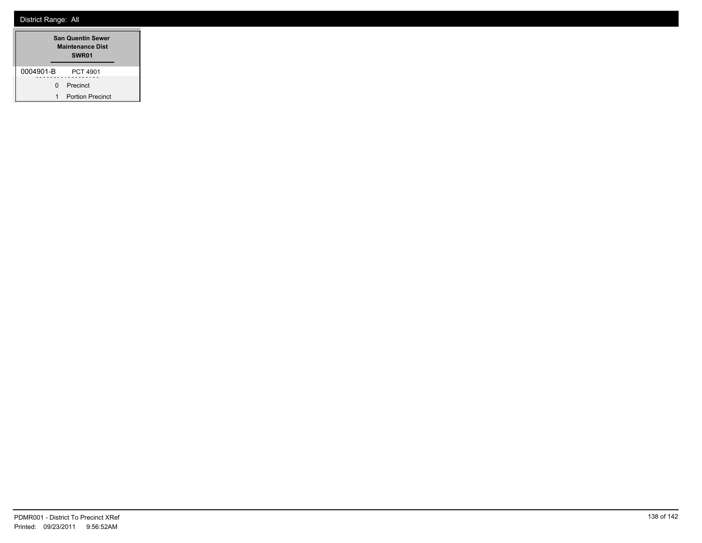| <b>San Quentin Sewer</b><br><b>Maintenance Dist</b><br>SWR01 |                         |  |  |  |  |
|--------------------------------------------------------------|-------------------------|--|--|--|--|
| 0004901-B                                                    | PCT 4901                |  |  |  |  |
| n                                                            | Precinct                |  |  |  |  |
| 1                                                            | <b>Portion Precinct</b> |  |  |  |  |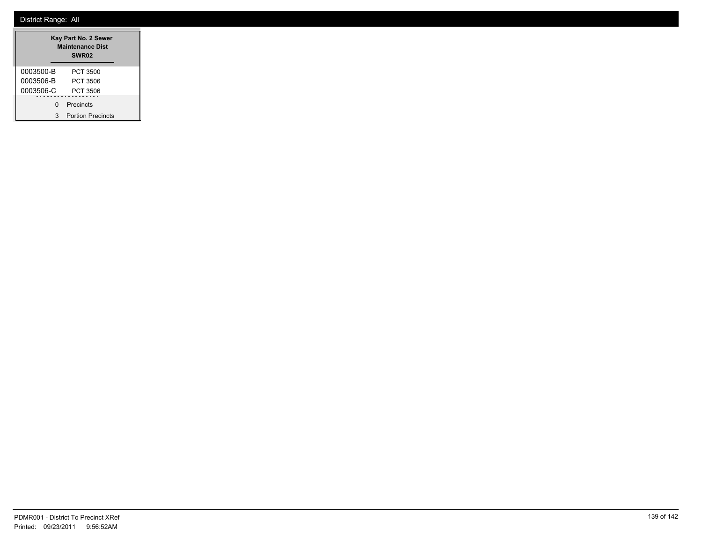| Kay Part No. 2 Sewer<br><b>Maintenance Dist</b><br>SWR <sub>02</sub> |                          |  |  |  |  |
|----------------------------------------------------------------------|--------------------------|--|--|--|--|
| 0003500-B                                                            | PCT 3500                 |  |  |  |  |
| 0003506-B                                                            | PCT 3506                 |  |  |  |  |
| 0003506-C                                                            | PCT 3506                 |  |  |  |  |
| O                                                                    | Precincts                |  |  |  |  |
| 3                                                                    | <b>Portion Precincts</b> |  |  |  |  |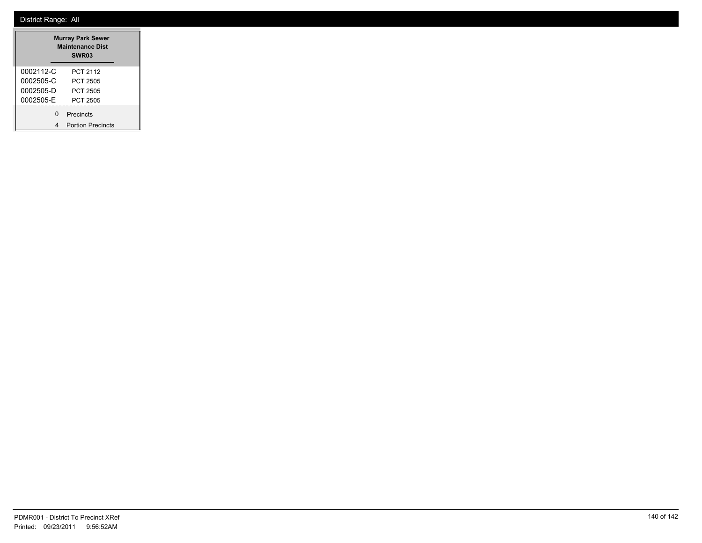| <b>Murray Park Sewer</b><br><b>Maintenance Dist</b><br>SWR <sub>03</sub> |                          |  |  |  |  |
|--------------------------------------------------------------------------|--------------------------|--|--|--|--|
| 0002112-C                                                                | PCT 2112                 |  |  |  |  |
| 0002505-C                                                                | PCT 2505                 |  |  |  |  |
| 0002505-D                                                                | PCT 2505                 |  |  |  |  |
| 0002505-E                                                                | PCT 2505                 |  |  |  |  |
| n                                                                        | Precincts                |  |  |  |  |
|                                                                          | <b>Portion Precincts</b> |  |  |  |  |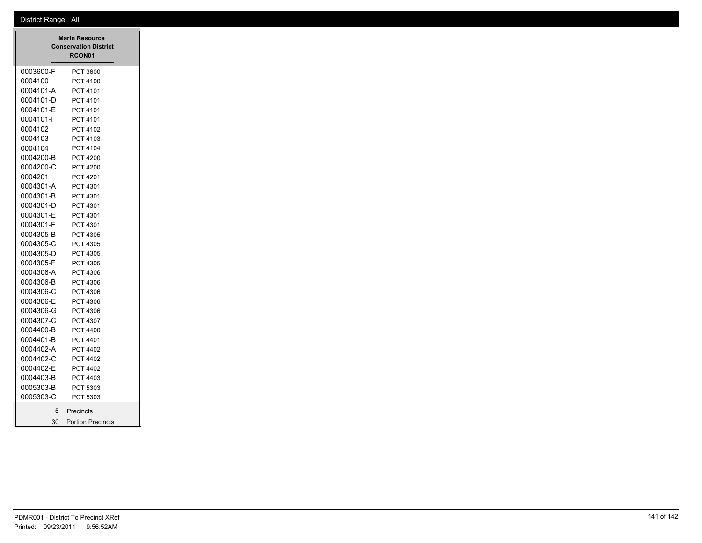|                 | <b>Marin Resource</b><br><b>Conservation District</b><br>RCON01 |
|-----------------|-----------------------------------------------------------------|
| 0003600-F       | PCT 3600                                                        |
| 0004100         | PCT 4100                                                        |
| 0004101-A       | PCT 4101                                                        |
| 0004101-D       | PCT 4101                                                        |
| 0004101-E       | PCT 4101                                                        |
| 0004101-l       | PCT 4101                                                        |
| 0004102         | PCT 4102                                                        |
| 0004103         | PCT 4103                                                        |
| 0004104         | PCT 4104                                                        |
| 0004200-B       | <b>PCT 4200</b>                                                 |
| 0004200-C       | <b>PCT 4200</b>                                                 |
| 0004201         | PCT 4201                                                        |
| 0004301-A       | PCT 4301                                                        |
| 0004301-B       | PCT 4301                                                        |
| 0004301-D       | PCT 4301                                                        |
| 0004301-E       | PCT 4301                                                        |
| 0004301-F       | PCT 4301                                                        |
| 0004305-B       | PCT 4305                                                        |
| 0004305-C       | PCT 4305                                                        |
| 0004305-D       | PCT 4305                                                        |
| 0004305-F       | PCT 4305                                                        |
| 0004306-A       | PCT 4306                                                        |
| 0004306-B       | PCT 4306                                                        |
| 0004306-C       | PCT 4306                                                        |
| 0004306-E       | PCT 4306                                                        |
| 0004306-G       | PCT 4306                                                        |
| 0004307-C       | PCT 4307                                                        |
| 0004400-B       | <b>PCT 4400</b>                                                 |
| 0004401-B       | PCT 4401                                                        |
| 0004402-A       | PCT 4402                                                        |
| 0004402-C       | <b>PCT 4402</b>                                                 |
| 0004402-E       | PCT 4402                                                        |
| 0004403-B       | PCT 4403                                                        |
| 0005303-B       | PCT 5303                                                        |
| 0005303-C       | PCT 5303                                                        |
| 5               | Precincts                                                       |
| 30 <sup>2</sup> | <b>Portion Precincts</b>                                        |